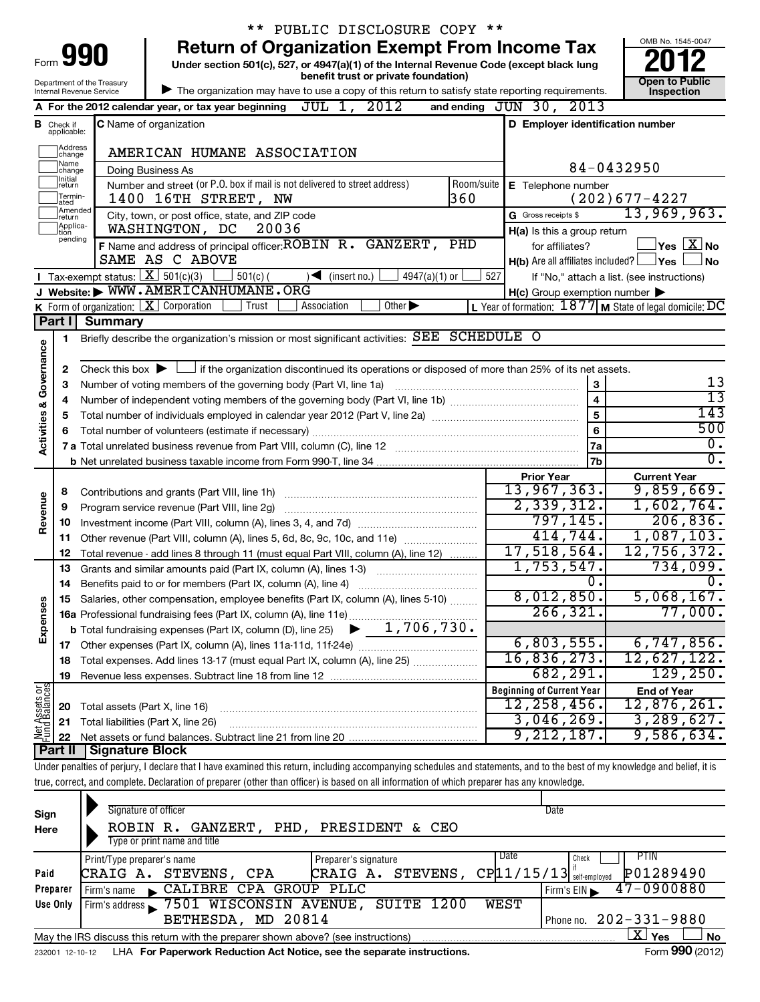|                                                                                                                                  |                                                                                                                                                           |                                                |                                                                                                                                                                            | ** PUBLIC DISCLOSURE COPY **  |                             |               |     |                                  |                               |                                                             |
|----------------------------------------------------------------------------------------------------------------------------------|-----------------------------------------------------------------------------------------------------------------------------------------------------------|------------------------------------------------|----------------------------------------------------------------------------------------------------------------------------------------------------------------------------|-------------------------------|-----------------------------|---------------|-----|----------------------------------|-------------------------------|-------------------------------------------------------------|
| <b>Return of Organization Exempt From Income Tax</b><br>990                                                                      |                                                                                                                                                           |                                                |                                                                                                                                                                            |                               |                             |               |     |                                  |                               | OMB No. 1545-0047                                           |
| Under section 501(c), 527, or 4947(a)(1) of the Internal Revenue Code (except black lung<br>benefit trust or private foundation) |                                                                                                                                                           |                                                |                                                                                                                                                                            |                               |                             |               |     |                                  |                               |                                                             |
|                                                                                                                                  | Department of the Treasury<br>The organization may have to use a copy of this return to satisfy state reporting requirements.<br>Internal Revenue Service |                                                |                                                                                                                                                                            |                               |                             |               |     |                                  |                               | <b>Open to Public</b><br>Inspection                         |
|                                                                                                                                  |                                                                                                                                                           |                                                | A For the 2012 calendar year, or tax year beginning                                                                                                                        |                               | JUL 1, 2012                 |               |     | and ending $JUN$ 30,             | 2013                          |                                                             |
|                                                                                                                                  | <b>B</b> Check if<br>applicable:                                                                                                                          |                                                | <b>C</b> Name of organization                                                                                                                                              |                               |                             |               |     |                                  |                               | D Employer identification number                            |
|                                                                                                                                  | Address<br>change                                                                                                                                         |                                                | AMERICAN HUMANE ASSOCIATION                                                                                                                                                |                               |                             |               |     |                                  |                               |                                                             |
|                                                                                                                                  | Name<br> change                                                                                                                                           |                                                | Doing Business As                                                                                                                                                          |                               |                             |               |     |                                  | 84-0432950                    |                                                             |
|                                                                                                                                  | Ilnitial<br>∣return                                                                                                                                       |                                                | Number and street (or P.O. box if mail is not delivered to street address)                                                                                                 |                               |                             | Room/suite    |     | E Telephone number               |                               |                                                             |
|                                                                                                                                  | Termin-<br>ated                                                                                                                                           |                                                | 1400 16TH STREET, NW                                                                                                                                                       |                               |                             | 360           |     |                                  |                               | $(202)$ 677-4227                                            |
|                                                                                                                                  | Amended<br>Ireturn                                                                                                                                        |                                                | City, town, or post office, state, and ZIP code                                                                                                                            |                               |                             |               |     | G Gross receipts \$              |                               | 13,969,963.                                                 |
|                                                                                                                                  | Applica-<br>tion                                                                                                                                          |                                                | WASHINGTON, DC<br>20036                                                                                                                                                    |                               |                             |               |     |                                  | $H(a)$ is this a group return |                                                             |
|                                                                                                                                  | pending                                                                                                                                                   |                                                | F Name and address of principal officer: ROBIN R. GANZERT,                                                                                                                 |                               |                             | PHD           |     | for affiliates?                  |                               | $\log$ $\boxed{\text{X}}$ No                                |
|                                                                                                                                  |                                                                                                                                                           |                                                | SAME AS C ABOVE                                                                                                                                                            |                               |                             |               |     |                                  |                               | $H(b)$ Are all affiliates included? $\Box$ Yes<br><b>No</b> |
|                                                                                                                                  |                                                                                                                                                           | Tax-exempt status: $X \over 301(c)(3)$         | $501(c)$ (                                                                                                                                                                 | $\sqrt{\bullet}$ (insert no.) |                             | 4947(a)(1) or | 527 |                                  |                               | If "No," attach a list. (see instructions)                  |
|                                                                                                                                  |                                                                                                                                                           |                                                | J Website: WWW.AMERICANHUMANE.ORG                                                                                                                                          |                               |                             |               |     |                                  | H(c) Group exemption number   |                                                             |
|                                                                                                                                  |                                                                                                                                                           | <b>K</b> Form of organization: $X$ Corporation | Trust                                                                                                                                                                      | Association                   | Other $\blacktriangleright$ |               |     |                                  |                               | L Year of formation: $1877$ M State of legal domicile: DC   |
|                                                                                                                                  | Part I                                                                                                                                                    | <b>Summary</b>                                 |                                                                                                                                                                            |                               |                             |               |     |                                  |                               |                                                             |
|                                                                                                                                  | 1                                                                                                                                                         |                                                | Briefly describe the organization's mission or most significant activities: SEE SCHEDULE O                                                                                 |                               |                             |               |     |                                  |                               |                                                             |
|                                                                                                                                  |                                                                                                                                                           |                                                |                                                                                                                                                                            |                               |                             |               |     |                                  |                               |                                                             |
| Governance                                                                                                                       | 2                                                                                                                                                         | Check this box $\blacktriangleright$           | $\perp$ if the organization discontinued its operations or disposed of more than 25% of its net assets.                                                                    |                               |                             |               |     |                                  |                               | 13                                                          |
|                                                                                                                                  | З                                                                                                                                                         |                                                |                                                                                                                                                                            |                               |                             |               |     |                                  | 3<br>$\overline{\mathbf{4}}$  | 13                                                          |
| <b>Activities &amp;</b>                                                                                                          | 4<br>5                                                                                                                                                    |                                                |                                                                                                                                                                            |                               |                             |               |     |                                  | 5                             | 143                                                         |
|                                                                                                                                  | 6                                                                                                                                                         |                                                |                                                                                                                                                                            |                               |                             |               |     |                                  | $\bf 6$                       | 500                                                         |
|                                                                                                                                  |                                                                                                                                                           |                                                |                                                                                                                                                                            |                               |                             |               |     |                                  | 7a                            | $\overline{0}$ .                                            |
|                                                                                                                                  |                                                                                                                                                           |                                                |                                                                                                                                                                            |                               |                             |               |     |                                  | 7b                            | $\overline{0}$ .                                            |
|                                                                                                                                  |                                                                                                                                                           |                                                |                                                                                                                                                                            |                               |                             |               |     | <b>Prior Year</b>                |                               | <b>Current Year</b>                                         |
|                                                                                                                                  | 8                                                                                                                                                         |                                                |                                                                                                                                                                            |                               |                             |               |     | 13,967,363.                      |                               | 9,859,669.                                                  |
| Revenue                                                                                                                          | 9                                                                                                                                                         |                                                | Program service revenue (Part VIII, line 2g)                                                                                                                               |                               |                             |               |     | 2,339,312.                       |                               | 1,602,764.                                                  |
|                                                                                                                                  | 10                                                                                                                                                        |                                                |                                                                                                                                                                            |                               |                             |               |     |                                  | 797, 145.                     | 206,836.                                                    |
|                                                                                                                                  | 11                                                                                                                                                        |                                                | Other revenue (Part VIII, column (A), lines 5, 6d, 8c, 9c, 10c, and 11e)                                                                                                   |                               |                             |               |     |                                  | 414,744.                      | 1,087,103.                                                  |
|                                                                                                                                  | 12                                                                                                                                                        |                                                | Total revenue - add lines 8 through 11 (must equal Part VIII, column (A), line 12)                                                                                         |                               |                             |               |     | 17,518,564.                      |                               | 12,756,372.                                                 |
|                                                                                                                                  | 13                                                                                                                                                        |                                                | Grants and similar amounts paid (Part IX, column (A), lines 1-3)                                                                                                           |                               |                             |               |     | 1,753,547.                       |                               | 734,099.                                                    |
|                                                                                                                                  | 14                                                                                                                                                        |                                                |                                                                                                                                                                            |                               |                             |               |     |                                  | 0.                            | О.                                                          |
|                                                                                                                                  | 15                                                                                                                                                        |                                                | Salaries, other compensation, employee benefits (Part IX, column (A), lines 5-10)                                                                                          |                               |                             |               |     | 8,012,850.                       |                               | 5,068,167.                                                  |
| Expenses                                                                                                                         |                                                                                                                                                           |                                                | 16a Professional fundraising fees (Part IX, column (A), line 11e)                                                                                                          |                               |                             | 1,706,730.    |     |                                  | $\overline{266,321}$          | 77,000.                                                     |
|                                                                                                                                  |                                                                                                                                                           |                                                | <b>b</b> Total fundraising expenses (Part IX, column (D), line 25)                                                                                                         |                               |                             |               |     | 6,803,555.                       |                               | 6,747,856.                                                  |
|                                                                                                                                  |                                                                                                                                                           |                                                |                                                                                                                                                                            |                               |                             |               |     | 16,836,273.                      |                               | 12,627,122.                                                 |
|                                                                                                                                  | 18                                                                                                                                                        |                                                | Total expenses. Add lines 13-17 (must equal Part IX, column (A), line 25) <i></i>                                                                                          |                               |                             |               |     |                                  | 682,291.                      | 129, 250.                                                   |
|                                                                                                                                  | 19                                                                                                                                                        |                                                |                                                                                                                                                                            |                               |                             |               |     | <b>Beginning of Current Year</b> |                               | <b>End of Year</b>                                          |
| Net Assets or                                                                                                                    | 20                                                                                                                                                        | Total assets (Part X, line 16)                 |                                                                                                                                                                            |                               |                             |               |     | 12,258,456.                      |                               | 12,876,261.                                                 |
|                                                                                                                                  | 21                                                                                                                                                        |                                                | Total liabilities (Part X, line 26)                                                                                                                                        |                               |                             |               |     | 3,046,269.                       |                               | 3,289,627.                                                  |
|                                                                                                                                  | 22                                                                                                                                                        |                                                |                                                                                                                                                                            |                               |                             |               |     | 9, 212, 187.                     |                               | 9,586,634.                                                  |
|                                                                                                                                  | Part II                                                                                                                                                   | <b>Signature Block</b>                         |                                                                                                                                                                            |                               |                             |               |     |                                  |                               |                                                             |
|                                                                                                                                  |                                                                                                                                                           |                                                | Under penalties of perjury, I declare that I have examined this return, including accompanying schedules and statements, and to the best of my knowledge and belief, it is |                               |                             |               |     |                                  |                               |                                                             |
|                                                                                                                                  |                                                                                                                                                           |                                                | true, correct, and complete. Declaration of preparer (other than officer) is based on all information of which preparer has any knowledge.                                 |                               |                             |               |     |                                  |                               |                                                             |

| Sign<br>Here    | Signature of officer<br>ROBIN R. GANZERT,<br>PHD.<br>Type or print name and title                    | PRESIDENT<br>& CEO     | Date                                       |  |  |  |  |  |
|-----------------|------------------------------------------------------------------------------------------------------|------------------------|--------------------------------------------|--|--|--|--|--|
|                 | Print/Type preparer's name                                                                           | Preparer's signature   | l Date<br><b>PTIN</b><br>Check             |  |  |  |  |  |
| Paid            | CRAIG A. STEVENS, CPA                                                                                | STEVENS,<br>CRAIG A.   | P01289490<br>$CP$ $11/15/13$ self-employed |  |  |  |  |  |
| Preparer        | CALIBRE CPA GROUP PLLC<br>Firm's name<br>$\mathbf{r}$                                                |                        | 47-0900880<br>Firm's $EIN$                 |  |  |  |  |  |
| Use Only        | Firm's address 57501 WISCONSIN AVENUE, SUITE 1200                                                    |                        | WEST                                       |  |  |  |  |  |
|                 | BETHESDA, MD 20814                                                                                   | Phone no. 202-331-9880 |                                            |  |  |  |  |  |
|                 | ΧI<br>Yes<br>No<br>May the IRS discuss this return with the preparer shown above? (see instructions) |                        |                                            |  |  |  |  |  |
| 232001 12-10-12 | LHA For Paperwork Reduction Act Notice, see the separate instructions.                               | Form 990 (2012)        |                                            |  |  |  |  |  |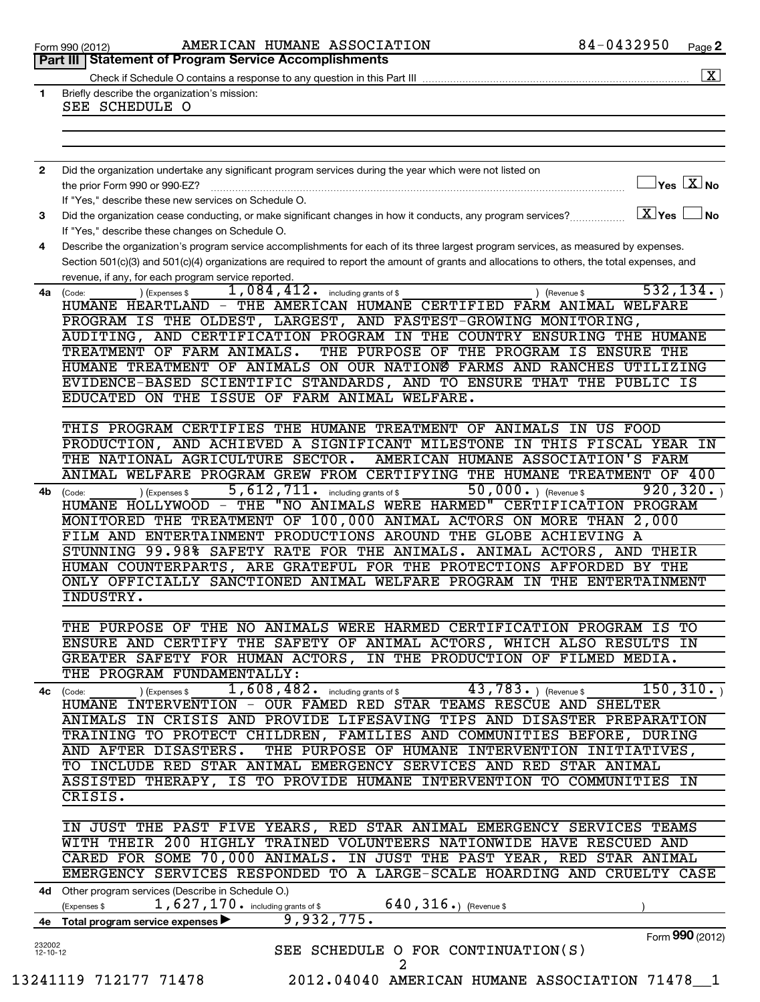| Form 990 (2012) |
|-----------------|
|-----------------|

|                          | AMERICAN HUMANE ASSOCIATION<br>Form 990 (2012)                                                                                                                                                                                                                                                                                              | 84-0432950                                  | Page 2 |
|--------------------------|---------------------------------------------------------------------------------------------------------------------------------------------------------------------------------------------------------------------------------------------------------------------------------------------------------------------------------------------|---------------------------------------------|--------|
|                          | Part III   Statement of Program Service Accomplishments                                                                                                                                                                                                                                                                                     |                                             |        |
|                          |                                                                                                                                                                                                                                                                                                                                             |                                             |        |
| 1                        | Briefly describe the organization's mission:<br>SEE SCHEDULE O                                                                                                                                                                                                                                                                              |                                             |        |
|                          |                                                                                                                                                                                                                                                                                                                                             |                                             |        |
|                          |                                                                                                                                                                                                                                                                                                                                             |                                             |        |
| $\mathbf{2}$             | Did the organization undertake any significant program services during the year which were not listed on                                                                                                                                                                                                                                    |                                             |        |
|                          | the prior Form 990 or 990-EZ?<br>If "Yes," describe these new services on Schedule O.                                                                                                                                                                                                                                                       | $\Box$ Yes $[\overline{\mathrm{X}}]$ No     |        |
| 3                        | Did the organization cease conducting, or make significant changes in how it conducts, any program services?                                                                                                                                                                                                                                | $\lfloor x \rfloor$ Yes $\lfloor x \rfloor$ |        |
|                          | If "Yes," describe these changes on Schedule O.                                                                                                                                                                                                                                                                                             |                                             |        |
| 4                        | Describe the organization's program service accomplishments for each of its three largest program services, as measured by expenses.<br>Section 501(c)(3) and 501(c)(4) organizations are required to report the amount of grants and allocations to others, the total expenses, and<br>revenue, if any, for each program service reported. |                                             |        |
| 4a                       | $1,084,412$ $\cdot$ including grants of \$<br>) (Expenses \$<br>(Code:<br>) (Revenue \$                                                                                                                                                                                                                                                     | 532, 134.                                   |        |
|                          | HUMANE HEARTLAND - THE AMERICAN HUMANE CERTIFIED FARM ANIMAL WELFARE                                                                                                                                                                                                                                                                        |                                             |        |
|                          | PROGRAM IS THE OLDEST, LARGEST, AND FASTEST-GROWING MONITORING,                                                                                                                                                                                                                                                                             |                                             |        |
|                          | AUDITING, AND CERTIFICATION PROGRAM IN THE COUNTRY ENSURING THE HUMANE<br>THE PURPOSE OF THE PROGRAM IS ENSURE THE<br>TREATMENT OF FARM ANIMALS.                                                                                                                                                                                            |                                             |        |
|                          | HUMANE TREATMENT OF ANIMALS ON OUR NATION <sup>®</sup> FARMS AND RANCHES UTILIZING                                                                                                                                                                                                                                                          |                                             |        |
|                          | EVIDENCE-BASED SCIENTIFIC STANDARDS, AND TO ENSURE THAT THE PUBLIC IS                                                                                                                                                                                                                                                                       |                                             |        |
|                          | EDUCATED ON THE ISSUE OF FARM ANIMAL WELFARE.                                                                                                                                                                                                                                                                                               |                                             |        |
|                          |                                                                                                                                                                                                                                                                                                                                             |                                             |        |
|                          | THIS PROGRAM CERTIFIES THE HUMANE TREATMENT OF ANIMALS IN US FOOD                                                                                                                                                                                                                                                                           |                                             |        |
|                          | PRODUCTION, AND ACHIEVED A SIGNIFICANT MILESTONE IN THIS FISCAL YEAR IN                                                                                                                                                                                                                                                                     |                                             |        |
|                          | THE NATIONAL AGRICULTURE SECTOR.<br>AMERICAN HUMANE ASSOCIATION'S FARM                                                                                                                                                                                                                                                                      |                                             |        |
|                          | ANIMAL WELFARE PROGRAM GREW FROM CERTIFYING THE HUMANE TREATMENT OF 400                                                                                                                                                                                                                                                                     |                                             |        |
| 4b                       | $5,612,711$ . including grants of \$<br>50,000. ) (Revenue \$<br>(Expenses \$<br>(Code:                                                                                                                                                                                                                                                     | 920, 320.                                   |        |
|                          | HUMANE HOLLYWOOD - THE "NO ANIMALS WERE HARMED" CERTIFICATION PROGRAM                                                                                                                                                                                                                                                                       |                                             |        |
|                          | MONITORED THE TREATMENT OF 100,000 ANIMAL ACTORS ON MORE THAN 2,000                                                                                                                                                                                                                                                                         |                                             |        |
|                          | FILM AND ENTERTAINMENT PRODUCTIONS AROUND THE GLOBE ACHIEVING A                                                                                                                                                                                                                                                                             |                                             |        |
|                          | STUNNING 99.98% SAFETY RATE FOR THE ANIMALS. ANIMAL ACTORS, AND THEIR                                                                                                                                                                                                                                                                       |                                             |        |
|                          | HUMAN COUNTERPARTS, ARE GRATEFUL FOR THE PROTECTIONS AFFORDED BY THE                                                                                                                                                                                                                                                                        |                                             |        |
|                          | ONLY OFFICIALLY SANCTIONED ANIMAL WELFARE PROGRAM IN THE ENTERTAINMENT                                                                                                                                                                                                                                                                      |                                             |        |
|                          | INDUSTRY.                                                                                                                                                                                                                                                                                                                                   |                                             |        |
|                          | THE PURPOSE OF THE NO ANIMALS WERE HARMED CERTIFICATION PROGRAM IS TO                                                                                                                                                                                                                                                                       |                                             |        |
|                          | ENSURE AND CERTIFY THE SAFETY OF ANIMAL ACTORS, WHICH ALSO RESULTS IN                                                                                                                                                                                                                                                                       |                                             |        |
|                          | GREATER SAFETY FOR HUMAN ACTORS, IN THE PRODUCTION OF FILMED MEDIA.                                                                                                                                                                                                                                                                         |                                             |        |
|                          | THE PROGRAM FUNDAMENTALLY:                                                                                                                                                                                                                                                                                                                  |                                             |        |
|                          | $1,608,482$ . including grants of \$<br>$43,783.$ ) (Revenue \$<br>4c (Code:<br>) (Expenses \$                                                                                                                                                                                                                                              | 150, 310.                                   |        |
|                          | HUMANE INTERVENTION - OUR FAMED RED STAR TEAMS RESCUE AND SHELTER                                                                                                                                                                                                                                                                           |                                             |        |
|                          | ANIMALS IN CRISIS AND PROVIDE LIFESAVING TIPS AND DISASTER PREPARATION                                                                                                                                                                                                                                                                      |                                             |        |
|                          | TRAINING TO PROTECT CHILDREN, FAMILIES AND COMMUNITIES BEFORE, DURING                                                                                                                                                                                                                                                                       |                                             |        |
|                          | AND AFTER DISASTERS.<br>THE PURPOSE OF HUMANE INTERVENTION INITIATIVES,                                                                                                                                                                                                                                                                     |                                             |        |
|                          | TO INCLUDE RED STAR ANIMAL EMERGENCY SERVICES AND RED STAR ANIMAL                                                                                                                                                                                                                                                                           |                                             |        |
|                          | ASSISTED THERAPY, IS TO PROVIDE HUMANE INTERVENTION TO COMMUNITIES IN<br>CRISIS.                                                                                                                                                                                                                                                            |                                             |        |
|                          |                                                                                                                                                                                                                                                                                                                                             |                                             |        |
|                          | IN JUST THE PAST FIVE YEARS, RED STAR ANIMAL EMERGENCY SERVICES TEAMS                                                                                                                                                                                                                                                                       |                                             |        |
|                          | WITH THEIR 200 HIGHLY TRAINED VOLUNTEERS NATIONWIDE HAVE RESCUED AND                                                                                                                                                                                                                                                                        |                                             |        |
|                          | CARED FOR SOME 70,000 ANIMALS. IN JUST THE PAST YEAR, RED STAR ANIMAL                                                                                                                                                                                                                                                                       |                                             |        |
|                          | EMERGENCY SERVICES RESPONDED TO A LARGE-SCALE HOARDING AND CRUELTY CASE                                                                                                                                                                                                                                                                     |                                             |        |
|                          | 4d Other program services (Describe in Schedule O.)                                                                                                                                                                                                                                                                                         |                                             |        |
|                          | 1, 627, 170. including grants of \$<br>$640, 316.$ (Revenue \$)<br>(Expenses \$<br>9,932,775.<br>Total program service expenses                                                                                                                                                                                                             |                                             |        |
| 4е                       |                                                                                                                                                                                                                                                                                                                                             | Form 990 (2012)                             |        |
| 232002<br>$12 - 10 - 12$ | SEE SCHEDULE O FOR CONTINUATION(S)<br>2                                                                                                                                                                                                                                                                                                     |                                             |        |
|                          | 13241119 712177 71478<br>2012.04040 AMERICAN HUMANE ASSOCIATION 71478 1                                                                                                                                                                                                                                                                     |                                             |        |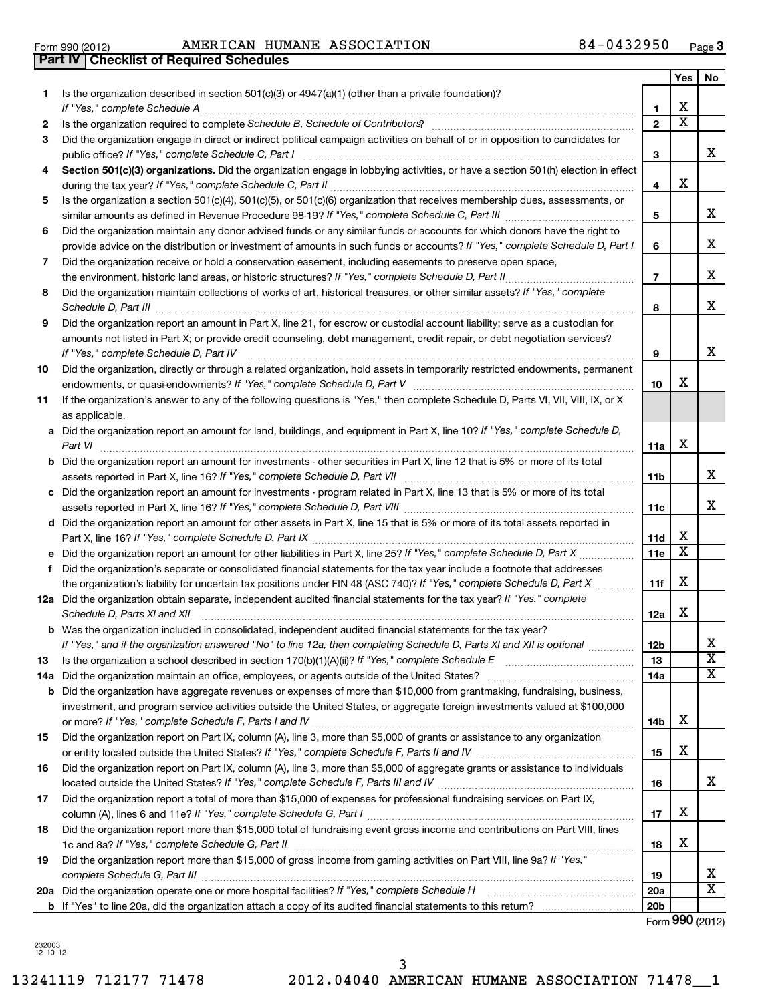**1**

**Part IV Checklist of Required Schedules**

**5**

**6**

13241119 712177 71478 2012.04040 AMERICAN HUMANE ASSOCIATION 71478\_\_1 3

|     | provide advice on the distribution or investment of amounts in such funds or accounts? If "Yes," complete Schedule D, Part I                                                                                                                                   | 6                       |   | x. |
|-----|----------------------------------------------------------------------------------------------------------------------------------------------------------------------------------------------------------------------------------------------------------------|-------------------------|---|----|
| 7   | Did the organization receive or hold a conservation easement, including easements to preserve open space,                                                                                                                                                      |                         |   |    |
|     | the environment, historic land areas, or historic structures? If "Yes," complete Schedule D, Part II                                                                                                                                                           | $\overline{\mathbf{r}}$ |   | х  |
| 8   | Did the organization maintain collections of works of art, historical treasures, or other similar assets? If "Yes," complete<br>Schedule D, Part III                                                                                                           | 8                       |   | X  |
| 9   | Did the organization report an amount in Part X, line 21, for escrow or custodial account liability; serve as a custodian for                                                                                                                                  |                         |   |    |
|     | amounts not listed in Part X; or provide credit counseling, debt management, credit repair, or debt negotiation services?<br>If "Yes," complete Schedule D, Part IV                                                                                            | 9                       |   | х  |
| 10  | Did the organization, directly or through a related organization, hold assets in temporarily restricted endowments, permanent                                                                                                                                  | 10                      | х |    |
| 11  | If the organization's answer to any of the following questions is "Yes," then complete Schedule D, Parts VI, VII, VIII, IX, or X<br>as applicable.                                                                                                             |                         |   |    |
|     | a Did the organization report an amount for land, buildings, and equipment in Part X, line 10? If "Yes," complete Schedule D,<br>Part VI                                                                                                                       | 11a                     | X |    |
|     | <b>b</b> Did the organization report an amount for investments - other securities in Part X, line 12 that is 5% or more of its total                                                                                                                           | 11b                     |   | х  |
|     | c Did the organization report an amount for investments - program related in Part X, line 13 that is 5% or more of its total                                                                                                                                   | 11c                     |   | х  |
|     | d Did the organization report an amount for other assets in Part X, line 15 that is 5% or more of its total assets reported in                                                                                                                                 | 11d                     | х |    |
| е   |                                                                                                                                                                                                                                                                | 11e                     | х |    |
| f   | Did the organization's separate or consolidated financial statements for the tax year include a footnote that addresses                                                                                                                                        |                         |   |    |
|     | the organization's liability for uncertain tax positions under FIN 48 (ASC 740)? If "Yes," complete Schedule D, Part X                                                                                                                                         | 11f                     | х |    |
|     | 12a Did the organization obtain separate, independent audited financial statements for the tax year? If "Yes," complete<br>Schedule D, Parts XI and XII                                                                                                        | 12a                     | X |    |
|     | <b>b</b> Was the organization included in consolidated, independent audited financial statements for the tax year?                                                                                                                                             |                         |   |    |
|     | If "Yes," and if the organization answered "No" to line 12a, then completing Schedule D, Parts XI and XII is optional www.                                                                                                                                     | <b>12b</b>              |   | х  |
| 13  | Is the organization a school described in section 170(b)(1)(A)(ii)? If "Yes," complete Schedule E [ [ [ [ [ [ [ [ ] ]]]                                                                                                                                        | 13                      |   | x  |
| 14a |                                                                                                                                                                                                                                                                | 14a                     |   | x  |
|     | <b>b</b> Did the organization have aggregate revenues or expenses of more than \$10,000 from grantmaking, fundraising, business,<br>investment, and program service activities outside the United States, or aggregate foreign investments valued at \$100,000 | 14b                     | X |    |
| 15  | Did the organization report on Part IX, column (A), line 3, more than \$5,000 of grants or assistance to any organization                                                                                                                                      | 15                      | X |    |
| 16  | Did the organization report on Part IX, column (A), line 3, more than \$5,000 of aggregate grants or assistance to individuals                                                                                                                                 | 16                      |   | х  |
| 17  | Did the organization report a total of more than \$15,000 of expenses for professional fundraising services on Part IX,                                                                                                                                        | 17                      | X |    |
| 18  | Did the organization report more than \$15,000 total of fundraising event gross income and contributions on Part VIII, lines                                                                                                                                   | 18                      | X |    |
| 19  | Did the organization report more than \$15,000 of gross income from gaming activities on Part VIII, line 9a? If "Yes,"                                                                                                                                         | 19                      |   | х  |
|     |                                                                                                                                                                                                                                                                | 20a                     |   | x  |
|     |                                                                                                                                                                                                                                                                | 20 <sub>b</sub>         |   |    |

Form 990 (2012) Page AMERICAN HUMANE ASSOCIATION 84-0432950

Is the organization described in section 501(c)(3) or 4947(a)(1) (other than a private foundation)?

**2** *Schedule B, Schedule of Contributors* Is the organization required to complete ? ~~~~~~~~~~~~~~~~~~~~~~ **3** Did the organization engage in direct or indirect political campaign activities on behalf of or in opposition to candidates for

*If "Yes," complete Schedule A* ~~~~~~~~~~~~~~~~~~~~~~~~~~~~~~~~~~~~~~~~~~~~~~~

*If "Yes," complete Schedule C, Part I* public office? ~~~~~~~~~~~~~~~~~~~~~~~~~~~~~~~~~~~~

during the tax year? If "Yes," complete Schedule C, Part II **manual complete of the complete of the constant of t** 

Is the organization a section 501(c)(4), 501(c)(5), or 501(c)(6) organization that receives membership dues, assessments, or

Did the organization maintain any donor advised funds or any similar funds or accounts for which donors have the right to

similar amounts as defined in Revenue Procedure 98-19? If "Yes," complete Schedule C, Part III *\_\_\_\_\_\_\_\_\_\_\_\_\_\_\_\_\_* 

4 **Section 501(c)(3) organizations.** Did the organization engage in lobbying activities, or have a section 501(h) election in effect

**1 2**

**3**

**4**

**5**

**Yes No**

X

X

 $\mathbf{v}$ 

X  $\overline{\text{x}}$ 

X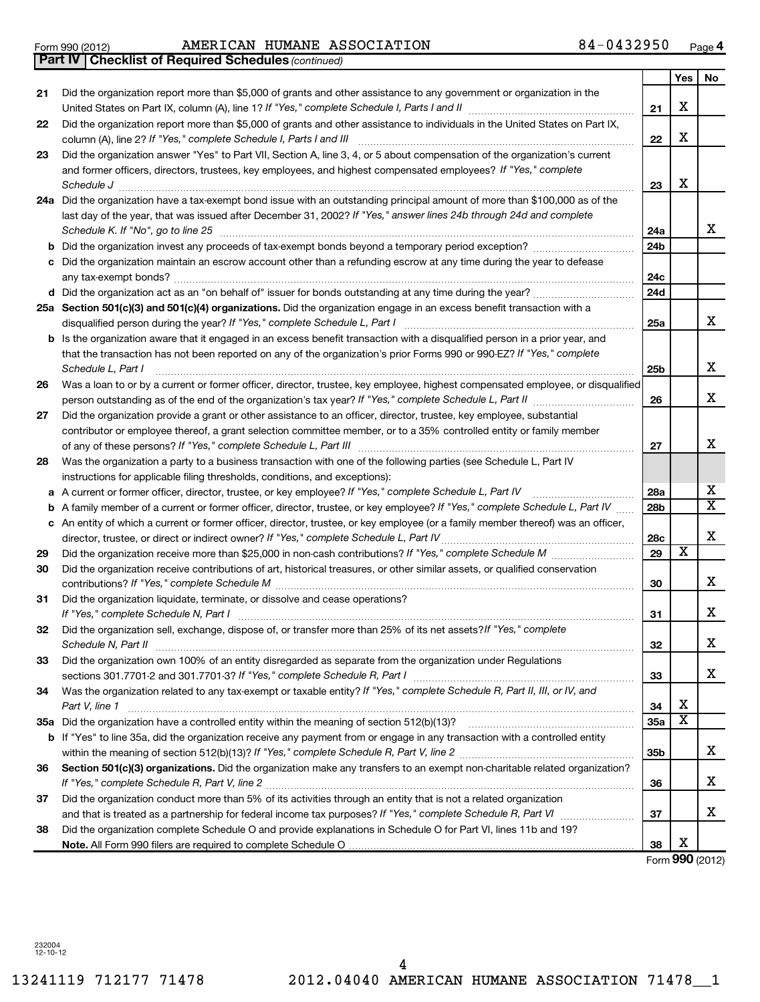**36**

**37**

**38**

| 21 | Did the organization report more than \$5,000 of grants and other assistance to any government or organization in the                                                                                                                                                                                                                        |
|----|----------------------------------------------------------------------------------------------------------------------------------------------------------------------------------------------------------------------------------------------------------------------------------------------------------------------------------------------|
| 22 | Did the organization report more than \$5,000 of grants and other assistance to individuals in the United States on Part IX,                                                                                                                                                                                                                 |
| 23 | Did the organization answer "Yes" to Part VII, Section A, line 3, 4, or 5 about compensation of the organization's current<br>and former officers, directors, trustees, key employees, and highest compensated employees? If "Yes," complete<br>Schedule J                                                                                   |
|    | 24a Did the organization have a tax-exempt bond issue with an outstanding principal amount of more than \$100,000 as of the<br>last day of the year, that was issued after December 31, 2002? If "Yes," answer lines 24b through 24d and complete                                                                                            |
|    | b Did the organization invest any proceeds of tax-exempt bonds beyond a temporary period exception?                                                                                                                                                                                                                                          |
|    | c Did the organization maintain an escrow account other than a refunding escrow at any time during the year to defease                                                                                                                                                                                                                       |
|    |                                                                                                                                                                                                                                                                                                                                              |
|    | 25a Section 501(c)(3) and 501(c)(4) organizations. Did the organization engage in an excess benefit transaction with a                                                                                                                                                                                                                       |
|    | <b>b</b> Is the organization aware that it engaged in an excess benefit transaction with a disqualified person in a prior year, and<br>that the transaction has not been reported on any of the organization's prior Forms 990 or 990-EZ? If "Yes," complete<br>Schedule L, Part I                                                           |
| 26 | Was a loan to or by a current or former officer, director, trustee, key employee, highest compensated employee, or disqualified                                                                                                                                                                                                              |
| 27 | Did the organization provide a grant or other assistance to an officer, director, trustee, key employee, substantial<br>contributor or employee thereof, a grant selection committee member, or to a 35% controlled entity or family member                                                                                                  |
| 28 | Was the organization a party to a business transaction with one of the following parties (see Schedule L, Part IV<br>instructions for applicable filing thresholds, conditions, and exceptions):                                                                                                                                             |
|    | a A current or former officer, director, trustee, or key employee? If "Yes," complete Schedule L, Part IV                                                                                                                                                                                                                                    |
|    | <b>b</b> A family member of a current or former officer, director, trustee, or key employee? If "Yes," complete Schedule L, Part IV                                                                                                                                                                                                          |
|    | c An entity of which a current or former officer, director, trustee, or key employee (or a family member thereof) was an officer,                                                                                                                                                                                                            |
| 29 |                                                                                                                                                                                                                                                                                                                                              |
| 30 | Did the organization receive contributions of art, historical treasures, or other similar assets, or qualified conservation                                                                                                                                                                                                                  |
| 31 | Did the organization liquidate, terminate, or dissolve and cease operations?                                                                                                                                                                                                                                                                 |
| 32 | Did the organization sell, exchange, dispose of, or transfer more than 25% of its net assets? If "Yes," complete                                                                                                                                                                                                                             |
| 33 | Did the organization own 100% of an entity disregarded as separate from the organization under Regulations<br>sections 301.7701-2 and 301.7701-3? If "Yes," complete Schedule R, Part I manual manual content and solutions and the Schedule R, Part I manual manual manual manual manual manual manual manual manual manual manual manual m |
| 34 | Was the organization related to any tax-exempt or taxable entity? If "Yes," complete Schedule R, Part II, III, or IV, and<br>Part V, line 1                                                                                                                                                                                                  |
|    | 35a Did the organization have a controlled entity within the meaning of section 512(b)(13)?                                                                                                                                                                                                                                                  |

**b** If "Yes" to line 35a, did the organization receive any payment from or engage in any transaction with a controlled entity

Did the organization conduct more than 5% of its activities through an entity that is not a related organization

Did the organization complete Schedule O and provide explanations in Schedule O for Part VI, lines 11b and 19?

Section 501(c)(3) organizations. Did the organization make any transfers to an exempt non-charitable related organization?

*If "Yes," complete Schedule R, Part V, line 2* ~~~~~~~~~~~~~~~~~~~~~~~~~~~~~~~~~~~~~~~~

*If "Yes," complete Schedule R, Part V, line 2* within the meaning of section 512(b)(13)? ~~~~~~~~~~~~~~~~~~~

**Note.**  All Form 990 filers are required to complete Schedule O

and that is treated as a partnership for federal income tax purposes? If "Yes," complete Schedule R, Part VI medi

**21**

**22**

**23**

**24a 24b**

**24c 24d**

**25a**

**25b**

**26**

**27**

**28a 28b**

**28c 29**

 $\overline{\texttt{x}}$ 

**30**

**31**

**32**

**33**

**34 35a**

X  $\overline{\text{x}}$ 

**35b**

**36**

**37**

**38**

Form (2012) **990**

X

**Yes No**

X

X

X

X

X

X

X

X

X  $\overline{\text{x}}$ 

X

X

X

X

X

X

X

X

*(continued)* **Part IV Checklist of Required Schedules**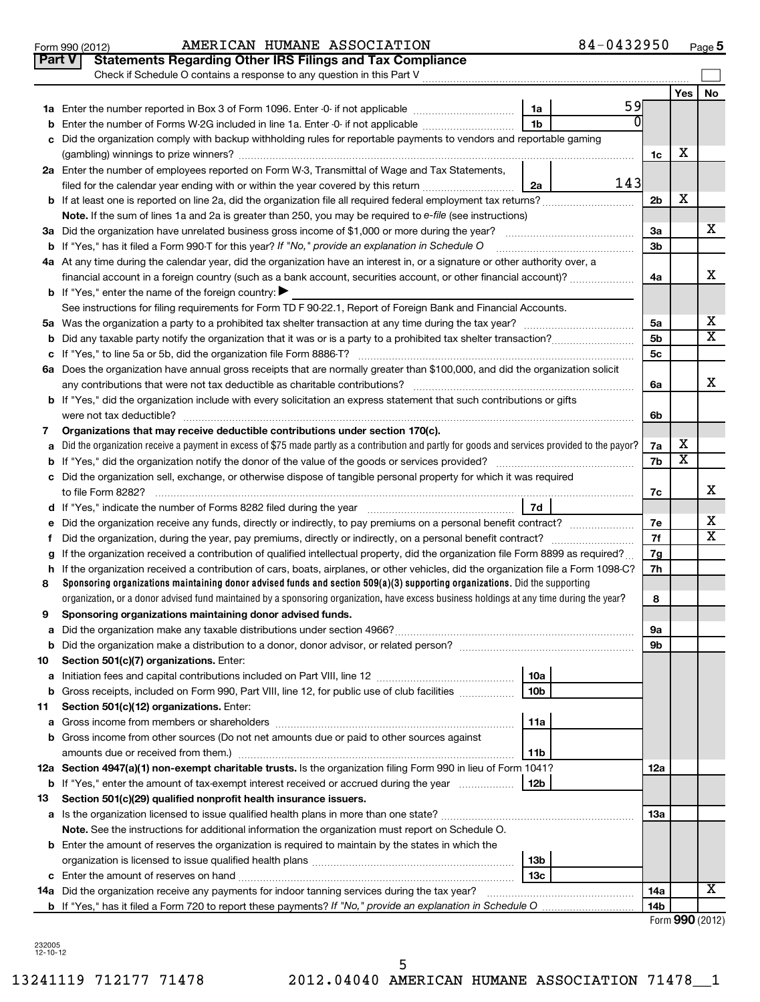| <b>Part V</b> | <b>Statements Regarding Other IRS Filings and Tax Compliance</b><br>Check if Schedule O contains a response to any question in this Part V      |                     |                 |     |                         |  |  |
|---------------|-------------------------------------------------------------------------------------------------------------------------------------------------|---------------------|-----------------|-----|-------------------------|--|--|
|               |                                                                                                                                                 |                     |                 | Yes | No                      |  |  |
|               |                                                                                                                                                 | 59<br>1a            |                 |     |                         |  |  |
| b             | Enter the number of Forms W-2G included in line 1a. Enter -0- if not applicable                                                                 | U<br>1 <sub>b</sub> |                 |     |                         |  |  |
|               | Did the organization comply with backup withholding rules for reportable payments to vendors and reportable gaming                              |                     |                 |     |                         |  |  |
|               |                                                                                                                                                 |                     | 1c              | Х   |                         |  |  |
|               | 2a Enter the number of employees reported on Form W-3, Transmittal of Wage and Tax Statements,                                                  |                     |                 |     |                         |  |  |
|               | filed for the calendar year ending with or within the year covered by this return                                                               | 143<br>2a           |                 |     |                         |  |  |
|               |                                                                                                                                                 |                     | 2 <sub>b</sub>  | X   |                         |  |  |
|               | Note. If the sum of lines 1a and 2a is greater than 250, you may be required to e-file (see instructions)                                       |                     |                 |     |                         |  |  |
|               |                                                                                                                                                 |                     | За              |     | х                       |  |  |
|               | b If "Yes," has it filed a Form 990-T for this year? If "No," provide an explanation in Schedule O                                              |                     | 3b              |     |                         |  |  |
|               | 4a At any time during the calendar year, did the organization have an interest in, or a signature or other authority over, a                    |                     |                 |     |                         |  |  |
|               | financial account in a foreign country (such as a bank account, securities account, or other financial account)?                                |                     | 4a              |     | x                       |  |  |
|               | <b>b</b> If "Yes," enter the name of the foreign country: $\blacktriangleright$                                                                 |                     |                 |     |                         |  |  |
|               | See instructions for filing requirements for Form TD F 90-22.1, Report of Foreign Bank and Financial Accounts.                                  |                     |                 |     |                         |  |  |
|               |                                                                                                                                                 |                     | 5a              |     | х                       |  |  |
| b             |                                                                                                                                                 |                     | 5 <sub>b</sub>  |     | $\overline{\textbf{x}}$ |  |  |
|               |                                                                                                                                                 |                     | 5c              |     |                         |  |  |
|               | 6a Does the organization have annual gross receipts that are normally greater than \$100,000, and did the organization solicit                  |                     |                 |     |                         |  |  |
|               |                                                                                                                                                 |                     | 6a              |     | x                       |  |  |
|               | <b>b</b> If "Yes," did the organization include with every solicitation an express statement that such contributions or gifts                   |                     |                 |     |                         |  |  |
|               |                                                                                                                                                 |                     | 6b              |     |                         |  |  |
| 7             | Organizations that may receive deductible contributions under section 170(c).                                                                   |                     | 7a              | х   |                         |  |  |
| a             | Did the organization receive a payment in excess of \$75 made partly as a contribution and partly for goods and services provided to the payor? |                     |                 |     |                         |  |  |
|               |                                                                                                                                                 |                     |                 |     |                         |  |  |
|               | c Did the organization sell, exchange, or otherwise dispose of tangible personal property for which it was required                             |                     |                 |     |                         |  |  |
|               |                                                                                                                                                 |                     |                 |     |                         |  |  |
|               |                                                                                                                                                 | 7d                  |                 |     | х                       |  |  |
| е             | Did the organization receive any funds, directly or indirectly, to pay premiums on a personal benefit contract?                                 |                     | 7e<br>7f        |     | $\overline{\textbf{x}}$ |  |  |
| f             | If the organization received a contribution of qualified intellectual property, did the organization file Form 8899 as required?                |                     |                 |     |                         |  |  |
| a             | If the organization received a contribution of cars, boats, airplanes, or other vehicles, did the organization file a Form 1098-C?              |                     | 7g<br>7h        |     |                         |  |  |
| h.<br>8       | Sponsoring organizations maintaining donor advised funds and section $509(a)(3)$ supporting organizations. Did the supporting                   |                     |                 |     |                         |  |  |
|               | organization, or a donor advised fund maintained by a sponsoring organization, have excess business holdings at any time during the year?       |                     | 8               |     |                         |  |  |
| 9             | Sponsoring organizations maintaining donor advised funds.                                                                                       |                     |                 |     |                         |  |  |
|               |                                                                                                                                                 |                     | эа              |     |                         |  |  |
|               |                                                                                                                                                 |                     | 9b              |     |                         |  |  |
| 10            | Section 501(c)(7) organizations. Enter:                                                                                                         |                     |                 |     |                         |  |  |
| а             |                                                                                                                                                 | 10a                 |                 |     |                         |  |  |
| b             | Gross receipts, included on Form 990, Part VIII, line 12, for public use of club facilities                                                     | 10 <sub>b</sub>     |                 |     |                         |  |  |
| 11            | Section 501(c)(12) organizations. Enter:                                                                                                        |                     |                 |     |                         |  |  |
| а             |                                                                                                                                                 | 11a                 |                 |     |                         |  |  |
|               | b Gross income from other sources (Do not net amounts due or paid to other sources against                                                      |                     |                 |     |                         |  |  |
|               | amounts due or received from them.)                                                                                                             | 11b                 |                 |     |                         |  |  |
|               | 12a Section 4947(a)(1) non-exempt charitable trusts. Is the organization filing Form 990 in lieu of Form 1041?                                  |                     | 12a             |     |                         |  |  |
|               | <b>b</b> If "Yes," enter the amount of tax-exempt interest received or accrued during the year                                                  | 12b                 |                 |     |                         |  |  |
| 13            | Section 501(c)(29) qualified nonprofit health insurance issuers.                                                                                |                     |                 |     |                         |  |  |
|               | a Is the organization licensed to issue qualified health plans in more than one state?                                                          |                     | 1За             |     |                         |  |  |
|               | Note. See the instructions for additional information the organization must report on Schedule O.                                               |                     |                 |     |                         |  |  |
|               | <b>b</b> Enter the amount of reserves the organization is required to maintain by the states in which the                                       |                     |                 |     |                         |  |  |
|               |                                                                                                                                                 | 13b                 |                 |     |                         |  |  |
|               |                                                                                                                                                 | 13c                 |                 |     |                         |  |  |
|               | 14a Did the organization receive any payments for indoor tanning services during the tax year?                                                  |                     | 14a             |     | х                       |  |  |
|               |                                                                                                                                                 |                     | 14 <sub>b</sub> |     |                         |  |  |

Form 990 (2012) Page AMERICAN HUMANE ASSOCIATION 84-0432950

|  |  | Form 990 (2012) |
|--|--|-----------------|
|--|--|-----------------|

**5**

232005 12-10-12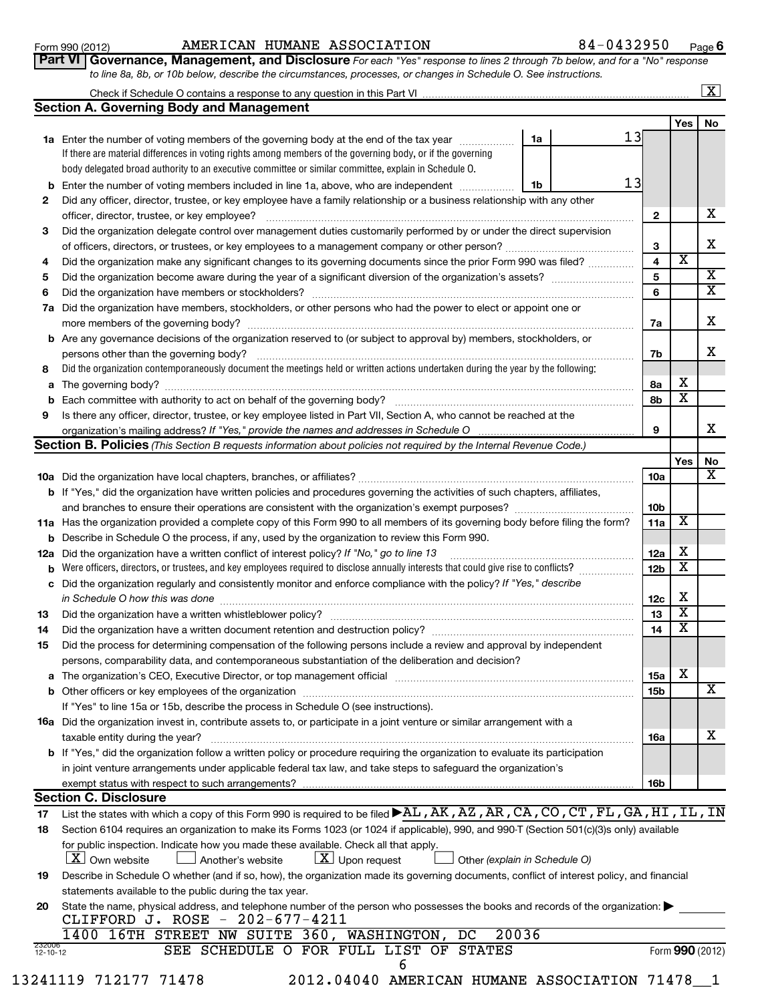|                                                                                                       | AMERICAN HUMANE ASSOCIATION<br>Form 990 (2012)                                                                                                                                                                                 |    | 84-0432950 |                         |                         | Page $6$                |  |
|-------------------------------------------------------------------------------------------------------|--------------------------------------------------------------------------------------------------------------------------------------------------------------------------------------------------------------------------------|----|------------|-------------------------|-------------------------|-------------------------|--|
|                                                                                                       | Governance, Management, and Disclosure For each "Yes" response to lines 2 through 7b below, and for a "No" response<br>Part VI I                                                                                               |    |            |                         |                         |                         |  |
|                                                                                                       | to line 8a, 8b, or 10b below, describe the circumstances, processes, or changes in Schedule O. See instructions.                                                                                                               |    |            |                         |                         |                         |  |
|                                                                                                       |                                                                                                                                                                                                                                |    |            |                         |                         | $\boxed{\textbf{X}}$    |  |
|                                                                                                       | <b>Section A. Governing Body and Management</b>                                                                                                                                                                                |    |            |                         |                         |                         |  |
|                                                                                                       |                                                                                                                                                                                                                                |    |            |                         | Yes                     | No                      |  |
|                                                                                                       | 1a Enter the number of voting members of the governing body at the end of the tax year                                                                                                                                         | 1a | 13         |                         |                         |                         |  |
|                                                                                                       | If there are material differences in voting rights among members of the governing body, or if the governing                                                                                                                    |    |            |                         |                         |                         |  |
| body delegated broad authority to an executive committee or similar committee, explain in Schedule O. |                                                                                                                                                                                                                                |    |            |                         |                         |                         |  |
|                                                                                                       | <b>b</b> Enter the number of voting members included in line 1a, above, who are independent <i>manumum</i>                                                                                                                     | 1b | 13         |                         |                         |                         |  |
| 2                                                                                                     | Did any officer, director, trustee, or key employee have a family relationship or a business relationship with any other                                                                                                       |    |            |                         |                         |                         |  |
|                                                                                                       | officer, director, trustee, or key employee?                                                                                                                                                                                   |    |            | $\mathbf{2}$            |                         | x                       |  |
| 3                                                                                                     | Did the organization delegate control over management duties customarily performed by or under the direct supervision                                                                                                          |    |            |                         |                         |                         |  |
|                                                                                                       |                                                                                                                                                                                                                                |    |            | 3                       |                         | x                       |  |
| 4                                                                                                     | Did the organization make any significant changes to its governing documents since the prior Form 990 was filed?                                                                                                               |    |            | $\overline{\mathbf{4}}$ | $\overline{\mathbf{x}}$ |                         |  |
| 5                                                                                                     | Did the organization become aware during the year of a significant diversion of the organization's assets?                                                                                                                     |    |            | 5                       |                         | X                       |  |
| 6                                                                                                     |                                                                                                                                                                                                                                |    |            | 6                       |                         | $\overline{\mathbf{X}}$ |  |
|                                                                                                       | 7a Did the organization have members, stockholders, or other persons who had the power to elect or appoint one or                                                                                                              |    |            |                         |                         |                         |  |
|                                                                                                       |                                                                                                                                                                                                                                |    |            | 7a                      |                         | х                       |  |
|                                                                                                       | <b>b</b> Are any governance decisions of the organization reserved to (or subject to approval by) members, stockholders, or                                                                                                    |    |            |                         |                         |                         |  |
|                                                                                                       | persons other than the governing body?                                                                                                                                                                                         |    |            | 7b                      |                         | x                       |  |
| 8                                                                                                     | Did the organization contemporaneously document the meetings held or written actions undertaken during the year by the following:                                                                                              |    |            |                         | х                       |                         |  |
|                                                                                                       |                                                                                                                                                                                                                                |    |            |                         |                         |                         |  |
|                                                                                                       |                                                                                                                                                                                                                                |    |            | 8b                      | $\overline{\textbf{x}}$ |                         |  |
| 9                                                                                                     | Is there any officer, director, trustee, or key employee listed in Part VII, Section A, who cannot be reached at the                                                                                                           |    |            |                         |                         |                         |  |
|                                                                                                       | organization's mailing address? If "Yes," provide the names and addresses in Schedule O                                                                                                                                        |    |            | 9                       |                         | x                       |  |
|                                                                                                       | <b>Section B. Policies</b> (This Section B requests information about policies not required by the Internal Revenue Code.)                                                                                                     |    |            |                         |                         |                         |  |
|                                                                                                       |                                                                                                                                                                                                                                |    |            |                         | Yes                     | No                      |  |
|                                                                                                       |                                                                                                                                                                                                                                |    |            | <b>10a</b>              |                         | $\overline{\textbf{x}}$ |  |
|                                                                                                       | b If "Yes," did the organization have written policies and procedures governing the activities of such chapters, affiliates,                                                                                                   |    |            |                         |                         |                         |  |
|                                                                                                       |                                                                                                                                                                                                                                |    |            | 10 <sub>b</sub>         |                         |                         |  |
|                                                                                                       | 11a Has the organization provided a complete copy of this Form 990 to all members of its governing body before filing the form?                                                                                                |    |            | 11a                     | $\overline{\textbf{x}}$ |                         |  |
|                                                                                                       | <b>b</b> Describe in Schedule O the process, if any, used by the organization to review this Form 990.                                                                                                                         |    |            |                         |                         |                         |  |
|                                                                                                       | 12a Did the organization have a written conflict of interest policy? If "No," go to line 13                                                                                                                                    |    |            | 12a                     | х                       |                         |  |
|                                                                                                       | Were officers, directors, or trustees, and key employees required to disclose annually interests that could give rise to conflicts?                                                                                            |    |            | 12 <sub>b</sub>         | $\overline{\textbf{x}}$ |                         |  |
|                                                                                                       | c Did the organization regularly and consistently monitor and enforce compliance with the policy? If "Yes," describe<br>in Schedule O how this was done                                                                        |    |            |                         | X                       |                         |  |
| 13                                                                                                    |                                                                                                                                                                                                                                |    |            | 12c<br>13               | х                       |                         |  |
| 14                                                                                                    |                                                                                                                                                                                                                                |    |            | 14                      | $\overline{\textbf{x}}$ |                         |  |
| 15                                                                                                    | Did the process for determining compensation of the following persons include a review and approval by independent                                                                                                             |    |            |                         |                         |                         |  |
|                                                                                                       |                                                                                                                                                                                                                                |    |            |                         |                         |                         |  |
|                                                                                                       | persons, comparability data, and contemporaneous substantiation of the deliberation and decision?                                                                                                                              |    |            |                         | х                       |                         |  |
|                                                                                                       | a The organization's CEO, Executive Director, or top management official manufactured content content of the organization's CEO, Executive Director, or top management official manufactured content of the state of the state |    |            | 15a                     |                         | х                       |  |
|                                                                                                       |                                                                                                                                                                                                                                |    |            | 15b                     |                         |                         |  |
|                                                                                                       | If "Yes" to line 15a or 15b, describe the process in Schedule O (see instructions).                                                                                                                                            |    |            |                         |                         |                         |  |
|                                                                                                       | <b>16a</b> Did the organization invest in, contribute assets to, or participate in a joint venture or similar arrangement with a                                                                                               |    |            |                         |                         | х                       |  |
|                                                                                                       | taxable entity during the year?                                                                                                                                                                                                |    |            | 16a                     |                         |                         |  |

|    | taxable entity during the year?                                                                                                          | 16a |  |
|----|------------------------------------------------------------------------------------------------------------------------------------------|-----|--|
|    | <b>b</b> If "Yes," did the organization follow a written policy or procedure requiring the organization to evaluate its participation    |     |  |
|    | in joint venture arrangements under applicable federal tax law, and take steps to safeguard the organization's                           |     |  |
|    |                                                                                                                                          | 16b |  |
|    | <b>Section C. Disclosure</b>                                                                                                             |     |  |
| 17 | List the states with which a copy of this Form 990 is required to be filed <b>&gt;AL</b> , AK, AZ, AR, CA, CO, CT, FL, GA, HI, IL, IN    |     |  |
| 18 | Section 6104 requires an organization to make its Forms 1023 (or 1024 if applicable), 990, and 990-T (Section 501(c)(3)s only) available |     |  |
|    | for public inspection. Indicate how you made these available. Check all that apply.                                                      |     |  |

| $\lfloor \mathbf{X} \rfloor$ Own website<br>$\lfloor x \rfloor$ Upon request<br>Another's website<br>$\Box$ Other (explain in Schedule O)  |
|--------------------------------------------------------------------------------------------------------------------------------------------|
| Describe in Schedule O whether (and if so, how), the organization made its governing documents, conflict of interest policy, and financial |
| statements available to the public during the tax year.                                                                                    |
| State the name, physical address, and telephone number of the person who possesses the books and records of the organization:              |

|  |  |  |  | CLIFFORD J. ROSE - 202-677-4211 |  |
|--|--|--|--|---------------------------------|--|
|  |  |  |  |                                 |  |

|  | 1400 16TH STREET NW SUITE 360, WASHINGTON, DC 20036 |  |  |  |  |  |
|--|-----------------------------------------------------|--|--|--|--|--|
|  | SEE SCHEDULE O FOR FULL LIST OF STATES              |  |  |  |  |  |

Form **990** (2012)

6

232006 12-10-12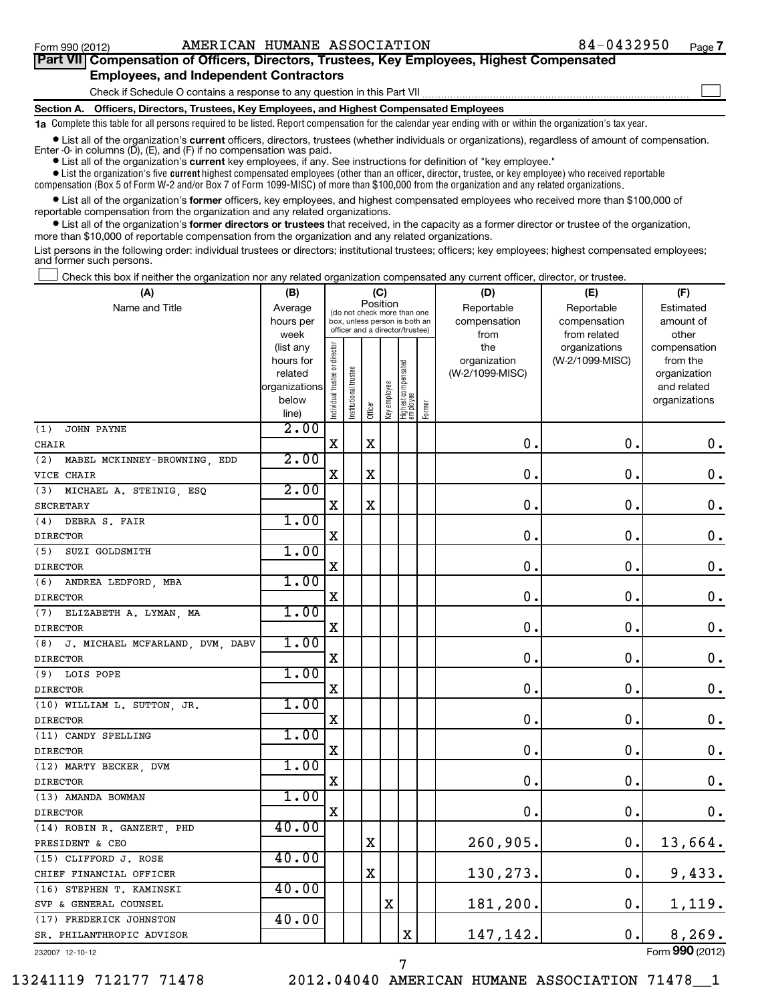### **Section A. Officers, Directors, Trustees, Key Employees, and Highest Compensated Employees 1a**  Complete this table for all persons required to be listed. Report compensation for the calendar year ending with or within the organization's tax year. Check if Schedule O contains a response to any question in this Part VII **Part VII Compensation of Officers, Directors, Trustees, Key Employees, Highest Compensated Employees, and Independent Contractors**  $\sim$

**•** List all of the organization's current officers, directors, trustees (whether individuals or organizations), regardless of amount of compensation. Enter -0- in columns  $(D)$ ,  $(E)$ , and  $(F)$  if no compensation was paid.

**•** List all of the organization's **current** key employees, if any. See instructions for definition of "key employee."

 $\bullet$  List the organization's five  $\tt current$  highest compensated employees (other than an officer, director, trustee, or key employee) who received reportable compensation (Box 5 of Form W-2 and/or Box 7 of Form 1099-MISC) of more than \$100,000 from the organization and any related organizations .

 $\bullet$  List all of the organization's former officers, key employees, and highest compensated employees who received more than \$100,000 of reportable compensation from the organization and any related organizations.

**•** List all of the organization's former directors or trustees that received, in the capacity as a former director or trustee of the organization, more than \$10,000 of reportable compensation from the organization and any related organizations.

List persons in the following order: individual trustees or directors; institutional trustees; officers; key employees; highest compensated employees; and former such persons.

Check this box if neither the organization nor any related organization compensated any current officer, director, or trustee.  $\left\vert \cdot\right\vert$ 

| (A)                                    | (B)                      |                                |                 | (C)         |              |                                                                  |        | (D)             | (E)             | (F)                         |
|----------------------------------------|--------------------------|--------------------------------|-----------------|-------------|--------------|------------------------------------------------------------------|--------|-----------------|-----------------|-----------------------------|
| Name and Title                         | Average                  |                                |                 | Position    |              | (do not check more than one                                      |        | Reportable      | Reportable      | Estimated                   |
|                                        | hours per                |                                |                 |             |              | box, unless person is both an<br>officer and a director/trustee) |        | compensation    | compensation    | amount of                   |
|                                        | week                     |                                |                 |             |              |                                                                  |        | from            | from related    | other                       |
|                                        | (list any                |                                |                 |             |              |                                                                  |        | the             | organizations   | compensation                |
|                                        | hours for                |                                |                 |             |              |                                                                  |        | organization    | (W-2/1099-MISC) | from the                    |
|                                        | related<br>organizations |                                |                 |             |              |                                                                  |        | (W-2/1099-MISC) |                 | organization<br>and related |
|                                        | below                    |                                |                 |             |              |                                                                  |        |                 |                 | organizations               |
|                                        | line)                    | Individual trustee or director | Institutional t | Officer     | Key employee | Highest compensated<br>employee                                  | Former |                 |                 |                             |
| (1)<br><b>JOHN PAYNE</b>               | 2.00                     |                                |                 |             |              |                                                                  |        |                 |                 |                             |
| CHAIR                                  |                          | X                              |                 | X           |              |                                                                  |        | 0.              | $\mathbf 0$ .   | 0.                          |
| (2)<br>MABEL MCKINNEY-BROWNING, EDD    | 2.00                     |                                |                 |             |              |                                                                  |        |                 |                 |                             |
| VICE CHAIR                             |                          | X                              |                 | $\mathbf X$ |              |                                                                  |        | 0.              | 0               | $\mathbf 0$ .               |
| (3)<br>MICHAEL A. STEINIG, ESQ         | 2.00                     |                                |                 |             |              |                                                                  |        |                 |                 |                             |
| <b>SECRETARY</b>                       |                          | Χ                              |                 | X           |              |                                                                  |        | $\mathbf 0$ .   | 0.              | $\mathbf 0$ .               |
| (4)<br>DEBRA S. FAIR                   | 1.00                     |                                |                 |             |              |                                                                  |        |                 |                 |                             |
| <b>DIRECTOR</b>                        |                          | X                              |                 |             |              |                                                                  |        | 0.              | $\mathbf 0$     | $\mathbf 0$ .               |
| (5)<br>SUZI GOLDSMITH                  | 1.00                     |                                |                 |             |              |                                                                  |        |                 |                 |                             |
| <b>DIRECTOR</b>                        |                          | X                              |                 |             |              |                                                                  |        | $\mathbf 0$ .   | $\mathbf 0$     | $\mathbf 0$ .               |
| (6)<br>ANDREA LEDFORD, MBA             | 1.00                     |                                |                 |             |              |                                                                  |        |                 |                 |                             |
| <b>DIRECTOR</b>                        |                          | X                              |                 |             |              |                                                                  |        | $\mathbf 0$ .   | $\mathbf 0$     | $\mathbf 0$ .               |
| ELIZABETH A. LYMAN, MA<br>(7)          | 1.00                     |                                |                 |             |              |                                                                  |        |                 |                 |                             |
| <b>DIRECTOR</b>                        |                          | X                              |                 |             |              |                                                                  |        | 0.              | $\mathbf 0$     | $\mathbf 0$ .               |
| J. MICHAEL MCFARLAND, DVM, DABV<br>(8) | 1.00                     |                                |                 |             |              |                                                                  |        |                 |                 |                             |
| <b>DIRECTOR</b>                        |                          | $\mathbf X$                    |                 |             |              |                                                                  |        | $\mathbf 0$ .   | $\mathbf 0$     | $\mathbf 0$ .               |
| LOIS POPE<br>(9)                       | 1.00                     |                                |                 |             |              |                                                                  |        |                 |                 |                             |
| <b>DIRECTOR</b>                        |                          | $\mathbf X$                    |                 |             |              |                                                                  |        | 0.              | $\mathbf 0$ .   | $\mathbf 0$ .               |
| (10) WILLIAM L. SUTTON, JR.            | 1.00                     |                                |                 |             |              |                                                                  |        |                 |                 |                             |
| <b>DIRECTOR</b>                        |                          | Χ                              |                 |             |              |                                                                  |        | 0.              | $\mathbf 0$ .   | $\mathbf 0$ .               |
| (11) CANDY SPELLING                    | 1.00                     |                                |                 |             |              |                                                                  |        |                 |                 |                             |
| <b>DIRECTOR</b>                        |                          | X                              |                 |             |              |                                                                  |        | 0.              | $\mathbf 0$     | $\mathbf 0$ .               |
| (12) MARTY BECKER, DVM                 | 1.00                     |                                |                 |             |              |                                                                  |        |                 |                 |                             |
| <b>DIRECTOR</b>                        |                          | X                              |                 |             |              |                                                                  |        | 0.              | 0.              | $\mathbf 0$ .               |
| (13) AMANDA BOWMAN                     | 1.00                     |                                |                 |             |              |                                                                  |        |                 |                 |                             |
| <b>DIRECTOR</b>                        |                          | X                              |                 |             |              |                                                                  |        | $\mathbf 0$ .   | $\mathbf 0$     | 0.                          |
| (14) ROBIN R. GANZERT, PHD             | 40.00                    |                                |                 |             |              |                                                                  |        |                 |                 |                             |
| PRESIDENT & CEO                        |                          |                                |                 | X           |              |                                                                  |        | 260,905.        | $\mathbf 0$     | 13,664.                     |
| (15) CLIFFORD J. ROSE                  | 40.00                    |                                |                 |             |              |                                                                  |        |                 |                 |                             |
| CHIEF FINANCIAL OFFICER                |                          |                                |                 | X           |              |                                                                  |        | 130,273.        | $\mathbf 0$     | 9,433.                      |
| (16) STEPHEN T. KAMINSKI               | 40.00                    |                                |                 |             |              |                                                                  |        |                 |                 |                             |
| SVP & GENERAL COUNSEL                  |                          |                                |                 |             | $\mathbf X$  |                                                                  |        | 181,200.        | $\mathbf 0$ .   | 1,119.                      |
| (17) FREDERICK JOHNSTON                | 40.00                    |                                |                 |             |              |                                                                  |        |                 |                 |                             |
| SR. PHILANTHROPIC ADVISOR              |                          |                                |                 |             |              | $\mathbf X$                                                      |        | 147,142.        | $\mathbf 0$     | 8,269.                      |
| 232007 12-10-12                        |                          |                                |                 |             |              |                                                                  |        |                 |                 | Form 990 (2012)             |

7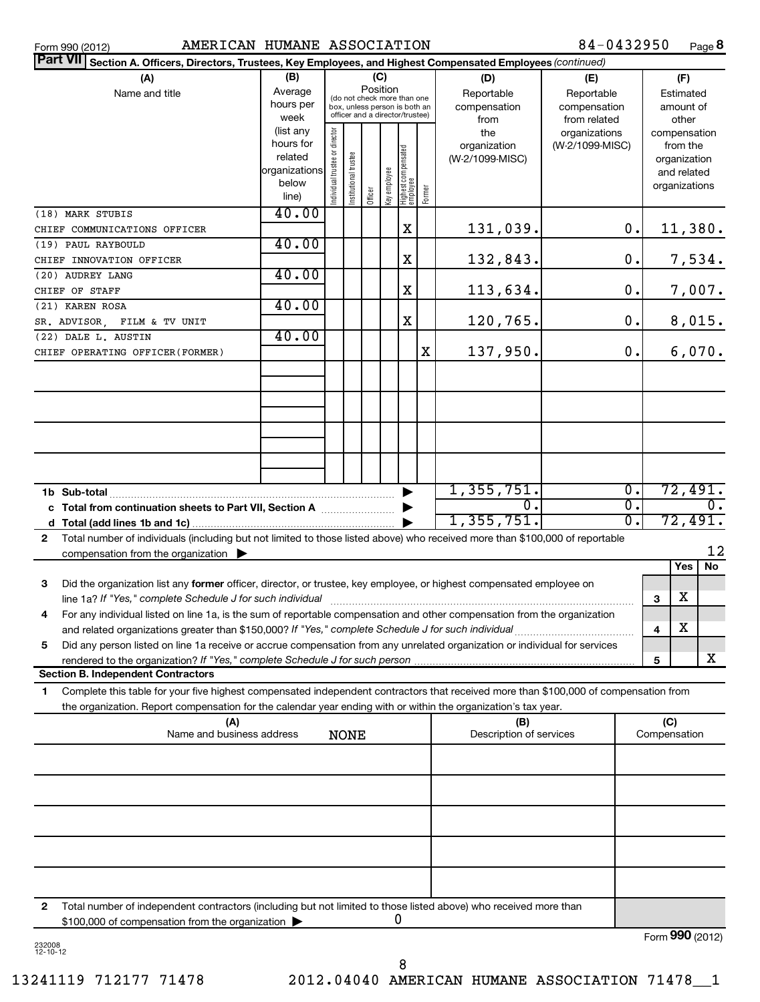| Form 990 (2012) |
|-----------------|
|-----------------|

## Form 990 (2012) Page AMERICAN HUMANE ASSOCIATION 84-0432950

84-0432950 Page 8

| Part VII Section A. Officers, Directors, Trustees, Key Employees, and Highest Compensated Employees (continued)                           |                        |                                |                       |          |              |                                   |        |                                 |                  |                 |                          |           |
|-------------------------------------------------------------------------------------------------------------------------------------------|------------------------|--------------------------------|-----------------------|----------|--------------|-----------------------------------|--------|---------------------------------|------------------|-----------------|--------------------------|-----------|
| (A)                                                                                                                                       | (B)                    |                                |                       |          | (C)          |                                   |        | (D)                             | (E)              |                 | (F)                      |           |
| Name and title                                                                                                                            | Average                |                                |                       | Position |              | (do not check more than one       |        | Reportable                      | Reportable       |                 | Estimated                |           |
|                                                                                                                                           | hours per              |                                |                       |          |              | box, unless person is both an     |        | compensation                    | compensation     |                 | amount of                |           |
|                                                                                                                                           | week                   |                                |                       |          |              | officer and a director/trustee)   |        | from                            | from related     |                 | other                    |           |
|                                                                                                                                           | (list any<br>hours for |                                |                       |          |              |                                   |        | the                             | organizations    |                 | compensation             |           |
|                                                                                                                                           | related                |                                |                       |          |              |                                   |        | organization<br>(W-2/1099-MISC) | (W-2/1099-MISC)  |                 | from the<br>organization |           |
|                                                                                                                                           | organizations          |                                |                       |          |              |                                   |        |                                 |                  |                 | and related              |           |
|                                                                                                                                           | below                  | Individual trustee or director | Institutional trustee |          | Key employee |                                   |        |                                 |                  |                 | organizations            |           |
|                                                                                                                                           | line)                  |                                |                       | Officer  |              | Highest compensated<br>  employee | Former |                                 |                  |                 |                          |           |
| $\overline{(18)}$ MARK STUBIS                                                                                                             | 40.00                  |                                |                       |          |              |                                   |        |                                 |                  |                 |                          |           |
| CHIEF COMMUNICATIONS OFFICER                                                                                                              |                        |                                |                       |          |              | X                                 |        | 131,039.                        | 0.               |                 | 11,380.                  |           |
| (19) PAUL RAYBOULD                                                                                                                        | 40.00                  |                                |                       |          |              |                                   |        |                                 |                  |                 |                          |           |
| CHIEF INNOVATION OFFICER                                                                                                                  |                        |                                |                       |          |              | X                                 |        | 132,843.                        | 0.               |                 |                          | 7,534.    |
| (20) AUDREY LANG                                                                                                                          | 40.00                  |                                |                       |          |              |                                   |        |                                 |                  |                 |                          |           |
| CHIEF OF STAFF                                                                                                                            |                        |                                |                       |          |              | X                                 |        | 113,634.                        | 0.               |                 |                          | 7,007.    |
| (21) KAREN ROSA                                                                                                                           | 40.00                  |                                |                       |          |              |                                   |        |                                 |                  |                 |                          |           |
| SR. ADVISOR, FILM & TV UNIT                                                                                                               |                        |                                |                       |          |              | X                                 |        | 120,765.                        | 0.               |                 | 8,015.                   |           |
| (22) DALE L. AUSTIN                                                                                                                       | 40.00                  |                                |                       |          |              |                                   |        |                                 |                  |                 |                          |           |
| CHIEF OPERATING OFFICER (FORMER)                                                                                                          |                        |                                |                       |          |              |                                   | X      | 137,950.                        | 0.               |                 | 6,070.                   |           |
|                                                                                                                                           |                        |                                |                       |          |              |                                   |        |                                 |                  |                 |                          |           |
|                                                                                                                                           |                        |                                |                       |          |              |                                   |        |                                 |                  |                 |                          |           |
|                                                                                                                                           |                        |                                |                       |          |              |                                   |        |                                 |                  |                 |                          |           |
|                                                                                                                                           |                        |                                |                       |          |              |                                   |        |                                 |                  |                 |                          |           |
|                                                                                                                                           |                        |                                |                       |          |              |                                   |        |                                 |                  |                 |                          |           |
|                                                                                                                                           |                        |                                |                       |          |              |                                   |        |                                 |                  |                 |                          |           |
|                                                                                                                                           |                        |                                |                       |          |              |                                   |        |                                 |                  |                 |                          |           |
| 1b Sub-total                                                                                                                              |                        |                                |                       |          |              |                                   |        | 1,355,751.                      | $\overline{0}$ . |                 | 72,491.                  |           |
| c Total from continuation sheets to Part VII, Section A                                                                                   |                        |                                |                       |          |              |                                   |        | σ.                              | $\overline{0}$ . |                 |                          | 0.        |
| d                                                                                                                                         |                        |                                |                       |          |              |                                   |        | 1,355,751.                      | $\overline{0}$ . |                 | 72,491.                  |           |
| Total number of individuals (including but not limited to those listed above) who received more than \$100,000 of reportable<br>2         |                        |                                |                       |          |              |                                   |        |                                 |                  |                 |                          |           |
| compensation from the organization $\blacktriangleright$                                                                                  |                        |                                |                       |          |              |                                   |        |                                 |                  |                 |                          | 12        |
|                                                                                                                                           |                        |                                |                       |          |              |                                   |        |                                 |                  |                 | Yes                      | <b>No</b> |
| 3<br>Did the organization list any former officer, director, or trustee, key employee, or highest compensated employee on                 |                        |                                |                       |          |              |                                   |        |                                 |                  |                 |                          |           |
| line 1a? If "Yes," complete Schedule J for such individual                                                                                |                        |                                |                       |          |              |                                   |        |                                 |                  | 3               | х                        |           |
| For any individual listed on line 1a, is the sum of reportable compensation and other compensation from the organization<br>4             |                        |                                |                       |          |              |                                   |        |                                 |                  |                 |                          |           |
| and related organizations greater than \$150,000? If "Yes," complete Schedule J for such individual                                       |                        |                                |                       |          |              |                                   |        |                                 |                  | 4               | Χ                        |           |
| Did any person listed on line 1a receive or accrue compensation from any unrelated organization or individual for services<br>5           |                        |                                |                       |          |              |                                   |        |                                 |                  |                 |                          |           |
| rendered to the organization? If "Yes," complete Schedule J for such person                                                               |                        |                                |                       |          |              |                                   |        |                                 |                  | 5               |                          | x         |
| <b>Section B. Independent Contractors</b>                                                                                                 |                        |                                |                       |          |              |                                   |        |                                 |                  |                 |                          |           |
| Complete this table for your five highest compensated independent contractors that received more than \$100,000 of compensation from<br>1 |                        |                                |                       |          |              |                                   |        |                                 |                  |                 |                          |           |
| the organization. Report compensation for the calendar year ending with or within the organization's tax year.                            |                        |                                |                       |          |              |                                   |        |                                 |                  |                 |                          |           |
| (A)                                                                                                                                       |                        |                                |                       |          |              |                                   |        | (B)                             |                  | (C)             |                          |           |
| Name and business address                                                                                                                 |                        |                                | <b>NONE</b>           |          |              |                                   |        | Description of services         |                  | Compensation    |                          |           |
|                                                                                                                                           |                        |                                |                       |          |              |                                   |        |                                 |                  |                 |                          |           |
|                                                                                                                                           |                        |                                |                       |          |              |                                   |        |                                 |                  |                 |                          |           |
|                                                                                                                                           |                        |                                |                       |          |              |                                   |        |                                 |                  |                 |                          |           |
|                                                                                                                                           |                        |                                |                       |          |              |                                   |        |                                 |                  |                 |                          |           |
|                                                                                                                                           |                        |                                |                       |          |              |                                   |        |                                 |                  |                 |                          |           |
|                                                                                                                                           |                        |                                |                       |          |              |                                   |        |                                 |                  |                 |                          |           |
|                                                                                                                                           |                        |                                |                       |          |              |                                   |        |                                 |                  |                 |                          |           |
|                                                                                                                                           |                        |                                |                       |          |              |                                   |        |                                 |                  |                 |                          |           |
|                                                                                                                                           |                        |                                |                       |          |              |                                   |        |                                 |                  |                 |                          |           |
| Total number of independent contractors (including but not limited to those listed above) who received more than<br>2                     |                        |                                |                       |          |              |                                   |        |                                 |                  |                 |                          |           |
| \$100,000 of compensation from the organization                                                                                           |                        |                                |                       |          |              | 0                                 |        |                                 |                  |                 |                          |           |
|                                                                                                                                           |                        |                                |                       |          |              |                                   |        |                                 |                  | Form 990 (2012) |                          |           |
| 232008<br>$12 - 10 - 12$                                                                                                                  |                        |                                |                       |          |              |                                   |        |                                 |                  |                 |                          |           |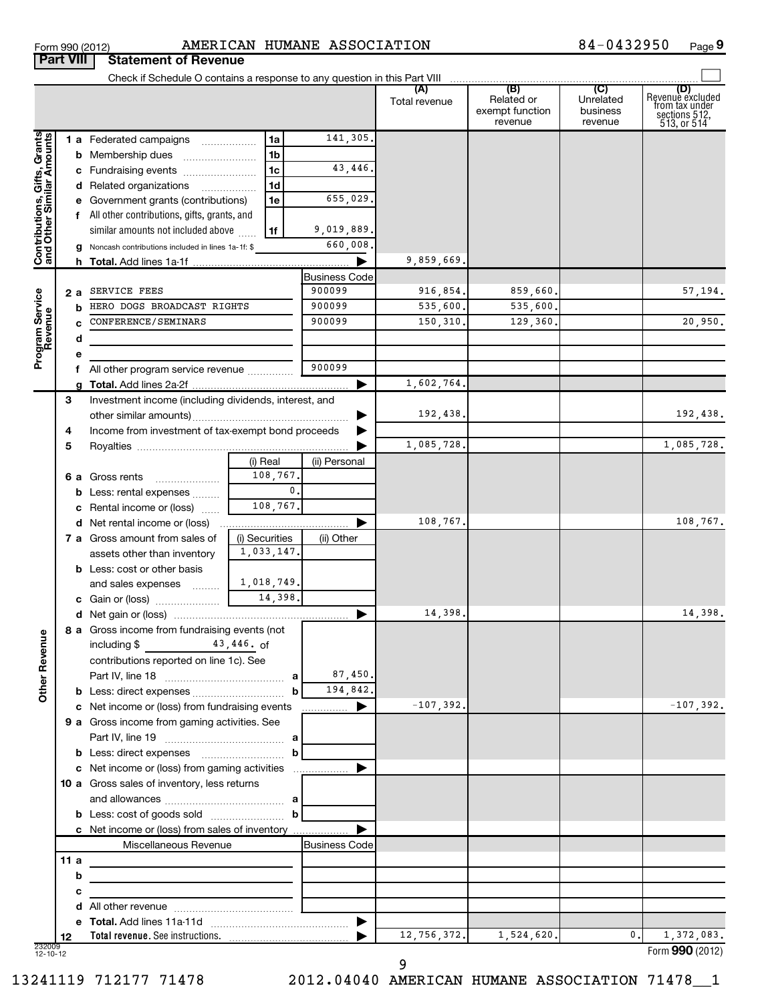# **Part VIII Statement of Revenue**

## Form 990 (2012) Page AMERICAN HUMANE ASSOCIATION 84-0432950

**9**

|                                                           |      |                                                                            |                              |                         | (A)<br>Total revenue | (B)<br>Related or<br>exempt function<br>revenue | (C)<br>Unrelated<br>business<br>revenue | (D)<br>Revenue excluded<br>from tax under<br>sections 512,<br>513, or 514 |
|-----------------------------------------------------------|------|----------------------------------------------------------------------------|------------------------------|-------------------------|----------------------|-------------------------------------------------|-----------------------------------------|---------------------------------------------------------------------------|
|                                                           |      | 1 a Federated campaigns                                                    | 1a                           | 141,305.                |                      |                                                 |                                         |                                                                           |
|                                                           |      | <b>b</b> Membership dues                                                   | 1 <sub>b</sub>               |                         |                      |                                                 |                                         |                                                                           |
|                                                           |      | c Fundraising events                                                       | 1 <sub>c</sub>               | 43,446.                 |                      |                                                 |                                         |                                                                           |
|                                                           |      | d Related organizations                                                    | 1 <sub>d</sub>               |                         |                      |                                                 |                                         |                                                                           |
|                                                           |      | e Government grants (contributions)                                        | 1e                           | 655,029.                |                      |                                                 |                                         |                                                                           |
|                                                           |      | f All other contributions, gifts, grants, and                              |                              |                         |                      |                                                 |                                         |                                                                           |
|                                                           |      | similar amounts not included above                                         | 1f                           | 9,019,889.              |                      |                                                 |                                         |                                                                           |
|                                                           |      | g Noncash contributions included in lines 1a-1f: \$                        |                              | 660,008.                |                      |                                                 |                                         |                                                                           |
| Contributions, Gifts, Grants<br>and Other Similar Amounts |      |                                                                            |                              |                         | 9,859,669.           |                                                 |                                         |                                                                           |
|                                                           |      |                                                                            |                              | <b>Business Code</b>    |                      |                                                 |                                         |                                                                           |
|                                                           | 2а   | SERVICE FEES                                                               |                              | 900099                  | 916,854.             | 859,660                                         |                                         | 57, 194.                                                                  |
|                                                           | b    | HERO DOGS BROADCAST RIGHTS                                                 |                              | 900099                  | 535,600.             | 535,600.                                        |                                         |                                                                           |
|                                                           |      | CONFERENCE/SEMINARS                                                        |                              | 900099                  | 150,310.             | 129,360.                                        |                                         | 20,950.                                                                   |
| Program Service<br>Revenue                                | d    |                                                                            |                              |                         |                      |                                                 |                                         |                                                                           |
|                                                           | е    |                                                                            |                              |                         |                      |                                                 |                                         |                                                                           |
|                                                           |      | f All other program service revenue                                        |                              | 900099                  |                      |                                                 |                                         |                                                                           |
|                                                           |      |                                                                            |                              | ▶                       | 1,602,764.           |                                                 |                                         |                                                                           |
|                                                           | 3    | Investment income (including dividends, interest, and                      |                              |                         |                      |                                                 |                                         |                                                                           |
|                                                           |      |                                                                            |                              |                         | 192,438.             |                                                 |                                         | 192,438.                                                                  |
|                                                           | 4    | Income from investment of tax-exempt bond proceeds                         |                              |                         |                      |                                                 |                                         |                                                                           |
|                                                           | 5    |                                                                            |                              |                         | 1,085,728.           |                                                 |                                         | 1,085,728.                                                                |
|                                                           |      |                                                                            | (i) Real                     | (ii) Personal           |                      |                                                 |                                         |                                                                           |
|                                                           |      | 6 a Gross rents                                                            | 108,767.                     |                         |                      |                                                 |                                         |                                                                           |
|                                                           |      | <b>b</b> Less: rental expenses                                             |                              | 0.                      |                      |                                                 |                                         |                                                                           |
|                                                           |      | c Rental income or (loss)                                                  | 108,767.                     |                         |                      |                                                 |                                         |                                                                           |
|                                                           |      |                                                                            |                              | ▶                       | 108,767.             |                                                 |                                         | 108,767.                                                                  |
|                                                           |      | 7 a Gross amount from sales of                                             | (i) Securities<br>1,033,147. | (ii) Other              |                      |                                                 |                                         |                                                                           |
|                                                           |      | assets other than inventory                                                |                              |                         |                      |                                                 |                                         |                                                                           |
|                                                           |      | <b>b</b> Less: cost or other basis<br>and sales expenses                   |                              |                         |                      |                                                 |                                         |                                                                           |
|                                                           |      |                                                                            | 1,018,749.<br>14,398.        |                         |                      |                                                 |                                         |                                                                           |
|                                                           |      |                                                                            |                              | ▶                       | 14,398.              |                                                 |                                         | 14,398.                                                                   |
|                                                           |      | 8 a Gross income from fundraising events (not                              |                              |                         |                      |                                                 |                                         |                                                                           |
| ٩                                                         |      | including $\frac{1}{2}$ $\frac{43,446}{6}$ of                              |                              |                         |                      |                                                 |                                         |                                                                           |
| Other Rever                                               |      | contributions reported on line 1c). See                                    |                              |                         |                      |                                                 |                                         |                                                                           |
|                                                           |      |                                                                            |                              | 87,450.                 |                      |                                                 |                                         |                                                                           |
|                                                           |      |                                                                            |                              | 194,842.<br>$\mathbf b$ |                      |                                                 |                                         |                                                                           |
|                                                           |      | c Net income or (loss) from fundraising events                             |                              | ____________ ▶          | $-107,392.$          |                                                 |                                         | $-107,392.$                                                               |
|                                                           |      | 9 a Gross income from gaming activities. See                               |                              |                         |                      |                                                 |                                         |                                                                           |
|                                                           |      |                                                                            |                              |                         |                      |                                                 |                                         |                                                                           |
|                                                           |      |                                                                            |                              | b                       |                      |                                                 |                                         |                                                                           |
|                                                           |      | c Net income or (loss) from gaming activities                              |                              |                         |                      |                                                 |                                         |                                                                           |
|                                                           |      | 10 a Gross sales of inventory, less returns                                |                              |                         |                      |                                                 |                                         |                                                                           |
|                                                           |      |                                                                            |                              |                         |                      |                                                 |                                         |                                                                           |
|                                                           |      |                                                                            |                              |                         |                      |                                                 |                                         |                                                                           |
|                                                           |      | c Net income or (loss) from sales of inventory                             |                              |                         |                      |                                                 |                                         |                                                                           |
|                                                           |      | Miscellaneous Revenue                                                      |                              | Business Code           |                      |                                                 |                                         |                                                                           |
|                                                           | 11 a | the control of the control of the control of the control of the control of |                              |                         |                      |                                                 |                                         |                                                                           |
|                                                           | b    |                                                                            |                              |                         |                      |                                                 |                                         |                                                                           |
|                                                           | с    |                                                                            |                              |                         |                      |                                                 |                                         |                                                                           |
|                                                           |      |                                                                            |                              |                         |                      |                                                 |                                         |                                                                           |
|                                                           |      |                                                                            |                              | $\blacktriangleright$   | 12, 756, 372.        | 1,524,620.                                      | 0.                                      | 1,372,083.                                                                |
| 232009<br>12-10-12                                        | 12   |                                                                            |                              |                         |                      |                                                 |                                         | Form 990 (2012)                                                           |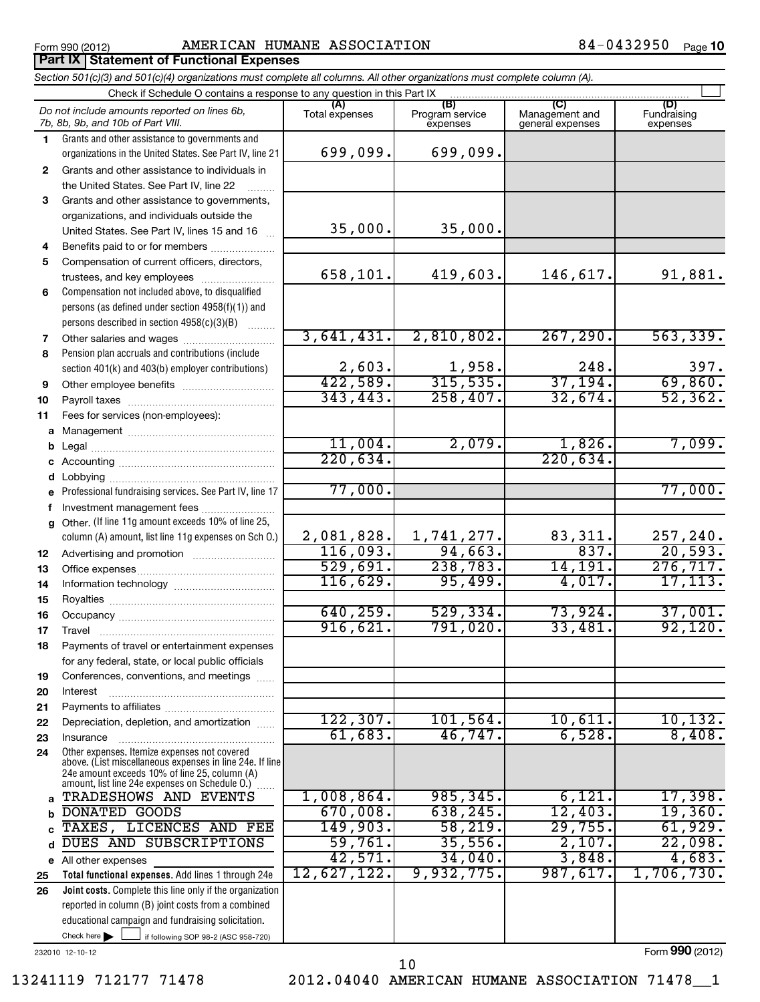**Part IX Statement of Functional Expenses**

## Form 990 (2012) Page AMERICAN HUMANE ASSOCIATION 84-0432950

*Section 501(c)(3) and 501(c)(4) organizations must complete all columns. All other organizations must complete column (A).*

 $\sim$ 

### $\frac{1}{2}$  if following SOP 98-2 (ASC 958-720) 232010 12-10-12 **Total functional expenses.**  Add lines 1 through 24e **Joint costs.** Complete this line only if the organization **(A) (B) (C) (D) 1 2 3 4 5 6 7 8 9 10 11 a** Management ~~~~~~~~~~~~~~~~ **b c** Accounting ~~~~~~~~~~~~~~~~~ **d e f g 12 13 14 15 16 17 18 19 20 21 22 23 24 a b c d e 25 26** Grants and other assistance to governments and organizations in the United States. See Part IV, line 21 Compensation not included above, to disqualified persons (as defined under section 4958(f)(1)) and persons described in section 4958(c)(3)(B)  $\quad \quad \ldots \ldots \ldots$ Pension plan accruals and contributions (include section 401(k) and 403(b) employer contributions) Professional fundraising services. See Part IV, line 17 Other. (If line 11g amount exceeds 10% of line 25, column (A) amount, list line 11g expenses on Sch O.) Other expenses. Itemize expenses not covered above. (List miscellaneous expenses in line 24e. If line 24e amount exceeds 10% of line 25, column (A) amount, list line 24e expenses on Schedule O.) reported in column (B) joint costs from a combined educational campaign and fundraising solicitation. Check if Schedule O contains a response to any question in this Part IX (6) (C) (6) (6) (6) (6) (6) (6) (6) (6) Total expenses | Program service expenses Management and general expenses Fundraising expenses Grants and other assistance to individuals in the United States. See Part IV, line 22 Grants and other assistance to governments, organizations, and individuals outside the United States. See Part IV, lines 15 and 16 ~ Benefits paid to or for members .................... Compensation of current officers, directors, trustees, and key employees ......................... Other salaries and wages ~~~~~~~~~~ Other employee benefits ............................... Payroll taxes ~~~~~~~~~~~~~~~~ Fees for services (non-employees): Legal ~~~~~~~~~~~~~~~~~~~~ Lobbying ~~~~~~~~~~~~~~~~~~ Investment management fees ........................ Advertising and promotion .......................... Office expenses ~~~~~~~~~~~~~~~ Information technology ~~~~~~~~~~~ Royalties ~~~~~~~~~~~~~~~~~~ Occupancy ~~~~~~~~~~~~~~~~~ Travel ………………………………………………… Payments of travel or entertainment expenses for any federal, state, or local public officials Conferences, conventions, and meetings ...... Interest Payments to affiliates ~~~~~~~~~~~~ ~~~~~~~~~~~~~~~~~~ Depreciation, depletion, and amortization ...... Insurance ~~~~~~~~~~~~~~~~~ ~<br>…… All other expenses Check here  $\blacktriangleright$ Form **990** (2012) *Do not include amounts reported on lines 6b, 7b, 8b, 9b, and 10b of Part VIII.*  $\Box$ 699,099. 699,099. 35,000. 35,000. 658,101. 419,603. 146,617. 91,881. 3,641,431. 2,810,802. 267,290. 563,339. 2,603. 1,958. 248. 397. 422,589. 315,535. 37,194. 69,860. 343,443. 258,407. 32,674. 52,362. 11,004. 2,079. 1,826. 7,099. 220,634. 220,634. 77,000. 77,000. 2,081,828. 1,741,277. 83,311. 257,240. 116,093. 94,663. 837. 20,593. <u>529,691. 238,783. 14,191. 276,717.</u><br>116,629. 95,499. 4,017. 17,113. 116,629. 95,499. 4,017. 17,113. 640,259. 529,334. 73,924. 37,001. 916,621. 791,020. 33,481. 92,120. 122,307. 101,564. 10,611. 10,132. 61,683. 46,747. 6,528. 8,408. TRADESHOWS AND EVENTS  $\begin{array}{|c|c|c|c|c|c|c|c|c|} \hline 1,008,864. & \hline & 985,345. & \hline & 6,121. & \hline \end{array}$  17,398. DONATED GOODS 670,008. 638,245. 12,403. 19,360. TAXES, LICENCES AND FEE 149,903. 58,219. 29,755. 61,929.<br>DUES AND SUBSCRIPTIONS 59,761. 35,556. 2,107. 22,098. DUES AND SUBSCRIPTIONS 59,761. 35,556. 2,107. 22,098. 42,571. 34,040. 3,848. 4,683. 12,627,122. 9,932,775. 987,617. 1,706,730.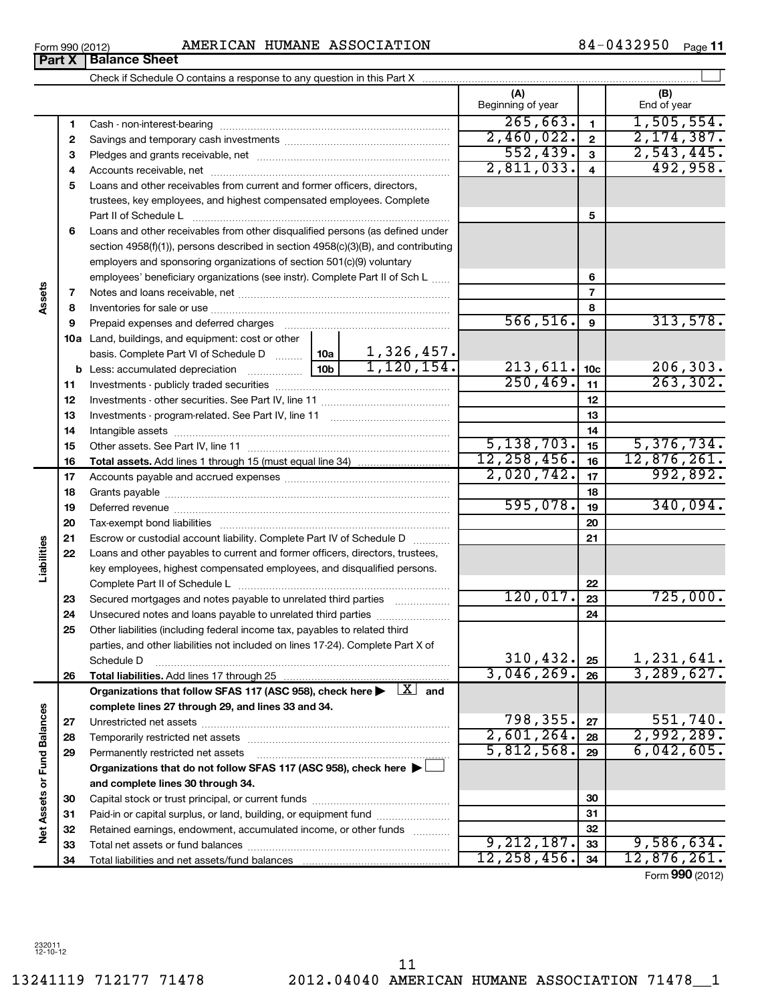**Net Assets or Fund Balances**

Net Assets or Fund Balances

|          |                                                                                                                         | (A)<br>Beginning of year |                         | (B)<br>End of year |
|----------|-------------------------------------------------------------------------------------------------------------------------|--------------------------|-------------------------|--------------------|
| 1        |                                                                                                                         | 265,663.                 | $\blacksquare$          | 1,505,554.         |
| 2        |                                                                                                                         | 2,460,022.               | $\overline{\mathbf{2}}$ | 2, 174, 387.       |
| 3        |                                                                                                                         | 552,439.                 | $\mathbf{3}$            | 2,543,445.         |
| 4        |                                                                                                                         | 2,811,033.               | $\overline{4}$          | 492,958.           |
| 5        | Loans and other receivables from current and former officers, directors,                                                |                          |                         |                    |
|          | trustees, key employees, and highest compensated employees. Complete                                                    |                          |                         |                    |
|          |                                                                                                                         |                          | 5                       |                    |
| 6        | Loans and other receivables from other disqualified persons (as defined under                                           |                          |                         |                    |
|          | section 4958(f)(1)), persons described in section 4958(c)(3)(B), and contributing                                       |                          |                         |                    |
|          | employers and sponsoring organizations of section 501(c)(9) voluntary                                                   |                          |                         |                    |
|          | employees' beneficiary organizations (see instr). Complete Part II of Sch L                                             |                          | 6                       |                    |
| 7        |                                                                                                                         |                          | $\overline{7}$          |                    |
| 8        |                                                                                                                         |                          | 8                       |                    |
| 9        | Prepaid expenses and deferred charges                                                                                   | 566, 516.                | $\mathbf{9}$            | 313,578.           |
|          | 10a Land, buildings, and equipment: cost or other                                                                       |                          |                         |                    |
|          | $\frac{1,326,457.}{1,120,154.}$<br>basis. Complete Part VI of Schedule D  10a                                           |                          |                         |                    |
|          |                                                                                                                         | 213,611.                 | 10 <sub>c</sub>         | 206,303.           |
| 11       |                                                                                                                         | 250, 469.                | 11                      | 263, 302.          |
| 12       |                                                                                                                         |                          | 12                      |                    |
| 13       |                                                                                                                         |                          | 13                      |                    |
| 14       |                                                                                                                         | 5,138,703.               | 14                      | 5,376,734.         |
| 15       |                                                                                                                         | 12, 258, 456.            | 15                      | 12,876,261.        |
| 16       |                                                                                                                         | 2,020,742.               | 16<br>17                | 992,892.           |
| 17       |                                                                                                                         |                          | 18                      |                    |
| 18       |                                                                                                                         | 595,078.                 | 19                      | 340,094.           |
| 19       |                                                                                                                         |                          | 20                      |                    |
| 20<br>21 | Escrow or custodial account liability. Complete Part IV of Schedule D                                                   |                          | 21                      |                    |
| 22       | Loans and other payables to current and former officers, directors, trustees,                                           |                          |                         |                    |
|          | key employees, highest compensated employees, and disqualified persons.                                                 |                          |                         |                    |
|          |                                                                                                                         |                          | 22                      |                    |
| 23       | Secured mortgages and notes payable to unrelated third parties                                                          | 120,017.                 | 23                      | 725,000.           |
| 24       | Unsecured notes and loans payable to unrelated third parties                                                            |                          | 24                      |                    |
| 25       | Other liabilities (including federal income tax, payables to related third                                              |                          |                         |                    |
|          | parties, and other liabilities not included on lines 17-24). Complete Part X of                                         |                          |                         |                    |
|          | Schedule D                                                                                                              | 310, 432.                | 25                      | 1,231,641.         |
| 26       |                                                                                                                         | 3,046,269.               | 26                      | 3,289,627.         |
|          | Organizations that follow SFAS 117 (ASC 958), check here $\blacktriangleright \begin{array}{c} \perp X \end{array}$ and |                          |                         |                    |
|          | complete lines 27 through 29, and lines 33 and 34.                                                                      |                          |                         |                    |
| 27       |                                                                                                                         | 798,355.                 | 27                      | 551,740.           |
| 28       |                                                                                                                         | 2,601,264.               | 28                      | 2,992,289.         |
| 29       | Permanently restricted net assets                                                                                       | 5,812,568.               | 29                      | 6,042,605.         |
|          | Organizations that do not follow SFAS 117 (ASC 958), check here $\blacktriangleright\bot$                               |                          |                         |                    |
|          | and complete lines 30 through 34.                                                                                       |                          |                         |                    |
| 30       |                                                                                                                         |                          | 30                      |                    |
| 31       | Paid-in or capital surplus, or land, building, or equipment fund                                                        |                          | 31                      |                    |
| 32       | Retained earnings, endowment, accumulated income, or other funds                                                        |                          | 32                      |                    |
| 33       |                                                                                                                         | 9,212,187.               | 33                      | 9,586,634.         |
| 34       |                                                                                                                         | 12, 258, 456.            | 34                      | 12,876,261.        |

Form 990 (2012) Page AMERICAN HUMANE ASSOCIATION 84-0432950

84-0432950 <sub>Page</sub> 11

Form (2012) **990**

**Part X Balance Sheet** 

**Assets**

**Liabilities**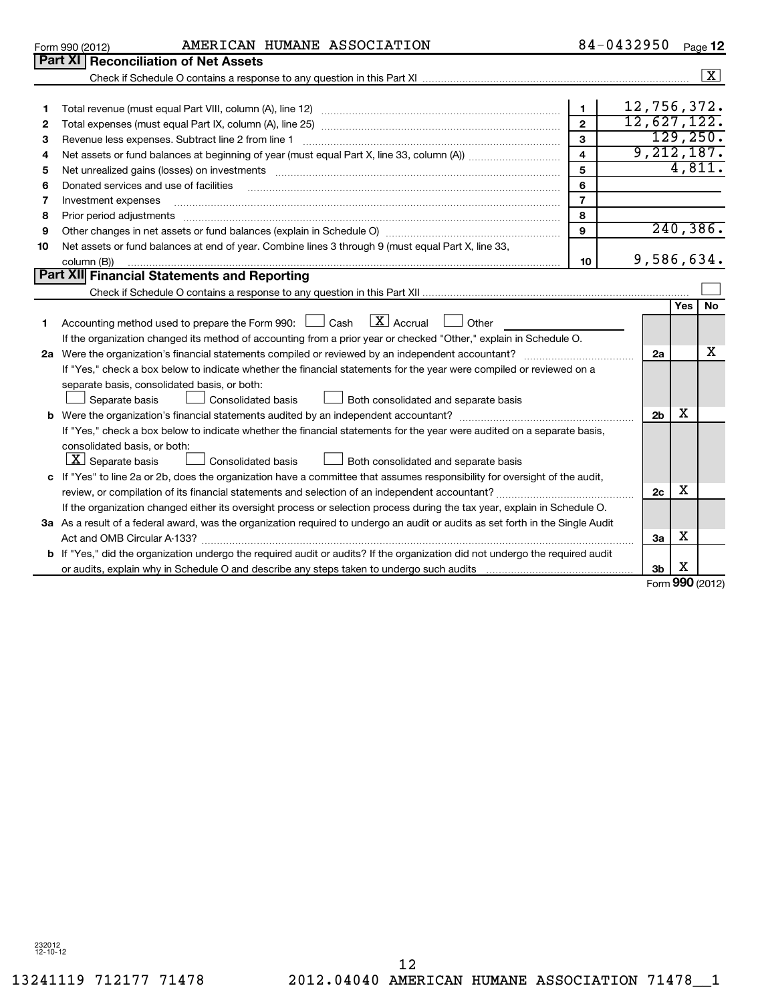232012 12-10-12

|    | Part XI   Reconciliation of Net Assets                                                                                          |                |                |                      |                      |
|----|---------------------------------------------------------------------------------------------------------------------------------|----------------|----------------|----------------------|----------------------|
|    |                                                                                                                                 |                |                |                      | $\boxed{\textbf{X}}$ |
|    |                                                                                                                                 |                |                |                      |                      |
| 1  |                                                                                                                                 | $\mathbf{1}$   | 12,756,372.    |                      |                      |
| 2  |                                                                                                                                 | $\overline{2}$ | 12,627,122.    |                      |                      |
| З  | Revenue less expenses. Subtract line 2 from line 1                                                                              | $\mathbf{3}$   |                | 129, 250.            |                      |
| 4  |                                                                                                                                 | $\overline{4}$ | 9,212,187.     |                      |                      |
| 5  |                                                                                                                                 | 5              |                | $\overline{4,811}$ . |                      |
| 6  | Donated services and use of facilities                                                                                          | 6              |                |                      |                      |
| 7  | Investment expenses                                                                                                             | $\overline{7}$ |                |                      |                      |
| 8  | Prior period adjustments                                                                                                        | 8              |                |                      |                      |
| 9  |                                                                                                                                 | $\mathbf{9}$   |                | 240, 386.            |                      |
| 10 | Net assets or fund balances at end of year. Combine lines 3 through 9 (must equal Part X, line 33,                              |                |                |                      |                      |
|    | column (B))                                                                                                                     | 10             | 9,586,634.     |                      |                      |
|    | Part XII Financial Statements and Reporting                                                                                     |                |                |                      |                      |
|    |                                                                                                                                 |                |                |                      |                      |
|    |                                                                                                                                 |                |                | Yes                  | <b>No</b>            |
| 1  | $\lfloor x \rfloor$ Accrual<br>Accounting method used to prepare the Form 990: $\Box$ Cash<br>Other                             |                |                |                      |                      |
|    | If the organization changed its method of accounting from a prior year or checked "Other," explain in Schedule O.               |                |                |                      |                      |
|    | 2a Were the organization's financial statements compiled or reviewed by an independent accountant?                              |                | 2a             |                      | x                    |
|    | If "Yes," check a box below to indicate whether the financial statements for the year were compiled or reviewed on a            |                |                |                      |                      |
|    | separate basis, consolidated basis, or both:                                                                                    |                |                |                      |                      |
|    | Consolidated basis<br>Separate basis<br>Both consolidated and separate basis                                                    |                |                |                      |                      |
| b  |                                                                                                                                 |                | 2 <sub>b</sub> | х                    |                      |
|    | If "Yes," check a box below to indicate whether the financial statements for the year were audited on a separate basis,         |                |                |                      |                      |
|    | consolidated basis, or both:                                                                                                    |                |                |                      |                      |
|    | $ \mathbf{X} $ Separate basis<br>Consolidated basis<br>Both consolidated and separate basis                                     |                |                |                      |                      |
|    | c If "Yes" to line 2a or 2b, does the organization have a committee that assumes responsibility for oversight of the audit,     |                |                |                      |                      |
|    | review, or compilation of its financial statements and selection of an independent accountant?                                  |                | 2c             | X                    |                      |
|    | If the organization changed either its oversight process or selection process during the tax year, explain in Schedule O.       |                |                |                      |                      |
|    | 3a As a result of a federal award, was the organization required to undergo an audit or audits as set forth in the Single Audit |                |                |                      |                      |
|    | Act and OMB Circular A-133?                                                                                                     |                | За             | х                    |                      |
|    | b If "Yes," did the organization undergo the required audit or audits? If the organization did not undergo the required audit   |                |                |                      |                      |
|    |                                                                                                                                 |                | 3b             | х                    |                      |

Form 990 (2012) AMERICAN HUMANE ASSOCIATION 8 4-U 4 3 Z 9 5 U Page

AMERICAN HUMANE ASSOCIATION

Form **990** (2012)

84-0432950 Page 12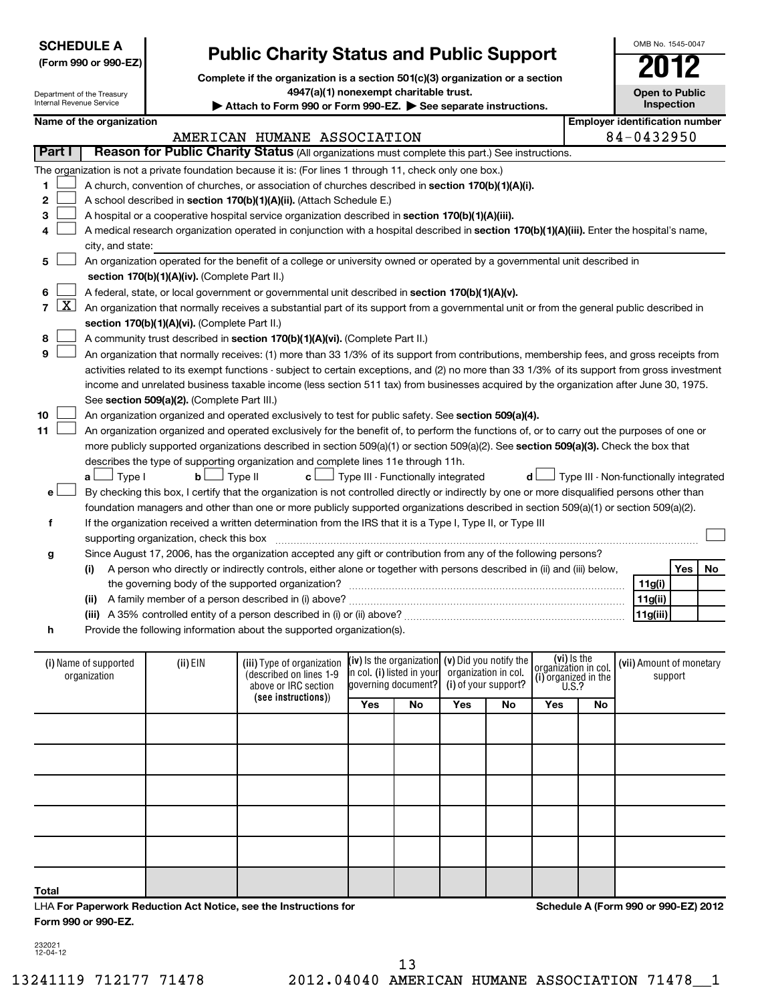| Internal Revenue Service       | <b>SCHEDULE A</b><br>(Form 990 or 990-EZ)<br>Department of the Treasury |                                               | <b>Public Charity Status and Public Support</b><br>Complete if the organization is a section 501(c)(3) organization or a section<br>4947(a)(1) nonexempt charitable trust.<br>Attach to Form 990 or Form 990-EZ. See separate instructions. |                            |                                                   |     |                      |                      |                               | OMB No. 1545-0047<br><b>Open to Public</b><br><b>Inspection</b> |     |    |
|--------------------------------|-------------------------------------------------------------------------|-----------------------------------------------|---------------------------------------------------------------------------------------------------------------------------------------------------------------------------------------------------------------------------------------------|----------------------------|---------------------------------------------------|-----|----------------------|----------------------|-------------------------------|-----------------------------------------------------------------|-----|----|
|                                | Name of the organization                                                |                                               |                                                                                                                                                                                                                                             |                            |                                                   |     |                      |                      |                               | <b>Employer identification number</b>                           |     |    |
|                                |                                                                         |                                               | AMERICAN HUMANE ASSOCIATION                                                                                                                                                                                                                 |                            |                                                   |     |                      |                      |                               | 84-0432950                                                      |     |    |
| Part I                         |                                                                         |                                               | Reason for Public Charity Status (All organizations must complete this part.) See instructions.                                                                                                                                             |                            |                                                   |     |                      |                      |                               |                                                                 |     |    |
|                                |                                                                         |                                               | The organization is not a private foundation because it is: (For lines 1 through 11, check only one box.)                                                                                                                                   |                            |                                                   |     |                      |                      |                               |                                                                 |     |    |
| 1                              |                                                                         |                                               | A church, convention of churches, or association of churches described in section 170(b)(1)(A)(i).                                                                                                                                          |                            |                                                   |     |                      |                      |                               |                                                                 |     |    |
| 2                              |                                                                         |                                               | A school described in section 170(b)(1)(A)(ii). (Attach Schedule E.)                                                                                                                                                                        |                            |                                                   |     |                      |                      |                               |                                                                 |     |    |
| з                              |                                                                         |                                               | A hospital or a cooperative hospital service organization described in section 170(b)(1)(A)(iii).                                                                                                                                           |                            |                                                   |     |                      |                      |                               |                                                                 |     |    |
| 4                              |                                                                         |                                               | A medical research organization operated in conjunction with a hospital described in section 170(b)(1)(A)(iii). Enter the hospital's name,                                                                                                  |                            |                                                   |     |                      |                      |                               |                                                                 |     |    |
|                                | city, and state:                                                        |                                               |                                                                                                                                                                                                                                             |                            |                                                   |     |                      |                      |                               |                                                                 |     |    |
| 5                              |                                                                         |                                               | An organization operated for the benefit of a college or university owned or operated by a governmental unit described in                                                                                                                   |                            |                                                   |     |                      |                      |                               |                                                                 |     |    |
|                                |                                                                         | section 170(b)(1)(A)(iv). (Complete Part II.) |                                                                                                                                                                                                                                             |                            |                                                   |     |                      |                      |                               |                                                                 |     |    |
| 6                              |                                                                         |                                               | A federal, state, or local government or governmental unit described in section 170(b)(1)(A)(v).                                                                                                                                            |                            |                                                   |     |                      |                      |                               |                                                                 |     |    |
| $\mathbf{X}$<br>$\overline{7}$ |                                                                         |                                               | An organization that normally receives a substantial part of its support from a governmental unit or from the general public described in                                                                                                   |                            |                                                   |     |                      |                      |                               |                                                                 |     |    |
|                                |                                                                         | section 170(b)(1)(A)(vi). (Complete Part II.) |                                                                                                                                                                                                                                             |                            |                                                   |     |                      |                      |                               |                                                                 |     |    |
| 8                              |                                                                         |                                               | A community trust described in section 170(b)(1)(A)(vi). (Complete Part II.)                                                                                                                                                                |                            |                                                   |     |                      |                      |                               |                                                                 |     |    |
| 9                              |                                                                         |                                               | An organization that normally receives: (1) more than 33 1/3% of its support from contributions, membership fees, and gross receipts from                                                                                                   |                            |                                                   |     |                      |                      |                               |                                                                 |     |    |
|                                |                                                                         |                                               | activities related to its exempt functions - subject to certain exceptions, and (2) no more than 33 1/3% of its support from gross investment                                                                                               |                            |                                                   |     |                      |                      |                               |                                                                 |     |    |
|                                |                                                                         |                                               | income and unrelated business taxable income (less section 511 tax) from businesses acquired by the organization after June 30, 1975.                                                                                                       |                            |                                                   |     |                      |                      |                               |                                                                 |     |    |
|                                |                                                                         | See section 509(a)(2). (Complete Part III.)   |                                                                                                                                                                                                                                             |                            |                                                   |     |                      |                      |                               |                                                                 |     |    |
| 10                             |                                                                         |                                               | An organization organized and operated exclusively to test for public safety. See section 509(a)(4).                                                                                                                                        |                            |                                                   |     |                      |                      |                               |                                                                 |     |    |
| 11                             |                                                                         |                                               | An organization organized and operated exclusively for the benefit of, to perform the functions of, or to carry out the purposes of one or                                                                                                  |                            |                                                   |     |                      |                      |                               |                                                                 |     |    |
|                                |                                                                         |                                               | more publicly supported organizations described in section 509(a)(1) or section 509(a)(2). See section 509(a)(3). Check the box that                                                                                                        |                            |                                                   |     |                      |                      |                               |                                                                 |     |    |
|                                |                                                                         |                                               | describes the type of supporting organization and complete lines 11e through 11h.                                                                                                                                                           |                            |                                                   |     |                      |                      |                               |                                                                 |     |    |
|                                | $\Box$ Type I<br>a L                                                    | bl                                            | Type II<br>c l                                                                                                                                                                                                                              |                            | Fype III - Functionally integrated                |     |                      | d l                  |                               | Type III - Non-functionally integrated                          |     |    |
| e۱                             |                                                                         |                                               | By checking this box, I certify that the organization is not controlled directly or indirectly by one or more disqualified persons other than                                                                                               |                            |                                                   |     |                      |                      |                               |                                                                 |     |    |
|                                |                                                                         |                                               | foundation managers and other than one or more publicly supported organizations described in section 509(a)(1) or section 509(a)(2).                                                                                                        |                            |                                                   |     |                      |                      |                               |                                                                 |     |    |
| f                              |                                                                         |                                               | If the organization received a written determination from the IRS that it is a Type I, Type II, or Type III                                                                                                                                 |                            |                                                   |     |                      |                      |                               |                                                                 |     |    |
|                                |                                                                         | supporting organization, check this box       |                                                                                                                                                                                                                                             |                            |                                                   |     |                      |                      |                               |                                                                 |     |    |
| g                              |                                                                         |                                               | Since August 17, 2006, has the organization accepted any gift or contribution from any of the following persons?                                                                                                                            |                            |                                                   |     |                      |                      |                               |                                                                 |     |    |
|                                | (i)                                                                     |                                               | A person who directly or indirectly controls, either alone or together with persons described in (ii) and (iii) below,                                                                                                                      |                            |                                                   |     |                      |                      |                               |                                                                 | Yes | No |
|                                |                                                                         |                                               | the governing body of the supported organization?                                                                                                                                                                                           |                            |                                                   |     |                      |                      |                               | 11g(i)                                                          |     |    |
|                                | (ii)                                                                    |                                               |                                                                                                                                                                                                                                             |                            |                                                   |     |                      |                      |                               | 11g(ii)                                                         |     |    |
|                                |                                                                         |                                               | (iii) A 35% controlled entity of a person described in (i) or (ii) above?                                                                                                                                                                   |                            |                                                   |     |                      |                      |                               | 11g(iii)                                                        |     |    |
| h                              |                                                                         |                                               | Provide the following information about the supported organization(s).                                                                                                                                                                      |                            |                                                   |     |                      |                      |                               |                                                                 |     |    |
|                                |                                                                         |                                               |                                                                                                                                                                                                                                             |                            |                                                   |     |                      |                      |                               |                                                                 |     |    |
|                                | (i) Name of supported                                                   | (ii) EIN                                      | (iii) Type of organization                                                                                                                                                                                                                  | In col. (i) listed in your | (iv) is the organization $(v)$ Did you notify the |     | organization in col. | organizátion in col. | (vi) is the                   | (vii) Amount of monetary                                        |     |    |
|                                | organization                                                            |                                               | (described on lines 1-9<br>above or IRC section                                                                                                                                                                                             |                            | governing document?                               |     | (i) of your support? |                      | (i) organized in the<br>U.S.? | support                                                         |     |    |
|                                |                                                                         |                                               | (see instructions))                                                                                                                                                                                                                         | Yes                        |                                                   | Yes |                      | Yes                  |                               |                                                                 |     |    |
|                                |                                                                         |                                               |                                                                                                                                                                                                                                             |                            | No                                                |     | No                   |                      | No                            |                                                                 |     |    |
|                                |                                                                         |                                               |                                                                                                                                                                                                                                             |                            |                                                   |     |                      |                      |                               |                                                                 |     |    |

LHA **For Paperwork Reduction Act Notice, see the Instructions for Form 990 or 990-EZ.**

**Schedule A (Form 990 or 990-EZ) 2012**

232021 12-04-12

**Total**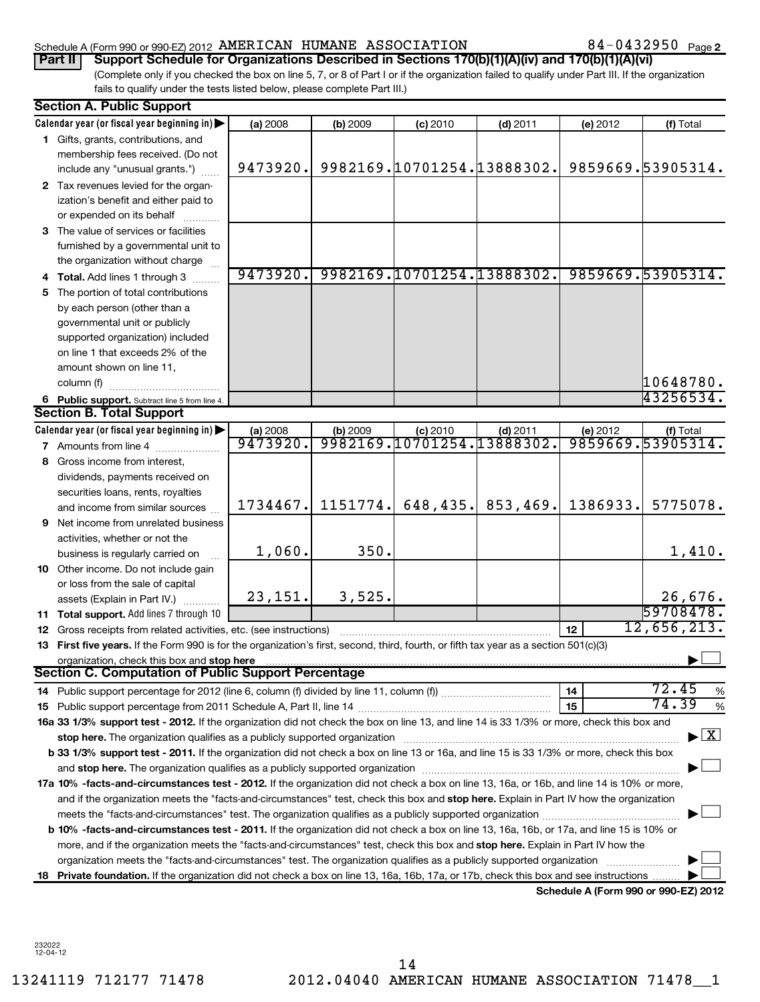## Schedule A (Form 990 or 990-EZ) 2012 Page AMERICAN HUMANE ASSOCIATION 84-0432950

84-0432950 Page 2

(Complete only if you checked the box on line 5, 7, or 8 of Part I or if the organization failed to qualify under Part III. If the organization fails to qualify under the tests listed below, please complete Part III.) **Part II** Support Schedule for Organizations Described in Sections 170(b)(1)(A)(iv) and 170(b)(1)(A)(vi)

|    | <b>Section A. Public Support</b>                                                                                                                                                                                               |          |          |                   |                            |          |                                      |
|----|--------------------------------------------------------------------------------------------------------------------------------------------------------------------------------------------------------------------------------|----------|----------|-------------------|----------------------------|----------|--------------------------------------|
|    | Calendar year (or fiscal year beginning in)                                                                                                                                                                                    | (a) 2008 | (b) 2009 | $(c)$ 2010        | $(d)$ 2011                 | (e) 2012 | (f) Total                            |
|    | 1 Gifts, grants, contributions, and<br>membership fees received. (Do not                                                                                                                                                       |          |          |                   |                            |          |                                      |
|    | include any "unusual grants.")                                                                                                                                                                                                 | 9473920. |          |                   | 9982169.10701254.13888302. |          | 9859669.53905314.                    |
|    | 2 Tax revenues levied for the organ-                                                                                                                                                                                           |          |          |                   |                            |          |                                      |
|    | ization's benefit and either paid to                                                                                                                                                                                           |          |          |                   |                            |          |                                      |
|    | or expended on its behalf                                                                                                                                                                                                      |          |          |                   |                            |          |                                      |
|    | 3 The value of services or facilities                                                                                                                                                                                          |          |          |                   |                            |          |                                      |
|    | furnished by a governmental unit to                                                                                                                                                                                            |          |          |                   |                            |          |                                      |
|    | the organization without charge                                                                                                                                                                                                | 9473920. |          |                   | 9982169.10701254.13888302. |          | 9859669.53905314.                    |
|    | 4 Total. Add lines 1 through 3                                                                                                                                                                                                 |          |          |                   |                            |          |                                      |
| 5. | The portion of total contributions                                                                                                                                                                                             |          |          |                   |                            |          |                                      |
|    | by each person (other than a<br>governmental unit or publicly                                                                                                                                                                  |          |          |                   |                            |          |                                      |
|    | supported organization) included                                                                                                                                                                                               |          |          |                   |                            |          |                                      |
|    | on line 1 that exceeds 2% of the                                                                                                                                                                                               |          |          |                   |                            |          |                                      |
|    | amount shown on line 11,                                                                                                                                                                                                       |          |          |                   |                            |          |                                      |
|    | column (f)                                                                                                                                                                                                                     |          |          |                   |                            |          | 10648780.                            |
|    | 6 Public support. Subtract line 5 from line 4.                                                                                                                                                                                 |          |          |                   |                            |          | 43256534.                            |
|    | <b>Section B. Total Support</b>                                                                                                                                                                                                |          |          |                   |                            |          |                                      |
|    | Calendar year (or fiscal year beginning in)                                                                                                                                                                                    | (a) 2008 | (b) 2009 | $(c)$ 2010        | $(d)$ 2011                 | (e) 2012 | (f) Total                            |
|    | 7 Amounts from line 4                                                                                                                                                                                                          | 9473920. |          | 9982169.10701254. | .13888302.                 |          | 9859669.53905314.                    |
|    | 8 Gross income from interest,                                                                                                                                                                                                  |          |          |                   |                            |          |                                      |
|    | dividends, payments received on                                                                                                                                                                                                |          |          |                   |                            |          |                                      |
|    | securities loans, rents, royalties                                                                                                                                                                                             |          |          |                   |                            |          |                                      |
|    | and income from similar sources                                                                                                                                                                                                | 1734467. | 1151774. | 648,435.          | 853,469.                   | 1386933. | 5775078.                             |
| 9. | Net income from unrelated business                                                                                                                                                                                             |          |          |                   |                            |          |                                      |
|    | activities, whether or not the                                                                                                                                                                                                 |          |          |                   |                            |          |                                      |
|    | business is regularly carried on                                                                                                                                                                                               | 1,060.   | 350.     |                   |                            |          | 1,410.                               |
|    | <b>10</b> Other income. Do not include gain                                                                                                                                                                                    |          |          |                   |                            |          |                                      |
|    | or loss from the sale of capital                                                                                                                                                                                               | 23,151.  | 3,525.   |                   |                            |          | 26,676.                              |
|    | assets (Explain in Part IV.)<br>11 Total support. Add lines 7 through 10                                                                                                                                                       |          |          |                   |                            |          | 59708478.                            |
|    | Gross receipts from related activities, etc. (see instructions)                                                                                                                                                                |          |          |                   |                            | 12       | 12,656,213.                          |
| 12 | 13 First five years. If the Form 990 is for the organization's first, second, third, fourth, or fifth tax year as a section 501(c)(3)                                                                                          |          |          |                   |                            |          |                                      |
|    | organization, check this box and stop here                                                                                                                                                                                     |          |          |                   |                            |          |                                      |
|    | Section C. Computation of Public Support Percentage                                                                                                                                                                            |          |          |                   |                            |          |                                      |
|    |                                                                                                                                                                                                                                |          |          |                   |                            | 14       | 72.45<br>%                           |
|    |                                                                                                                                                                                                                                |          |          |                   |                            | 15       | 74.39<br>%                           |
|    | 16a 33 1/3% support test - 2012. If the organization did not check the box on line 13, and line 14 is 33 1/3% or more, check this box and                                                                                      |          |          |                   |                            |          |                                      |
|    | stop here. The organization qualifies as a publicly supported organization manufaction manufacture or manufacture manufacture manufacture manufacture manufacture manufacture manufacture manufacture manufacture manufacture  |          |          |                   |                            |          | $\blacktriangleright$ $\mathbf{X}$   |
|    | b 33 1/3% support test - 2011. If the organization did not check a box on line 13 or 16a, and line 15 is 33 1/3% or more, check this box                                                                                       |          |          |                   |                            |          |                                      |
|    | and stop here. The organization qualifies as a publicly supported organization manufaction manufacture. The organization content of the organization manufacture of the organization manufacture of the organization manufactu |          |          |                   |                            |          |                                      |
|    | 17a 10% -facts-and-circumstances test - 2012. If the organization did not check a box on line 13, 16a, or 16b, and line 14 is 10% or more,                                                                                     |          |          |                   |                            |          |                                      |
|    | and if the organization meets the "facts-and-circumstances" test, check this box and stop here. Explain in Part IV how the organization                                                                                        |          |          |                   |                            |          |                                      |
|    | meets the "facts-and-circumstances" test. The organization qualifies as a publicly supported organization <i>manumumum</i>                                                                                                     |          |          |                   |                            |          |                                      |
|    | b 10% -facts-and-circumstances test - 2011. If the organization did not check a box on line 13, 16a, 16b, or 17a, and line 15 is 10% or                                                                                        |          |          |                   |                            |          |                                      |
|    | more, and if the organization meets the "facts-and-circumstances" test, check this box and stop here. Explain in Part IV how the                                                                                               |          |          |                   |                            |          |                                      |
|    | organization meets the "facts-and-circumstances" test. The organization qualifies as a publicly supported organization                                                                                                         |          |          |                   |                            |          |                                      |
|    | 18 Private foundation. If the organization did not check a box on line 13, 16a, 16b, 17a, or 17b, check this box and see instructions                                                                                          |          |          |                   |                            |          |                                      |
|    |                                                                                                                                                                                                                                |          |          |                   |                            |          | Schedule A (Form 990 or 990-EZ) 2012 |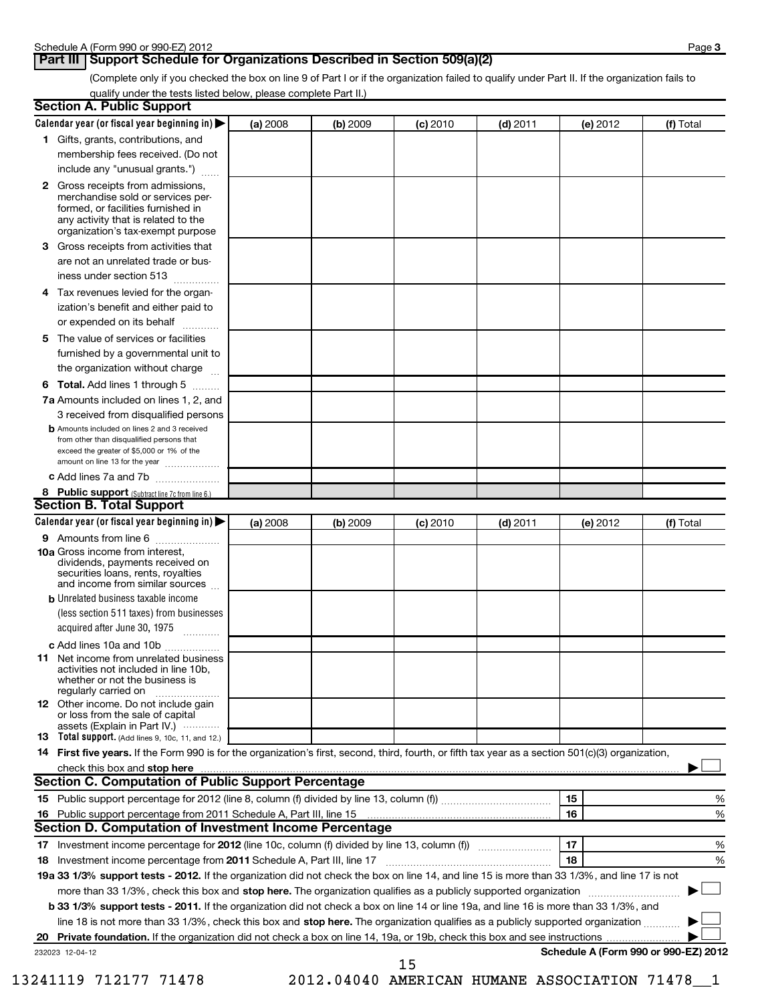## **Part III Support Schedule for Organizations Described in Section 509(a)(2)**

(Complete only if you checked the box on line 9 of Part I or if the organization failed to qualify under Part II. If the organization fails to qualify under the tests listed below, please complete Part II.)

| <b>Section A. Public Support</b>                                                                                                                                                                                               |          |          |            |            |          |                                      |
|--------------------------------------------------------------------------------------------------------------------------------------------------------------------------------------------------------------------------------|----------|----------|------------|------------|----------|--------------------------------------|
| Calendar year (or fiscal year beginning in)                                                                                                                                                                                    | (a) 2008 | (b) 2009 | $(c)$ 2010 | $(d)$ 2011 | (e) 2012 | (f) Total                            |
| 1 Gifts, grants, contributions, and                                                                                                                                                                                            |          |          |            |            |          |                                      |
| membership fees received. (Do not                                                                                                                                                                                              |          |          |            |            |          |                                      |
| include any "unusual grants.")                                                                                                                                                                                                 |          |          |            |            |          |                                      |
| <b>2</b> Gross receipts from admissions,<br>merchandise sold or services per-<br>formed, or facilities furnished in<br>any activity that is related to the<br>organization's tax-exempt purpose                                |          |          |            |            |          |                                      |
| 3 Gross receipts from activities that<br>are not an unrelated trade or bus-                                                                                                                                                    |          |          |            |            |          |                                      |
| iness under section 513                                                                                                                                                                                                        |          |          |            |            |          |                                      |
| Tax revenues levied for the organ-<br>4<br>ization's benefit and either paid to<br>or expended on its behalf                                                                                                                   |          |          |            |            |          |                                      |
| 5 The value of services or facilities                                                                                                                                                                                          |          |          |            |            |          |                                      |
| furnished by a governmental unit to<br>the organization without charge                                                                                                                                                         |          |          |            |            |          |                                      |
| <b>6 Total.</b> Add lines 1 through 5                                                                                                                                                                                          |          |          |            |            |          |                                      |
| 7a Amounts included on lines 1, 2, and<br>3 received from disqualified persons                                                                                                                                                 |          |          |            |            |          |                                      |
| <b>b</b> Amounts included on lines 2 and 3 received<br>from other than disqualified persons that<br>exceed the greater of \$5,000 or 1% of the<br>amount on line 13 for the year                                               |          |          |            |            |          |                                      |
| c Add lines 7a and 7b                                                                                                                                                                                                          |          |          |            |            |          |                                      |
| 8 Public support (Subtract line 7c from line 6.)                                                                                                                                                                               |          |          |            |            |          |                                      |
| <b>Section B. Total Support</b>                                                                                                                                                                                                |          |          |            |            |          |                                      |
| Calendar year (or fiscal year beginning in)                                                                                                                                                                                    | (a) 2008 | (b) 2009 | (c) 2010   | $(d)$ 2011 | (e) 2012 | (f) Total                            |
| 9 Amounts from line 6<br><b>10a</b> Gross income from interest,<br>dividends, payments received on<br>securities loans, rents, royalties                                                                                       |          |          |            |            |          |                                      |
| and income from similar sources                                                                                                                                                                                                |          |          |            |            |          |                                      |
| <b>b</b> Unrelated business taxable income<br>(less section 511 taxes) from businesses<br>acquired after June 30, 1975<br>$\overline{\phantom{a}}$                                                                             |          |          |            |            |          |                                      |
| c Add lines 10a and 10b                                                                                                                                                                                                        |          |          |            |            |          |                                      |
| <b>11</b> Net income from unrelated business<br>activities not included in line 10b,<br>whether or not the business is<br>regularly carried on                                                                                 |          |          |            |            |          |                                      |
| 12 Other income. Do not include gain<br>or loss from the sale of capital<br>assets (Explain in Part IV.)                                                                                                                       |          |          |            |            |          |                                      |
| <b>13</b> Total support. (Add lines 9, 10c, 11, and 12.)                                                                                                                                                                       |          |          |            |            |          |                                      |
| 14 First five years. If the Form 990 is for the organization's first, second, third, fourth, or fifth tax year as a section 501(c)(3) organization,                                                                            |          |          |            |            |          |                                      |
| check this box and stop here manufactured and content to the state of the state of the state of the state of the state of the state of the state of the state of the state of the state of the state of the state of the state |          |          |            |            |          |                                      |
| Section C. Computation of Public Support Percentage                                                                                                                                                                            |          |          |            |            |          |                                      |
|                                                                                                                                                                                                                                |          |          |            |            | 15       | %                                    |
| Section D. Computation of Investment Income Percentage                                                                                                                                                                         |          |          |            |            | 16       | %                                    |
|                                                                                                                                                                                                                                |          |          |            |            | 17       |                                      |
| 18 Investment income percentage from 2011 Schedule A, Part III, line 17                                                                                                                                                        |          |          |            |            | 18       | %<br>%                               |
| 19a 33 1/3% support tests - 2012. If the organization did not check the box on line 14, and line 15 is more than 33 1/3%, and line 17 is not                                                                                   |          |          |            |            |          |                                      |
| more than 33 1/3%, check this box and stop here. The organization qualifies as a publicly supported organization                                                                                                               |          |          |            |            |          |                                      |
| b 33 1/3% support tests - 2011. If the organization did not check a box on line 14 or line 19a, and line 16 is more than 33 1/3%, and                                                                                          |          |          |            |            |          |                                      |
| line 18 is not more than 33 1/3%, check this box and stop here. The organization qualifies as a publicly supported organization                                                                                                |          |          |            |            |          |                                      |
| 20                                                                                                                                                                                                                             |          |          |            |            |          |                                      |
| 232023 12-04-12                                                                                                                                                                                                                |          |          |            |            |          | Schedule A (Form 990 or 990-EZ) 2012 |
|                                                                                                                                                                                                                                |          |          | 15         |            |          |                                      |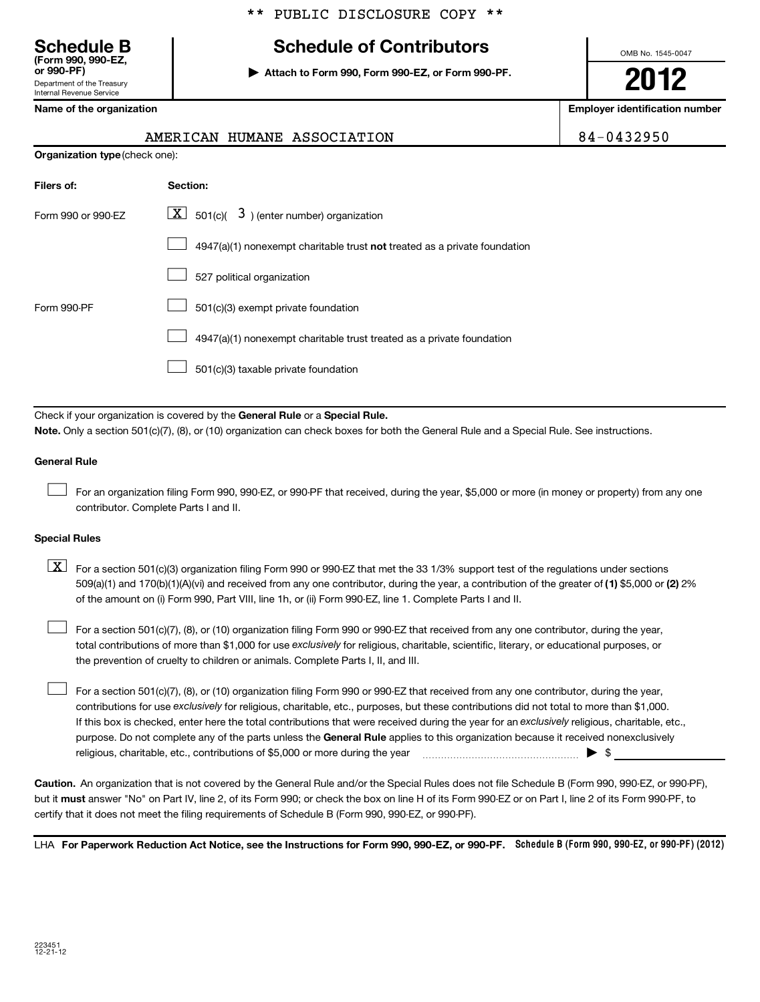## **Schedule B Schedule of Contributors**

**or 990-PF) | Attach to Form 990, Form 990-EZ, or Form 990-PF.**

AMERICAN HUMANE ASSOCIATION **84-0432950** 

OMB No. 1545-0047

# **2012**

**Name of the organization Employer identification number**

| <b>Internal Revenue Service</b> |  |  |
|---------------------------------|--|--|
| - -                             |  |  |

Department of the Treasury

**(Form 990, 990-EZ,**

**Organization type** (check one):

| Filers of:         | Section:                                                                  |
|--------------------|---------------------------------------------------------------------------|
| Form 990 or 990-FZ | $\lfloor \underline{X} \rfloor$ 501(c)( 3) (enter number) organization    |
|                    | 4947(a)(1) nonexempt charitable trust not treated as a private foundation |
|                    | 527 political organization                                                |
| Form 990-PF        | 501(c)(3) exempt private foundation                                       |
|                    | 4947(a)(1) nonexempt charitable trust treated as a private foundation     |
|                    | 501(c)(3) taxable private foundation                                      |

Check if your organization is covered by the General Rule or a Special Rule. **Note.**  Only a section 501(c)(7), (8), or (10) organization can check boxes for both the General Rule and a Special Rule. See instructions.

### **General Rule**

For an organization filing Form 990, 990-EZ, or 990-PF that received, during the year, \$5,000 or more (in money or property) from any one contributor. Complete Parts I and II.  $\left\vert \cdot\right\vert$ 

### **Special Rules**

509(a)(1) and 170(b)(1)(A)(vi) and received from any one contributor, during the year, a contribution of the greater of (1**)** \$5,000 or (**2**) 2%  $\boxed{\textbf{X}}$  For a section 501(c)(3) organization filing Form 990 or 990-EZ that met the 33 1/3% support test of the regulations under sections of the amount on (i) Form 990, Part VIII, line 1h, or (ii) Form 990-EZ, line 1. Complete Parts I and II.

total contributions of more than \$1,000 for use exclusively for religious, charitable, scientific, literary, or educational purposes, or For a section 501(c)(7), (8), or (10) organization filing Form 990 or 990-EZ that received from any one contributor, during the year, the prevention of cruelty to children or animals. Complete Parts I, II, and III.  $\left\vert \cdot\right\vert$ 

purpose. Do not complete any of the parts unless the General Rule applies to this organization because it received nonexclusively contributions for use exclusively for religious, charitable, etc., purposes, but these contributions did not total to more than \$1,000. If this box is checked, enter here the total contributions that were received during the year for an exclusively religious, charitable, etc., For a section 501(c)(7), (8), or (10) organization filing Form 990 or 990-EZ that received from any one contributor, during the year, religious, charitable, etc., contributions of \$5,000 or more during the year  $\ldots$   $\ldots$   $\ldots$   $\ldots$   $\ldots$   $\ldots$   $\ldots$   $\ldots$   $\blacktriangleright$   $\uparrow$  $\left\vert \cdot\right\vert$ 

**Caution.** An organization that is not covered by the General Rule and/or the Special Rules does not file Schedule B (Form 990, 990-EZ, or 990-PF), but it **must** answer "No" on Part IV, line 2, of its Form 990; or check the box on line H of its Form 990-EZ or on Part I, line 2 of its Form 990-PF, to certify that it does not meet the filing requirements of Schedule B (Form 990, 990-EZ, or 990-PF).

LHA For Paperwork Reduction Act Notice, see the Instructions for Form 990, 990-EZ, or 990-PF. Schedule B (Form 990, 990-EZ, or 990-PF) (2012)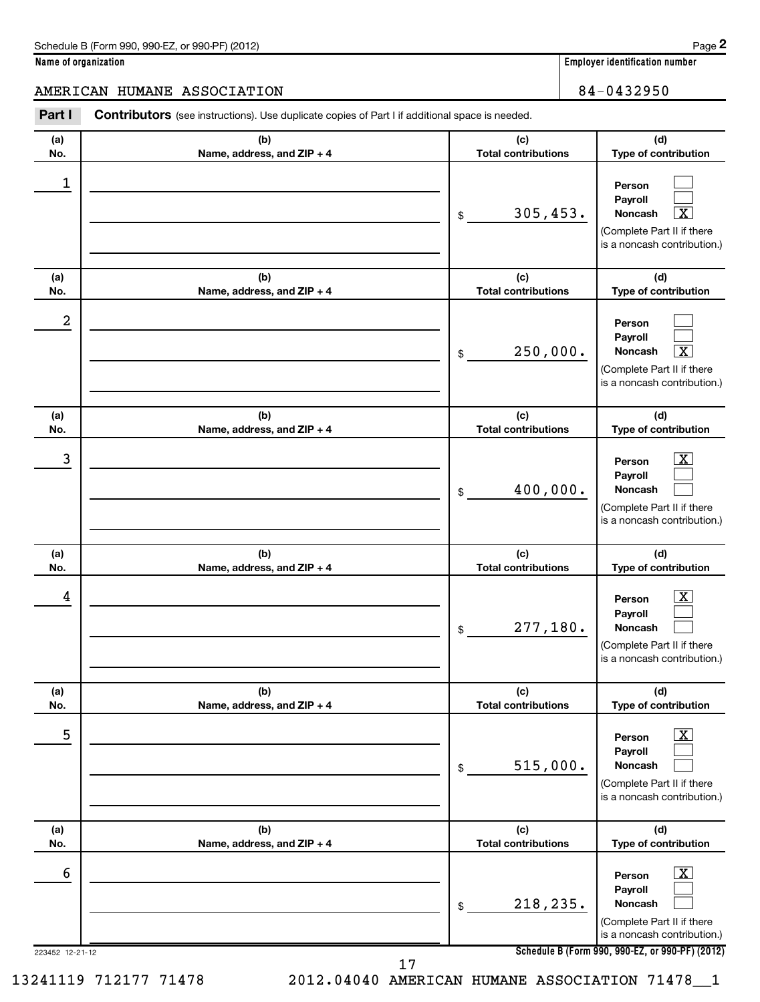**2**

## AMERICAN HUMANE ASSOCIATION 84-0432950

**Name of organization Employer identification number**

| (a)<br>(b)<br>(c)<br>Name, address, and ZIP + 4<br><b>Total contributions</b><br>No.<br>1<br>Person<br>Payroll<br>305,453.<br>Noncash<br>\$<br>(b)<br>(c)<br>(a)<br><b>Total contributions</b><br>No.<br>Name, address, and ZIP + 4<br>2<br>Person<br>Payroll<br>250,000.<br>Noncash<br>\$<br>(c)<br>(b)<br>(a)<br><b>Total contributions</b><br>No.<br>Name, address, and ZIP + 4<br>3<br>Person<br>Payroll<br>400,000.<br>Noncash<br>\$<br>(c)<br>(a)<br>(b)<br><b>Total contributions</b><br>No.<br>Name, address, and ZIP + 4<br>4<br>Person<br>Payroll<br>277,180.<br><b>Noncash</b><br>\$ |                                                                                   |
|-------------------------------------------------------------------------------------------------------------------------------------------------------------------------------------------------------------------------------------------------------------------------------------------------------------------------------------------------------------------------------------------------------------------------------------------------------------------------------------------------------------------------------------------------------------------------------------------------|-----------------------------------------------------------------------------------|
|                                                                                                                                                                                                                                                                                                                                                                                                                                                                                                                                                                                                 | (d)<br>Type of contribution                                                       |
|                                                                                                                                                                                                                                                                                                                                                                                                                                                                                                                                                                                                 | (Complete Part II if there<br>is a noncash contribution.)                         |
|                                                                                                                                                                                                                                                                                                                                                                                                                                                                                                                                                                                                 | (d)<br>Type of contribution                                                       |
|                                                                                                                                                                                                                                                                                                                                                                                                                                                                                                                                                                                                 | х<br>(Complete Part II if there<br>is a noncash contribution.)                    |
|                                                                                                                                                                                                                                                                                                                                                                                                                                                                                                                                                                                                 | (d)<br>Type of contribution                                                       |
|                                                                                                                                                                                                                                                                                                                                                                                                                                                                                                                                                                                                 | $\boxed{\text{X}}$<br>(Complete Part II if there<br>is a noncash contribution.)   |
|                                                                                                                                                                                                                                                                                                                                                                                                                                                                                                                                                                                                 | (d)<br>Type of contribution                                                       |
|                                                                                                                                                                                                                                                                                                                                                                                                                                                                                                                                                                                                 | $\boxed{\text{X}}$<br>(Complete Part II if there<br>is a noncash contribution.)   |
| (a)<br>(b)<br>(c)<br><b>Total contributions</b><br>No.<br>Name, address, and ZIP + 4                                                                                                                                                                                                                                                                                                                                                                                                                                                                                                            | (d)<br>Type of contribution                                                       |
| 5<br>Person<br>Payroll<br>515,000.<br><b>Noncash</b><br>\$                                                                                                                                                                                                                                                                                                                                                                                                                                                                                                                                      | $\boxed{\textbf{X}}$<br>(Complete Part II if there<br>is a noncash contribution.) |
| (c)<br>(a)<br>(b)<br>Name, address, and ZIP + 4<br><b>Total contributions</b><br>No.                                                                                                                                                                                                                                                                                                                                                                                                                                                                                                            | (d)<br>Type of contribution                                                       |
| 6<br>Person<br>Payroll<br>218,235.<br>Noncash<br>\$<br>Schedule B (Form 990, 990-EZ, or 990-PF) (2012)<br>223452 12-21-12                                                                                                                                                                                                                                                                                                                                                                                                                                                                       | $\boxed{\textbf{X}}$<br>(Complete Part II if there<br>is a noncash contribution.) |

**Schedule B (Form 990, 990-EZ, or 990-PF) (2012)**

17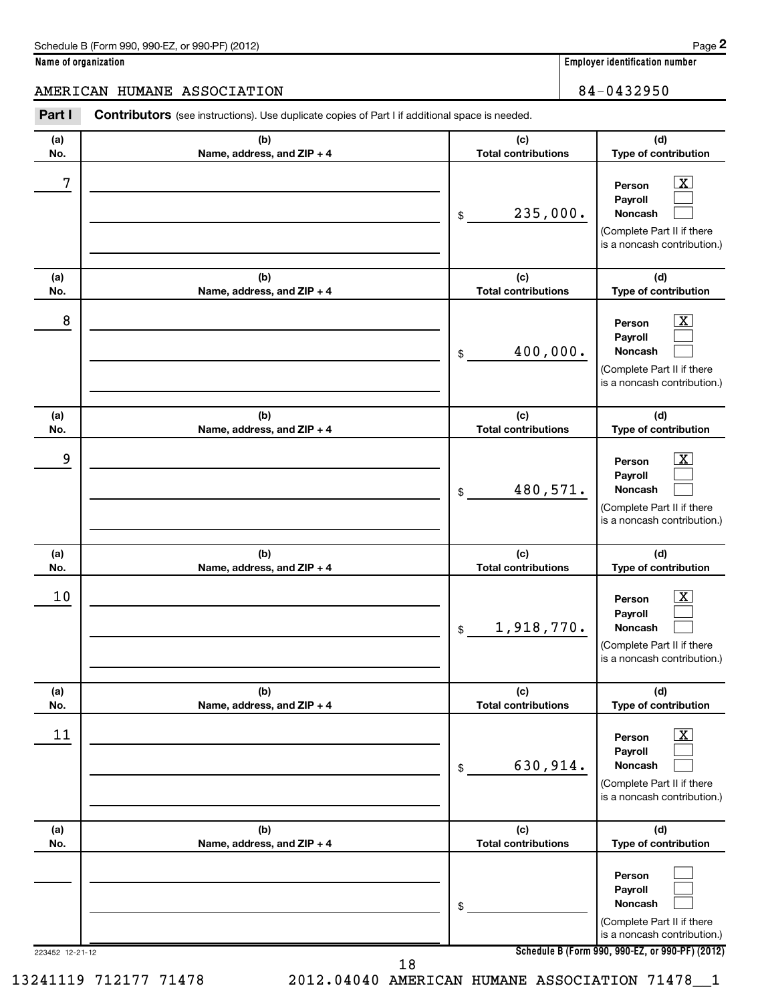$\overline{X}$  $\Box$  $\Box$ 

 $\lfloor x \rfloor$  $\Box$  $\Box$ 

 $\lfloor x \rfloor$  $\Box$  $\Box$ 

 $\overline{X}$  $\Box$  $\Box$ 

 $\lfloor x \rfloor$  $\Box$  $\Box$ 

**Name of organization Employer identification number (a) No. (b) Name, address, and ZIP + 4 (c) Total contributions (d) Type of contribution Person Payroll Noncash (a) No. (b) Name, address, and ZIP + 4 (c) Total contributions (d) Type of contribution Person Payroll Noncash (a) No. (b) Name, address, and ZIP + 4 (c) Total contributions (d) Type of contribution Person Payroll Noncash (a) No. (b) Name, address, and ZIP + 4 (c) Total contributions (d) Type of contribution Person Payroll Noncash (a) No. (b) Name, address, and ZIP + 4 (c) Total contributions (d) Type of contribution Person Payroll Noncash** Part I Contributors (see instructions). Use duplicate copies of Part I if additional space is needed. \$ (Complete Part II if there is a noncash contribution.) \$ (Complete Part II if there is a noncash contribution.) \$ (Complete Part II if there is a noncash contribution.) \$ (Complete Part II if there is a noncash contribution.) \$ AMERICAN HUMANE ASSOCIATION **84-0432950**  $7$   $|$  Person  $\overline{\text{X}}$ 235,000.  $8$  Person  $\overline{\text{X}}$ 400,000. 9 X 480,571.  $10$  Person  $\overline{\text{X}}$ 1,918,770.  $\begin{array}{|c|c|c|c|c|c|}\hline \text{11} & \text{Person} & \text{X} \end{array}$ 630,914.

|                 |                              |                            | (Complete Part II if there<br>is a noncash contribution.)                                        |
|-----------------|------------------------------|----------------------------|--------------------------------------------------------------------------------------------------|
| (a)             | (b)                          | (c)                        | (d)                                                                                              |
| No.             | Name, address, and $ZIP + 4$ | <b>Total contributions</b> | Type of contribution                                                                             |
|                 |                              | \$                         | Person<br>Payroll<br><b>Noncash</b><br>(Complete Part II if there<br>is a noncash contribution.) |
| 223452 12-21-12 |                              |                            | Schedule B (Form 990, 990-EZ, or 990-PF) (2012                                                   |

**Schedule B (Form 990, 990-EZ, or 990-PF) (2012)**

13241119 712177 71478 2012.04040 AMERICAN HUMANE ASSOCIATION 71478\_\_1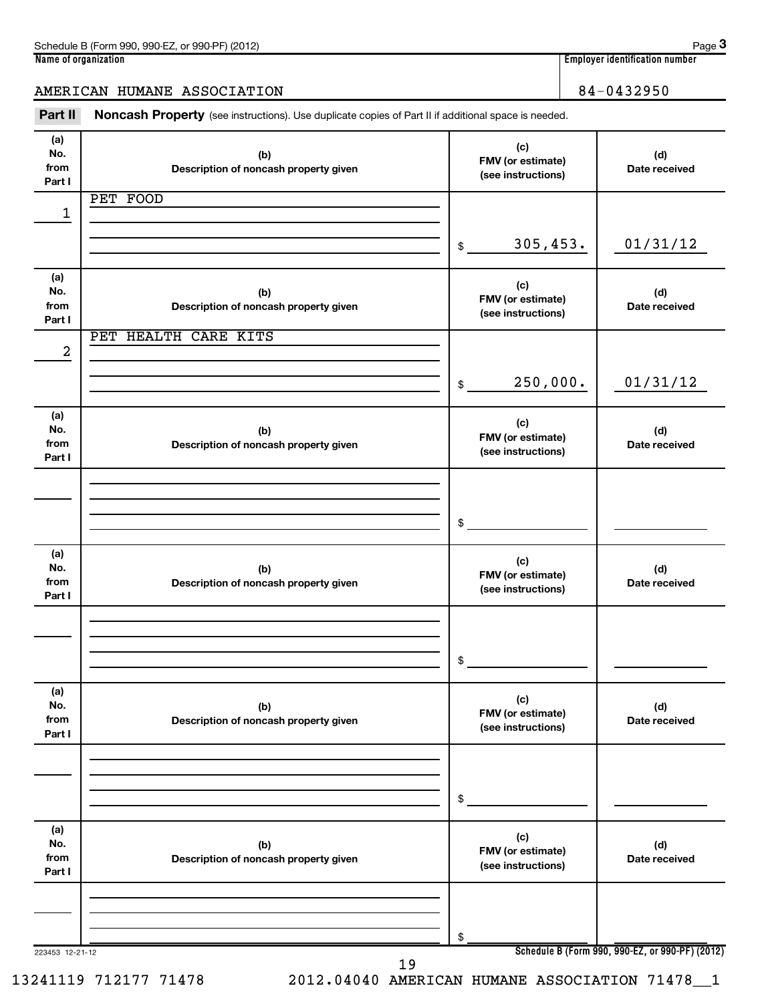| Schedule<br>990-E2<br>: <i>(2</i> 012)<br>n.PF<br>990<br>rorm.<br>or<br>w<br>-<br>נו<br>◡◡<br>◡ ・ | Page                                            |  |  |
|---------------------------------------------------------------------------------------------------|-------------------------------------------------|--|--|
| Name<br>e of organization :                                                                       | <br>number<br>Emplover<br><b>TOCOLITICATION</b> |  |  |

|--|--|

## AMERICAN HUMANE ASSOCIATION 84-0432950

Part II Noncash Property (see instructions). Use duplicate copies of Part II if additional space is needed.

| (a)<br>No.<br>from<br>Part I | (b)<br>Description of noncash property given | (c)<br>FMV (or estimate)<br>(see instructions) | (d)<br>Date received                            |
|------------------------------|----------------------------------------------|------------------------------------------------|-------------------------------------------------|
| 1                            | PET FOOD                                     |                                                |                                                 |
|                              |                                              | 305,453.<br>\$                                 | 01/31/12                                        |
| (a)<br>No.<br>from<br>Part I | (b)<br>Description of noncash property given | (c)<br>FMV (or estimate)<br>(see instructions) | (d)<br>Date received                            |
| 2                            | PET HEALTH CARE KITS                         |                                                |                                                 |
|                              |                                              | 250,000.<br>\$                                 | 01/31/12                                        |
| (a)<br>No.<br>from<br>Part I | (b)<br>Description of noncash property given | (c)<br>FMV (or estimate)<br>(see instructions) | (d)<br>Date received                            |
|                              |                                              |                                                |                                                 |
|                              |                                              | \$                                             |                                                 |
| (a)<br>No.<br>from<br>Part I | (b)<br>Description of noncash property given | (c)<br>FMV (or estimate)<br>(see instructions) | (d)<br>Date received                            |
|                              |                                              |                                                |                                                 |
|                              |                                              | \$                                             |                                                 |
| (a)<br>No.<br>from<br>Part I | (b)<br>Description of noncash property given | (c)<br>FMV (or estimate)<br>(see instructions) | (d)<br>Date received                            |
|                              |                                              |                                                |                                                 |
|                              |                                              | \$                                             |                                                 |
| (a)<br>No.<br>from<br>Part I | (b)<br>Description of noncash property given | (c)<br>FMV (or estimate)<br>(see instructions) | (d)<br>Date received                            |
|                              |                                              |                                                |                                                 |
| 223453 12-21-12              |                                              | \$                                             | Schedule B (Form 990, 990-EZ, or 990-PF) (2012) |

13241119 712177 71478 2012.04040 AMERICAN HUMANE ASSOCIATION 71478\_\_1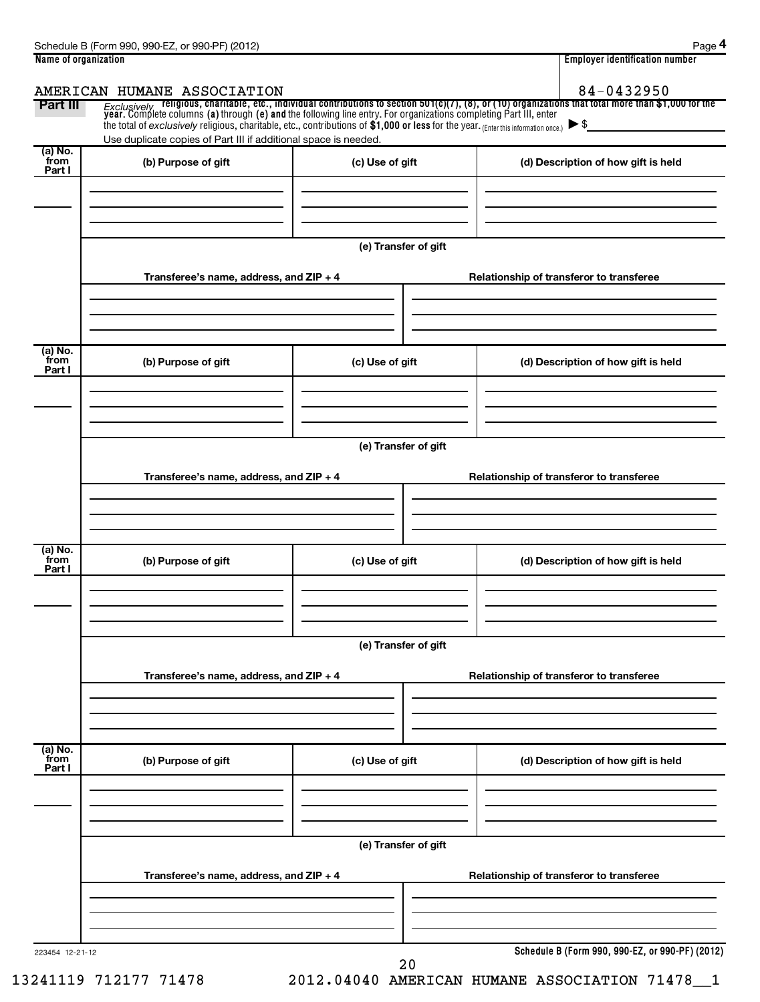| Name of organization        |                                                                                                                                                                                                                                 |                      | <b>Employer identification number</b>                                                                                                                                                                                              |
|-----------------------------|---------------------------------------------------------------------------------------------------------------------------------------------------------------------------------------------------------------------------------|----------------------|------------------------------------------------------------------------------------------------------------------------------------------------------------------------------------------------------------------------------------|
|                             | AMERICAN HUMANE ASSOCIATION                                                                                                                                                                                                     |                      | 84-0432950                                                                                                                                                                                                                         |
| Part III                    | the total of exclusively religious, charitable, etc., contributions of \$1,000 or less for the year. (Enter this information once.) $\blacktriangleright$ \$<br>Use duplicate copies of Part III if additional space is needed. |                      | Exclusively religious, charitable, etc., individual contributions to section 501(c)(7), (8), or (10) organizations that total more than \$1,000 for the<br>year. Complete columns (a) through (e) and the following line entry. Fo |
| (a) No.<br>from<br>Part I   | (b) Purpose of gift                                                                                                                                                                                                             | (c) Use of gift      | (d) Description of how gift is held                                                                                                                                                                                                |
|                             |                                                                                                                                                                                                                                 | (e) Transfer of gift |                                                                                                                                                                                                                                    |
|                             | Transferee's name, address, and ZIP + 4                                                                                                                                                                                         |                      | Relationship of transferor to transferee                                                                                                                                                                                           |
| (a) No.<br>from<br>Part I   | (b) Purpose of gift                                                                                                                                                                                                             | (c) Use of gift      | (d) Description of how gift is held                                                                                                                                                                                                |
|                             |                                                                                                                                                                                                                                 | (e) Transfer of gift |                                                                                                                                                                                                                                    |
|                             | Transferee's name, address, and ZIP + 4                                                                                                                                                                                         |                      | Relationship of transferor to transferee                                                                                                                                                                                           |
| $(a)$ No.<br>from<br>Part I | (b) Purpose of gift                                                                                                                                                                                                             | (c) Use of gift      | (d) Description of how gift is held                                                                                                                                                                                                |
|                             |                                                                                                                                                                                                                                 | (e) Transfer of gift |                                                                                                                                                                                                                                    |
|                             | Transferee's name, address, and ZIP + 4                                                                                                                                                                                         |                      | Relationship of transferor to transferee                                                                                                                                                                                           |
| (a) No.<br>from<br>Part I   | (b) Purpose of gift                                                                                                                                                                                                             | (c) Use of gift      | (d) Description of how gift is held                                                                                                                                                                                                |
|                             |                                                                                                                                                                                                                                 |                      |                                                                                                                                                                                                                                    |
|                             | Transferee's name, address, and ZIP + 4                                                                                                                                                                                         | (e) Transfer of gift | Relationship of transferor to transferee                                                                                                                                                                                           |
| 223454 12-21-12             |                                                                                                                                                                                                                                 | $\Omega$             | Schedule B (Form 990, 990-EZ, or 990-PF) (2012)                                                                                                                                                                                    |

13241119 712177 71478 2012.04040 AMERICAN HUMANE ASSOCIATION 71478\_\_1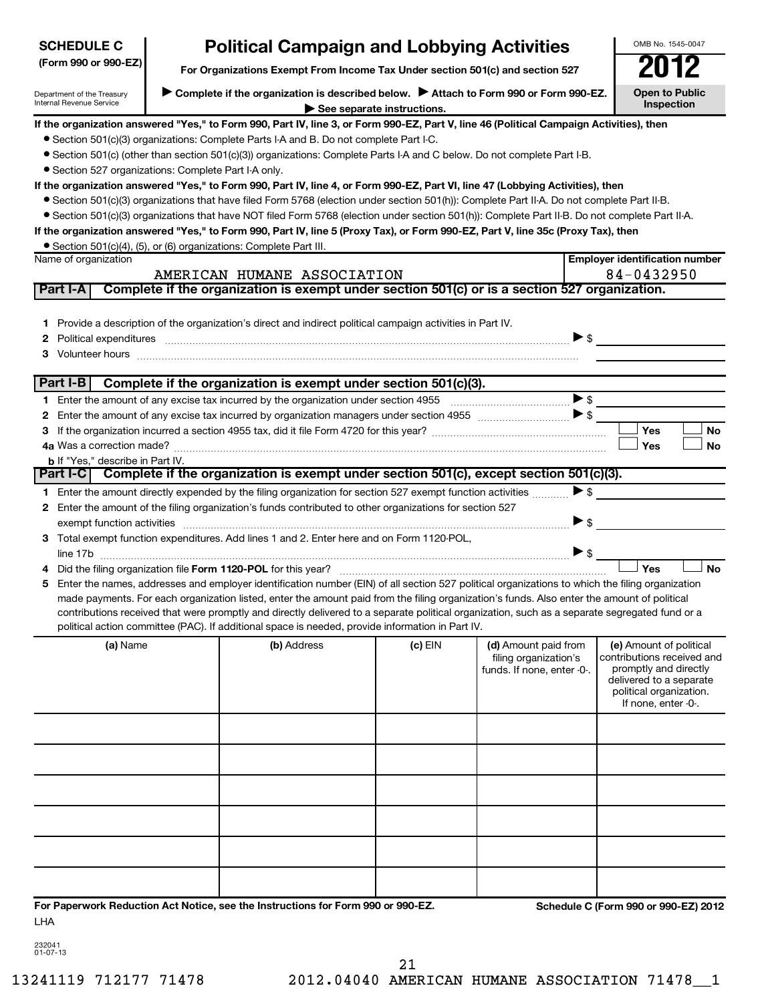| <b>SCHEDULE C</b>                                      |                                                                                     | <b>Political Campaign and Lobbying Activities</b>                                                                                                                                                                                                                                                                                                                                                                                                                                                                                                                                                                                                                                                                                                                                                                                                                                                                                     | OMB No. 1545-0047 |                                                                             |                          |                                                                                                                                                             |
|--------------------------------------------------------|-------------------------------------------------------------------------------------|---------------------------------------------------------------------------------------------------------------------------------------------------------------------------------------------------------------------------------------------------------------------------------------------------------------------------------------------------------------------------------------------------------------------------------------------------------------------------------------------------------------------------------------------------------------------------------------------------------------------------------------------------------------------------------------------------------------------------------------------------------------------------------------------------------------------------------------------------------------------------------------------------------------------------------------|-------------------|-----------------------------------------------------------------------------|--------------------------|-------------------------------------------------------------------------------------------------------------------------------------------------------------|
| (Form 990 or 990-EZ)                                   |                                                                                     |                                                                                                                                                                                                                                                                                                                                                                                                                                                                                                                                                                                                                                                                                                                                                                                                                                                                                                                                       |                   |                                                                             |                          |                                                                                                                                                             |
| Department of the Treasury<br>Internal Revenue Service | Complete if the organization is described below. Attach to Form 990 or Form 990-EZ. | <b>Open to Public</b><br>Inspection                                                                                                                                                                                                                                                                                                                                                                                                                                                                                                                                                                                                                                                                                                                                                                                                                                                                                                   |                   |                                                                             |                          |                                                                                                                                                             |
|                                                        | • Section 527 organizations: Complete Part I-A only.                                | If the organization answered "Yes," to Form 990, Part IV, line 3, or Form 990-EZ, Part V, line 46 (Political Campaign Activities), then<br>• Section 501(c)(3) organizations: Complete Parts I-A and B. Do not complete Part I-C.<br>• Section 501(c) (other than section 501(c)(3)) organizations: Complete Parts I-A and C below. Do not complete Part I-B.<br>If the organization answered "Yes," to Form 990, Part IV, line 4, or Form 990-EZ, Part VI, line 47 (Lobbying Activities), then<br>• Section 501(c)(3) organizations that have filed Form 5768 (election under section 501(h)): Complete Part II-A. Do not complete Part II-B.<br>• Section 501(c)(3) organizations that have NOT filed Form 5768 (election under section 501(h)): Complete Part II-B. Do not complete Part II-A.<br>If the organization answered "Yes," to Form 990, Part IV, line 5 (Proxy Tax), or Form 990-EZ, Part V, line 35c (Proxy Tax), then |                   |                                                                             |                          |                                                                                                                                                             |
| Name of organization                                   |                                                                                     | • Section 501(c)(4), (5), or (6) organizations: Complete Part III.                                                                                                                                                                                                                                                                                                                                                                                                                                                                                                                                                                                                                                                                                                                                                                                                                                                                    |                   |                                                                             |                          | <b>Employer identification number</b>                                                                                                                       |
|                                                        |                                                                                     | AMERICAN HUMANE ASSOCIATION                                                                                                                                                                                                                                                                                                                                                                                                                                                                                                                                                                                                                                                                                                                                                                                                                                                                                                           |                   |                                                                             |                          | 84-0432950                                                                                                                                                  |
| Part I-A                                               |                                                                                     | Complete if the organization is exempt under section 501(c) or is a section 527 organization.                                                                                                                                                                                                                                                                                                                                                                                                                                                                                                                                                                                                                                                                                                                                                                                                                                         |                   |                                                                             |                          |                                                                                                                                                             |
| 2                                                      |                                                                                     | 1 Provide a description of the organization's direct and indirect political campaign activities in Part IV.                                                                                                                                                                                                                                                                                                                                                                                                                                                                                                                                                                                                                                                                                                                                                                                                                           |                   |                                                                             | $\triangleright$ \$      |                                                                                                                                                             |
| Part $I-B$                                             |                                                                                     | Complete if the organization is exempt under section 501(c)(3).                                                                                                                                                                                                                                                                                                                                                                                                                                                                                                                                                                                                                                                                                                                                                                                                                                                                       |                   |                                                                             |                          |                                                                                                                                                             |
|                                                        |                                                                                     | 1 Enter the amount of any excise tax incurred by the organization under section 4955                                                                                                                                                                                                                                                                                                                                                                                                                                                                                                                                                                                                                                                                                                                                                                                                                                                  |                   |                                                                             | $\blacktriangleright$ \$ |                                                                                                                                                             |
|                                                        |                                                                                     |                                                                                                                                                                                                                                                                                                                                                                                                                                                                                                                                                                                                                                                                                                                                                                                                                                                                                                                                       |                   |                                                                             |                          |                                                                                                                                                             |
| З                                                      |                                                                                     |                                                                                                                                                                                                                                                                                                                                                                                                                                                                                                                                                                                                                                                                                                                                                                                                                                                                                                                                       |                   |                                                                             |                          | Yes<br><b>No</b>                                                                                                                                            |
| <b>b</b> If "Yes," describe in Part IV.                |                                                                                     |                                                                                                                                                                                                                                                                                                                                                                                                                                                                                                                                                                                                                                                                                                                                                                                                                                                                                                                                       |                   |                                                                             |                          | Yes<br><b>No</b>                                                                                                                                            |
|                                                        |                                                                                     | Part I-C Complete if the organization is exempt under section 501(c), except section 501(c)(3).                                                                                                                                                                                                                                                                                                                                                                                                                                                                                                                                                                                                                                                                                                                                                                                                                                       |                   |                                                                             |                          |                                                                                                                                                             |
|                                                        |                                                                                     | 1 Enter the amount directly expended by the filing organization for section 527 exempt function activities                                                                                                                                                                                                                                                                                                                                                                                                                                                                                                                                                                                                                                                                                                                                                                                                                            |                   |                                                                             | $\blacktriangleright$ \$ |                                                                                                                                                             |
| exempt function activities                             |                                                                                     | 2 Enter the amount of the filing organization's funds contributed to other organizations for section 527                                                                                                                                                                                                                                                                                                                                                                                                                                                                                                                                                                                                                                                                                                                                                                                                                              |                   |                                                                             | ► \$                     |                                                                                                                                                             |
|                                                        |                                                                                     | 3 Total exempt function expenditures. Add lines 1 and 2. Enter here and on Form 1120-POL,                                                                                                                                                                                                                                                                                                                                                                                                                                                                                                                                                                                                                                                                                                                                                                                                                                             |                   |                                                                             | $\blacktriangleright$ \$ |                                                                                                                                                             |
|                                                        |                                                                                     | Did the filing organization file Form 1120-POL for this year?                                                                                                                                                                                                                                                                                                                                                                                                                                                                                                                                                                                                                                                                                                                                                                                                                                                                         |                   |                                                                             |                          | Yes<br><b>No</b>                                                                                                                                            |
| 5                                                      |                                                                                     | Enter the names, addresses and employer identification number (EIN) of all section 527 political organizations to which the filing organization<br>made payments. For each organization listed, enter the amount paid from the filing organization's funds. Also enter the amount of political<br>contributions received that were promptly and directly delivered to a separate political organization, such as a separate segregated fund or a<br>political action committee (PAC). If additional space is needed, provide information in Part IV.                                                                                                                                                                                                                                                                                                                                                                                  |                   |                                                                             |                          |                                                                                                                                                             |
|                                                        | (a) Name                                                                            | (b) Address                                                                                                                                                                                                                                                                                                                                                                                                                                                                                                                                                                                                                                                                                                                                                                                                                                                                                                                           | $(c)$ EIN         | (d) Amount paid from<br>filing organization's<br>funds. If none, enter -0-. |                          | (e) Amount of political<br>contributions received and<br>promptly and directly<br>delivered to a separate<br>political organization.<br>If none, enter -0-. |
|                                                        |                                                                                     |                                                                                                                                                                                                                                                                                                                                                                                                                                                                                                                                                                                                                                                                                                                                                                                                                                                                                                                                       |                   |                                                                             |                          |                                                                                                                                                             |
|                                                        |                                                                                     |                                                                                                                                                                                                                                                                                                                                                                                                                                                                                                                                                                                                                                                                                                                                                                                                                                                                                                                                       |                   |                                                                             |                          |                                                                                                                                                             |
|                                                        |                                                                                     |                                                                                                                                                                                                                                                                                                                                                                                                                                                                                                                                                                                                                                                                                                                                                                                                                                                                                                                                       |                   |                                                                             |                          |                                                                                                                                                             |
|                                                        |                                                                                     |                                                                                                                                                                                                                                                                                                                                                                                                                                                                                                                                                                                                                                                                                                                                                                                                                                                                                                                                       |                   |                                                                             |                          |                                                                                                                                                             |
|                                                        |                                                                                     |                                                                                                                                                                                                                                                                                                                                                                                                                                                                                                                                                                                                                                                                                                                                                                                                                                                                                                                                       |                   |                                                                             |                          |                                                                                                                                                             |
|                                                        |                                                                                     |                                                                                                                                                                                                                                                                                                                                                                                                                                                                                                                                                                                                                                                                                                                                                                                                                                                                                                                                       |                   |                                                                             |                          |                                                                                                                                                             |
| LHA                                                    |                                                                                     | For Paperwork Reduction Act Notice, see the Instructions for Form 990 or 990-EZ.                                                                                                                                                                                                                                                                                                                                                                                                                                                                                                                                                                                                                                                                                                                                                                                                                                                      |                   |                                                                             |                          | Schedule C (Form 990 or 990-EZ) 2012                                                                                                                        |

| 23204    |
|----------|
| 01-07-13 |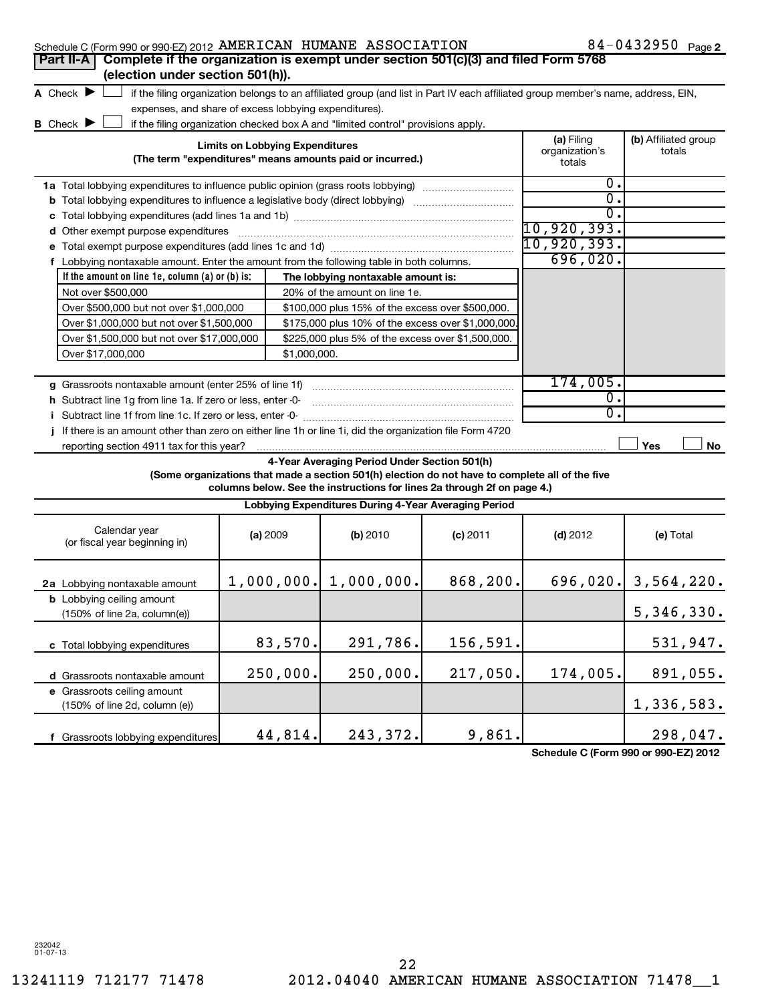|  | Schedule C (Form 990 or 990-EZ) 2012 AMERICAN HUMANE ASSOCIATION |  |  |  | 84-0432950 $_{Page2}$ |
|--|------------------------------------------------------------------|--|--|--|-----------------------|
|--|------------------------------------------------------------------|--|--|--|-----------------------|

| Schedule C (Form 990 or 990-EZ) 2012 AMLRICAN HUMANL ASSOCIATION<br>Complete if the organization is exempt under section 501(c)(3) and filed Form 5768<br>Part II-A |                                        |              |                                                                                                                                                                                                                            |            |                                                                                                                                   | 04-0434930 Page2                     |
|---------------------------------------------------------------------------------------------------------------------------------------------------------------------|----------------------------------------|--------------|----------------------------------------------------------------------------------------------------------------------------------------------------------------------------------------------------------------------------|------------|-----------------------------------------------------------------------------------------------------------------------------------|--------------------------------------|
| (election under section 501(h)).                                                                                                                                    |                                        |              |                                                                                                                                                                                                                            |            |                                                                                                                                   |                                      |
| A Check $\blacktriangleright$<br>expenses, and share of excess lobbying expenditures).                                                                              |                                        |              |                                                                                                                                                                                                                            |            | if the filing organization belongs to an affiliated group (and list in Part IV each affiliated group member's name, address, EIN, |                                      |
| <b>B</b> Check $\blacktriangleright$                                                                                                                                |                                        |              | if the filing organization checked box A and "limited control" provisions apply.                                                                                                                                           |            |                                                                                                                                   |                                      |
|                                                                                                                                                                     | <b>Limits on Lobbying Expenditures</b> |              | (The term "expenditures" means amounts paid or incurred.)                                                                                                                                                                  |            | (a) Filing<br>organization's<br>totals                                                                                            | (b) Affiliated group<br>totals       |
| 1a Total lobbying expenditures to influence public opinion (grass roots lobbying)                                                                                   |                                        |              |                                                                                                                                                                                                                            |            | 0.                                                                                                                                |                                      |
| <b>b</b> Total lobbying expenditures to influence a legislative body (direct lobbying) <i>manumumumum</i>                                                           |                                        |              |                                                                                                                                                                                                                            |            | $\overline{0}$ .                                                                                                                  |                                      |
|                                                                                                                                                                     |                                        |              |                                                                                                                                                                                                                            |            | $\mathbf{0}$ .                                                                                                                    |                                      |
| d Other exempt purpose expenditures                                                                                                                                 |                                        |              |                                                                                                                                                                                                                            |            | 10,920,393.                                                                                                                       |                                      |
|                                                                                                                                                                     |                                        |              |                                                                                                                                                                                                                            |            | 10,920,393.                                                                                                                       |                                      |
| f Lobbying nontaxable amount. Enter the amount from the following table in both columns.                                                                            |                                        |              |                                                                                                                                                                                                                            |            | 696,020.                                                                                                                          |                                      |
| If the amount on line 1e, column $(a)$ or $(b)$ is:                                                                                                                 |                                        |              | The lobbying nontaxable amount is:                                                                                                                                                                                         |            |                                                                                                                                   |                                      |
| Not over \$500,000                                                                                                                                                  |                                        |              | 20% of the amount on line 1e.                                                                                                                                                                                              |            |                                                                                                                                   |                                      |
| Over \$500,000 but not over \$1,000,000                                                                                                                             |                                        |              | \$100,000 plus 15% of the excess over \$500,000.                                                                                                                                                                           |            |                                                                                                                                   |                                      |
| Over \$1,000,000 but not over \$1,500,000                                                                                                                           |                                        |              | \$175,000 plus 10% of the excess over \$1,000,000                                                                                                                                                                          |            |                                                                                                                                   |                                      |
| Over \$1,500,000 but not over \$17,000,000                                                                                                                          |                                        |              | \$225,000 plus 5% of the excess over \$1,500,000.                                                                                                                                                                          |            |                                                                                                                                   |                                      |
| Over \$17,000,000                                                                                                                                                   |                                        | \$1,000,000. |                                                                                                                                                                                                                            |            |                                                                                                                                   |                                      |
| g Grassroots nontaxable amount (enter 25% of line 1f)                                                                                                               |                                        |              |                                                                                                                                                                                                                            |            | 174,005.                                                                                                                          |                                      |
| h Subtract line 1q from line 1a. If zero or less, enter -0-                                                                                                         |                                        |              |                                                                                                                                                                                                                            |            | 0.                                                                                                                                |                                      |
|                                                                                                                                                                     |                                        | 0.           |                                                                                                                                                                                                                            |            |                                                                                                                                   |                                      |
| j If there is an amount other than zero on either line 1h or line 1i, did the organization file Form 4720                                                           |                                        |              |                                                                                                                                                                                                                            |            |                                                                                                                                   |                                      |
| reporting section 4911 tax for this year?                                                                                                                           |                                        |              |                                                                                                                                                                                                                            |            |                                                                                                                                   | Yes<br>No                            |
|                                                                                                                                                                     |                                        |              | 4-Year Averaging Period Under Section 501(h)<br>(Some organizations that made a section 501(h) election do not have to complete all of the five<br>columns below. See the instructions for lines 2a through 2f on page 4.) |            |                                                                                                                                   |                                      |
|                                                                                                                                                                     |                                        |              | Lobbying Expenditures During 4-Year Averaging Period                                                                                                                                                                       |            |                                                                                                                                   |                                      |
| Calendar year<br>(or fiscal year beginning in)                                                                                                                      | (a) 2009                               |              | (b) 2010                                                                                                                                                                                                                   | $(c)$ 2011 | $(d)$ 2012                                                                                                                        | (e) Total                            |
| 2a Lobbying nontaxable amount                                                                                                                                       |                                        |              | $1,000,000.$ $1,000,000.$                                                                                                                                                                                                  | 868,200.   |                                                                                                                                   | $696,020.$ 3,564,220.                |
| <b>b</b> Lobbying ceiling amount<br>$(150\% \text{ of line } 2a, \text{column}(e))$                                                                                 |                                        |              |                                                                                                                                                                                                                            |            |                                                                                                                                   | 5,346,330.                           |
| c Total lobbying expenditures                                                                                                                                       |                                        | 83,570.      | 291,786.                                                                                                                                                                                                                   | 156,591    |                                                                                                                                   | 531,947.                             |
| d Grassroots nontaxable amount                                                                                                                                      |                                        | 250,000.     | 250,000.                                                                                                                                                                                                                   | 217,050.   | 174,005.                                                                                                                          | 891,055.                             |
| e Grassroots ceiling amount<br>(150% of line 2d, column (e))                                                                                                        |                                        |              |                                                                                                                                                                                                                            |            |                                                                                                                                   | 1,336,583.                           |
| f Grassroots lobbying expenditures                                                                                                                                  |                                        | 44,814.      | 243,372.                                                                                                                                                                                                                   | 9,861.     |                                                                                                                                   | 298,047.                             |
|                                                                                                                                                                     |                                        |              |                                                                                                                                                                                                                            |            |                                                                                                                                   | Schedule C (Form 990 or 990-EZ) 2012 |

232042 01-07-13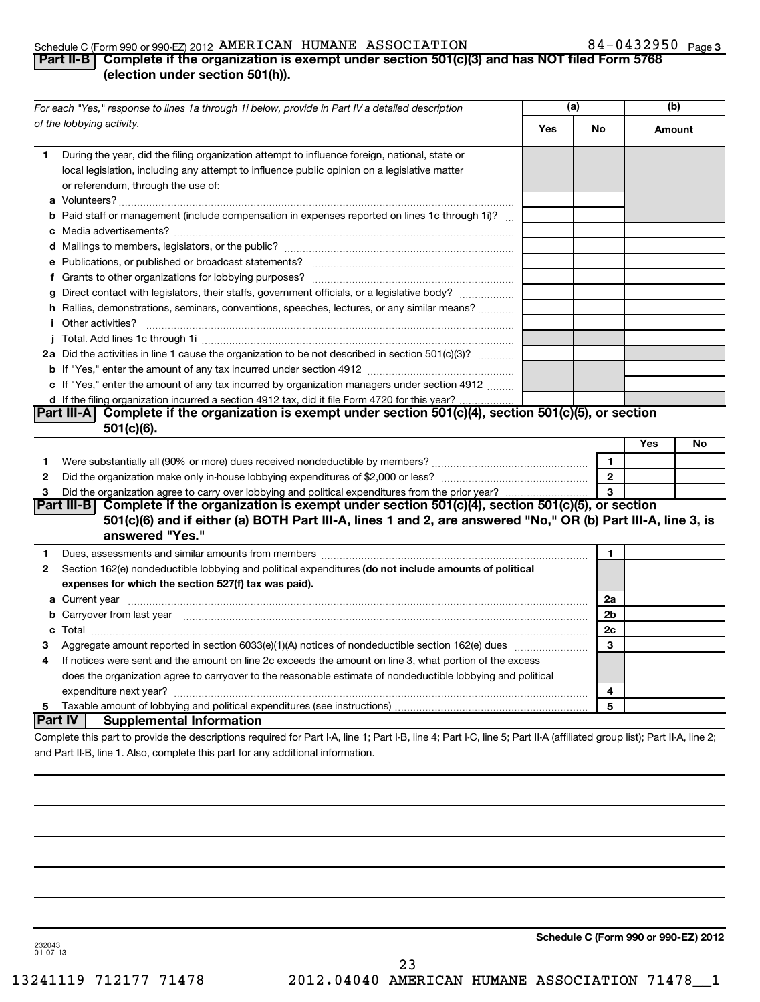## Schedule C (Form 990 or 990-EZ) 2012 Page AMERICAN HUMANE ASSOCIATION 84-0432950

## **Part II-B Complete if the organization is exempt under section 501(c)(3) and has NOT filed Form 5768 (election under section 501(h)).**

| For each "Yes," response to lines 1a through 1i below, provide in Part IV a detailed description |                                                                                                                                                                                                                                     | (a) |                | (b)    |           |
|--------------------------------------------------------------------------------------------------|-------------------------------------------------------------------------------------------------------------------------------------------------------------------------------------------------------------------------------------|-----|----------------|--------|-----------|
|                                                                                                  | of the lobbying activity.                                                                                                                                                                                                           | Yes | No             | Amount |           |
| 1.                                                                                               | During the year, did the filing organization attempt to influence foreign, national, state or<br>local legislation, including any attempt to influence public opinion on a legislative matter<br>or referendum, through the use of: |     |                |        |           |
|                                                                                                  | <b>b</b> Paid staff or management (include compensation in expenses reported on lines 1c through 1i)?                                                                                                                               |     |                |        |           |
|                                                                                                  |                                                                                                                                                                                                                                     |     |                |        |           |
|                                                                                                  |                                                                                                                                                                                                                                     |     |                |        |           |
|                                                                                                  |                                                                                                                                                                                                                                     |     |                |        |           |
|                                                                                                  | g Direct contact with legislators, their staffs, government officials, or a legislative body?                                                                                                                                       |     |                |        |           |
|                                                                                                  | h Rallies, demonstrations, seminars, conventions, speeches, lectures, or any similar means?                                                                                                                                         |     |                |        |           |
|                                                                                                  | <i>i</i> Other activities?                                                                                                                                                                                                          |     |                |        |           |
|                                                                                                  |                                                                                                                                                                                                                                     |     |                |        |           |
|                                                                                                  | 2a Did the activities in line 1 cause the organization to be not described in section 501(c)(3)?                                                                                                                                    |     |                |        |           |
|                                                                                                  |                                                                                                                                                                                                                                     |     |                |        |           |
|                                                                                                  | c If "Yes," enter the amount of any tax incurred by organization managers under section 4912                                                                                                                                        |     |                |        |           |
|                                                                                                  | d If the filing organization incurred a section 4912 tax, did it file Form 4720 for this year?                                                                                                                                      |     |                |        |           |
|                                                                                                  | Part III-A Complete if the organization is exempt under section $501(c)(4)$ , section $501(c)(5)$ , or section<br>$501(c)(6)$ .                                                                                                     |     |                |        |           |
|                                                                                                  |                                                                                                                                                                                                                                     |     |                | Yes    | <b>No</b> |
| 1.                                                                                               |                                                                                                                                                                                                                                     |     | 1.             |        |           |
| 2                                                                                                |                                                                                                                                                                                                                                     |     | $\overline{2}$ |        |           |
| 3                                                                                                | Did the organization agree to carry over lobbying and political expenditures from the prior year?                                                                                                                                   |     | $\mathbf{a}$   |        |           |
|                                                                                                  | Part III-B Complete if the organization is exempt under section 501(c)(4), section 501(c)(5), or section                                                                                                                            |     |                |        |           |
|                                                                                                  | 501(c)(6) and if either (a) BOTH Part III-A, lines 1 and 2, are answered "No," OR (b) Part III-A, line 3, is                                                                                                                        |     |                |        |           |
|                                                                                                  | answered "Yes."                                                                                                                                                                                                                     |     |                |        |           |
| 1                                                                                                |                                                                                                                                                                                                                                     |     | 1              |        |           |
| 2                                                                                                | Section 162(e) nondeductible lobbying and political expenditures (do not include amounts of political                                                                                                                               |     |                |        |           |
|                                                                                                  | expenses for which the section 527(f) tax was paid).                                                                                                                                                                                |     |                |        |           |
|                                                                                                  |                                                                                                                                                                                                                                     |     | 2a             |        |           |
|                                                                                                  | b Carryover from last year manufactured and contract the state of the contract of the contract of the contract of the contract of the contract of the contract of the contract of the contract of the contract of the contract      |     | 2b             |        |           |
|                                                                                                  |                                                                                                                                                                                                                                     |     | 2c             |        |           |
| з                                                                                                |                                                                                                                                                                                                                                     |     | 3              |        |           |
| 4                                                                                                | If notices were sent and the amount on line 2c exceeds the amount on line 3, what portion of the excess                                                                                                                             |     |                |        |           |
|                                                                                                  | does the organization agree to carryover to the reasonable estimate of nondeductible lobbying and political                                                                                                                         |     |                |        |           |
|                                                                                                  |                                                                                                                                                                                                                                     |     | 4              |        |           |
| 5                                                                                                |                                                                                                                                                                                                                                     |     | 5              |        |           |
|                                                                                                  | Part IV  <br><b>Supplemental Information</b>                                                                                                                                                                                        |     |                |        |           |
|                                                                                                  | Complete this part to provide the descriptions required for Part I-A, line 1; Part I-B, line 4; Part I-C, line 5; Part II-A (affiliated group list); Part II-A, line 2;                                                             |     |                |        |           |
|                                                                                                  | and Part II-B, line 1. Also, complete this part for any additional information.                                                                                                                                                     |     |                |        |           |

**Schedule C (Form 990 or 990-EZ) 2012**

232043 01-07-13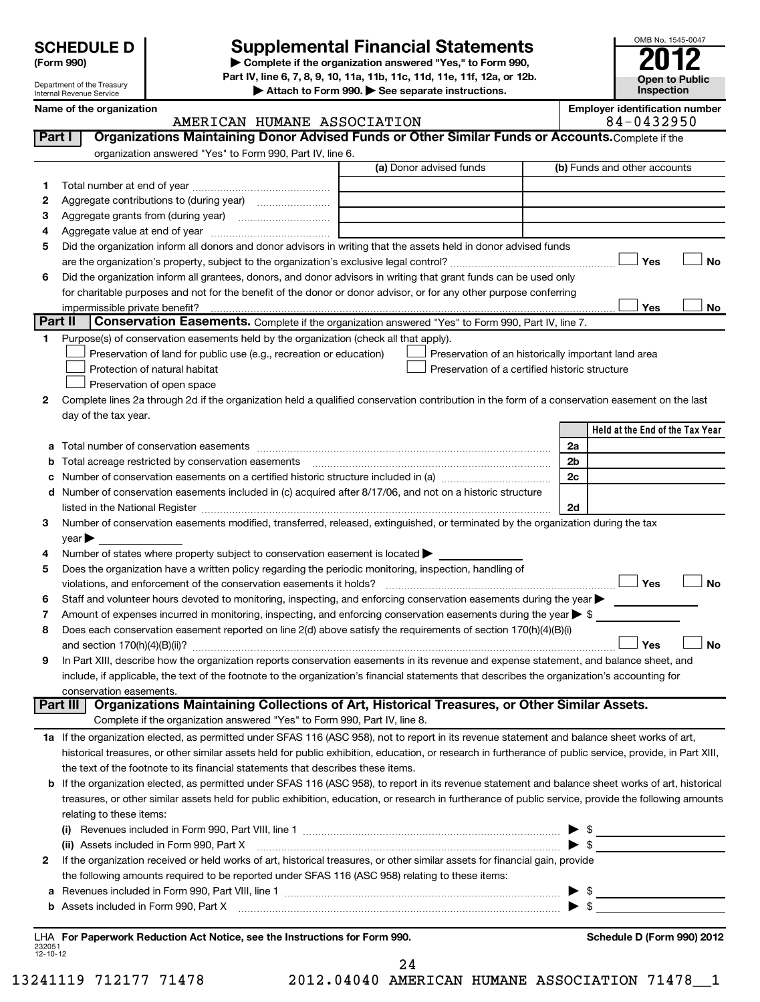## **Supplemental Financial Statements**

**(Form 990) | Complete if the organization answered "Yes," to Form 990, Part IV, line 6, 7, 8, 9, 10, 11a, 11b, 11c, 11d, 11e, 11f, 12a, or 12b.**<br> **Attack to Farm 000 B. See congrate instructions** 

| OMB No. 1545-0047     |
|-----------------------|
| O I                   |
| <b>Open to Public</b> |
| Inspection            |

|         | Department of the Treasury<br>Internal Revenue Service      |                                                                                                                                                                                                                                                                                                                     | Attach to Form 990. See separate instructions. |                                                     |                                                | <b>Open to Public</b><br>Inspection   |           |
|---------|-------------------------------------------------------------|---------------------------------------------------------------------------------------------------------------------------------------------------------------------------------------------------------------------------------------------------------------------------------------------------------------------|------------------------------------------------|-----------------------------------------------------|------------------------------------------------|---------------------------------------|-----------|
|         | Name of the organization                                    |                                                                                                                                                                                                                                                                                                                     |                                                |                                                     |                                                | <b>Employer identification number</b> |           |
|         |                                                             | AMERICAN HUMANE ASSOCIATION                                                                                                                                                                                                                                                                                         |                                                |                                                     |                                                | 84-0432950                            |           |
| Part I  |                                                             | Organizations Maintaining Donor Advised Funds or Other Similar Funds or Accounts. Complete if the                                                                                                                                                                                                                   |                                                |                                                     |                                                |                                       |           |
|         |                                                             | organization answered "Yes" to Form 990, Part IV, line 6.                                                                                                                                                                                                                                                           |                                                |                                                     |                                                |                                       |           |
|         |                                                             |                                                                                                                                                                                                                                                                                                                     | (a) Donor advised funds                        |                                                     | (b) Funds and other accounts                   |                                       |           |
| 1.      |                                                             |                                                                                                                                                                                                                                                                                                                     |                                                |                                                     |                                                |                                       |           |
| 2       |                                                             |                                                                                                                                                                                                                                                                                                                     |                                                |                                                     |                                                |                                       |           |
| з       |                                                             |                                                                                                                                                                                                                                                                                                                     |                                                |                                                     |                                                |                                       |           |
| 4       |                                                             |                                                                                                                                                                                                                                                                                                                     |                                                |                                                     |                                                |                                       |           |
| 5       |                                                             | Did the organization inform all donors and donor advisors in writing that the assets held in donor advised funds                                                                                                                                                                                                    |                                                |                                                     |                                                |                                       |           |
|         |                                                             |                                                                                                                                                                                                                                                                                                                     |                                                |                                                     |                                                | Yes                                   | <b>No</b> |
| 6       |                                                             | Did the organization inform all grantees, donors, and donor advisors in writing that grant funds can be used only                                                                                                                                                                                                   |                                                |                                                     |                                                |                                       |           |
|         |                                                             | for charitable purposes and not for the benefit of the donor or donor advisor, or for any other purpose conferring                                                                                                                                                                                                  |                                                |                                                     |                                                |                                       |           |
|         |                                                             |                                                                                                                                                                                                                                                                                                                     |                                                |                                                     |                                                | Yes                                   | No        |
| Part II |                                                             | Conservation Easements. Complete if the organization answered "Yes" to Form 990, Part IV, line 7.                                                                                                                                                                                                                   |                                                |                                                     |                                                |                                       |           |
| 1.      |                                                             | Purpose(s) of conservation easements held by the organization (check all that apply).                                                                                                                                                                                                                               |                                                |                                                     |                                                |                                       |           |
|         |                                                             | Preservation of land for public use (e.g., recreation or education)                                                                                                                                                                                                                                                 |                                                | Preservation of an historically important land area |                                                |                                       |           |
|         | Protection of natural habitat                               |                                                                                                                                                                                                                                                                                                                     |                                                | Preservation of a certified historic structure      |                                                |                                       |           |
|         | Preservation of open space                                  |                                                                                                                                                                                                                                                                                                                     |                                                |                                                     |                                                |                                       |           |
| 2       |                                                             | Complete lines 2a through 2d if the organization held a qualified conservation contribution in the form of a conservation easement on the last                                                                                                                                                                      |                                                |                                                     |                                                |                                       |           |
|         | day of the tax year.                                        |                                                                                                                                                                                                                                                                                                                     |                                                |                                                     |                                                |                                       |           |
|         |                                                             |                                                                                                                                                                                                                                                                                                                     |                                                |                                                     |                                                | Held at the End of the Tax Year       |           |
|         |                                                             |                                                                                                                                                                                                                                                                                                                     |                                                |                                                     | 2a                                             |                                       |           |
|         | <b>b</b> Total acreage restricted by conservation easements |                                                                                                                                                                                                                                                                                                                     |                                                |                                                     | 2b                                             |                                       |           |
|         |                                                             | Number of conservation easements on a certified historic structure included in (a) manuminontum                                                                                                                                                                                                                     |                                                |                                                     | 2c                                             |                                       |           |
|         |                                                             | d Number of conservation easements included in (c) acquired after 8/17/06, and not on a historic structure                                                                                                                                                                                                          |                                                |                                                     |                                                |                                       |           |
|         |                                                             | listed in the National Register [111] Marshall Register [11] Marshall Register [11] Marshall Register [11] Marshall Register [11] Marshall Register [11] Marshall Register [11] Marshall Register [11] Marshall Register [11]                                                                                       |                                                |                                                     | 2d                                             |                                       |           |
|         |                                                             | Number of conservation easements modified, transferred, released, extinguished, or terminated by the organization during the tax                                                                                                                                                                                    |                                                |                                                     |                                                |                                       |           |
|         | year $\blacktriangleright$                                  |                                                                                                                                                                                                                                                                                                                     |                                                |                                                     |                                                |                                       |           |
| 4       |                                                             | Number of states where property subject to conservation easement is located >                                                                                                                                                                                                                                       |                                                |                                                     |                                                |                                       |           |
| 5       |                                                             | Does the organization have a written policy regarding the periodic monitoring, inspection, handling of                                                                                                                                                                                                              |                                                |                                                     |                                                |                                       |           |
|         |                                                             |                                                                                                                                                                                                                                                                                                                     |                                                |                                                     |                                                | Yes                                   | <b>No</b> |
| 6       |                                                             | Staff and volunteer hours devoted to monitoring, inspecting, and enforcing conservation easements during the year                                                                                                                                                                                                   |                                                |                                                     |                                                |                                       |           |
| 7       |                                                             | Amount of expenses incurred in monitoring, inspecting, and enforcing conservation easements during the year $\triangleright$ \$                                                                                                                                                                                     |                                                |                                                     |                                                |                                       |           |
| 8       |                                                             | Does each conservation easement reported on line 2(d) above satisfy the requirements of section 170(h)(4)(B)(i)                                                                                                                                                                                                     |                                                |                                                     |                                                |                                       |           |
|         |                                                             |                                                                                                                                                                                                                                                                                                                     |                                                |                                                     |                                                | Yes                                   | No        |
| 9       |                                                             | In Part XIII, describe how the organization reports conservation easements in its revenue and expense statement, and balance sheet, and                                                                                                                                                                             |                                                |                                                     |                                                |                                       |           |
|         |                                                             | include, if applicable, the text of the footnote to the organization's financial statements that describes the organization's accounting for                                                                                                                                                                        |                                                |                                                     |                                                |                                       |           |
|         | conservation easements.                                     | Part III   Organizations Maintaining Collections of Art, Historical Treasures, or Other Similar Assets.                                                                                                                                                                                                             |                                                |                                                     |                                                |                                       |           |
|         |                                                             |                                                                                                                                                                                                                                                                                                                     |                                                |                                                     |                                                |                                       |           |
|         |                                                             | Complete if the organization answered "Yes" to Form 990, Part IV, line 8.                                                                                                                                                                                                                                           |                                                |                                                     |                                                |                                       |           |
|         |                                                             | 1a If the organization elected, as permitted under SFAS 116 (ASC 958), not to report in its revenue statement and balance sheet works of art,                                                                                                                                                                       |                                                |                                                     |                                                |                                       |           |
|         |                                                             | historical treasures, or other similar assets held for public exhibition, education, or research in furtherance of public service, provide, in Part XIII,                                                                                                                                                           |                                                |                                                     |                                                |                                       |           |
|         |                                                             | the text of the footnote to its financial statements that describes these items.                                                                                                                                                                                                                                    |                                                |                                                     |                                                |                                       |           |
|         |                                                             | <b>b</b> If the organization elected, as permitted under SFAS 116 (ASC 958), to report in its revenue statement and balance sheet works of art, historical<br>treasures, or other similar assets held for public exhibition, education, or research in furtherance of public service, provide the following amounts |                                                |                                                     |                                                |                                       |           |
|         |                                                             |                                                                                                                                                                                                                                                                                                                     |                                                |                                                     |                                                |                                       |           |
|         | relating to these items:                                    |                                                                                                                                                                                                                                                                                                                     |                                                |                                                     |                                                |                                       |           |
|         |                                                             |                                                                                                                                                                                                                                                                                                                     |                                                |                                                     | $\triangleright$ \$<br>$\blacktriangleright$ s |                                       |           |
|         | (ii) Assets included in Form 990, Part X                    | If the organization received or held works of art, historical treasures, or other similar assets for financial gain, provide                                                                                                                                                                                        |                                                |                                                     |                                                |                                       |           |
| 2       |                                                             |                                                                                                                                                                                                                                                                                                                     |                                                |                                                     |                                                |                                       |           |
|         |                                                             | the following amounts required to be reported under SFAS 116 (ASC 958) relating to these items:                                                                                                                                                                                                                     |                                                |                                                     |                                                |                                       |           |

**a** Revenues included in Form 990, Part VIII, line 1 ~~~~~~~~~~~~~~~~~~~~~~~~~~~~~~ | \$ **b** Assets included in Form 990, Part X ~~~~~~~~~~~~~~~~~~~~~~~~~~~~~~~~~~~ | \$

232051 12-10-12 **For Paperwork Reduction Act Notice, see the Instructions for Form 990. Schedule D (Form 990) 2012** LHA

24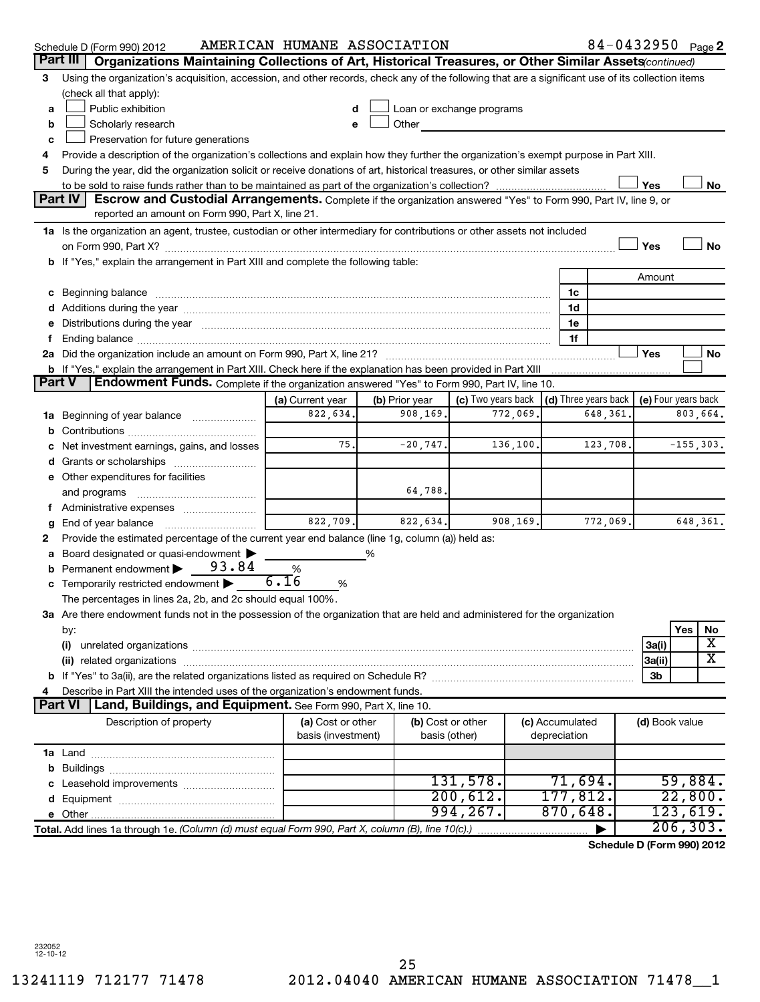|                | Schedule D (Form 990) 2012                                                                                                                                                                                                     | AMERICAN HUMANE ASSOCIATION |                |                           |          |                      | 84-0432950 Page 2          |                     |              |                         |
|----------------|--------------------------------------------------------------------------------------------------------------------------------------------------------------------------------------------------------------------------------|-----------------------------|----------------|---------------------------|----------|----------------------|----------------------------|---------------------|--------------|-------------------------|
| Part III       | Organizations Maintaining Collections of Art, Historical Treasures, or Other Similar Assets (continued)                                                                                                                        |                             |                |                           |          |                      |                            |                     |              |                         |
| 3              | Using the organization's acquisition, accession, and other records, check any of the following that are a significant use of its collection items                                                                              |                             |                |                           |          |                      |                            |                     |              |                         |
|                | (check all that apply):                                                                                                                                                                                                        |                             |                |                           |          |                      |                            |                     |              |                         |
| a              | Public exhibition                                                                                                                                                                                                              | d                           |                | Loan or exchange programs |          |                      |                            |                     |              |                         |
| b              | Scholarly research                                                                                                                                                                                                             | e                           | Other          |                           |          |                      |                            |                     |              |                         |
| c              | Preservation for future generations                                                                                                                                                                                            |                             |                |                           |          |                      |                            |                     |              |                         |
| 4              | Provide a description of the organization's collections and explain how they further the organization's exempt purpose in Part XIII.                                                                                           |                             |                |                           |          |                      |                            |                     |              |                         |
| 5              | During the year, did the organization solicit or receive donations of art, historical treasures, or other similar assets                                                                                                       |                             |                |                           |          |                      |                            |                     |              |                         |
|                |                                                                                                                                                                                                                                |                             |                |                           |          |                      |                            | Yes                 |              | No                      |
|                | Part IV<br>Escrow and Custodial Arrangements. Complete if the organization answered "Yes" to Form 990, Part IV, line 9, or<br>reported an amount on Form 990, Part X, line 21.                                                 |                             |                |                           |          |                      |                            |                     |              |                         |
|                | 1a Is the organization an agent, trustee, custodian or other intermediary for contributions or other assets not included                                                                                                       |                             |                |                           |          |                      |                            |                     |              |                         |
|                |                                                                                                                                                                                                                                |                             |                |                           |          |                      |                            | Yes                 |              | No                      |
|                | b If "Yes," explain the arrangement in Part XIII and complete the following table:                                                                                                                                             |                             |                |                           |          |                      |                            |                     |              |                         |
|                |                                                                                                                                                                                                                                |                             |                |                           |          |                      |                            | Amount              |              |                         |
|                | c Beginning balance measurements and the contract of the contract of the contract of the contract of the contract of the contract of the contract of the contract of the contract of the contract of the contract of the contr |                             |                |                           |          | 1c                   |                            |                     |              |                         |
|                |                                                                                                                                                                                                                                |                             |                |                           |          | 1d                   |                            |                     |              |                         |
|                | Distributions during the year manufactured and an account of the year manufactured and the year manufactured and the year manufactured and the year manufactured and the year manufactured and the year manufactured and the y |                             |                |                           |          | 1e                   |                            |                     |              |                         |
|                |                                                                                                                                                                                                                                |                             |                |                           |          | 1f                   |                            |                     |              |                         |
|                |                                                                                                                                                                                                                                |                             |                |                           |          |                      |                            | Yes                 |              | No                      |
|                | b If "Yes," explain the arrangement in Part XIII. Check here if the explanation has been provided in Part XIII                                                                                                                 |                             |                |                           |          |                      |                            |                     |              |                         |
| <b>Part V</b>  | Endowment Funds. Complete if the organization answered "Yes" to Form 990, Part IV, line 10.                                                                                                                                    |                             |                |                           |          |                      |                            |                     |              |                         |
|                |                                                                                                                                                                                                                                | (a) Current year            | (b) Prior year | (c) Two years back        |          | (d) Three years back |                            | (e) Four years back |              |                         |
| 1a             | Beginning of year balance                                                                                                                                                                                                      | 822,634.                    | 908,169.       |                           | 772,069  |                      | 648,361                    |                     |              | 803,664.                |
|                |                                                                                                                                                                                                                                |                             |                |                           |          |                      |                            |                     |              |                         |
|                | Net investment earnings, gains, and losses                                                                                                                                                                                     | 75.                         | $-20, 747.$    |                           | 136,100. |                      | 123,708.                   |                     | $-155, 303.$ |                         |
|                | Grants or scholarships                                                                                                                                                                                                         |                             |                |                           |          |                      |                            |                     |              |                         |
|                | e Other expenditures for facilities                                                                                                                                                                                            |                             |                |                           |          |                      |                            |                     |              |                         |
|                | and programs                                                                                                                                                                                                                   |                             | 64,788.        |                           |          |                      |                            |                     |              |                         |
|                |                                                                                                                                                                                                                                |                             |                |                           |          |                      |                            |                     |              |                         |
| g              | End of year balance                                                                                                                                                                                                            | 822,709.                    | 822,634.       |                           | 908,169. |                      | 772,069.                   |                     |              | 648,361.                |
| 2              | Provide the estimated percentage of the current year end balance (line 1g, column (a)) held as:                                                                                                                                |                             |                |                           |          |                      |                            |                     |              |                         |
|                | Board designated or quasi-endowment                                                                                                                                                                                            |                             |                |                           |          |                      |                            |                     |              |                         |
| b              | 93.84<br>Permanent endowment                                                                                                                                                                                                   | %<br>$6.\overline{1}6$      |                |                           |          |                      |                            |                     |              |                         |
|                | Temporarily restricted endowment                                                                                                                                                                                               | %                           |                |                           |          |                      |                            |                     |              |                         |
|                | The percentages in lines 2a, 2b, and 2c should equal 100%.                                                                                                                                                                     |                             |                |                           |          |                      |                            |                     |              |                         |
|                | 3a Are there endowment funds not in the possession of the organization that are held and administered for the organization                                                                                                     |                             |                |                           |          |                      |                            |                     | <b>Yes</b>   |                         |
|                | by:<br>(i)                                                                                                                                                                                                                     |                             |                |                           |          |                      |                            | 3a(i)               |              | No<br>х                 |
|                |                                                                                                                                                                                                                                |                             |                |                           |          |                      |                            | 3a(ii)              |              | $\overline{\texttt{x}}$ |
|                |                                                                                                                                                                                                                                |                             |                |                           |          |                      |                            | 3b                  |              |                         |
|                | Describe in Part XIII the intended uses of the organization's endowment funds.                                                                                                                                                 |                             |                |                           |          |                      |                            |                     |              |                         |
| <b>Part VI</b> | Land, Buildings, and Equipment. See Form 990, Part X, line 10.                                                                                                                                                                 |                             |                |                           |          |                      |                            |                     |              |                         |
|                | Description of property                                                                                                                                                                                                        | (a) Cost or other           |                | (b) Cost or other         |          | (c) Accumulated      |                            | (d) Book value      |              |                         |
|                |                                                                                                                                                                                                                                | basis (investment)          |                | basis (other)             |          | depreciation         |                            |                     |              |                         |
|                |                                                                                                                                                                                                                                |                             |                |                           |          |                      |                            |                     |              |                         |
|                |                                                                                                                                                                                                                                |                             |                |                           |          |                      |                            |                     |              |                         |
|                |                                                                                                                                                                                                                                |                             |                | 131,578.                  |          | 71,694.              |                            |                     | 59,884.      |                         |
|                |                                                                                                                                                                                                                                |                             |                | 200, 612.                 |          | 177,812.             |                            |                     | 22,800.      |                         |
|                |                                                                                                                                                                                                                                |                             |                | 994, 267.                 |          | 870,648.             |                            |                     | 123,619.     |                         |
|                | Total. Add lines 1a through 1e. (Column (d) must equal Form 990, Part X, column (B), line 10(c).)                                                                                                                              |                             |                |                           |          |                      |                            |                     | 206, 303.    |                         |
|                |                                                                                                                                                                                                                                |                             |                |                           |          |                      | Schedule D (Form 990) 2012 |                     |              |                         |
|                |                                                                                                                                                                                                                                |                             |                |                           |          |                      |                            |                     |              |                         |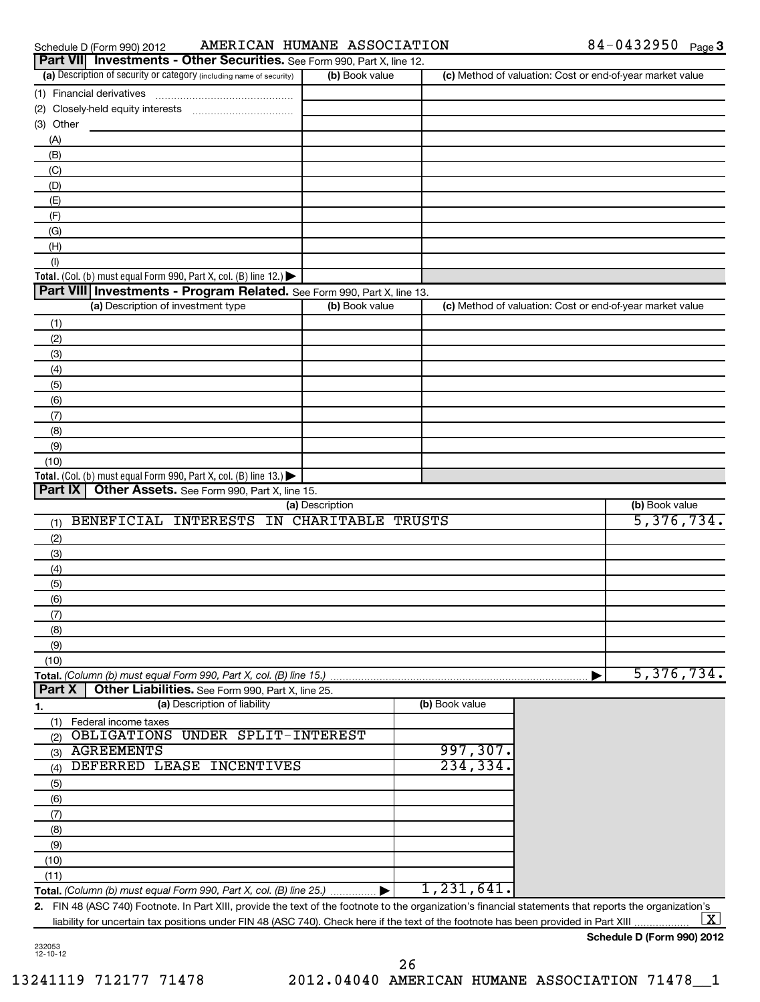| AMERICAN HUMANE ASSOCIATION<br>Schedule D (Form 990) 2012                                                                                               |                      |                |                                                           | 84-0432950 Page 3 |   |
|---------------------------------------------------------------------------------------------------------------------------------------------------------|----------------------|----------------|-----------------------------------------------------------|-------------------|---|
| Part VII Investments - Other Securities. See Form 990, Part X, line 12.                                                                                 |                      |                |                                                           |                   |   |
| (a) Description of security or category (including name of security)                                                                                    | (b) Book value       |                | (c) Method of valuation: Cost or end-of-year market value |                   |   |
| (1) Financial derivatives                                                                                                                               |                      |                |                                                           |                   |   |
| (2) Closely-held equity interests<br>.                                                                                                                  |                      |                |                                                           |                   |   |
| (3) Other                                                                                                                                               |                      |                |                                                           |                   |   |
| (A)                                                                                                                                                     |                      |                |                                                           |                   |   |
| (B)                                                                                                                                                     |                      |                |                                                           |                   |   |
| (C)                                                                                                                                                     |                      |                |                                                           |                   |   |
| (D)                                                                                                                                                     |                      |                |                                                           |                   |   |
| (E)                                                                                                                                                     |                      |                |                                                           |                   |   |
| (F)<br>(G)                                                                                                                                              |                      |                |                                                           |                   |   |
| (H)                                                                                                                                                     |                      |                |                                                           |                   |   |
| (1)                                                                                                                                                     |                      |                |                                                           |                   |   |
| Total. (Col. (b) must equal Form 990, Part X, col. (B) line 12.)                                                                                        |                      |                |                                                           |                   |   |
| Part VIII Investments - Program Related. See Form 990, Part X, line 13.                                                                                 |                      |                |                                                           |                   |   |
| (a) Description of investment type                                                                                                                      | (b) Book value       |                | (c) Method of valuation: Cost or end-of-year market value |                   |   |
| (1)                                                                                                                                                     |                      |                |                                                           |                   |   |
| (2)                                                                                                                                                     |                      |                |                                                           |                   |   |
| (3)                                                                                                                                                     |                      |                |                                                           |                   |   |
| (4)                                                                                                                                                     |                      |                |                                                           |                   |   |
| (5)                                                                                                                                                     |                      |                |                                                           |                   |   |
| (6)                                                                                                                                                     |                      |                |                                                           |                   |   |
| (7)                                                                                                                                                     |                      |                |                                                           |                   |   |
| (8)                                                                                                                                                     |                      |                |                                                           |                   |   |
| (9)                                                                                                                                                     |                      |                |                                                           |                   |   |
| (10)                                                                                                                                                    |                      |                |                                                           |                   |   |
| Total. (Col. (b) must equal Form 990, Part X, col. (B) line 13.)                                                                                        |                      |                |                                                           |                   |   |
| Other Assets. See Form 990, Part X, line 15.<br>Part IX                                                                                                 |                      |                |                                                           |                   |   |
|                                                                                                                                                         | (a) Description      |                |                                                           | (b) Book value    |   |
| BENEFICIAL INTERESTS<br>(1)                                                                                                                             | IN CHARITABLE TRUSTS |                |                                                           | 5,376,734.        |   |
| (2)                                                                                                                                                     |                      |                |                                                           |                   |   |
| (3)                                                                                                                                                     |                      |                |                                                           |                   |   |
| (4)                                                                                                                                                     |                      |                |                                                           |                   |   |
| (5)                                                                                                                                                     |                      |                |                                                           |                   |   |
| (6)                                                                                                                                                     |                      |                |                                                           |                   |   |
| (7)                                                                                                                                                     |                      |                |                                                           |                   |   |
| (8)                                                                                                                                                     |                      |                |                                                           |                   |   |
| (9)                                                                                                                                                     |                      |                |                                                           |                   |   |
| (10)                                                                                                                                                    |                      |                |                                                           | 5,376,734.        |   |
| Total. (Column (b) must equal Form 990, Part X, col. (B) line 15.)<br>Other Liabilities. See Form 990, Part X, line 25.<br>Part X                       |                      |                |                                                           |                   |   |
| (a) Description of liability                                                                                                                            |                      | (b) Book value |                                                           |                   |   |
| 1.<br>Federal income taxes<br>(1)                                                                                                                       |                      |                |                                                           |                   |   |
| OBLIGATIONS UNDER SPLIT-INTEREST<br>(2)                                                                                                                 |                      |                |                                                           |                   |   |
| <b>AGREEMENTS</b><br>(3)                                                                                                                                |                      | 997, 307.      |                                                           |                   |   |
| DEFERRED LEASE INCENTIVES<br>(4)                                                                                                                        |                      | 234, 334.      |                                                           |                   |   |
| (5)                                                                                                                                                     |                      |                |                                                           |                   |   |
| (6)                                                                                                                                                     |                      |                |                                                           |                   |   |
| (7)                                                                                                                                                     |                      |                |                                                           |                   |   |
| (8)                                                                                                                                                     |                      |                |                                                           |                   |   |
| (9)                                                                                                                                                     |                      |                |                                                           |                   |   |
| (10)                                                                                                                                                    |                      |                |                                                           |                   |   |
| (11)                                                                                                                                                    |                      |                |                                                           |                   |   |
| Total. (Column (b) must equal Form 990, Part X, col. (B) line 25.)                                                                                      |                      | 1, 231, 641.   |                                                           |                   |   |
| 2. FIN 48 (ASC 740) Footnote. In Part XIII, provide the text of the footnote to the organization's financial statements that reports the organization's |                      |                |                                                           |                   |   |
| liability for uncertain tax positions under FIN 48 (ASC 740). Check here if the text of the footnote has been provided in Part XIII                     |                      |                |                                                           |                   | X |

232053 12-10-12

**Schedule D (Form 990) 2012**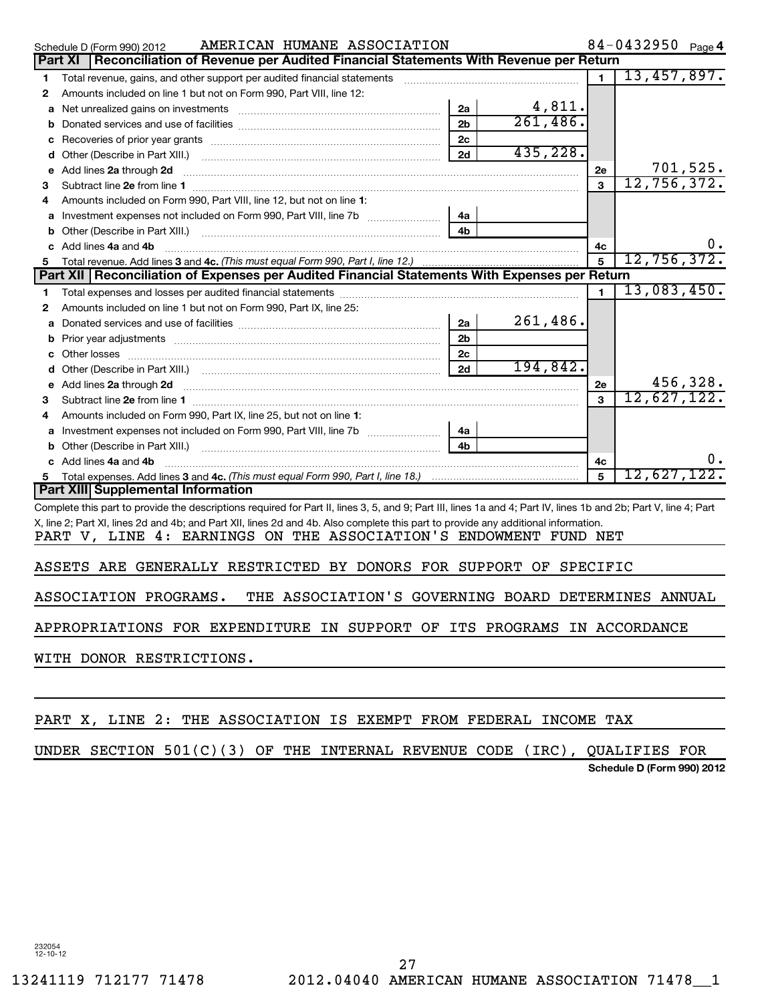|    | AMERICAN HUMANE ASSOCIATION<br>Schedule D (Form 990) 2012                                                                                                                                                                           |                         |                | 84-0432950 Page 4 |           |
|----|-------------------------------------------------------------------------------------------------------------------------------------------------------------------------------------------------------------------------------------|-------------------------|----------------|-------------------|-----------|
|    | Reconciliation of Revenue per Audited Financial Statements With Revenue per Return<br>Part XI                                                                                                                                       |                         |                |                   |           |
| 1  | Total revenue, gains, and other support per audited financial statements                                                                                                                                                            |                         | $\blacksquare$ | 13,457,897.       |           |
| 2  | Amounts included on line 1 but not on Form 990, Part VIII, line 12:                                                                                                                                                                 |                         |                |                   |           |
|    | 2a                                                                                                                                                                                                                                  | $\frac{4,811}{261,486}$ |                |                   |           |
| b  | 2 <sub>b</sub>                                                                                                                                                                                                                      |                         |                |                   |           |
|    | 2c                                                                                                                                                                                                                                  |                         |                |                   |           |
| d  | 2d                                                                                                                                                                                                                                  | 435,228.                |                |                   |           |
|    | Add lines 2a through 2d                                                                                                                                                                                                             |                         | <b>2e</b>      |                   | 701, 525. |
| з  |                                                                                                                                                                                                                                     |                         | $\mathbf{a}$   | 12,756,372.       |           |
|    | Amounts included on Form 990, Part VIII, line 12, but not on line 1:                                                                                                                                                                |                         |                |                   |           |
|    | Investment expenses not included on Form 990, Part VIII, line 7b [11, 11, 11, 11, 11]<br>4a                                                                                                                                         |                         |                |                   |           |
| b  |                                                                                                                                                                                                                                     |                         |                |                   |           |
|    | Add lines 4a and 4b                                                                                                                                                                                                                 |                         | 4c             |                   | $0 \cdot$ |
| 5. | Total revenue. Add lines 3 and 4c. (This must equal Form 990, Part I, line 12.)                                                                                                                                                     |                         | 5              | 12,756,372.       |           |
|    | Part XII   Reconciliation of Expenses per Audited Financial Statements With Expenses per Return                                                                                                                                     |                         |                |                   |           |
| 1  |                                                                                                                                                                                                                                     |                         | $\blacksquare$ | 13,083,450.       |           |
| 2  | Amounts included on line 1 but not on Form 990, Part IX, line 25:                                                                                                                                                                   |                         |                |                   |           |
|    | 2a                                                                                                                                                                                                                                  | $261,486$ .             |                |                   |           |
|    | 2 <sub>b</sub><br>b Prior year adjustments [111] manufactured and prior year adjustments [11] manufactured and prior year adjustments                                                                                               |                         |                |                   |           |
|    | 2 <sub>c</sub>                                                                                                                                                                                                                      |                         |                |                   |           |
|    | 2d                                                                                                                                                                                                                                  | 194,842.                |                |                   |           |
|    | Add lines 2a through 2d <b>contained a contained a contained a contained a</b> contained a contained a contained a contained a contained a contained a contained a contained a contained a contained a contained a contained a cont |                         | 2е             |                   | 456,328.  |
| з  |                                                                                                                                                                                                                                     |                         | $\mathbf{a}$   | 12,627,122.       |           |
|    | Amounts included on Form 990, Part IX, line 25, but not on line 1:                                                                                                                                                                  |                         |                |                   |           |
|    | Investment expenses not included on Form 990, Part VIII, line 7b [11, 111, 111, 11]<br>4a                                                                                                                                           |                         |                |                   |           |
|    |                                                                                                                                                                                                                                     |                         |                |                   |           |
|    | c Add lines 4a and 4b                                                                                                                                                                                                               |                         | 4c             |                   | ο.        |
| 5. |                                                                                                                                                                                                                                     |                         | 5              | 12,627,122.       |           |
|    | Part XIII Supplemental Information                                                                                                                                                                                                  |                         |                |                   |           |
|    | Complete this part to provide the descriptions required for Part II, lines 3, 5, and 9; Part III, lines 1a and 4; Part IV, lines 1b and 2b; Part V, line 4; Part                                                                    |                         |                |                   |           |
|    | X, line 2; Part XI, lines 2d and 4b; and Part XII, lines 2d and 4b. Also complete this part to provide any additional information.                                                                                                  |                         |                |                   |           |
|    | PART V, LINE 4: EARNINGS ON THE ASSOCIATION'S ENDOWMENT FUND NET                                                                                                                                                                    |                         |                |                   |           |
|    |                                                                                                                                                                                                                                     |                         |                |                   |           |
|    | ASSETS ARE GENERALLY RESTRICTED BY DONORS FOR SUPPORT OF SPECIFIC                                                                                                                                                                   |                         |                |                   |           |
|    |                                                                                                                                                                                                                                     |                         |                |                   |           |
|    | THE ASSOCIATION'S GOVERNING BOARD DETERMINES ANNUAL<br>ASSOCIATION PROGRAMS.                                                                                                                                                        |                         |                |                   |           |
|    | APPROPRIATIONS FOR EXPENDITURE IN SUPPORT OF ITS PROGRAMS IN ACCORDANCE                                                                                                                                                             |                         |                |                   |           |
|    |                                                                                                                                                                                                                                     |                         |                |                   |           |
|    | WITH DONOR RESTRICTIONS.                                                                                                                                                                                                            |                         |                |                   |           |
|    |                                                                                                                                                                                                                                     |                         |                |                   |           |
|    |                                                                                                                                                                                                                                     |                         |                |                   |           |
|    |                                                                                                                                                                                                                                     |                         |                |                   |           |

PART X, LINE 2: THE ASSOCIATION IS EXEMPT FROM FEDERAL INCOME TAX

**Schedule D (Form 990) 2012** UNDER SECTION 501(C)(3) OF THE INTERNAL REVENUE CODE (IRC), QUALIFIES FOR

232054 12-10-12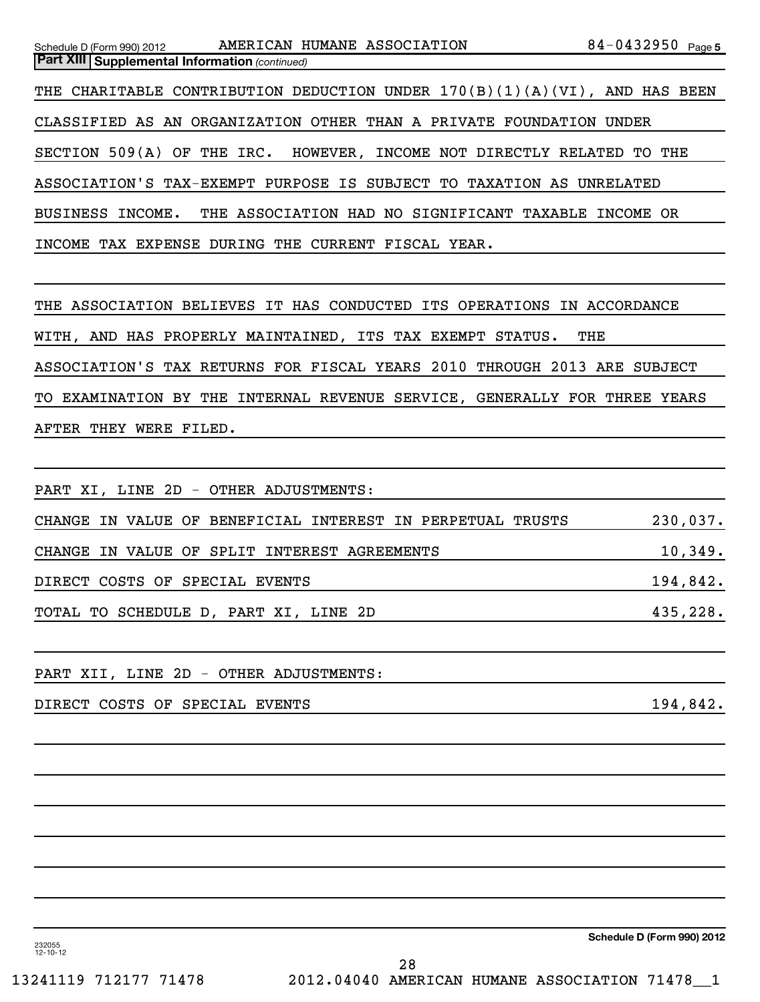| AMERICAN HUMANE ASSOCIATION<br>Schedule D (Form 990) 2012                  | 84-0432950 Page 5 |
|----------------------------------------------------------------------------|-------------------|
| <b>Part XIII Supplemental Information (continued)</b>                      |                   |
| THE CHARITABLE CONTRIBUTION DEDUCTION UNDER 170(B)(1)(A)(VI), AND HAS BEEN |                   |
| CLASSIFIED AS AN ORGANIZATION OTHER THAN A PRIVATE FOUNDATION UNDER        |                   |
| SECTION 509(A) OF THE IRC. HOWEVER, INCOME NOT DIRECTLY RELATED TO THE     |                   |
| ASSOCIATION'S TAX-EXEMPT PURPOSE IS SUBJECT TO TAXATION AS UNRELATED       |                   |
| BUSINESS INCOME.<br>THE ASSOCIATION HAD NO SIGNIFICANT TAXABLE INCOME OR   |                   |
| INCOME TAX EXPENSE DURING THE CURRENT FISCAL YEAR.                         |                   |
|                                                                            |                   |
| THE ASSOCIATION BELIEVES IT HAS CONDUCTED ITS OPERATIONS IN ACCORDANCE     |                   |
| WITH, AND HAS PROPERLY MAINTAINED, ITS TAX EXEMPT STATUS.                  | THE               |
| ASSOCIATION'S TAX RETURNS FOR FISCAL YEARS 2010 THROUGH 2013 ARE SUBJECT   |                   |
| TO EXAMINATION BY THE INTERNAL REVENUE SERVICE, GENERALLY FOR THREE YEARS  |                   |
| AFTER THEY WERE FILED.                                                     |                   |
|                                                                            |                   |
| PART XI, LINE 2D - OTHER ADJUSTMENTS:                                      |                   |
| CHANGE IN VALUE OF BENEFICIAL INTEREST IN PERPETUAL TRUSTS                 | 230,037.          |
| CHANGE IN VALUE OF SPLIT INTEREST AGREEMENTS                               | 10,349.           |
| DIRECT COSTS OF SPECIAL EVENTS                                             | 194,842.          |
| TOTAL TO SCHEDULE D, PART XI, LINE 2D                                      | 435,228.          |
|                                                                            |                   |
| PART XII, LINE 2D - OTHER ADJUSTMENTS:                                     |                   |
| DIRECT COSTS OF SPECIAL EVENTS                                             | 194,842.          |
|                                                                            |                   |
|                                                                            |                   |
|                                                                            |                   |
|                                                                            |                   |
|                                                                            |                   |
|                                                                            |                   |

**Schedule D (Form 990) 2012**

232055 12-10-12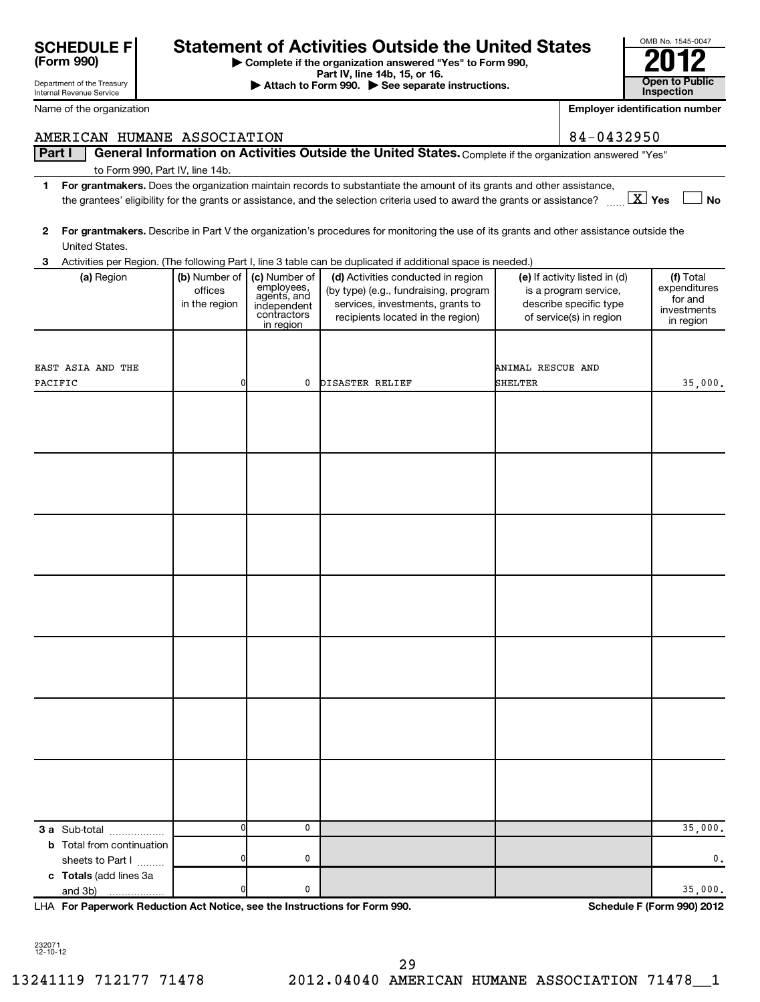| Department of the Treasury      | Part IV, line 14b, 15, or 16.<br>Attach to Form 990. See separate instructions. |                            |                                                                                                                                         |                   |                                                   |                                       |  |
|---------------------------------|---------------------------------------------------------------------------------|----------------------------|-----------------------------------------------------------------------------------------------------------------------------------------|-------------------|---------------------------------------------------|---------------------------------------|--|
| Internal Revenue Service        |                                                                                 |                            |                                                                                                                                         |                   |                                                   | Inspection                            |  |
| Name of the organization        |                                                                                 |                            |                                                                                                                                         |                   |                                                   | <b>Employer identification number</b> |  |
| AMERICAN HUMANE ASSOCIATION     |                                                                                 |                            |                                                                                                                                         |                   | 84-0432950                                        |                                       |  |
| Part I                          |                                                                                 |                            | General Information on Activities Outside the United States. Complete if the organization answered "Yes"                                |                   |                                                   |                                       |  |
| to Form 990, Part IV, line 14b. |                                                                                 |                            |                                                                                                                                         |                   |                                                   |                                       |  |
| 1                               |                                                                                 |                            | For grantmakers. Does the organization maintain records to substantiate the amount of its grants and other assistance,                  |                   |                                                   |                                       |  |
|                                 |                                                                                 |                            | the grantees' eligibility for the grants or assistance, and the selection criteria used to award the grants or assistance?              |                   |                                                   | $X \times$<br><b>No</b>               |  |
| $\mathbf{2}$                    |                                                                                 |                            | For grantmakers. Describe in Part V the organization's procedures for monitoring the use of its grants and other assistance outside the |                   |                                                   |                                       |  |
| United States.                  |                                                                                 |                            |                                                                                                                                         |                   |                                                   |                                       |  |
| 3                               |                                                                                 |                            | Activities per Region. (The following Part I, line 3 table can be duplicated if additional space is needed.)                            |                   |                                                   |                                       |  |
| (a) Region                      | (b) Number of                                                                   | (c) Number of              | (d) Activities conducted in region                                                                                                      |                   | (e) If activity listed in (d)                     | (f) Total                             |  |
|                                 | offices                                                                         | employees,<br>agents, and  | (by type) (e.g., fundraising, program                                                                                                   |                   | is a program service,                             | expenditures<br>for and               |  |
|                                 | in the region                                                                   | independent<br>contractors | services, investments, grants to<br>recipients located in the region)                                                                   |                   | describe specific type<br>of service(s) in region | investments                           |  |
|                                 |                                                                                 | in region                  |                                                                                                                                         |                   |                                                   | in region                             |  |
|                                 |                                                                                 |                            |                                                                                                                                         |                   |                                                   |                                       |  |
| EAST ASIA AND THE               |                                                                                 |                            |                                                                                                                                         | ANIMAL RESCUE AND |                                                   |                                       |  |
| PACIFIC                         |                                                                                 | 0                          | <b>DISASTER RELIEF</b>                                                                                                                  | SHELTER           |                                                   | 35,000.                               |  |
|                                 |                                                                                 |                            |                                                                                                                                         |                   |                                                   |                                       |  |
|                                 |                                                                                 |                            |                                                                                                                                         |                   |                                                   |                                       |  |
|                                 |                                                                                 |                            |                                                                                                                                         |                   |                                                   |                                       |  |
|                                 |                                                                                 |                            |                                                                                                                                         |                   |                                                   |                                       |  |
|                                 |                                                                                 |                            |                                                                                                                                         |                   |                                                   |                                       |  |
|                                 |                                                                                 |                            |                                                                                                                                         |                   |                                                   |                                       |  |
|                                 |                                                                                 |                            |                                                                                                                                         |                   |                                                   |                                       |  |
|                                 |                                                                                 |                            |                                                                                                                                         |                   |                                                   |                                       |  |
|                                 |                                                                                 |                            |                                                                                                                                         |                   |                                                   |                                       |  |
|                                 |                                                                                 |                            |                                                                                                                                         |                   |                                                   |                                       |  |
|                                 |                                                                                 |                            |                                                                                                                                         |                   |                                                   |                                       |  |
|                                 |                                                                                 |                            |                                                                                                                                         |                   |                                                   |                                       |  |
|                                 |                                                                                 |                            |                                                                                                                                         |                   |                                                   |                                       |  |
|                                 |                                                                                 |                            |                                                                                                                                         |                   |                                                   |                                       |  |
|                                 |                                                                                 |                            |                                                                                                                                         |                   |                                                   |                                       |  |
|                                 |                                                                                 |                            |                                                                                                                                         |                   |                                                   |                                       |  |
|                                 |                                                                                 |                            |                                                                                                                                         |                   |                                                   |                                       |  |
|                                 |                                                                                 |                            |                                                                                                                                         |                   |                                                   |                                       |  |
|                                 |                                                                                 |                            |                                                                                                                                         |                   |                                                   |                                       |  |
|                                 |                                                                                 |                            |                                                                                                                                         |                   |                                                   |                                       |  |
|                                 |                                                                                 |                            |                                                                                                                                         |                   |                                                   |                                       |  |
|                                 |                                                                                 |                            |                                                                                                                                         |                   |                                                   |                                       |  |
|                                 |                                                                                 |                            |                                                                                                                                         |                   |                                                   |                                       |  |
|                                 |                                                                                 |                            |                                                                                                                                         |                   |                                                   |                                       |  |

**3 a** Sub-total .................. **b** Total from continuation

**c Totals**  (add lines 3a

and 3b)

**(Form 990)**

sheets to Part I  $\ldots$ ...

232071 12-10-12

0 0  $\,$  0  $\,$  0  $\,$  0  $\,$  0  $\,$  0  $\,$  0  $\,$  0  $\,$  0  $\,$  0  $\,$  0  $\,$  0  $\,$  0  $\,$  0  $\,$  0  $\,$  0  $\,$  0  $\,$  0  $\,$  0  $\,$  0  $\,$  0  $\,$  0  $\,$  0  $\,$  0  $\,$  0  $\,$  0  $\,$  0  $\,$  0  $\,$  0  $\,$  0  $\,$  0  $\,$  0

**For Paperwork Reduction Act Notice, see the Instructions for Form 990. Schedule F (Form 990) 2012** LHA

0 0 0  $\vert$  35,000. 0 0 0.

**| Complete if the organization answered "Yes" to Form 990, SCHEDULE F** Statement of Activities Outside the United States  $\frac{\text{OMB No. 1545-00}}{2012}$ 

OMB No. 1545-0047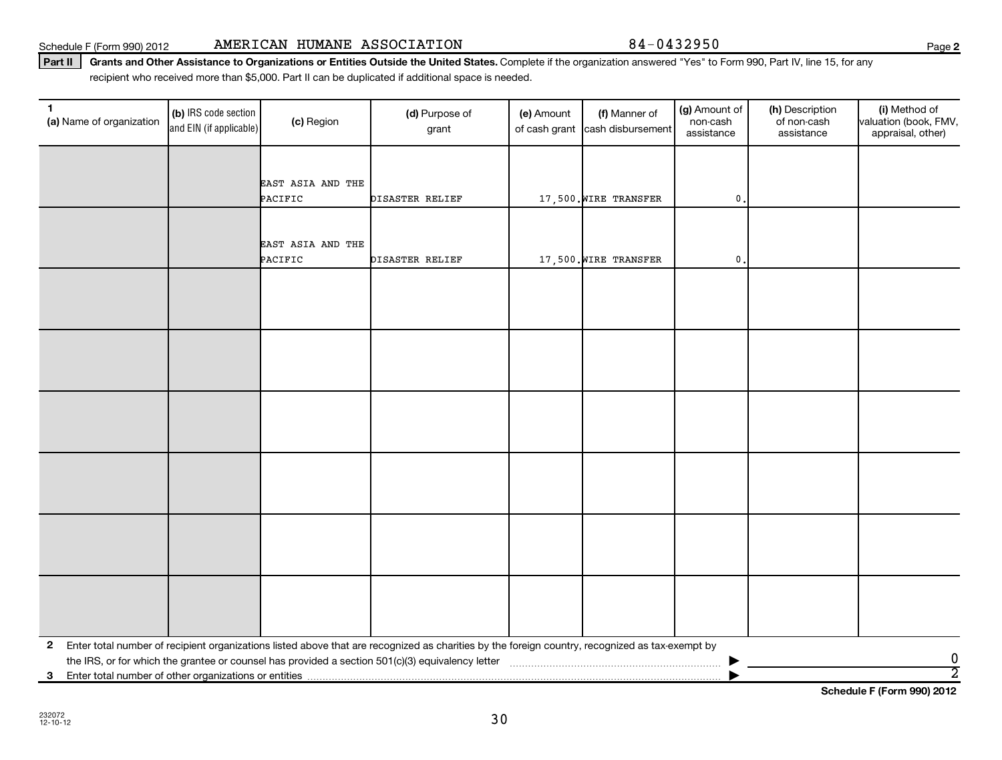**2** Enter total number of recipient organizations listed above that are recognized as charities by the foreign country, recognized as tax-exempt by the IRS, or for which the grantee or counsel has provided a section  $501(c)(3)$  equivalency letter

30

**3** Enter total number of other organizations or entities |

Schedule F (Form 990) 2012 Page AMERICAN HUMANE ASSOCIATION 84-0432950

EAST ASIA AND THE

EAST ASIA AND THE

(b) IRS code section and EIN (if applicable)

(a) Name of organization  $\begin{bmatrix} (b) \text{ IRS code section} \\ (a) \text{ Region} \end{bmatrix}$  (c) Region  $\begin{bmatrix} (d) \text{ Purpose of } \end{bmatrix}$ 

Part II | Grants and Other Assistance to Organizations or Entities Outside the United States. Complete if the organization answered "Yes" to Form 990, Part IV, line 15, for any recipient who received more than \$5,000. Part II can be duplicated if additional space is needed.

**(a)** Name of organization (b) IRS code section (c) Region (c) Region (d) Purpose of (e) Amount (f) Manner of (g) Amount of (h) Description (i) (a) Name of organization (f) IRS code section (c) Region (d) Purpose of (d) Am

PACIFIC **DISASTER RELIEF 17,500.WIRE TRANSFER** 0.

PACIFIC **DISASTER RELIEF** 17,500.WIRE TRANSFER 0.

grant

(e) Amount of cash grant (g) Amount of non-cash assistance

(h) Description of non-cash assistance

(f) Manner of cash disbursement **2**

(i) Method of valuation (book, FMV, appraisal, other)

**Schedule F (Form 990) 2012**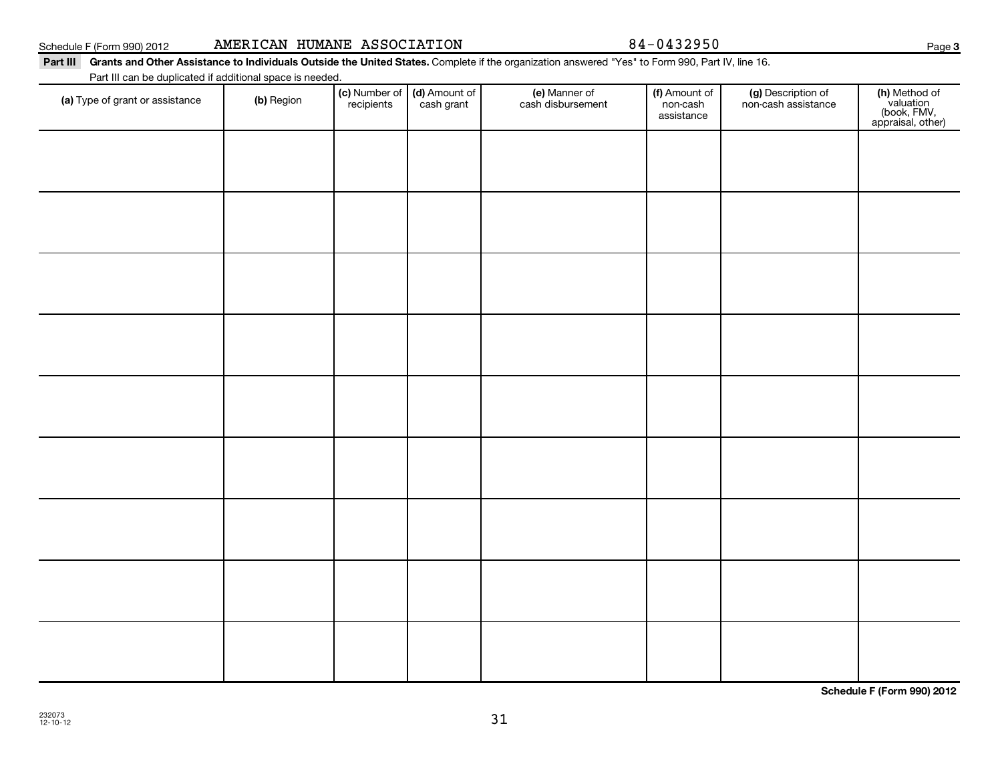**Schedule F (Form 990) 2012**

| Schedule F (Form 990) 2012 |  | AMERICAN HUMANE ASSOCIATION |
|----------------------------|--|-----------------------------|

| Part III Grants and Other Assistance to Individuals Outside the United States. Complete if the organization answered "Yes" to Form 990, Part IV, line 16. |  |
|-----------------------------------------------------------------------------------------------------------------------------------------------------------|--|
|-----------------------------------------------------------------------------------------------------------------------------------------------------------|--|

| Part III can be duplicated if additional space is needed. |            |                             |                             |                                    |                                         |                                           |                                                                |
|-----------------------------------------------------------|------------|-----------------------------|-----------------------------|------------------------------------|-----------------------------------------|-------------------------------------------|----------------------------------------------------------------|
| (a) Type of grant or assistance                           | (b) Region | (c) Number of<br>recipients | (d) Amount of<br>cash grant | (e) Manner of<br>cash disbursement | (f) Amount of<br>non-cash<br>assistance | (g) Description of<br>non-cash assistance | (h) Method of<br>valuation<br>(book, FMV,<br>appraisal, other) |
|                                                           |            |                             |                             |                                    |                                         |                                           |                                                                |
|                                                           |            |                             |                             |                                    |                                         |                                           |                                                                |
|                                                           |            |                             |                             |                                    |                                         |                                           |                                                                |
|                                                           |            |                             |                             |                                    |                                         |                                           |                                                                |
|                                                           |            |                             |                             |                                    |                                         |                                           |                                                                |
|                                                           |            |                             |                             |                                    |                                         |                                           |                                                                |
|                                                           |            |                             |                             |                                    |                                         |                                           |                                                                |
|                                                           |            |                             |                             |                                    |                                         |                                           |                                                                |
|                                                           |            |                             |                             |                                    |                                         |                                           |                                                                |
|                                                           |            |                             |                             |                                    |                                         |                                           |                                                                |

31

**Page 3** 

84-0432950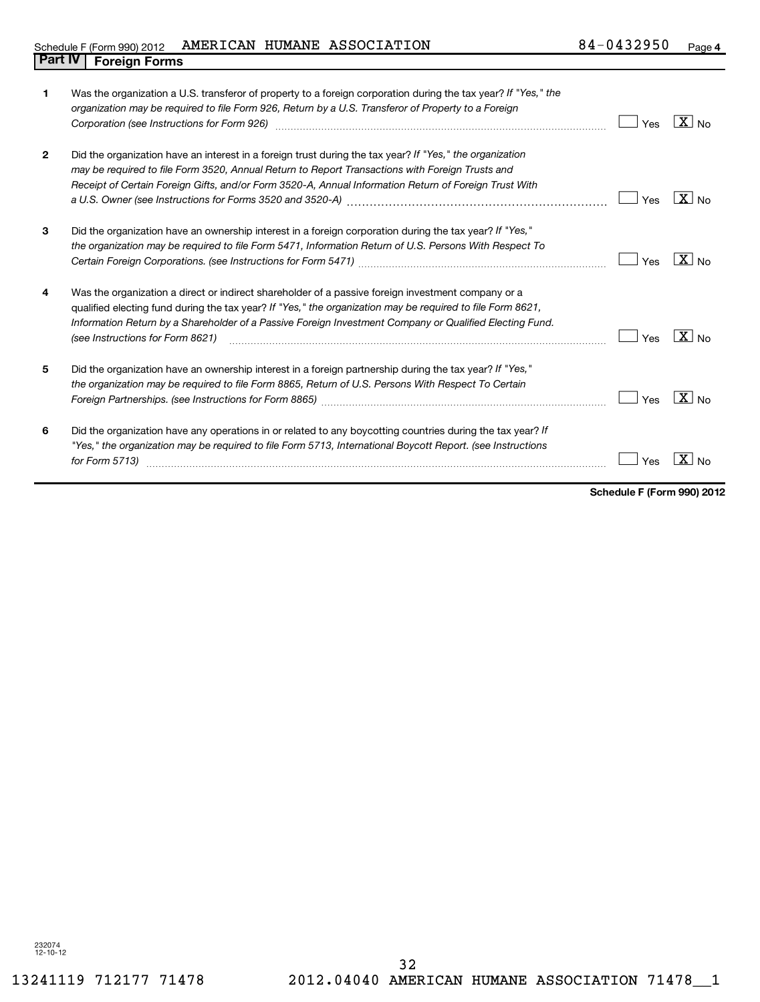| 1            | Was the organization a U.S. transferor of property to a foreign corporation during the tax year? If "Yes," the<br>organization may be required to file Form 926, Return by a U.S. Transferor of Property to a Foreign<br>Corporation (see Instructions for Form 926) [11] Corporation (2010] Corporation (300 Instruction (300 Instructions of                  | Yes | $\overline{X}$ No |
|--------------|-----------------------------------------------------------------------------------------------------------------------------------------------------------------------------------------------------------------------------------------------------------------------------------------------------------------------------------------------------------------|-----|-------------------|
| $\mathbf{2}$ | Did the organization have an interest in a foreign trust during the tax year? If "Yes," the organization<br>may be required to file Form 3520, Annual Return to Report Transactions with Foreign Trusts and<br>Receipt of Certain Foreign Gifts, and/or Form 3520-A, Annual Information Return of Foreign Trust With                                            | Yes | $ X _{\text{No}}$ |
| 3            | Did the organization have an ownership interest in a foreign corporation during the tax year? If "Yes,"<br>the organization may be required to file Form 5471, Information Return of U.S. Persons With Respect To                                                                                                                                               | Yes | $X _{\text{No}}$  |
| 4            | Was the organization a direct or indirect shareholder of a passive foreign investment company or a<br>qualified electing fund during the tax year? If "Yes," the organization may be required to file Form 8621,<br>Information Return by a Shareholder of a Passive Foreign Investment Company or Qualified Electing Fund.<br>(see Instructions for Form 8621) | Yes | $\overline{X}$ No |
| 5            | Did the organization have an ownership interest in a foreign partnership during the tax year? If "Yes,"<br>the organization may be required to file Form 8865, Return of U.S. Persons With Respect To Certain                                                                                                                                                   | Yes | $X _{N_Q}$        |
| 6            | Did the organization have any operations in or related to any boycotting countries during the tax year? If<br>"Yes," the organization may be required to file Form 5713, International Boycott Report. (see Instructions<br>for Form 5713)                                                                                                                      | Yes | $\mathbf{x}$      |

**Schedule F (Form 990) 2012**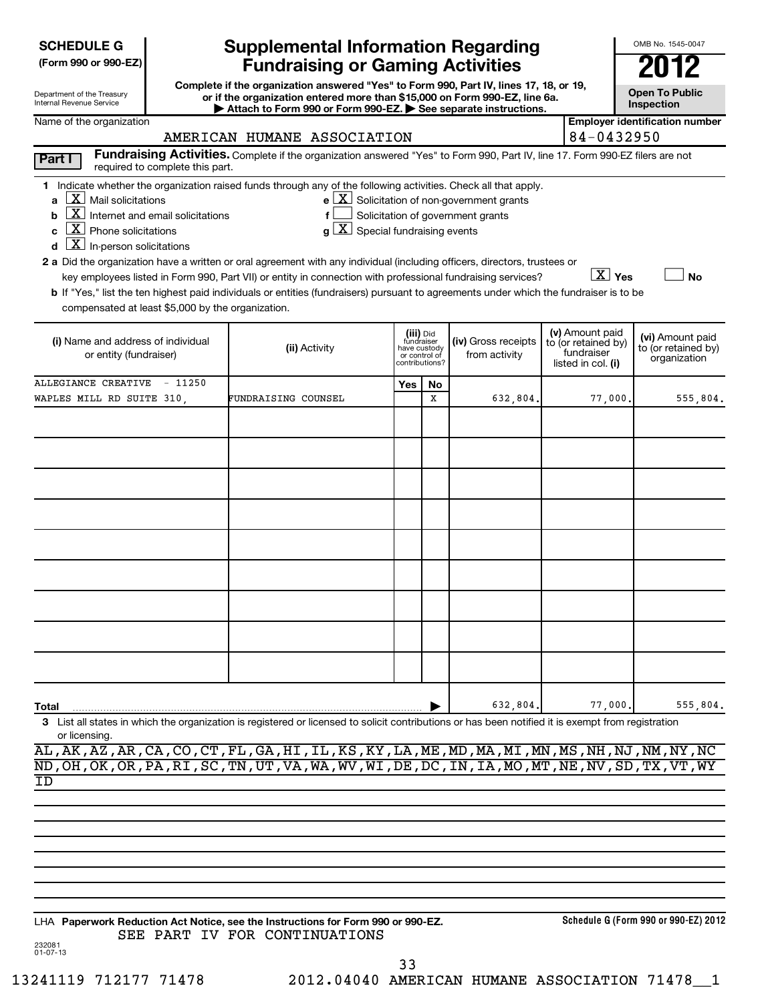| <b>SCHEDULE G</b> |
|-------------------|
|-------------------|

| Department of the Treasury      |  |
|---------------------------------|--|
| <b>Internal Revenue Service</b> |  |

## **Supplemental Information Regarding Fundraising or Gaming Activities**

**Complete if the organization answered "Yes" to Form 990, Part IV, lines 17, 18, or 19, or if the organization entered more than \$15,000 on Form 990-EZ, line 6a.**

**Open To Public**

OMB No. 1545-0047

| Department of the Treasury<br>or if the organization entered more than \$15,000 on Form 990-EZ, line 6a.<br>Internal Revenue Service<br>Attach to Form 990 or Form 990-EZ. See separate instructions.                                                        |                                                                                                                               |                                                                          |                                         |                                                              |                                        |                        |                                       |
|--------------------------------------------------------------------------------------------------------------------------------------------------------------------------------------------------------------------------------------------------------------|-------------------------------------------------------------------------------------------------------------------------------|--------------------------------------------------------------------------|-----------------------------------------|--------------------------------------------------------------|----------------------------------------|------------------------|---------------------------------------|
| Name of the organization                                                                                                                                                                                                                                     |                                                                                                                               |                                                                          |                                         |                                                              |                                        |                        | <b>Employer identification number</b> |
|                                                                                                                                                                                                                                                              | AMERICAN HUMANE ASSOCIATION                                                                                                   |                                                                          |                                         |                                                              | 84-0432950                             |                        |                                       |
| Part I<br>required to complete this part.                                                                                                                                                                                                                    | Fundraising Activities. Complete if the organization answered "Yes" to Form 990, Part IV, line 17. Form 990-EZ filers are not |                                                                          |                                         |                                                              |                                        |                        |                                       |
| 1 Indicate whether the organization raised funds through any of the following activities. Check all that apply.                                                                                                                                              |                                                                                                                               |                                                                          |                                         |                                                              |                                        |                        |                                       |
| $\lfloor x \rfloor$ Mail solicitations<br>$\mathbf{a}$                                                                                                                                                                                                       |                                                                                                                               |                                                                          |                                         | $e$ $\boxed{\text{X}}$ Solicitation of non-government grants |                                        |                        |                                       |
| $\boxed{\mathbf{X}}$ Internet and email solicitations<br>$\mathbf b$                                                                                                                                                                                         | f                                                                                                                             |                                                                          |                                         | Solicitation of government grants                            |                                        |                        |                                       |
| $\lfloor \underline{X} \rfloor$ Phone solicitations                                                                                                                                                                                                          |                                                                                                                               | $g\left[\frac{\mathbf{X}}{\mathbf{X}}\right]$ Special fundraising events |                                         |                                                              |                                        |                        |                                       |
| $\underline{\textbf{X}}$ In-person solicitations                                                                                                                                                                                                             |                                                                                                                               |                                                                          |                                         |                                                              |                                        |                        |                                       |
| 2 a Did the organization have a written or oral agreement with any individual (including officers, directors, trustees or                                                                                                                                    |                                                                                                                               |                                                                          |                                         |                                                              |                                        | $\boxed{\text{X}}$ Yes | <b>No</b>                             |
| key employees listed in Form 990, Part VII) or entity in connection with professional fundraising services?<br><b>b</b> If "Yes," list the ten highest paid individuals or entities (fundraisers) pursuant to agreements under which the fundraiser is to be |                                                                                                                               |                                                                          |                                         |                                                              |                                        |                        |                                       |
| compensated at least \$5,000 by the organization.                                                                                                                                                                                                            |                                                                                                                               |                                                                          |                                         |                                                              |                                        |                        |                                       |
|                                                                                                                                                                                                                                                              |                                                                                                                               |                                                                          |                                         |                                                              |                                        |                        |                                       |
| (i) Name and address of individual                                                                                                                                                                                                                           |                                                                                                                               |                                                                          | (iii) Did<br>fundraiser<br>have custody | (iv) Gross receipts                                          | (v) Amount paid<br>to (or retained by) |                        | (vi) Amount paid                      |
| or entity (fundraiser)                                                                                                                                                                                                                                       | (ii) Activity                                                                                                                 |                                                                          | or control of                           | from activity                                                | fundraiser                             |                        | to (or retained by)<br>organization   |
|                                                                                                                                                                                                                                                              |                                                                                                                               |                                                                          | contributions?                          |                                                              | listed in col. (i)                     |                        |                                       |
| ALLEGIANCE CREATIVE - 11250                                                                                                                                                                                                                                  |                                                                                                                               | Yes                                                                      | No                                      |                                                              |                                        |                        |                                       |
| WAPLES MILL RD SUITE 310,                                                                                                                                                                                                                                    | FUNDRAISING COUNSEL                                                                                                           |                                                                          | X                                       | 632,804.                                                     |                                        | 77,000                 | 555,804.                              |
|                                                                                                                                                                                                                                                              |                                                                                                                               |                                                                          |                                         |                                                              |                                        |                        |                                       |
|                                                                                                                                                                                                                                                              |                                                                                                                               |                                                                          |                                         |                                                              |                                        |                        |                                       |
|                                                                                                                                                                                                                                                              |                                                                                                                               |                                                                          |                                         |                                                              |                                        |                        |                                       |
|                                                                                                                                                                                                                                                              |                                                                                                                               |                                                                          |                                         |                                                              |                                        |                        |                                       |
|                                                                                                                                                                                                                                                              |                                                                                                                               |                                                                          |                                         |                                                              |                                        |                        |                                       |
|                                                                                                                                                                                                                                                              |                                                                                                                               |                                                                          |                                         |                                                              |                                        |                        |                                       |
|                                                                                                                                                                                                                                                              |                                                                                                                               |                                                                          |                                         |                                                              |                                        |                        |                                       |
|                                                                                                                                                                                                                                                              |                                                                                                                               |                                                                          |                                         |                                                              |                                        |                        |                                       |
|                                                                                                                                                                                                                                                              |                                                                                                                               |                                                                          |                                         |                                                              |                                        |                        |                                       |
|                                                                                                                                                                                                                                                              |                                                                                                                               |                                                                          |                                         |                                                              |                                        |                        |                                       |
|                                                                                                                                                                                                                                                              |                                                                                                                               |                                                                          |                                         |                                                              |                                        |                        |                                       |
|                                                                                                                                                                                                                                                              |                                                                                                                               |                                                                          |                                         |                                                              |                                        |                        |                                       |
|                                                                                                                                                                                                                                                              |                                                                                                                               |                                                                          |                                         |                                                              |                                        |                        |                                       |
|                                                                                                                                                                                                                                                              |                                                                                                                               |                                                                          |                                         |                                                              |                                        |                        |                                       |
|                                                                                                                                                                                                                                                              |                                                                                                                               |                                                                          |                                         |                                                              |                                        |                        |                                       |
|                                                                                                                                                                                                                                                              |                                                                                                                               |                                                                          |                                         |                                                              |                                        |                        |                                       |
|                                                                                                                                                                                                                                                              |                                                                                                                               |                                                                          |                                         |                                                              |                                        |                        |                                       |
| Total                                                                                                                                                                                                                                                        |                                                                                                                               |                                                                          |                                         | 632,804.                                                     |                                        | 77,000.                | 555,804.                              |
| List all states in which the organization is registered or licensed to solicit contributions or has been notified it is exempt from registration<br>3                                                                                                        |                                                                                                                               |                                                                          |                                         |                                                              |                                        |                        |                                       |
| or licensing.                                                                                                                                                                                                                                                |                                                                                                                               |                                                                          |                                         |                                                              |                                        |                        |                                       |

AL,AK,AZ,AR,CA,CO,CT,FL,GA,HI,IL,KS,KY,LA,ME,MD,MA,MI,MN,MS,NH,NJ,NM,NY,NC ND,OH,OK,OR,PA,RI,SC,TN,UT,VA,WA,WV,WI,DE,DC,IN,IA,MO,MT,NE,NV,SD,TX,VT,WY  $\overline{\texttt{ID}}$ 

**Paperwork Reduction Act Notice, see the Instructions for Form 990 or 990-EZ.** LHA SEE PART IV FOR CONTINUATIONS

**Schedule G (Form 990 or 990-EZ) 2012**

33

232081 01-07-13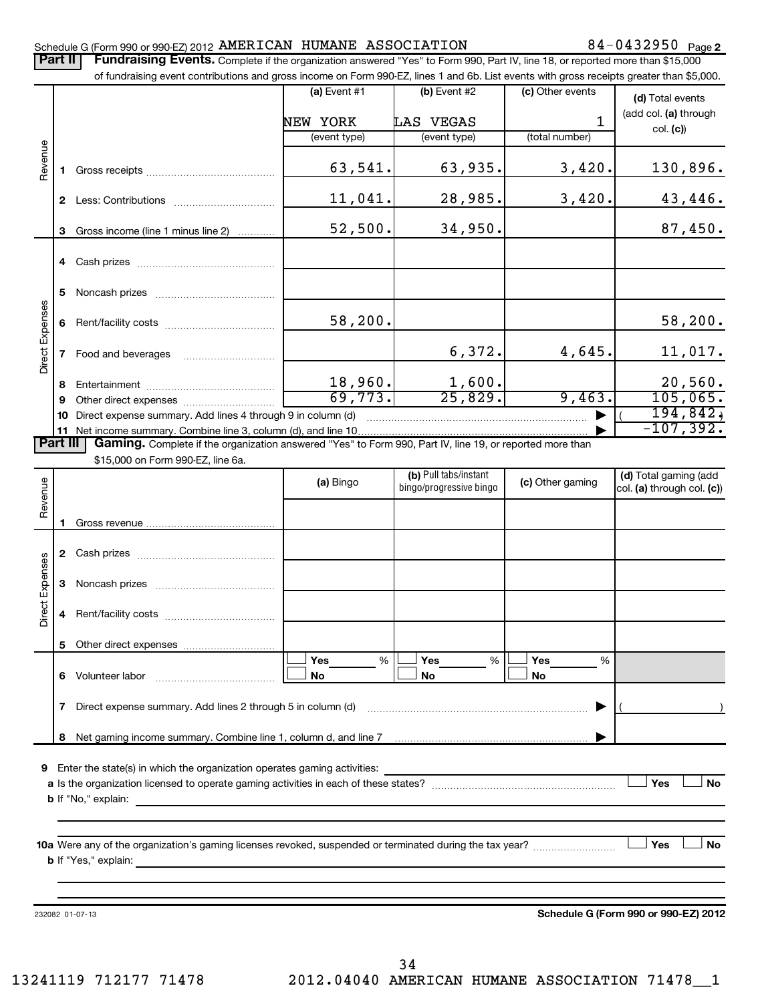Schedule G (Form 990 or 990-EZ) 2012 Page AMERICAN HUMANE ASSOCIATION 84-0432950 Part II | Fundraising Events. Complete if the organization answered "Yes" to Form 990, Part IV, line 18, or reported more than \$15,000 of fundraising event contributions and gross income on Form 990-EZ, lines 1 and 6b. List events with gross receipts greater than \$5,000. **(a)** Event  $#1$  **(b)** Event  $#2$ (c) Other events **(d)**  Total events (add col. (a) through NEW YORK LAS VEGAS 1 col. **(c)**) (event type) (event type) (total number) Revenue  $63,541.$   $63,935.$   $3,420.$  130,896. **1** Gross receipts ~~~~~~~~~~~~~~ 11,041. 28,985. 3,420. 43,446. **2** Less: Contributions ~~~~~~~~~~~ 52,500. 34,950. 87,450. **3** Gross income (line 1 minus line 2) . . . . . . . . . . . . **4** Cash prizes ~~~~~~~~~~~~~~~ **5** Noncash prizes **www.community.org Direct Expenses** Direct Expenses 58,200. 58,200. Rent/facility costs ~~~~~~~~~~~~ **6** 6,372. 4,645. 11,017. **7** Food and beverages ~~~~~~~~~~ 18,960. 1,600. 20,560. **8** Entertainment **2006 CONVERTS Entertainment** 69,773. 25,829. 9,463. 105,065. **9** Other direct expenses  $\ldots$  **............................** ~~~~~~~~~~~~~~~~~~~~~~~~ | ( ) 194,842. **10** Direct expense summary. Add lines 4 through 9 in column (d)  $-107,392.$ Net income summary. Combine line 3, column (d), and line 10 **11** | Part III | Gaming. Complete if the organization answered "Yes" to Form 990, Part IV, line 19, or reported more than \$15,000 on Form 990-EZ, line 6a. (b) Pull tabs/instant **(a)** Bingo **b (b)** Pull tabs/instant **(c)** Other gaming **(d)** Total gaming (add **(a)** Bingo **C** bings/gregate is and the collection Revenue bingo/progressive bingo col. **(a)** through col. **(c)**) **1** Gross revenue **2** Cash prizes <sub>……………………………………</sub> Expenses Direct Expenses **3** Noncash prizes **was consumed as a set of the S** Direct **4** Rent/facility costs ~~~~~~~~~~~~ **5** Other direct expenses  $|\Box$   $\mathsf{Yes}$  =  $\%$   $|\Box$   $\mathsf{Yes}$  =  $\%$   $|\Box$ **Yes Yes Yes** % % %  $|\Box$  No  $|\Box$  No  $|\Box$ **6** Volunteer labor ~~~~~~~~~~~~~ **No No No** ~~~~~~~~~~~~~~~~~~~~~~~~ | ( ) **7** Direct expense summary. Add lines 2 through 5 in column (d) Net gaming income summary. Combine line 1, column d, and line 7 **8** | **9** Enter the state(s) in which the organization operates gaming activities:  $\Box$  Yes  $\Box$  No **a** Is the organization licensed to operate gaming activities in each of these states? ~~~~~~~~~~~~~~~~~~~~ **b** If "No," explain:  $\Box$  Yes **Yes No 10 a** Were any of the organization's gaming licenses revoked, suspended or terminated during the tax year? ~~~~~~~~~ **b** If "Yes," explain:

232082 01-07-13

**Schedule G (Form 990 or 990-EZ) 2012**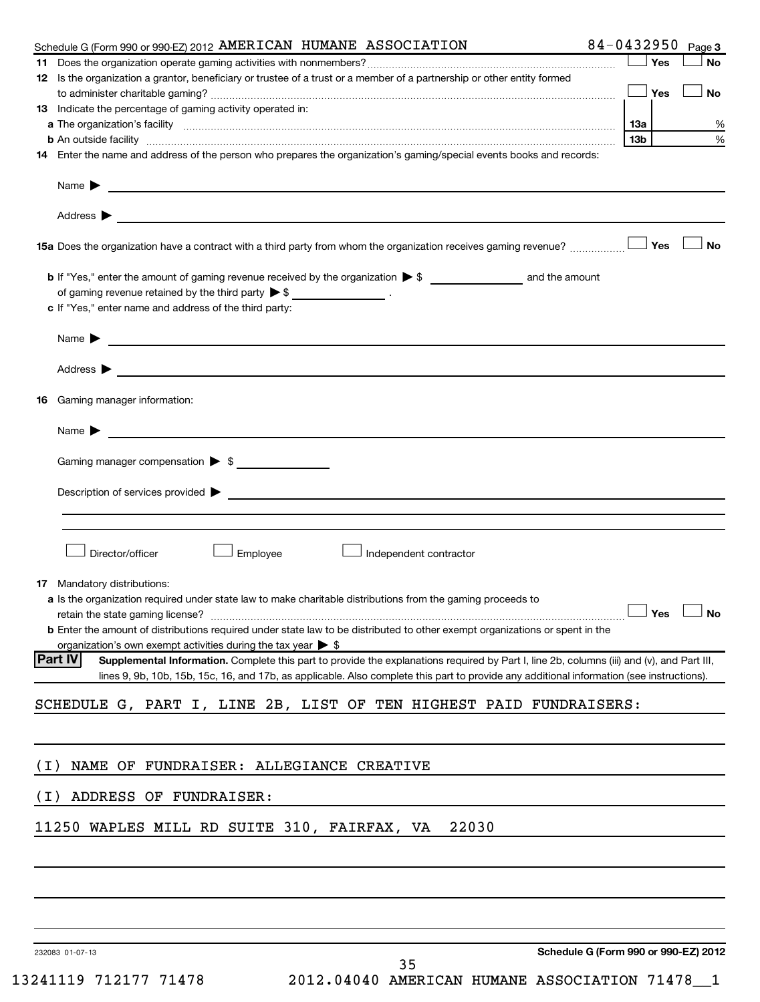| Schedule G (Form 990 or 990-EZ) 2012 AMERICAN HUMANE ASSOCIATION                                                                                                                                                                                                                                                                                                                                | 84-0432950 |            | Page 3               |
|-------------------------------------------------------------------------------------------------------------------------------------------------------------------------------------------------------------------------------------------------------------------------------------------------------------------------------------------------------------------------------------------------|------------|------------|----------------------|
|                                                                                                                                                                                                                                                                                                                                                                                                 |            | Yes        | <b>No</b>            |
| 12 Is the organization a grantor, beneficiary or trustee of a trust or a member of a partnership or other entity formed                                                                                                                                                                                                                                                                         |            | Yes        |                      |
| 13 Indicate the percentage of gaming activity operated in:                                                                                                                                                                                                                                                                                                                                      |            |            | No                   |
|                                                                                                                                                                                                                                                                                                                                                                                                 | <b>13a</b> |            | %                    |
| a The organization's facility [11, 2010] The organization's facility [11, 2010] The organization's facility [11, 2010] The organization's facility [11, 2010] The organization of the state of the state of the state of the s<br><b>b</b> An outside facility <i>www.communicality www.communicality.communicality www.communicality www.communicality.communicality www.communicality.com</i> | 13b        |            | %                    |
| 14 Enter the name and address of the person who prepares the organization's gaming/special events books and records:                                                                                                                                                                                                                                                                            |            |            |                      |
| Name $\blacktriangleright$<br><u> 1989 - Johann Stoff, amerikansk politiker (d. 1989)</u>                                                                                                                                                                                                                                                                                                       |            |            |                      |
| Address $\blacktriangleright$                                                                                                                                                                                                                                                                                                                                                                   |            |            |                      |
| 15a Does the organization have a contract with a third party from whom the organization receives gaming revenue?                                                                                                                                                                                                                                                                                |            | <b>Yes</b> | No                   |
|                                                                                                                                                                                                                                                                                                                                                                                                 |            |            |                      |
| of gaming revenue retained by the third party $\triangleright$ \$ ___________________.                                                                                                                                                                                                                                                                                                          |            |            |                      |
| c If "Yes," enter name and address of the third party:                                                                                                                                                                                                                                                                                                                                          |            |            |                      |
| Name $\blacktriangleright$<br><u> 1980 - John Amerikaanse kommunister († 1901)</u>                                                                                                                                                                                                                                                                                                              |            |            |                      |
| Address $\blacktriangleright$                                                                                                                                                                                                                                                                                                                                                                   |            |            |                      |
| Gaming manager information:<br>16                                                                                                                                                                                                                                                                                                                                                               |            |            |                      |
|                                                                                                                                                                                                                                                                                                                                                                                                 |            |            |                      |
| Name $\blacktriangleright$<br><u> 1980 - Johann John Stein, mars and de British and de British and de British and de British and de British an</u>                                                                                                                                                                                                                                              |            |            |                      |
| Gaming manager compensation > \$                                                                                                                                                                                                                                                                                                                                                                |            |            |                      |
| Description of services provided states and the contract of the contract of the contract of the contract of the contract of the contract of the contract of the contract of the contract of the contract of the contract of th                                                                                                                                                                  |            |            |                      |
|                                                                                                                                                                                                                                                                                                                                                                                                 |            |            |                      |
|                                                                                                                                                                                                                                                                                                                                                                                                 |            |            |                      |
| Director/officer<br>Employee<br>Independent contractor                                                                                                                                                                                                                                                                                                                                          |            |            |                      |
|                                                                                                                                                                                                                                                                                                                                                                                                 |            |            |                      |
| 17 Mandatory distributions:                                                                                                                                                                                                                                                                                                                                                                     |            |            |                      |
| a Is the organization required under state law to make charitable distributions from the gaming proceeds to<br>retain the state gaming license?                                                                                                                                                                                                                                                 |            |            | $\Box$ Yes $\Box$ No |
| <b>b</b> Enter the amount of distributions required under state law to be distributed to other exempt organizations or spent in the                                                                                                                                                                                                                                                             |            |            |                      |
| organization's own exempt activities during the tax year $\triangleright$ \$                                                                                                                                                                                                                                                                                                                    |            |            |                      |
| <b>Part IV</b><br>Supplemental Information. Complete this part to provide the explanations required by Part I, line 2b, columns (iii) and (v), and Part III,<br>lines 9, 9b, 10b, 15b, 15c, 16, and 17b, as applicable. Also complete this part to provide any additional information (see instructions).                                                                                       |            |            |                      |
|                                                                                                                                                                                                                                                                                                                                                                                                 |            |            |                      |
| SCHEDULE G, PART I, LINE 2B, LIST OF TEN HIGHEST PAID FUNDRAISERS:                                                                                                                                                                                                                                                                                                                              |            |            |                      |
|                                                                                                                                                                                                                                                                                                                                                                                                 |            |            |                      |
| NAME OF FUNDRAISER: ALLEGIANCE CREATIVE<br>( I )                                                                                                                                                                                                                                                                                                                                                |            |            |                      |
| ADDRESS OF FUNDRAISER:<br>( I )                                                                                                                                                                                                                                                                                                                                                                 |            |            |                      |
|                                                                                                                                                                                                                                                                                                                                                                                                 |            |            |                      |
| 11250 WAPLES MILL RD SUITE 310, FAIRFAX, VA<br>22030                                                                                                                                                                                                                                                                                                                                            |            |            |                      |
|                                                                                                                                                                                                                                                                                                                                                                                                 |            |            |                      |
|                                                                                                                                                                                                                                                                                                                                                                                                 |            |            |                      |
|                                                                                                                                                                                                                                                                                                                                                                                                 |            |            |                      |
|                                                                                                                                                                                                                                                                                                                                                                                                 |            |            |                      |
| Schedule G (Form 990 or 990-EZ) 2012<br>232083 01-07-13<br>35                                                                                                                                                                                                                                                                                                                                   |            |            |                      |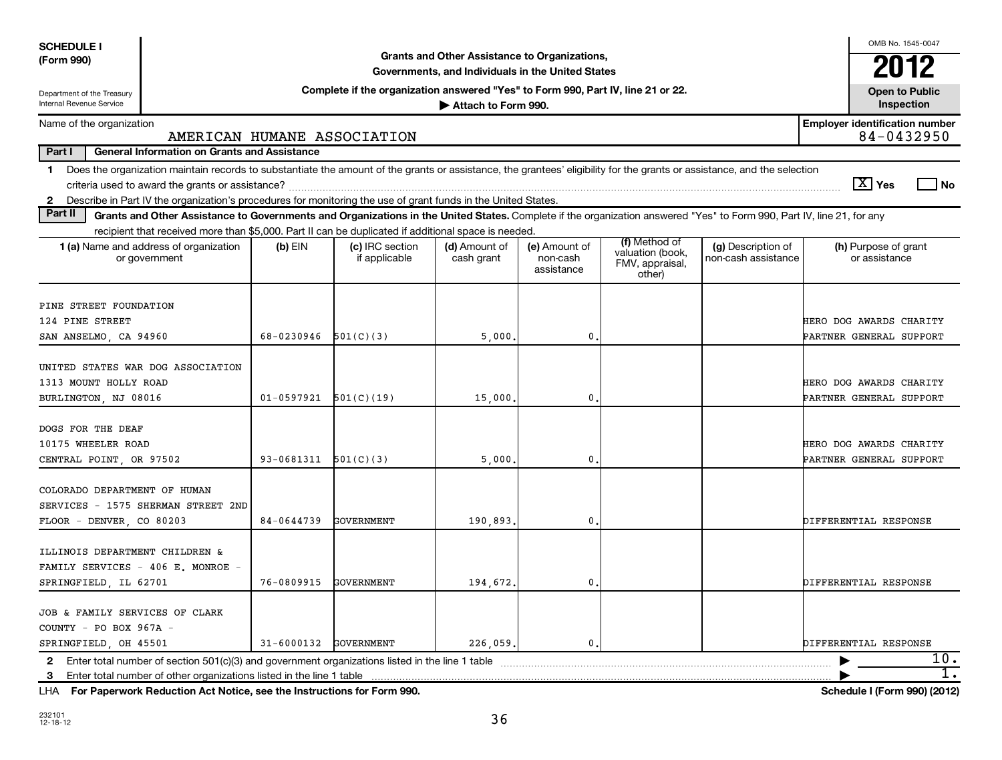| <b>SCHEDULE I</b>                                                                            |                                                                                                                                                                            |                       |                                                                                  |                             |                                         |                                                                |                                           |  |                                                    | OMB No. 1545-0047                                   |
|----------------------------------------------------------------------------------------------|----------------------------------------------------------------------------------------------------------------------------------------------------------------------------|-----------------------|----------------------------------------------------------------------------------|-----------------------------|-----------------------------------------|----------------------------------------------------------------|-------------------------------------------|--|----------------------------------------------------|-----------------------------------------------------|
| (Form 990)                                                                                   | Grants and Other Assistance to Organizations,<br>Governments, and Individuals in the United States                                                                         |                       |                                                                                  |                             |                                         |                                                                |                                           |  |                                                    | 2012                                                |
| Department of the Treasury                                                                   |                                                                                                                                                                            |                       | Complete if the organization answered "Yes" to Form 990, Part IV, line 21 or 22. |                             |                                         |                                                                |                                           |  |                                                    | <b>Open to Public</b>                               |
| <b>Internal Revenue Service</b>                                                              | Inspection<br>Attach to Form 990.                                                                                                                                          |                       |                                                                                  |                             |                                         |                                                                |                                           |  |                                                    |                                                     |
| Name of the organization                                                                     |                                                                                                                                                                            |                       | AMERICAN HUMANE ASSOCIATION                                                      |                             |                                         |                                                                |                                           |  |                                                    | <b>Employer identification number</b><br>84-0432950 |
| Part I                                                                                       | <b>General Information on Grants and Assistance</b>                                                                                                                        |                       |                                                                                  |                             |                                         |                                                                |                                           |  |                                                    |                                                     |
|                                                                                              | 1 Does the organization maintain records to substantiate the amount of the grants or assistance, the grantees' eligibility for the grants or assistance, and the selection |                       |                                                                                  |                             |                                         |                                                                |                                           |  |                                                    |                                                     |
|                                                                                              |                                                                                                                                                                            |                       |                                                                                  |                             |                                         |                                                                |                                           |  | $ \overline{X} $ Yes                               | l No                                                |
| $\mathbf{2}$                                                                                 | Describe in Part IV the organization's procedures for monitoring the use of grant funds in the United States.                                                              |                       |                                                                                  |                             |                                         |                                                                |                                           |  |                                                    |                                                     |
| Part II                                                                                      | Grants and Other Assistance to Governments and Organizations in the United States. Complete if the organization answered "Yes" to Form 990, Part IV, line 21, for any      |                       |                                                                                  |                             |                                         |                                                                |                                           |  |                                                    |                                                     |
|                                                                                              | recipient that received more than \$5,000. Part II can be duplicated if additional space is needed.                                                                        |                       |                                                                                  |                             |                                         |                                                                |                                           |  |                                                    |                                                     |
|                                                                                              | 1 (a) Name and address of organization<br>or government                                                                                                                    | $(b)$ EIN             | (c) IRC section<br>if applicable                                                 | (d) Amount of<br>cash grant | (e) Amount of<br>non-cash<br>assistance | (f) Method of<br>valuation (book,<br>FMV, appraisal,<br>other) | (g) Description of<br>non-cash assistance |  | (h) Purpose of grant<br>or assistance              |                                                     |
| PINE STREET FOUNDATION<br>124 PINE STREET<br>SAN ANSELMO, CA 94960                           |                                                                                                                                                                            | 68-0230946            | 501(C)(3)                                                                        | 5,000                       | 0                                       |                                                                |                                           |  | HERO DOG AWARDS CHARITY<br>PARTNER GENERAL SUPPORT |                                                     |
| UNITED STATES WAR DOG ASSOCIATION<br>1313 MOUNT HOLLY ROAD<br>BURLINGTON, NJ 08016           |                                                                                                                                                                            | $01 - 0597921$        | 501(C)(19)                                                                       | 15,000                      | 0                                       |                                                                |                                           |  | HERO DOG AWARDS CHARITY<br>PARTNER GENERAL SUPPORT |                                                     |
| DOGS FOR THE DEAF<br>10175 WHEELER ROAD<br>CENTRAL POINT, OR 97502                           |                                                                                                                                                                            | 93-0681311            | 501(C)(3)                                                                        | 5,000                       | $\mathbf 0$                             |                                                                |                                           |  | HERO DOG AWARDS CHARITY<br>PARTNER GENERAL SUPPORT |                                                     |
| COLORADO DEPARTMENT OF HUMAN<br>FLOOR - DENVER, CO 80203                                     | SERVICES - 1575 SHERMAN STREET 2ND                                                                                                                                         | 84-0644739            | <b>GOVERNMENT</b>                                                                | 190,893                     | $\mathbf{0}$                            |                                                                |                                           |  | DIFFERENTIAL RESPONSE                              |                                                     |
| ILLINOIS DEPARTMENT CHILDREN &<br>FAMILY SERVICES - 406 E. MONROE -<br>SPRINGFIELD, IL 62701 |                                                                                                                                                                            | 76-0809915            | <b>GOVERNMENT</b>                                                                | 194,672                     | $\mathbf 0$                             |                                                                |                                           |  | DIFFERENTIAL RESPONSE                              |                                                     |
| JOB & FAMILY SERVICES OF CLARK<br>COUNTY - PO BOX 967A -<br>SPRINGFIELD, OH 45501            |                                                                                                                                                                            | 31-6000132 GOVERNMENT |                                                                                  | 226,059                     | $\mathbf 0$                             |                                                                |                                           |  | DIFFERENTIAL RESPONSE                              |                                                     |
| 2                                                                                            | Enter total number of section 501(c)(3) and government organizations listed in the line 1 table                                                                            |                       |                                                                                  |                             |                                         |                                                                |                                           |  |                                                    | 10.                                                 |
| 3                                                                                            |                                                                                                                                                                            |                       |                                                                                  |                             |                                         |                                                                |                                           |  |                                                    | 1.                                                  |
| LHA                                                                                          | For Paperwork Reduction Act Notice, see the Instructions for Form 990.<br>Schedule I (Form 990) (2012)                                                                     |                       |                                                                                  |                             |                                         |                                                                |                                           |  |                                                    |                                                     |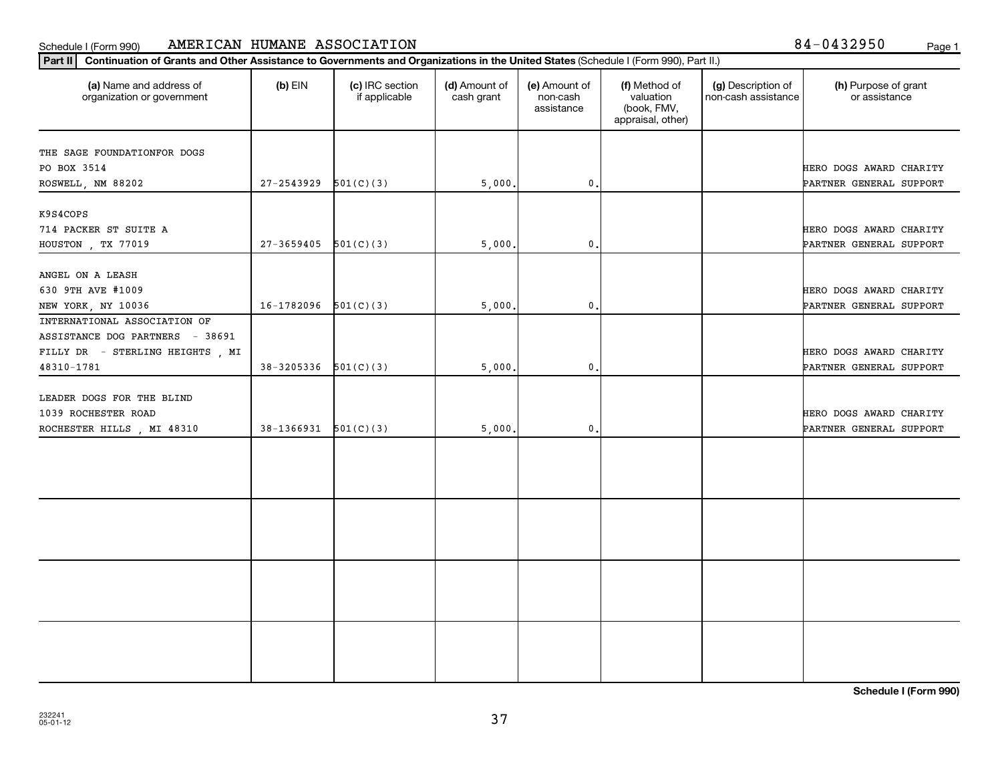## Schedule I (Form 990) AMERICAN HUMANE ASSOCIATION 84-0432950 <sub>Page 1</sub>

## **Part II Continuation of Grants and Other Assistance to Governments and Organizations in the United States**  (Schedule I (Form 990), Part II.)

| .                                                     |                |                                  |                             |                                         |                                                                |                                           |                                       |
|-------------------------------------------------------|----------------|----------------------------------|-----------------------------|-----------------------------------------|----------------------------------------------------------------|-------------------------------------------|---------------------------------------|
| (a) Name and address of<br>organization or government | $(b)$ EIN      | (c) IRC section<br>if applicable | (d) Amount of<br>cash grant | (e) Amount of<br>non-cash<br>assistance | (f) Method of<br>valuation<br>(book, FMV,<br>appraisal, other) | (g) Description of<br>non-cash assistance | (h) Purpose of grant<br>or assistance |
|                                                       |                |                                  |                             |                                         |                                                                |                                           |                                       |
| THE SAGE FOUNDATIONFOR DOGS                           |                |                                  |                             |                                         |                                                                |                                           |                                       |
| PO BOX 3514                                           |                |                                  |                             |                                         |                                                                |                                           | HERO DOGS AWARD CHARITY               |
| ROSWELL, NM 88202                                     | 27-2543929     | 501(C)(3)                        | 5,000.                      | $\mathbf 0$ .                           |                                                                |                                           | PARTNER GENERAL SUPPORT               |
|                                                       |                |                                  |                             |                                         |                                                                |                                           |                                       |
| K9S4COPS                                              |                |                                  |                             |                                         |                                                                |                                           |                                       |
| 714 PACKER ST SUITE A                                 |                |                                  |                             |                                         |                                                                |                                           | HERO DOGS AWARD CHARITY               |
| HOUSTON, TX 77019                                     | $27 - 3659405$ | 501(C)(3)                        | 5,000.                      | $\mathbf{0}$                            |                                                                |                                           | PARTNER GENERAL SUPPORT               |
|                                                       |                |                                  |                             |                                         |                                                                |                                           |                                       |
| ANGEL ON A LEASH                                      |                |                                  |                             |                                         |                                                                |                                           |                                       |
| 630 9TH AVE #1009                                     |                |                                  |                             |                                         |                                                                |                                           | HERO DOGS AWARD CHARITY               |
| NEW YORK, NY 10036                                    | 16-1782096     | 501(C)(3)                        | 5,000                       | 0                                       |                                                                |                                           | PARTNER GENERAL SUPPORT               |
| INTERNATIONAL ASSOCIATION OF                          |                |                                  |                             |                                         |                                                                |                                           |                                       |
| ASSISTANCE DOG PARTNERS - 38691                       |                |                                  |                             |                                         |                                                                |                                           |                                       |
| FILLY DR - STERLING HEIGHTS, MI                       |                |                                  |                             |                                         |                                                                |                                           | HERO DOGS AWARD CHARITY               |
| 48310-1781                                            | 38-3205336     | 501(C)(3)                        | 5,000                       | 0                                       |                                                                |                                           | PARTNER GENERAL SUPPORT               |
|                                                       |                |                                  |                             |                                         |                                                                |                                           |                                       |
| LEADER DOGS FOR THE BLIND                             |                |                                  |                             |                                         |                                                                |                                           |                                       |
| 1039 ROCHESTER ROAD                                   |                |                                  |                             |                                         |                                                                |                                           | HERO DOGS AWARD CHARITY               |
| ROCHESTER HILLS, MI 48310                             | 38-1366931     | 501(C)(3)                        | 5,000                       | 0                                       |                                                                |                                           | PARTNER GENERAL SUPPORT               |
|                                                       |                |                                  |                             |                                         |                                                                |                                           |                                       |
|                                                       |                |                                  |                             |                                         |                                                                |                                           |                                       |
|                                                       |                |                                  |                             |                                         |                                                                |                                           |                                       |
|                                                       |                |                                  |                             |                                         |                                                                |                                           |                                       |
|                                                       |                |                                  |                             |                                         |                                                                |                                           |                                       |
|                                                       |                |                                  |                             |                                         |                                                                |                                           |                                       |
|                                                       |                |                                  |                             |                                         |                                                                |                                           |                                       |
|                                                       |                |                                  |                             |                                         |                                                                |                                           |                                       |
|                                                       |                |                                  |                             |                                         |                                                                |                                           |                                       |
|                                                       |                |                                  |                             |                                         |                                                                |                                           |                                       |
|                                                       |                |                                  |                             |                                         |                                                                |                                           |                                       |
|                                                       |                |                                  |                             |                                         |                                                                |                                           |                                       |
|                                                       |                |                                  |                             |                                         |                                                                |                                           |                                       |
|                                                       |                |                                  |                             |                                         |                                                                |                                           |                                       |

**Schedule I (Form 990)**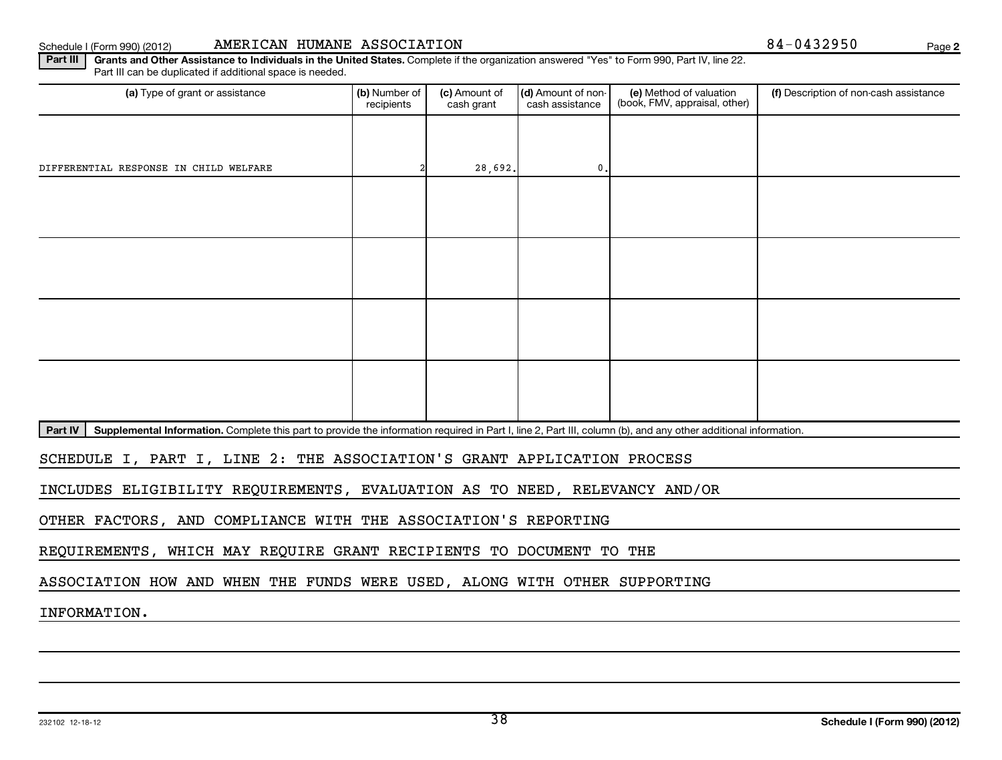Schedule I (Form 990) (2012) AMERICAN HUMANE ASSOCIATION 84-0432950 Page

**2**

Part III | Grants and Other Assistance to Individuals in the United States. Complete if the organization answered "Yes" to Form 990, Part IV, line 22. Part III can be duplicated if additional space is needed.

| (a) Type of grant or assistance                                                                                                                                            | (b) Number of<br>recipients | (c) Amount of<br>cash grant | (d) Amount of non-<br>cash assistance | (e) Method of valuation<br>(book, FMV, appraisal, other) | (f) Description of non-cash assistance |  |  |  |  |
|----------------------------------------------------------------------------------------------------------------------------------------------------------------------------|-----------------------------|-----------------------------|---------------------------------------|----------------------------------------------------------|----------------------------------------|--|--|--|--|
|                                                                                                                                                                            |                             |                             |                                       |                                                          |                                        |  |  |  |  |
|                                                                                                                                                                            |                             |                             |                                       |                                                          |                                        |  |  |  |  |
| DIFFERENTIAL RESPONSE IN CHILD WELFARE                                                                                                                                     |                             | 28,692.                     | $\mathfrak{o}$ .                      |                                                          |                                        |  |  |  |  |
|                                                                                                                                                                            |                             |                             |                                       |                                                          |                                        |  |  |  |  |
|                                                                                                                                                                            |                             |                             |                                       |                                                          |                                        |  |  |  |  |
|                                                                                                                                                                            |                             |                             |                                       |                                                          |                                        |  |  |  |  |
|                                                                                                                                                                            |                             |                             |                                       |                                                          |                                        |  |  |  |  |
|                                                                                                                                                                            |                             |                             |                                       |                                                          |                                        |  |  |  |  |
|                                                                                                                                                                            |                             |                             |                                       |                                                          |                                        |  |  |  |  |
|                                                                                                                                                                            |                             |                             |                                       |                                                          |                                        |  |  |  |  |
|                                                                                                                                                                            |                             |                             |                                       |                                                          |                                        |  |  |  |  |
| Part IV<br>Supplemental Information. Complete this part to provide the information required in Part I, line 2, Part III, column (b), and any other additional information. |                             |                             |                                       |                                                          |                                        |  |  |  |  |
| SCHEDULE I, PART I, LINE 2: THE ASSOCIATION'S GRANT APPLICATION PROCESS                                                                                                    |                             |                             |                                       |                                                          |                                        |  |  |  |  |
| INCLUDES ELIGIBILITY REQUIREMENTS, EVALUATION AS TO NEED, RELEVANCY AND/OR                                                                                                 |                             |                             |                                       |                                                          |                                        |  |  |  |  |
| OTHER FACTORS, AND COMPLIANCE WITH THE ASSOCIATION'S REPORTING                                                                                                             |                             |                             |                                       |                                                          |                                        |  |  |  |  |
| REQUIREMENTS, WHICH MAY REQUIRE GRANT RECIPIENTS TO DOCUMENT TO THE                                                                                                        |                             |                             |                                       |                                                          |                                        |  |  |  |  |
|                                                                                                                                                                            |                             |                             |                                       |                                                          |                                        |  |  |  |  |
| ASSOCIATION HOW AND WHEN THE FUNDS WERE USED, ALONG WITH OTHER SUPPORTING                                                                                                  |                             |                             |                                       |                                                          |                                        |  |  |  |  |

INFORMATION.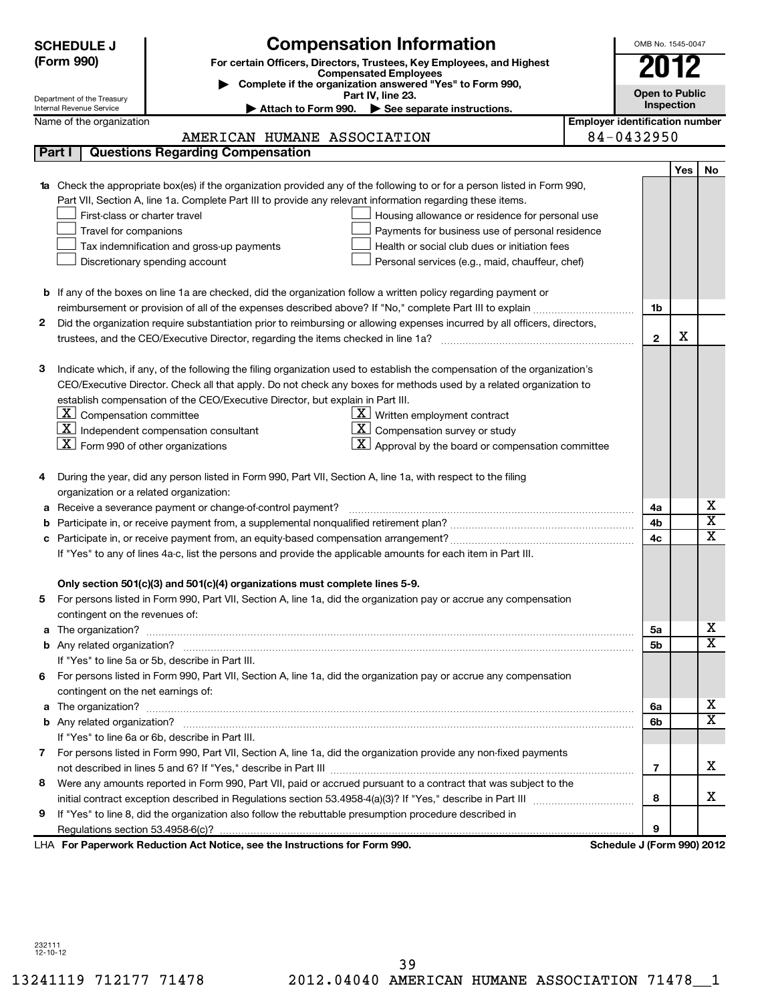| (Form 990)                                             | <b>Compensation Information</b><br><b>SCHEDULE J</b><br>For certain Officers, Directors, Trustees, Key Employees, and Highest<br><b>Compensated Employees</b>            |                                       |                               |                         |  |  |  |  |  |
|--------------------------------------------------------|--------------------------------------------------------------------------------------------------------------------------------------------------------------------------|---------------------------------------|-------------------------------|-------------------------|--|--|--|--|--|
|                                                        | Complete if the organization answered "Yes" to Form 990,                                                                                                                 |                                       | 2012<br><b>Open to Public</b> |                         |  |  |  |  |  |
| Department of the Treasury<br>Internal Revenue Service | Part IV, line 23.<br>Attach to Form 990. $\blacktriangleright$ See separate instructions.                                                                                |                                       | Inspection                    |                         |  |  |  |  |  |
| Name of the organization                               |                                                                                                                                                                          | <b>Employer identification number</b> |                               |                         |  |  |  |  |  |
|                                                        | AMERICAN HUMANE ASSOCIATION                                                                                                                                              | 84-0432950                            |                               |                         |  |  |  |  |  |
| Part I                                                 | <b>Questions Regarding Compensation</b>                                                                                                                                  |                                       |                               |                         |  |  |  |  |  |
|                                                        |                                                                                                                                                                          |                                       | Yes                           | No                      |  |  |  |  |  |
|                                                        | <b>1a</b> Check the appropriate box(es) if the organization provided any of the following to or for a person listed in Form 990,                                         |                                       |                               |                         |  |  |  |  |  |
|                                                        | Part VII, Section A, line 1a. Complete Part III to provide any relevant information regarding these items.                                                               |                                       |                               |                         |  |  |  |  |  |
|                                                        | First-class or charter travel<br>Housing allowance or residence for personal use                                                                                         |                                       |                               |                         |  |  |  |  |  |
|                                                        | Travel for companions<br>Payments for business use of personal residence                                                                                                 |                                       |                               |                         |  |  |  |  |  |
|                                                        | Tax indemnification and gross-up payments<br>Health or social club dues or initiation fees                                                                               |                                       |                               |                         |  |  |  |  |  |
|                                                        | Discretionary spending account<br>Personal services (e.g., maid, chauffeur, chef)                                                                                        |                                       |                               |                         |  |  |  |  |  |
|                                                        |                                                                                                                                                                          |                                       |                               |                         |  |  |  |  |  |
|                                                        | <b>b</b> If any of the boxes on line 1a are checked, did the organization follow a written policy regarding payment or                                                   |                                       |                               |                         |  |  |  |  |  |
|                                                        |                                                                                                                                                                          | 1b                                    |                               |                         |  |  |  |  |  |
| 2                                                      | Did the organization require substantiation prior to reimbursing or allowing expenses incurred by all officers, directors,                                               |                                       | X                             |                         |  |  |  |  |  |
|                                                        |                                                                                                                                                                          | $\mathbf{2}$                          |                               |                         |  |  |  |  |  |
|                                                        |                                                                                                                                                                          |                                       |                               |                         |  |  |  |  |  |
| з                                                      | Indicate which, if any, of the following the filing organization used to establish the compensation of the organization's                                                |                                       |                               |                         |  |  |  |  |  |
|                                                        | CEO/Executive Director. Check all that apply. Do not check any boxes for methods used by a related organization to                                                       |                                       |                               |                         |  |  |  |  |  |
|                                                        | establish compensation of the CEO/Executive Director, but explain in Part III.<br>$\lfloor \underline{X} \rfloor$ Compensation committee                                 |                                       |                               |                         |  |  |  |  |  |
|                                                        | $\underline{\mathbf{X}}$ Written employment contract<br>$\lfloor \underline{X} \rfloor$ Independent compensation consultant<br>$\mathbf{X}$ Compensation survey or study |                                       |                               |                         |  |  |  |  |  |
|                                                        | $\lfloor \underline{X} \rfloor$ Form 990 of other organizations<br>$\vert \mathbf{X} \vert$ Approval by the board or compensation committee                              |                                       |                               |                         |  |  |  |  |  |
|                                                        |                                                                                                                                                                          |                                       |                               |                         |  |  |  |  |  |
| 4                                                      | During the year, did any person listed in Form 990, Part VII, Section A, line 1a, with respect to the filing                                                             |                                       |                               |                         |  |  |  |  |  |
|                                                        | organization or a related organization:                                                                                                                                  |                                       |                               |                         |  |  |  |  |  |
|                                                        | a Receive a severance payment or change-of-control payment?                                                                                                              | 4a                                    |                               | х                       |  |  |  |  |  |
|                                                        |                                                                                                                                                                          | 4b                                    |                               | $\overline{\texttt{x}}$ |  |  |  |  |  |
|                                                        |                                                                                                                                                                          | 4 <sub>c</sub>                        |                               | $\overline{\textbf{X}}$ |  |  |  |  |  |
|                                                        | If "Yes" to any of lines 4a-c, list the persons and provide the applicable amounts for each item in Part III.                                                            |                                       |                               |                         |  |  |  |  |  |
|                                                        |                                                                                                                                                                          |                                       |                               |                         |  |  |  |  |  |
|                                                        | Only section 501(c)(3) and 501(c)(4) organizations must complete lines 5-9.                                                                                              |                                       |                               |                         |  |  |  |  |  |
|                                                        | For persons listed in Form 990, Part VII, Section A, line 1a, did the organization pay or accrue any compensation                                                        |                                       |                               |                         |  |  |  |  |  |
|                                                        | contingent on the revenues of:                                                                                                                                           |                                       |                               |                         |  |  |  |  |  |
|                                                        |                                                                                                                                                                          | 5a                                    |                               | x                       |  |  |  |  |  |
|                                                        |                                                                                                                                                                          | 5b                                    |                               | $\overline{\mathbf{X}}$ |  |  |  |  |  |
|                                                        | If "Yes" to line 5a or 5b, describe in Part III.                                                                                                                         |                                       |                               |                         |  |  |  |  |  |
|                                                        | 6 For persons listed in Form 990, Part VII, Section A, line 1a, did the organization pay or accrue any compensation                                                      |                                       |                               |                         |  |  |  |  |  |
|                                                        | contingent on the net earnings of:                                                                                                                                       |                                       |                               |                         |  |  |  |  |  |
|                                                        |                                                                                                                                                                          | 6а                                    |                               | x                       |  |  |  |  |  |
|                                                        |                                                                                                                                                                          | 6b                                    |                               | $\overline{\mathbf{X}}$ |  |  |  |  |  |
|                                                        | If "Yes" to line 6a or 6b, describe in Part III.                                                                                                                         |                                       |                               |                         |  |  |  |  |  |
| 7                                                      | For persons listed in Form 990, Part VII, Section A, line 1a, did the organization provide any non-fixed payments                                                        |                                       |                               |                         |  |  |  |  |  |
|                                                        |                                                                                                                                                                          | $\overline{7}$                        |                               | x.                      |  |  |  |  |  |
| 8                                                      | Were any amounts reported in Form 990, Part VII, paid or accrued pursuant to a contract that was subject to the                                                          |                                       |                               |                         |  |  |  |  |  |
|                                                        |                                                                                                                                                                          | 8                                     |                               | x.                      |  |  |  |  |  |
| 9                                                      | If "Yes" to line 8, did the organization also follow the rebuttable presumption procedure described in                                                                   |                                       |                               |                         |  |  |  |  |  |
|                                                        |                                                                                                                                                                          | 9                                     |                               |                         |  |  |  |  |  |
|                                                        | LHA For Paperwork Reduction Act Notice, see the Instructions for Form 990.                                                                                               | Schedule J (Form 990) 2012            |                               |                         |  |  |  |  |  |

232111 12-10-12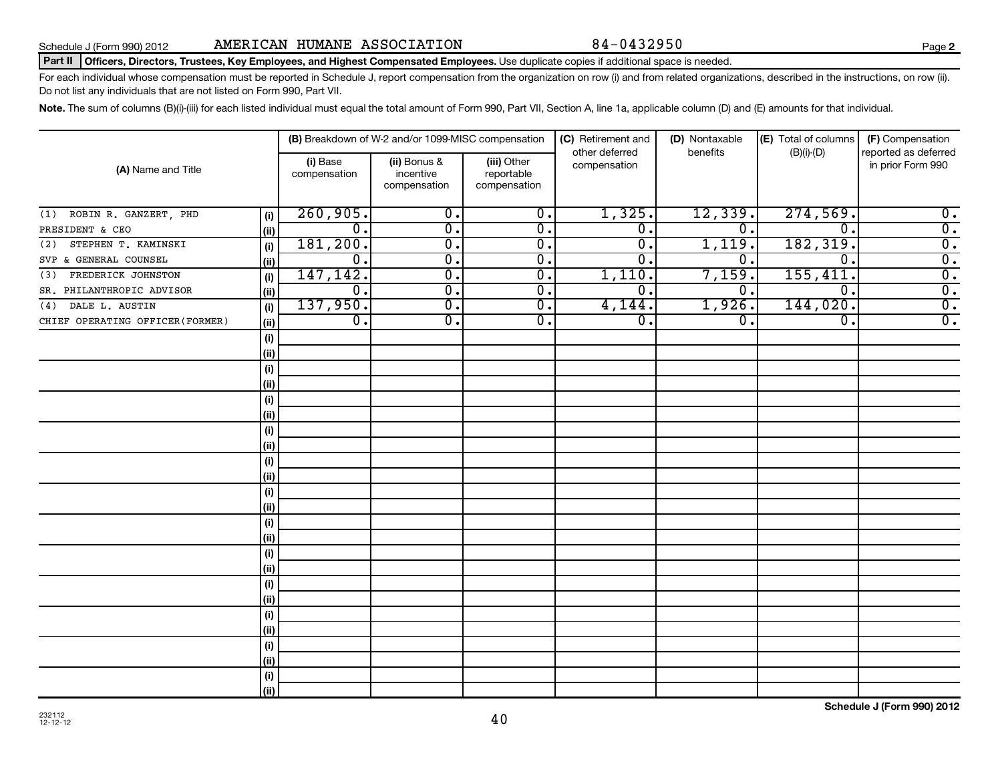## Part II | Officers, Directors, Trustees, Key Employees, and Highest Compensated Employees. Use duplicate copies if additional space is needed.

For each individual whose compensation must be reported in Schedule J, report compensation from the organization on row (i) and from related organizations, described in the instructions, on row (ii). Do not list any individuals that are not listed on Form 990, Part VII.

Note. The sum of columns (B)(i)-(iii) for each listed individual must equal the total amount of Form 990, Part VII, Section A, line 1a, applicable column (D) and (E) amounts for that individual.

|                                  |      | (B) Breakdown of W-2 and/or 1099-MISC compensation |                                           | (C) Retirement and<br>other deferred      | (D) Nontaxable<br>benefits | (E) Total of columns<br>$(B)(i)-(D)$ | (F) Compensation<br>reported as deferred |                             |
|----------------------------------|------|----------------------------------------------------|-------------------------------------------|-------------------------------------------|----------------------------|--------------------------------------|------------------------------------------|-----------------------------|
| (A) Name and Title               |      | (i) Base<br>compensation                           | (ii) Bonus &<br>incentive<br>compensation | (iii) Other<br>reportable<br>compensation | compensation               |                                      |                                          | in prior Form 990           |
| ROBIN R. GANZERT, PHD<br>(1)     | (i)  | 260,905.                                           | $\overline{0}$ .                          | $\overline{0}$ .                          | 1,325.                     | 12,339.                              | 274,569.                                 | $\overline{0}$ .            |
| PRESIDENT & CEO                  | (ii) | $\overline{0}$ .                                   | $\overline{\mathfrak{o}}$ .               | $\overline{0}$ .                          | $\overline{0}$ .           | $\overline{0}$ .                     | $\Omega$ .                               | $\overline{0}$ .            |
| STEPHEN T. KAMINSKI<br>(2)       | (i)  | 181, 200.                                          | $\overline{0}$ .                          | $\overline{0}$ .                          | $\overline{0}$ .           | 1,119.                               | 182, 319.                                | $\overline{0}$ .            |
| SVP & GENERAL COUNSEL            | (ii) | $\overline{\mathfrak{o}}$ .                        | $\overline{0}$ .                          | $\overline{0}$ .                          | 0                          | 0.                                   | $\overline{0}$ .                         | $\overline{\mathfrak{o}}$ . |
| FREDERICK JOHNSTON<br>(3)        | (i)  | 147, 142.                                          | $\overline{0}$ .                          | $\overline{0}$ .                          | 1,110.                     | 7,159.                               | 155,411.                                 | $\overline{\mathfrak{o}}$ . |
| SR. PHILANTHROPIC ADVISOR        | (ii) | $\overline{0}$ .                                   | $\overline{0}$ .                          | $\overline{0}$ .                          | $\overline{0}$ .           | $\overline{0}$ .                     | $\overline{0}$ .                         | $\overline{0}$ .            |
| DALE L. AUSTIN<br>(4)            | (i)  | 137,950.                                           | $\overline{0}$ .                          | $\overline{0}$ .                          | 4,144.                     | 1,926.                               | 144,020.                                 | $\overline{0}$ .            |
| CHIEF OPERATING OFFICER (FORMER) | (ii) | $\overline{0}$ .                                   | $\mathbf 0$ .                             | 0.                                        | $\overline{0}$ .           | 0.                                   | 0.                                       | $\overline{0}$ .            |
|                                  | (i)  |                                                    |                                           |                                           |                            |                                      |                                          |                             |
|                                  | (ii) |                                                    |                                           |                                           |                            |                                      |                                          |                             |
|                                  | (i)  |                                                    |                                           |                                           |                            |                                      |                                          |                             |
|                                  | (ii) |                                                    |                                           |                                           |                            |                                      |                                          |                             |
|                                  | (i)  |                                                    |                                           |                                           |                            |                                      |                                          |                             |
|                                  | (ii) |                                                    |                                           |                                           |                            |                                      |                                          |                             |
|                                  | (i)  |                                                    |                                           |                                           |                            |                                      |                                          |                             |
|                                  | (ii) |                                                    |                                           |                                           |                            |                                      |                                          |                             |
|                                  | (i)  |                                                    |                                           |                                           |                            |                                      |                                          |                             |
|                                  | (ii) |                                                    |                                           |                                           |                            |                                      |                                          |                             |
|                                  | (i)  |                                                    |                                           |                                           |                            |                                      |                                          |                             |
|                                  | (ii) |                                                    |                                           |                                           |                            |                                      |                                          |                             |
|                                  | (i)  |                                                    |                                           |                                           |                            |                                      |                                          |                             |
|                                  | (ii) |                                                    |                                           |                                           |                            |                                      |                                          |                             |
|                                  | (i)  |                                                    |                                           |                                           |                            |                                      |                                          |                             |
|                                  | (ii) |                                                    |                                           |                                           |                            |                                      |                                          |                             |
|                                  | (i)  |                                                    |                                           |                                           |                            |                                      |                                          |                             |
|                                  | (ii) |                                                    |                                           |                                           |                            |                                      |                                          |                             |
|                                  | (i)  |                                                    |                                           |                                           |                            |                                      |                                          |                             |
|                                  | (ii) |                                                    |                                           |                                           |                            |                                      |                                          |                             |
|                                  | (i)  |                                                    |                                           |                                           |                            |                                      |                                          |                             |
|                                  | (ii) |                                                    |                                           |                                           |                            |                                      |                                          |                             |
|                                  | (i)  |                                                    |                                           |                                           |                            |                                      |                                          |                             |
|                                  | (ii) |                                                    |                                           |                                           |                            |                                      |                                          |                             |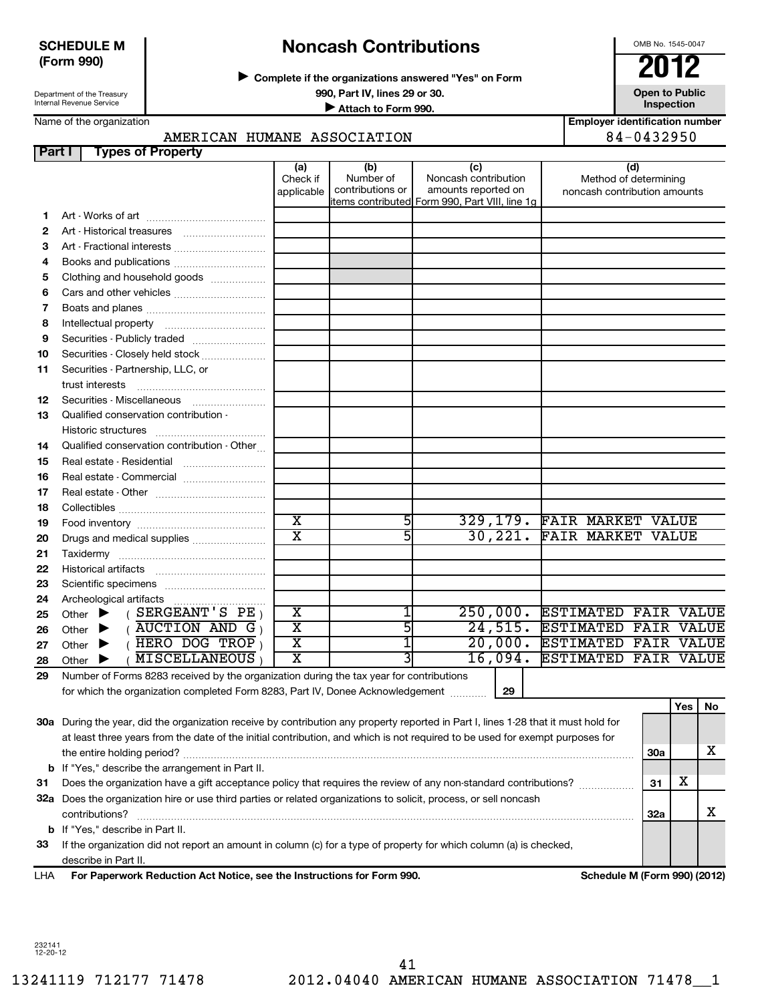## **SCHEDULE M (Form 990)**

Department of the Treasury Internal Revenue Service

## **Noncash Contributions**

**Complete if the organizations answered "Yes" on Form** <sup>J</sup>**2012**

**990, Part IV, lines 29 or 30. Open to Public Unspection**<br> **■** Attach to Ferm 999 **Inspection**<br> **Attach to Form 990.** 

Name of the organization

## AMERICAN HUMANE ASSOCIATION 84-0432950

|                          | <b>Types of Property</b><br>Part I                                                      |                         |                               |                                                |                               |
|--------------------------|-----------------------------------------------------------------------------------------|-------------------------|-------------------------------|------------------------------------------------|-------------------------------|
|                          |                                                                                         | (a)                     | (b)                           | (c)                                            | (d)                           |
|                          |                                                                                         | Check if                | Number of<br>contributions or | Noncash contribution<br>amounts reported on    | Method of determining         |
|                          |                                                                                         | applicable              |                               | items contributed Form 990, Part VIII, line 1q | noncash contribution amounts  |
| 1.                       |                                                                                         |                         |                               |                                                |                               |
| 2                        |                                                                                         |                         |                               |                                                |                               |
| 3                        | Art - Fractional interests                                                              |                         |                               |                                                |                               |
| 4                        |                                                                                         |                         |                               |                                                |                               |
| 5                        | Clothing and household goods                                                            |                         |                               |                                                |                               |
| 6                        |                                                                                         |                         |                               |                                                |                               |
| $\overline{\phantom{a}}$ |                                                                                         |                         |                               |                                                |                               |
| 8                        |                                                                                         |                         |                               |                                                |                               |
| 9                        |                                                                                         |                         |                               |                                                |                               |
| 10                       | Securities - Closely held stock                                                         |                         |                               |                                                |                               |
| 11                       | Securities - Partnership, LLC, or                                                       |                         |                               |                                                |                               |
|                          | trust interests                                                                         |                         |                               |                                                |                               |
| 12                       |                                                                                         |                         |                               |                                                |                               |
| 13                       | Qualified conservation contribution -                                                   |                         |                               |                                                |                               |
|                          | Historic structures                                                                     |                         |                               |                                                |                               |
| 14                       | Qualified conservation contribution - Other                                             |                         |                               |                                                |                               |
| 15                       |                                                                                         |                         |                               |                                                |                               |
| 16                       | Real estate - Commercial                                                                |                         |                               |                                                |                               |
| 17                       |                                                                                         |                         |                               |                                                |                               |
| 18                       |                                                                                         |                         |                               |                                                |                               |
| 19                       |                                                                                         | $\overline{\text{x}}$   | 51                            |                                                | 329,179. FAIR MARKET VALUE    |
| 20                       | Drugs and medical supplies                                                              | $\overline{\texttt{x}}$ | 5                             |                                                | 30,221. FAIR MARKET VALUE     |
| 21                       |                                                                                         |                         |                               |                                                |                               |
| 22                       |                                                                                         |                         |                               |                                                |                               |
| 23                       |                                                                                         |                         |                               |                                                |                               |
| 24                       | Archeological artifacts                                                                 |                         |                               |                                                |                               |
| 25                       | (SERGEANT'SPE)<br>Other $\blacktriangleright$                                           | $\overline{\textbf{x}}$ | 1                             |                                                | 250,000. ESTIMATED FAIR VALUE |
| 26                       | $($ AUCTION AND $G$ )<br>Other $\blacktriangleright$                                    | $\overline{\textbf{x}}$ | 5                             |                                                | 24,515. ESTIMATED FAIR VALUE  |
| 27                       | $($ HERO DOG TROP)<br>Other $\blacktriangleright$                                       | $\overline{\text{x}}$   | ī                             | 20,000.                                        | <b>ESTIMATED FAIR VALUE</b>   |
| 28                       | (MISCELLANEOUS<br>Other $\blacktriangleright$                                           | $\overline{\text{x}}$   | <u>र्ज</u>                    | 16,094.                                        | <b>ESTIMATED FAIR VALUE</b>   |
| 29                       | Number of Forms 8283 received by the organization during the tax year for contributions |                         |                               |                                                |                               |
|                          | for which the organization completed Form 8283, Part IV, Donee Acknowledgement          |                         |                               | 29                                             |                               |

**30 a** During the year, did the organization receive by contribution any property reported in Part I, lines 1-28 that it must hold for **31 32 a** Does the organization hire or use third parties or related organizations to solicit, process, or sell noncash **b** If "Yes," describe the arrangement in Part II. **30a 31 32a b** If "Yes," describe in Part II. at least three years from the date of the initial contribution, and which is not required to be used for exempt purposes for the entire holding period? ~~~~~~~~~~~~~~~~~~~~~~~~~~~~~~~~~~~~~~~~~~~~~~~~~ Does the organization have a gift acceptance policy that requires the review of any non-standard contributions? contributions? ~~~~~~~~~~~~~~~~~~~~~~~~~~~~~~~~~~~~~~~~~~~~~~~~~~~~~~ X X X

**33** If the organization did not report an amount in column (c) for a type of property for which column (a) is checked, describe in Part II.

**For Paperwork Reduction Act Notice, see the Instructions for Form 990. Schedule M (Form 990) (2012)** LHA

**Yes No**

232141 12-20-12

OMB No. 1545-0047

**Employer identification number**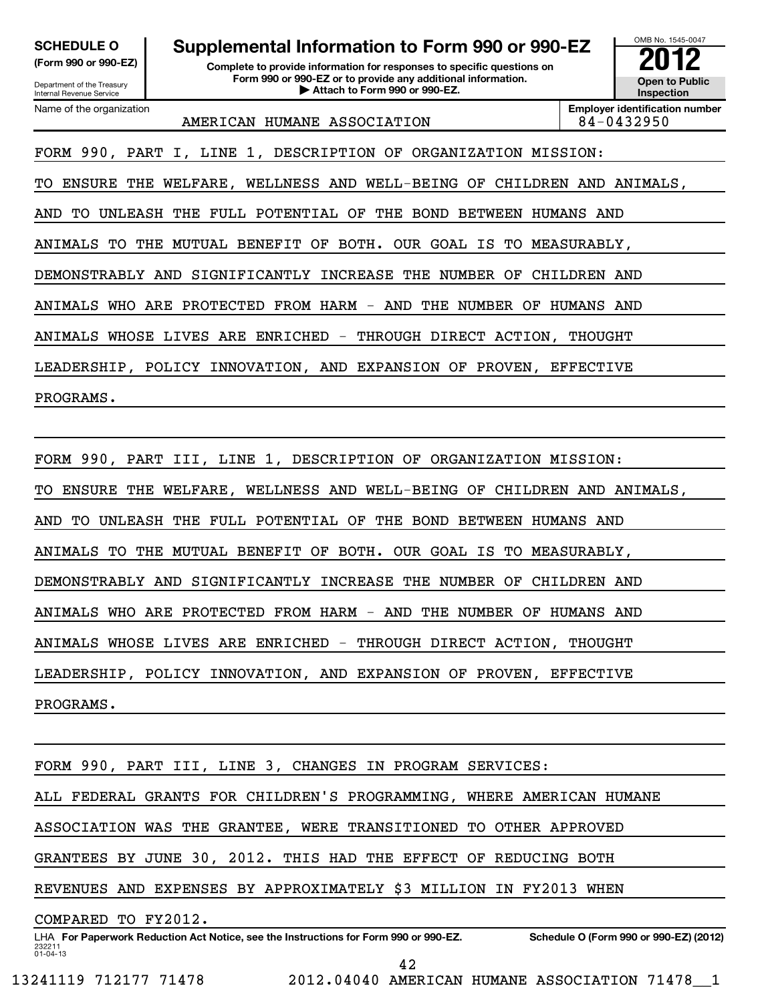| <b>SCHEDULE O</b><br>(Form 990 or 990-EZ)<br>Department of the Treasury<br><b>Internal Revenue Service</b>                                   | OMB No. 1545-0047<br><b>Open to Public</b><br>Inspection          |              |  |  |  |  |  |  |
|----------------------------------------------------------------------------------------------------------------------------------------------|-------------------------------------------------------------------|--------------|--|--|--|--|--|--|
| Name of the organization                                                                                                                     | <b>Employer identification number</b><br>$84 - 0432950$           |              |  |  |  |  |  |  |
| FORM 990, PART I, LINE 1, DESCRIPTION OF ORGANIZATION MISSION:<br>ENSURE THE WELFARE, WELLNESS AND WELL-BEING OF CHILDREN AND ANIMALS,<br>TО |                                                                   |              |  |  |  |  |  |  |
| AND<br>TО                                                                                                                                    | FULL POTENTIAL<br>OF THE<br>UNLEASH THE<br>BOND<br>BETWEEN        | HUMANS AND   |  |  |  |  |  |  |
| <b>ANTMALS</b><br>ጥበ                                                                                                                         | BENEFIT OF BOTH. OUR GOAL IS TO MEASURABLY,<br>MUTUAL<br>THE.     |              |  |  |  |  |  |  |
| DEMONSTRABLY AND                                                                                                                             | SIGNIFICANTLY INCREASE<br>THE<br>NUMBER<br>OF                     | CHILDREN AND |  |  |  |  |  |  |
| WHO<br>ANIMALS                                                                                                                               | ARE<br>PROTECTED FROM HARM - AND<br>NUMBER<br>THE<br>OF           | HUMANS AND   |  |  |  |  |  |  |
| ANIMALS WHOSE LIVES ARE ENRICHED - THROUGH DIRECT ACTION,<br>THOUGHT                                                                         |                                                                   |              |  |  |  |  |  |  |
|                                                                                                                                              | LEADERSHIP, POLICY INNOVATION, AND EXPANSION OF PROVEN, EFFECTIVE |              |  |  |  |  |  |  |
| PROGRAMS.                                                                                                                                    |                                                                   |              |  |  |  |  |  |  |

FORM 990, PART III, LINE 1, DESCRIPTION OF ORGANIZATION MISSION: TO ENSURE THE WELFARE, WELLNESS AND WELL-BEING OF CHILDREN AND ANIMALS, AND TO UNLEASH THE FULL POTENTIAL OF THE BOND BETWEEN HUMANS AND ANIMALS TO THE MUTUAL BENEFIT OF BOTH. OUR GOAL IS TO MEASURABLY, DEMONSTRABLY AND SIGNIFICANTLY INCREASE THE NUMBER OF CHILDREN AND ANIMALS WHO ARE PROTECTED FROM HARM - AND THE NUMBER OF HUMANS AND ANIMALS WHOSE LIVES ARE ENRICHED - THROUGH DIRECT ACTION, THOUGHT LEADERSHIP, POLICY INNOVATION, AND EXPANSION OF PROVEN, EFFECTIVE PROGRAMS.

| FORM 990, PART III, LINE 3, CHANGES IN PROGRAM SERVICES:                                                                                                   |
|------------------------------------------------------------------------------------------------------------------------------------------------------------|
| ALL FEDERAL GRANTS FOR CHILDREN'S PROGRAMMING, WHERE AMERICAN HUMANE                                                                                       |
| ASSOCIATION WAS THE GRANTEE, WERE TRANSITIONED TO OTHER APPROVED                                                                                           |
| GRANTEES BY JUNE 30, 2012. THIS HAD THE EFFECT OF REDUCING BOTH                                                                                            |
| REVENUES AND EXPENSES BY APPROXIMATELY \$3 MILLION IN FY2013 WHEN                                                                                          |
| COMPARED TO FY2012.                                                                                                                                        |
| LHA For Paperwork Reduction Act Notice, see the Instructions for Form 990 or 990-EZ.<br>Schedule O (Form 990 or 990-EZ) (2012)<br>232211<br>$01 - 04 - 13$ |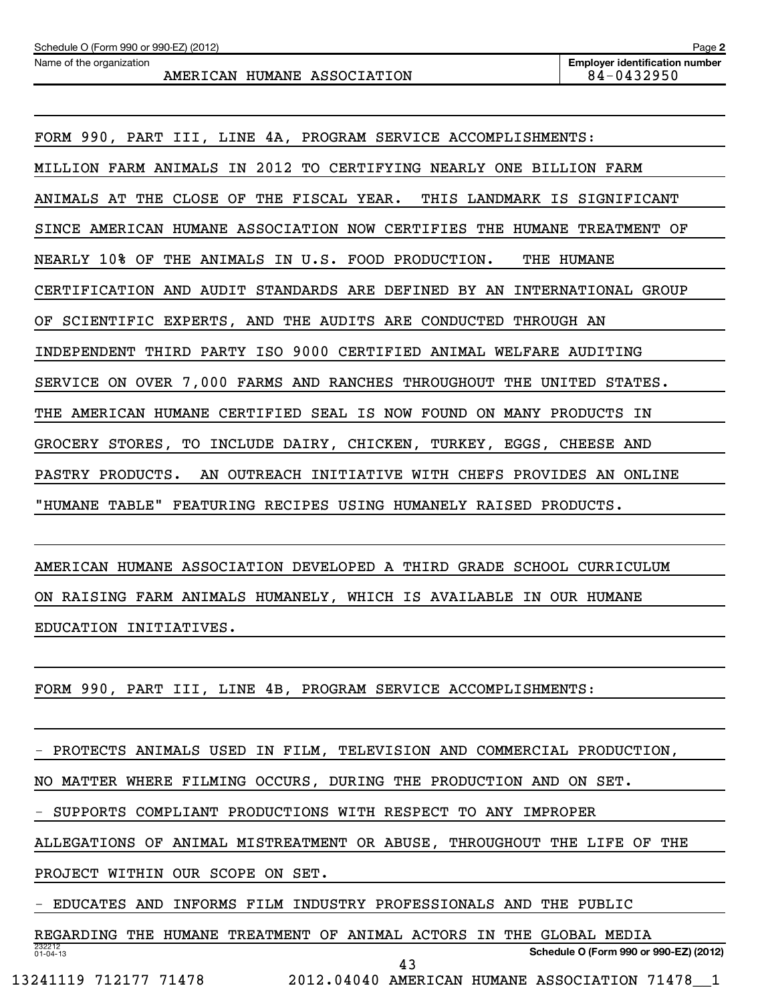Name of the organization

**Employer identification number**

**2**

FORM 990, PART III, LINE 4A, PROGRAM SERVICE ACCOMPLISHMENTS: MILLION FARM ANIMALS IN 2012 TO CERTIFYING NEARLY ONE BILLION FARM ANIMALS AT THE CLOSE OF THE FISCAL YEAR. THIS LANDMARK IS SIGNIFICANT SINCE AMERICAN HUMANE ASSOCIATION NOW CERTIFIES THE HUMANE TREATMENT OF NEARLY 10% OF THE ANIMALS IN U.S. FOOD PRODUCTION. THE HUMANE CERTIFICATION AND AUDIT STANDARDS ARE DEFINED BY AN INTERNATIONAL GROUP OF SCIENTIFIC EXPERTS, AND THE AUDITS ARE CONDUCTED THROUGH AN INDEPENDENT THIRD PARTY ISO 9000 CERTIFIED ANIMAL WELFARE AUDITING SERVICE ON OVER 7,000 FARMS AND RANCHES THROUGHOUT THE UNITED STATES. THE AMERICAN HUMANE CERTIFIED SEAL IS NOW FOUND ON MANY PRODUCTS IN GROCERY STORES, TO INCLUDE DAIRY, CHICKEN, TURKEY, EGGS, CHEESE AND PASTRY PRODUCTS. AN OUTREACH INITIATIVE WITH CHEFS PROVIDES AN ONLINE "HUMANE TABLE" FEATURING RECIPES USING HUMANELY RAISED PRODUCTS.

AMERICAN HUMANE ASSOCIATION DEVELOPED A THIRD GRADE SCHOOL CURRICULUM ON RAISING FARM ANIMALS HUMANELY, WHICH IS AVAILABLE IN OUR HUMANE EDUCATION INITIATIVES.

FORM 990, PART III, LINE 4B, PROGRAM SERVICE ACCOMPLISHMENTS:

- PROTECTS ANIMALS USED IN FILM, TELEVISION AND COMMERCIAL PRODUCTION,

NO MATTER WHERE FILMING OCCURS, DURING THE PRODUCTION AND ON SET.

- SUPPORTS COMPLIANT PRODUCTIONS WITH RESPECT TO ANY IMPROPER

ALLEGATIONS OF ANIMAL MISTREATMENT OR ABUSE, THROUGHOUT THE LIFE OF THE

PROJECT WITHIN OUR SCOPE ON SET.

- EDUCATES AND INFORMS FILM INDUSTRY PROFESSIONALS AND THE PUBLIC

232212 01-04-13 **Schedule O (Form 990 or 990-EZ) (2012)** REGARDING THE HUMANE TREATMENT OF ANIMAL ACTORS IN THE GLOBAL MEDIA 43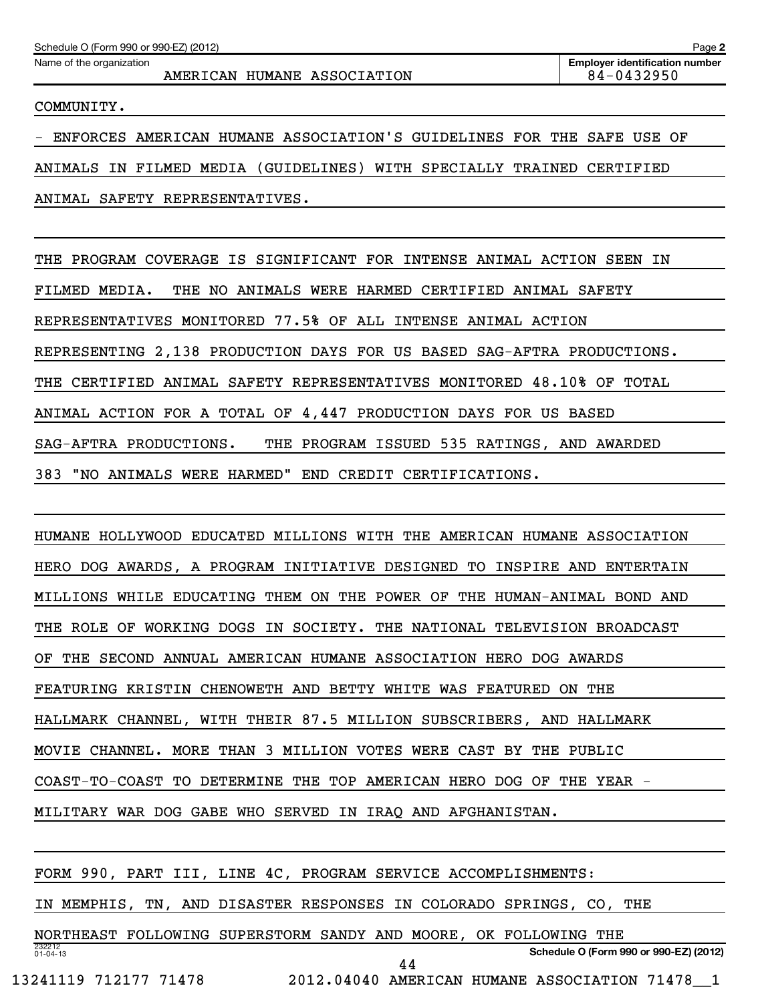Name of the organization

### AMERICAN HUMANE ASSOCIATION 84-0432950

COMMUNITY.

- ENFORCES AMERICAN HUMANE ASSOCIATION'S GUIDELINES FOR THE SAFE USE OF

ANIMALS IN FILMED MEDIA (GUIDELINES) WITH SPECIALLY TRAINED CERTIFIED

ANIMAL SAFETY REPRESENTATIVES.

THE PROGRAM COVERAGE IS SIGNIFICANT FOR INTENSE ANIMAL ACTION SEEN IN

FILMED MEDIA. THE NO ANIMALS WERE HARMED CERTIFIED ANIMAL SAFETY

REPRESENTATIVES MONITORED 77.5% OF ALL INTENSE ANIMAL ACTION

REPRESENTING 2,138 PRODUCTION DAYS FOR US BASED SAG-AFTRA PRODUCTIONS.

THE CERTIFIED ANIMAL SAFETY REPRESENTATIVES MONITORED 48.10% OF TOTAL

ANIMAL ACTION FOR A TOTAL OF 4,447 PRODUCTION DAYS FOR US BASED

SAG-AFTRA PRODUCTIONS. THE PROGRAM ISSUED 535 RATINGS, AND AWARDED

383 "NO ANIMALS WERE HARMED" END CREDIT CERTIFICATIONS.

HUMANE HOLLYWOOD EDUCATED MILLIONS WITH THE AMERICAN HUMANE ASSOCIATION HERO DOG AWARDS, A PROGRAM INITIATIVE DESIGNED TO INSPIRE AND ENTERTAIN MILLIONS WHILE EDUCATING THEM ON THE POWER OF THE HUMAN-ANIMAL BOND AND THE ROLE OF WORKING DOGS IN SOCIETY. THE NATIONAL TELEVISION BROADCAST OF THE SECOND ANNUAL AMERICAN HUMANE ASSOCIATION HERO DOG AWARDS FEATURING KRISTIN CHENOWETH AND BETTY WHITE WAS FEATURED ON THE HALLMARK CHANNEL, WITH THEIR 87.5 MILLION SUBSCRIBERS, AND HALLMARK MOVIE CHANNEL. MORE THAN 3 MILLION VOTES WERE CAST BY THE PUBLIC COAST-TO-COAST TO DETERMINE THE TOP AMERICAN HERO DOG OF THE YEAR - MILITARY WAR DOG GABE WHO SERVED IN IRAQ AND AFGHANISTAN.

FORM 990, PART III, LINE 4C, PROGRAM SERVICE ACCOMPLISHMENTS:

IN MEMPHIS, TN, AND DISASTER RESPONSES IN COLORADO SPRINGS, CO, THE

232212 01-04-13 **Schedule O (Form 990 or 990-EZ) (2012)** NORTHEAST FOLLOWING SUPERSTORM SANDY AND MOORE, OK FOLLOWING THE 44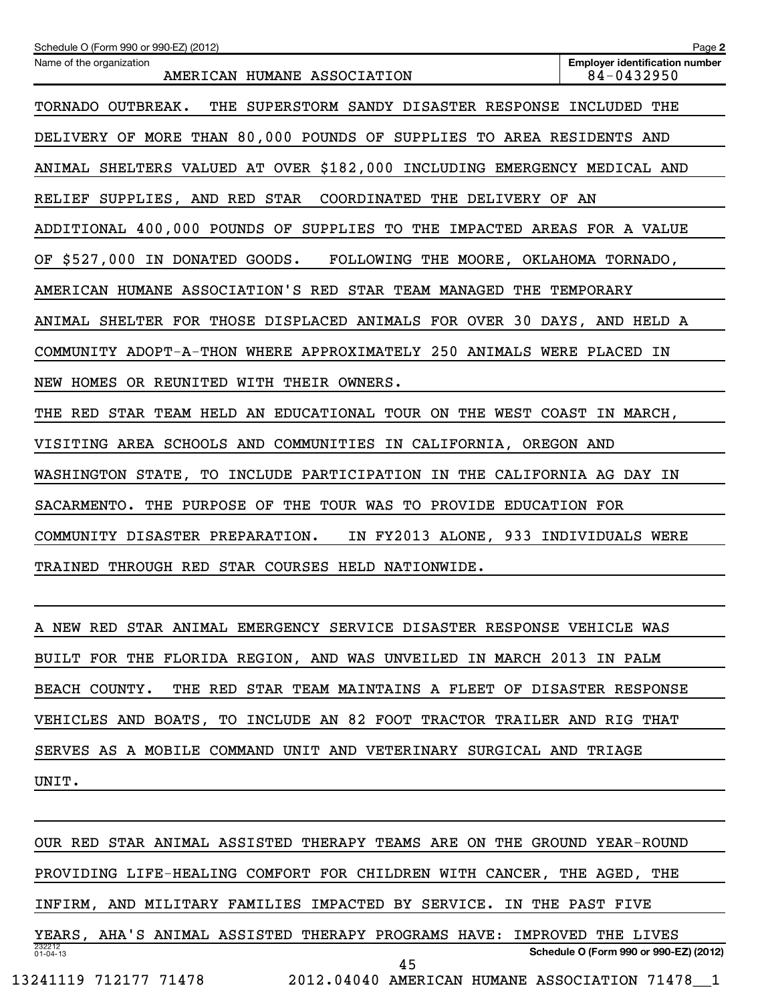| Schedule O (Form 990 or 990-EZ) (2012)                                   | Page 2                                              |
|--------------------------------------------------------------------------|-----------------------------------------------------|
| Name of the organization<br>AMERICAN HUMANE ASSOCIATION                  | <b>Employer identification number</b><br>84-0432950 |
| TORNADO OUTBREAK. THE SUPERSTORM SANDY DISASTER RESPONSE INCLUDED THE    |                                                     |
| DELIVERY OF MORE THAN 80,000 POUNDS OF SUPPLIES TO AREA RESIDENTS AND    |                                                     |
| ANIMAL SHELTERS VALUED AT OVER \$182,000 INCLUDING EMERGENCY MEDICAL AND |                                                     |
| RELIEF SUPPLIES, AND RED STAR COORDINATED THE DELIVERY OF AN             |                                                     |
| ADDITIONAL 400,000 POUNDS OF SUPPLIES TO THE IMPACTED AREAS FOR A VALUE  |                                                     |
| OF \$527,000 IN DONATED GOODS. FOLLOWING THE MOORE, OKLAHOMA TORNADO,    |                                                     |
| AMERICAN HUMANE ASSOCIATION'S RED STAR TEAM MANAGED THE TEMPORARY        |                                                     |
| ANIMAL SHELTER FOR THOSE DISPLACED ANIMALS FOR OVER 30 DAYS, AND HELD A  |                                                     |
| COMMUNITY ADOPT-A-THON WHERE APPROXIMATELY 250 ANIMALS WERE PLACED IN    |                                                     |
| NEW HOMES OR REUNITED WITH THEIR OWNERS.                                 |                                                     |
| THE RED STAR TEAM HELD AN EDUCATIONAL TOUR ON THE WEST COAST IN MARCH,   |                                                     |
| VISITING AREA SCHOOLS AND COMMUNITIES IN CALIFORNIA, OREGON AND          |                                                     |
| WASHINGTON STATE, TO INCLUDE PARTICIPATION IN THE CALIFORNIA AG DAY IN   |                                                     |
| SACARMENTO. THE PURPOSE OF THE TOUR WAS TO PROVIDE EDUCATION FOR         |                                                     |
| COMMUNITY DISASTER PREPARATION.<br>IN FY2013 ALONE, 933 INDIVIDUALS WERE |                                                     |
| TRAINED THROUGH RED STAR COURSES HELD NATIONWIDE.                        |                                                     |

A NEW RED STAR ANIMAL EMERGENCY SERVICE DISASTER RESPONSE VEHICLE WAS BUILT FOR THE FLORIDA REGION, AND WAS UNVEILED IN MARCH 2013 IN PALM BEACH COUNTY. THE RED STAR TEAM MAINTAINS A FLEET OF DISASTER RESPONSE VEHICLES AND BOATS, TO INCLUDE AN 82 FOOT TRACTOR TRAILER AND RIG THAT SERVES AS A MOBILE COMMAND UNIT AND VETERINARY SURGICAL AND TRIAGE UNIT.

232212 01-04-13 **Schedule O (Form 990 or 990-EZ) (2012)** OUR RED STAR ANIMAL ASSISTED THERAPY TEAMS ARE ON THE GROUND YEAR-ROUND PROVIDING LIFE-HEALING COMFORT FOR CHILDREN WITH CANCER, THE AGED, THE INFIRM, AND MILITARY FAMILIES IMPACTED BY SERVICE. IN THE PAST FIVE YEARS, AHA'S ANIMAL ASSISTED THERAPY PROGRAMS HAVE: IMPROVED THE LIVES 13241119 712177 71478 2012.04040 AMERICAN HUMANE ASSOCIATION 71478\_\_1 45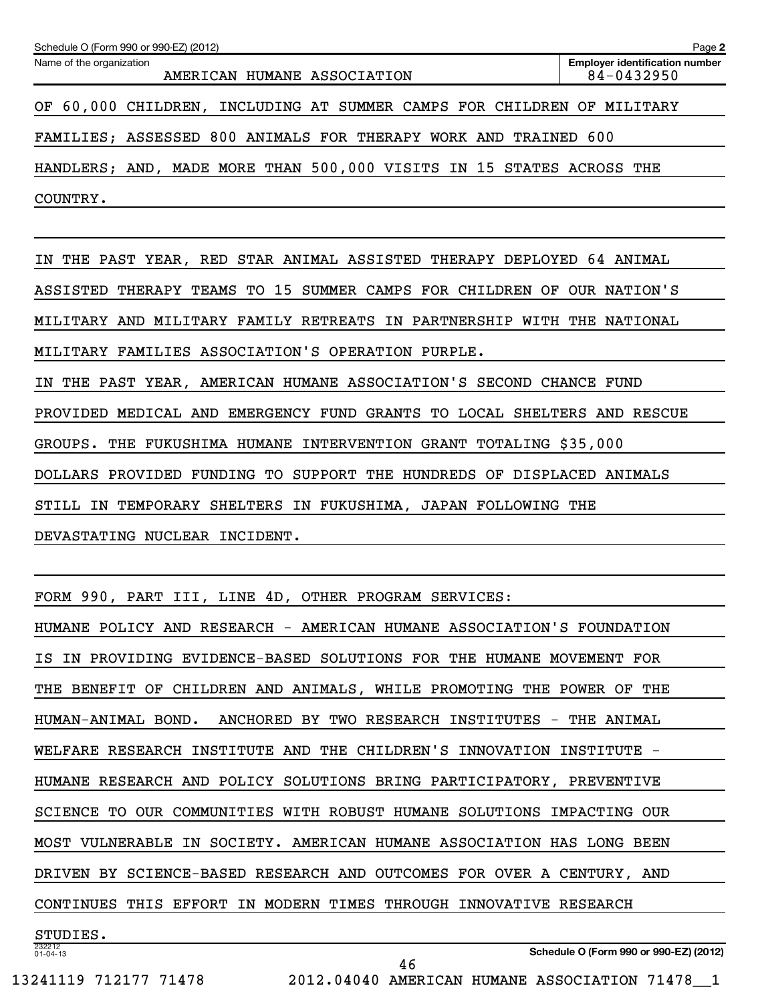| Schedule O (Form 990 or 990-EZ) (2012)                                    | Page 2                                              |
|---------------------------------------------------------------------------|-----------------------------------------------------|
| Name of the organization<br>AMERICAN HUMANE ASSOCIATION                   | <b>Employer identification number</b><br>84-0432950 |
| 60,000 CHILDREN, INCLUDING AT SUMMER CAMPS FOR CHILDREN OF MILITARY<br>OF |                                                     |
| FAMILIES; ASSESSED 800 ANIMALS FOR THERAPY WORK AND                       | TRAINED 600                                         |
| HANDLERS; AND, MADE MORE THAN 500,000 VISITS IN 15 STATES ACROSS THE      |                                                     |
| COUNTRY.                                                                  |                                                     |
|                                                                           |                                                     |
| THE PAST YEAR, RED STAR ANIMAL ASSISTED THERAPY DEPLOYED 64 ANIMAL<br>ΙN. |                                                     |
| ASSISTED THERAPY TEAMS TO 15 SUMMER CAMPS FOR CHILDREN OF OUR NATION'S    |                                                     |
| MILITARY AND MILITARY FAMILY RETREATS IN PARTNERSHIP WITH THE NATIONAL    |                                                     |
| MILITARY FAMILIES ASSOCIATION'S OPERATION PURPLE.                         |                                                     |
| IN THE PAST YEAR, AMERICAN HUMANE ASSOCIATION'S SECOND CHANCE FUND        |                                                     |
| PROVIDED MEDICAL AND EMERGENCY FUND GRANTS TO LOCAL SHELTERS AND RESCUE   |                                                     |
| THE FUKUSHIMA HUMANE INTERVENTION GRANT TOTALING \$35,000<br>GROUPS.      |                                                     |
| DOLLARS PROVIDED FUNDING TO SUPPORT THE HUNDREDS OF DISPLACED ANIMALS     |                                                     |
| STILL IN TEMPORARY SHELTERS IN FUKUSHIMA, JAPAN FOLLOWING THE             |                                                     |
| DEVASTATING NUCLEAR INCIDENT.                                             |                                                     |

|  |  |  |  | FORM 990, PART III, LINE 4D, OTHER PROGRAM SERVICES: |
|--|--|--|--|------------------------------------------------------|
|  |  |  |  |                                                      |

| HUMANE POLICY AND RESEARCH - AMERICAN HUMANE ASSOCIATION'S FOUNDATION |
|-----------------------------------------------------------------------|
| IS IN PROVIDING EVIDENCE-BASED SOLUTIONS FOR THE HUMANE MOVEMENT FOR  |
| THE BENEFIT OF CHILDREN AND ANIMALS, WHILE PROMOTING THE POWER OF THE |
| HUMAN-ANIMAL BOND. ANCHORED BY TWO RESEARCH INSTITUTES - THE ANIMAL   |
| WELFARE RESEARCH INSTITUTE AND THE CHILDREN'S INNOVATION INSTITUTE -  |
| HUMANE RESEARCH AND POLICY SOLUTIONS BRING PARTICIPATORY, PREVENTIVE  |
| SCIENCE TO OUR COMMUNITIES WITH ROBUST HUMANE SOLUTIONS IMPACTING OUR |
| MOST VULNERABLE IN SOCIETY. AMERICAN HUMANE ASSOCIATION HAS LONG BEEN |
| DRIVEN BY SCIENCE-BASED RESEARCH AND OUTCOMES FOR OVER A CENTURY, AND |
| CONTINUES THIS EFFORT IN MODERN TIMES THROUGH INNOVATIVE RESEARCH     |
| STUDIES.                                                              |
| 232212<br>Schedule O (Form 990 or 990-EZ) (2012)<br>$01 - 04 - 13$    |

46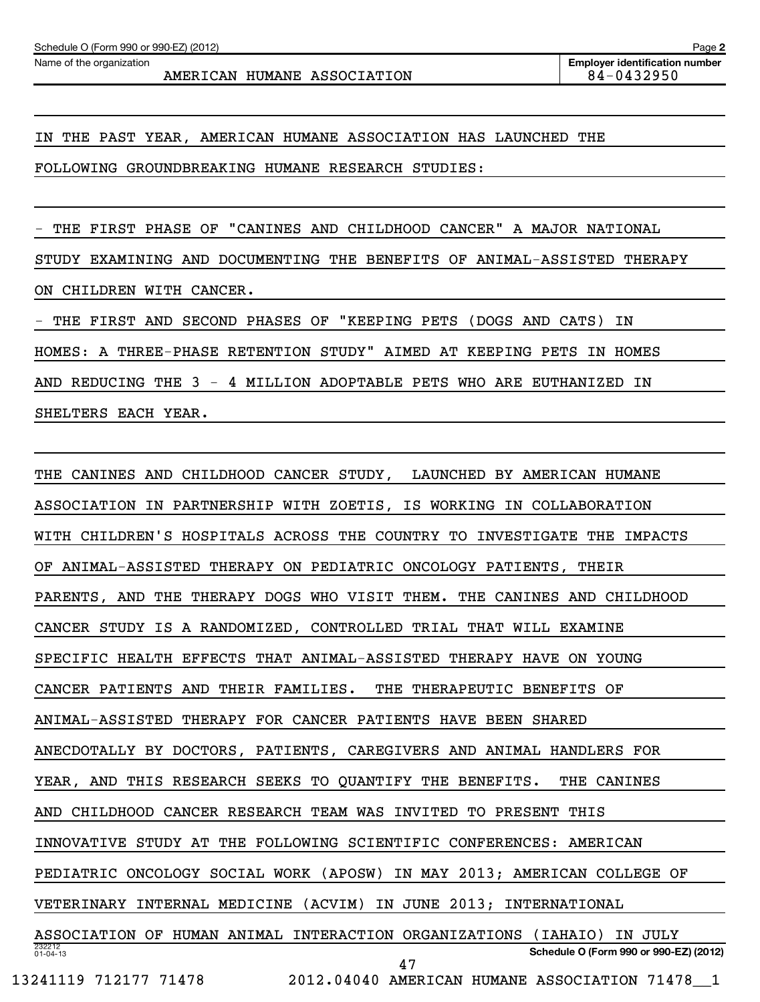Name of the organization

### AMERICAN HUMANE ASSOCIATION 84-0432950

**Employer identification number**

### IN THE PAST YEAR, AMERICAN HUMANE ASSOCIATION HAS LAUNCHED THE

FOLLOWING GROUNDBREAKING HUMANE RESEARCH STUDIES:

THE FIRST PHASE OF "CANINES AND CHILDHOOD CANCER" A MAJOR NATIONAL STUDY EXAMINING AND DOCUMENTING THE BENEFITS OF ANIMAL-ASSISTED THERAPY ON CHILDREN WITH CANCER. - THE FIRST AND SECOND PHASES OF "KEEPING PETS (DOGS AND CATS) IN

HOMES: A THREE-PHASE RETENTION STUDY" AIMED AT KEEPING PETS IN HOMES AND REDUCING THE 3 - 4 MILLION ADOPTABLE PETS WHO ARE EUTHANIZED IN

SHELTERS EACH YEAR.

232212 01-04-13 **Schedule O (Form 990 or 990-EZ) (2012)** THE CANINES AND CHILDHOOD CANCER STUDY, LAUNCHED BY AMERICAN HUMANE ASSOCIATION IN PARTNERSHIP WITH ZOETIS, IS WORKING IN COLLABORATION WITH CHILDREN'S HOSPITALS ACROSS THE COUNTRY TO INVESTIGATE THE IMPACTS OF ANIMAL-ASSISTED THERAPY ON PEDIATRIC ONCOLOGY PATIENTS, THEIR PARENTS, AND THE THERAPY DOGS WHO VISIT THEM. THE CANINES AND CHILDHOOD CANCER STUDY IS A RANDOMIZED, CONTROLLED TRIAL THAT WILL EXAMINE SPECIFIC HEALTH EFFECTS THAT ANIMAL-ASSISTED THERAPY HAVE ON YOUNG CANCER PATIENTS AND THEIR FAMILIES. THE THERAPEUTIC BENEFITS OF ANIMAL-ASSISTED THERAPY FOR CANCER PATIENTS HAVE BEEN SHARED ANECDOTALLY BY DOCTORS, PATIENTS, CAREGIVERS AND ANIMAL HANDLERS FOR YEAR, AND THIS RESEARCH SEEKS TO QUANTIFY THE BENEFITS. THE CANINES AND CHILDHOOD CANCER RESEARCH TEAM WAS INVITED TO PRESENT THIS INNOVATIVE STUDY AT THE FOLLOWING SCIENTIFIC CONFERENCES: AMERICAN PEDIATRIC ONCOLOGY SOCIAL WORK (APOSW) IN MAY 2013; AMERICAN COLLEGE OF VETERINARY INTERNAL MEDICINE (ACVIM) IN JUNE 2013; INTERNATIONAL ASSOCIATION OF HUMAN ANIMAL INTERACTION ORGANIZATIONS (IAHAIO) IN JULY 47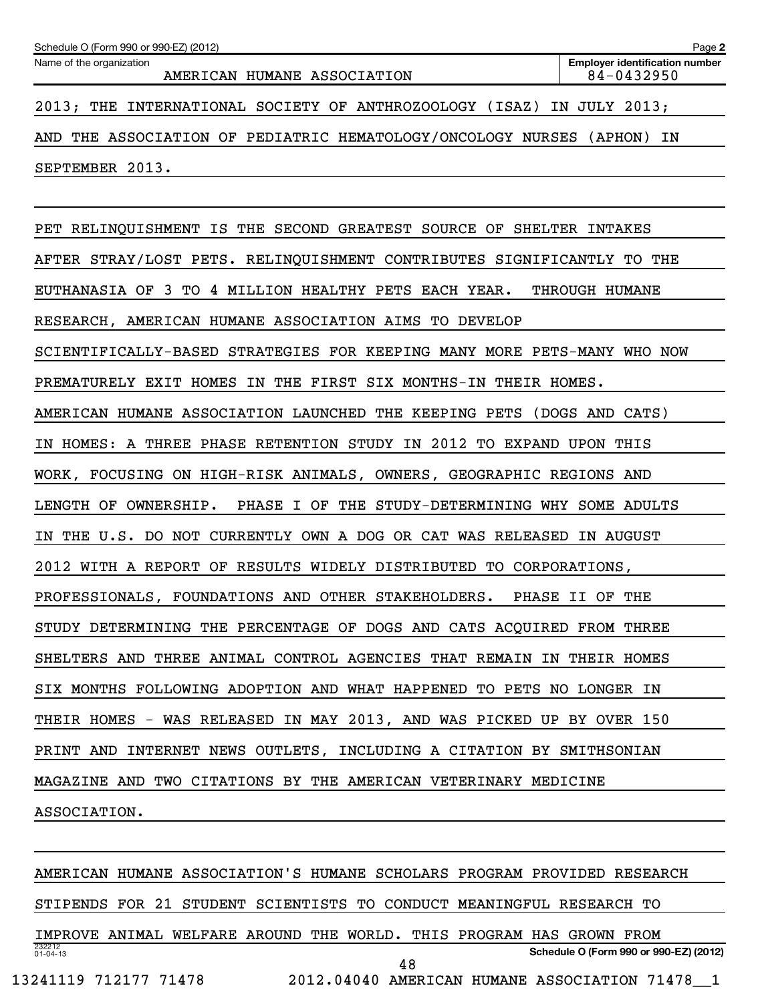| Schedule O (Form 990 or 990-EZ) (2012)                                      | Page 2                                              |
|-----------------------------------------------------------------------------|-----------------------------------------------------|
| Name of the organization<br>AMERICAN HUMANE ASSOCIATION                     | <b>Employer identification number</b><br>84-0432950 |
| SOCIETY OF<br>(ISAZ)<br>2013:<br>THE INTERNATIONAL<br>ANTHROZOOLOGY         | IN<br>JULY 2013;                                    |
| ASSOCIATION OF PEDIATRIC HEMATOLOGY/ONCOLOGY NURSES<br>AND<br>THE           | (APHON)<br>ΙN                                       |
| SEPTEMBER 2013.                                                             |                                                     |
|                                                                             |                                                     |
| PET RELINQUISHMENT IS THE SECOND GREATEST<br>SOURCE OF<br>SHELTER           | INTAKES                                             |
| STRAY/LOST PETS. RELINOUISHMENT CONTRIBUTES<br>SIGNIFICANTLY<br>AFTER       | TO.<br>THE                                          |
| MILLION<br>HEALTHY<br>EUTHANASIA OF<br>TO.<br>PETS EACH<br>YEAR.<br>-3<br>4 | THROUGH<br><b>HUMANE</b>                            |

RESEARCH, AMERICAN HUMANE ASSOCIATION AIMS TO DEVELOP

SCIENTIFICALLY-BASED STRATEGIES FOR KEEPING MANY MORE PETS-MANY WHO NOW

PREMATURELY EXIT HOMES IN THE FIRST SIX MONTHS-IN THEIR HOMES.

AMERICAN HUMANE ASSOCIATION LAUNCHED THE KEEPING PETS (DOGS AND CATS)

IN HOMES: A THREE PHASE RETENTION STUDY IN 2012 TO EXPAND UPON THIS

WORK, FOCUSING ON HIGH-RISK ANIMALS, OWNERS, GEOGRAPHIC REGIONS AND

LENGTH OF OWNERSHIP. PHASE I OF THE STUDY-DETERMINING WHY SOME ADULTS

IN THE U.S. DO NOT CURRENTLY OWN A DOG OR CAT WAS RELEASED IN AUGUST

2012 WITH A REPORT OF RESULTS WIDELY DISTRIBUTED TO CORPORATIONS,

PROFESSIONALS, FOUNDATIONS AND OTHER STAKEHOLDERS. PHASE II OF THE

STUDY DETERMINING THE PERCENTAGE OF DOGS AND CATS ACQUIRED FROM THREE

SHELTERS AND THREE ANIMAL CONTROL AGENCIES THAT REMAIN IN THEIR HOMES

SIX MONTHS FOLLOWING ADOPTION AND WHAT HAPPENED TO PETS NO LONGER IN

THEIR HOMES - WAS RELEASED IN MAY 2013, AND WAS PICKED UP BY OVER 150

PRINT AND INTERNET NEWS OUTLETS, INCLUDING A CITATION BY SMITHSONIAN

MAGAZINE AND TWO CITATIONS BY THE AMERICAN VETERINARY MEDICINE

ASSOCIATION.

232212 01-04-13 **Schedule O (Form 990 or 990-EZ) (2012)** AMERICAN HUMANE ASSOCIATION'S HUMANE SCHOLARS PROGRAM PROVIDED RESEARCH STIPENDS FOR 21 STUDENT SCIENTISTS TO CONDUCT MEANINGFUL RESEARCH TO IMPROVE ANIMAL WELFARE AROUND THE WORLD. THIS PROGRAM HAS GROWN FROM 48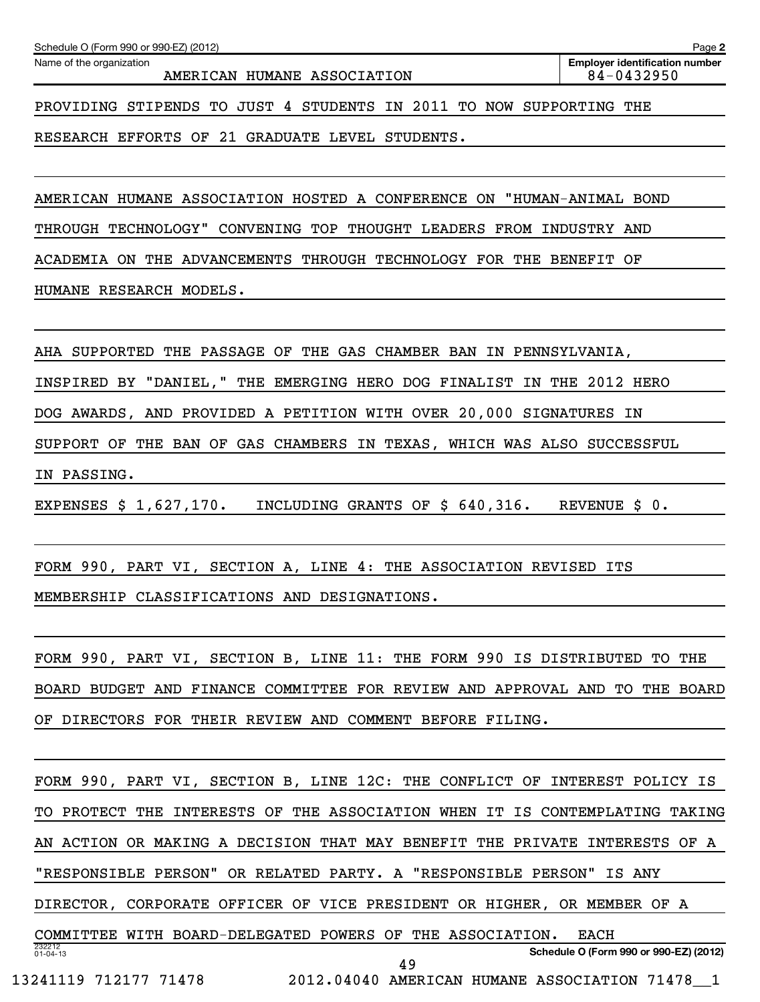| Schedule O (Form 990 or 990-EZ) (2012)                              | Page 2                                              |
|---------------------------------------------------------------------|-----------------------------------------------------|
| Name of the organization<br>AMERICAN HUMANE ASSOCIATION             | <b>Employer identification number</b><br>84-0432950 |
| PROVIDING STIPENDS TO JUST 4 STUDENTS IN 2011 TO NOW SUPPORTING THE |                                                     |
| RESEARCH EFFORTS OF 21 GRADUATE LEVEL STUDENTS.                     |                                                     |

AMERICAN HUMANE ASSOCIATION HOSTED A CONFERENCE ON "HUMAN-ANIMAL BOND THROUGH TECHNOLOGY" CONVENING TOP THOUGHT LEADERS FROM INDUSTRY AND ACADEMIA ON THE ADVANCEMENTS THROUGH TECHNOLOGY FOR THE BENEFIT OF HUMANE RESEARCH MODELS.

AHA SUPPORTED THE PASSAGE OF THE GAS CHAMBER BAN IN PENNSYLVANIA, INSPIRED BY "DANIEL," THE EMERGING HERO DOG FINALIST IN THE 2012 HERO DOG AWARDS, AND PROVIDED A PETITION WITH OVER 20,000 SIGNATURES IN SUPPORT OF THE BAN OF GAS CHAMBERS IN TEXAS, WHICH WAS ALSO SUCCESSFUL IN PASSING. EXPENSES \$ 1,627,170. INCLUDING GRANTS OF \$ 640,316. REVENUE \$ 0.

FORM 990, PART VI, SECTION A, LINE 4: THE ASSOCIATION REVISED ITS MEMBERSHIP CLASSIFICATIONS AND DESIGNATIONS.

FORM 990, PART VI, SECTION B, LINE 11: THE FORM 990 IS DISTRIBUTED TO THE BOARD BUDGET AND FINANCE COMMITTEE FOR REVIEW AND APPROVAL AND TO THE BOARD OF DIRECTORS FOR THEIR REVIEW AND COMMENT BEFORE FILING.

232212 01-04-13 **Schedule O (Form 990 or 990-EZ) (2012)** FORM 990, PART VI, SECTION B, LINE 12C: THE CONFLICT OF INTEREST POLICY IS TO PROTECT THE INTERESTS OF THE ASSOCIATION WHEN IT IS CONTEMPLATING TAKING AN ACTION OR MAKING A DECISION THAT MAY BENEFIT THE PRIVATE INTERESTS OF A "RESPONSIBLE PERSON" OR RELATED PARTY. A "RESPONSIBLE PERSON" IS ANY DIRECTOR, CORPORATE OFFICER OF VICE PRESIDENT OR HIGHER, OR MEMBER OF A COMMITTEE WITH BOARD-DELEGATED POWERS OF THE ASSOCIATION. EACH 13241119 712177 71478 2012.04040 AMERICAN HUMANE ASSOCIATION 71478\_\_1 49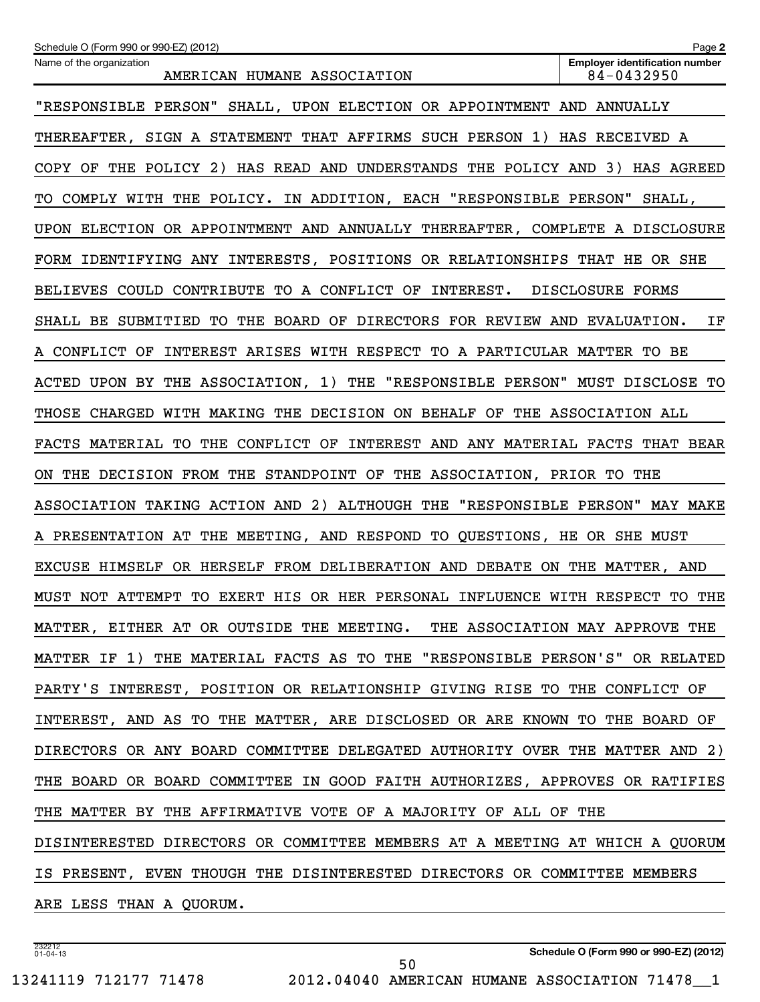| Schedule O (Form 990 or 990-EZ) (2012)                                                | Page 2                                              |
|---------------------------------------------------------------------------------------|-----------------------------------------------------|
| Name of the organization<br>AMERICAN HUMANE ASSOCIATION                               | <b>Employer identification number</b><br>84-0432950 |
| "RESPONSIBLE PERSON" SHALL, UPON ELECTION OR APPOINTMENT AND ANNUALLY                 |                                                     |
| THEREAFTER, SIGN A STATEMENT THAT AFFIRMS SUCH PERSON 1)                              | HAS RECEIVED A                                      |
| THE POLICY 2) HAS READ AND UNDERSTANDS THE POLICY AND 3) HAS AGREED<br>COPY OF        |                                                     |
| COMPLY WITH THE POLICY. IN ADDITION, EACH "RESPONSIBLE PERSON" SHALL,<br>TО           |                                                     |
| UPON ELECTION OR APPOINTMENT AND ANNUALLY THEREAFTER, COMPLETE A DISCLOSURE           |                                                     |
| FORM IDENTIFYING ANY INTERESTS, POSITIONS OR RELATIONSHIPS THAT HE OR SHE             |                                                     |
| COULD CONTRIBUTE TO A CONFLICT OF<br>INTEREST.<br><b>BELIEVES</b>                     | DISCLOSURE FORMS                                    |
| SUBMITIED<br>THE BOARD OF DIRECTORS FOR REVIEW AND EVALUATION.<br>SHALL BE<br>TO      | IF                                                  |
| INTEREST ARISES WITH RESPECT TO A PARTICULAR MATTER TO BE<br>A CONFLICT OF            |                                                     |
| UPON BY THE ASSOCIATION, 1) THE "RESPONSIBLE PERSON" MUST DISCLOSE TO<br>ACTED        |                                                     |
| CHARGED WITH MAKING THE DECISION ON BEHALF OF THE ASSOCIATION ALL<br>THOSE            |                                                     |
| MATERIAL TO THE CONFLICT OF INTEREST AND ANY MATERIAL FACTS THAT BEAR<br><b>FACTS</b> |                                                     |
| ON THE DECISION FROM THE STANDPOINT OF THE ASSOCIATION, PRIOR TO THE                  |                                                     |
| ASSOCIATION TAKING ACTION AND 2) ALTHOUGH THE                                         | "RESPONSIBLE PERSON" MAY MAKE                       |
| A PRESENTATION AT THE MEETING, AND RESPOND TO QUESTIONS, HE OR SHE MUST               |                                                     |
| EXCUSE HIMSELF OR HERSELF FROM DELIBERATION AND DEBATE ON THE MATTER, AND             |                                                     |
| MUST NOT ATTEMPT TO EXERT HIS OR HER PERSONAL INFLUENCE WITH RESPECT                  | TO THE                                              |
| MATTER, EITHER AT OR OUTSIDE THE MEETING. THE ASSOCIATION MAY APPROVE THE             |                                                     |
| MATTER IF 1) THE MATERIAL FACTS AS TO THE "RESPONSIBLE PERSON'S" OR RELATED           |                                                     |
| PARTY'S INTEREST, POSITION OR RELATIONSHIP GIVING RISE TO THE CONFLICT OF             |                                                     |
| INTEREST, AND AS TO THE MATTER, ARE DISCLOSED OR ARE KNOWN TO THE BOARD OF            |                                                     |
| DIRECTORS OR ANY BOARD COMMITTEE DELEGATED AUTHORITY OVER THE MATTER AND 2)           |                                                     |
| THE BOARD OR BOARD COMMITTEE IN GOOD FAITH AUTHORIZES, APPROVES OR RATIFIES           |                                                     |
| THE MATTER BY THE AFFIRMATIVE VOTE OF A MAJORITY OF ALL OF THE                        |                                                     |
| DISINTERESTED DIRECTORS OR COMMITTEE MEMBERS AT A MEETING AT WHICH A QUORUM           |                                                     |
| IS PRESENT, EVEN THOUGH THE DISINTERESTED DIRECTORS OR COMMITTEE MEMBERS              |                                                     |
| ARE LESS THAN A QUORUM.                                                               |                                                     |

232212 01-04-13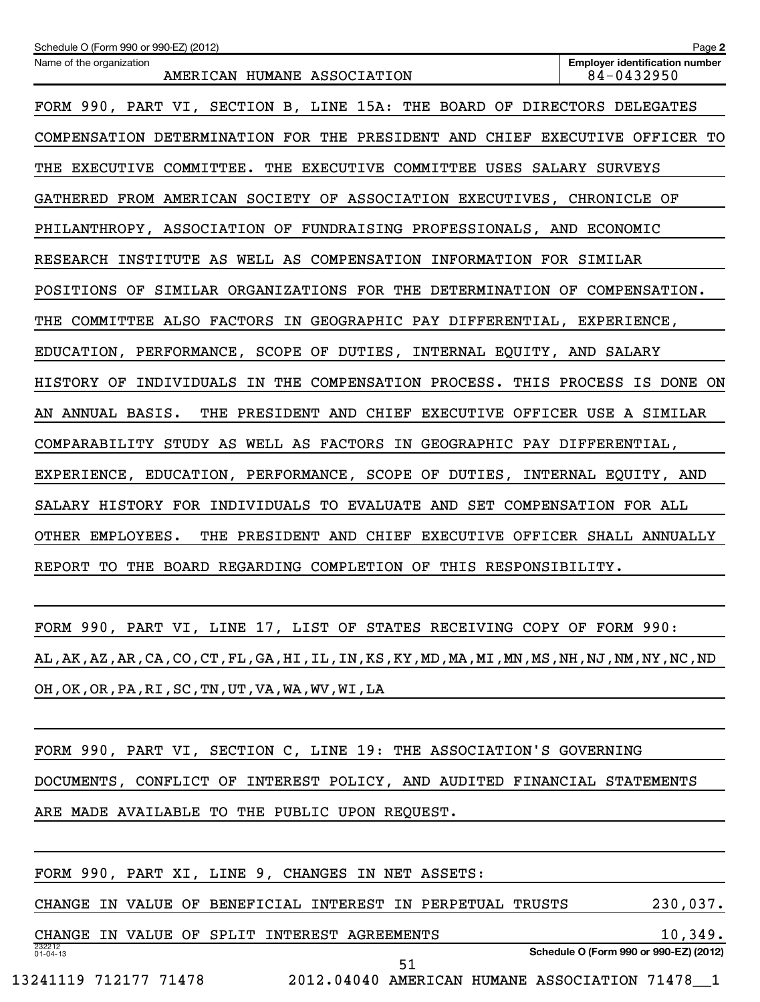| Schedule O (Form 990 or 990-EZ) (2012)                                       | Page 2                                              |
|------------------------------------------------------------------------------|-----------------------------------------------------|
| Name of the organization<br>AMERICAN HUMANE ASSOCIATION                      | <b>Employer identification number</b><br>84-0432950 |
| FORM 990, PART VI, SECTION B, LINE 15A: THE BOARD OF DIRECTORS DELEGATES     |                                                     |
| COMPENSATION DETERMINATION FOR THE PRESIDENT AND CHIEF EXECUTIVE OFFICER TO  |                                                     |
| THE EXECUTIVE COMMITTEE. THE EXECUTIVE COMMITTEE USES SALARY SURVEYS         |                                                     |
| GATHERED FROM AMERICAN SOCIETY OF ASSOCIATION EXECUTIVES, CHRONICLE OF       |                                                     |
| PHILANTHROPY, ASSOCIATION OF FUNDRAISING PROFESSIONALS, AND ECONOMIC         |                                                     |
| RESEARCH INSTITUTE AS WELL AS COMPENSATION INFORMATION FOR SIMILAR           |                                                     |
| POSITIONS OF SIMILAR ORGANIZATIONS FOR THE DETERMINATION OF COMPENSATION.    |                                                     |
| THE COMMITTEE ALSO FACTORS IN GEOGRAPHIC PAY DIFFERENTIAL, EXPERIENCE,       |                                                     |
| EDUCATION, PERFORMANCE, SCOPE OF DUTIES, INTERNAL EQUITY, AND SALARY         |                                                     |
| HISTORY OF INDIVIDUALS IN THE COMPENSATION PROCESS. THIS PROCESS IS DONE ON  |                                                     |
| THE PRESIDENT AND CHIEF EXECUTIVE OFFICER USE A SIMILAR<br>AN ANNUAL BASIS.  |                                                     |
| COMPARABILITY STUDY AS WELL AS FACTORS IN GEOGRAPHIC PAY DIFFERENTIAL,       |                                                     |
| EXPERIENCE, EDUCATION, PERFORMANCE, SCOPE OF DUTIES, INTERNAL EQUITY, AND    |                                                     |
| SALARY HISTORY FOR INDIVIDUALS TO EVALUATE AND SET COMPENSATION FOR ALL      |                                                     |
| OTHER EMPLOYEES.<br>THE PRESIDENT AND CHIEF EXECUTIVE OFFICER SHALL ANNUALLY |                                                     |
| REPORT TO THE BOARD REGARDING COMPLETION OF THIS RESPONSIBILITY.             |                                                     |
|                                                                              |                                                     |
|                                                                              |                                                     |

FORM 990, PART VI, LINE 17, LIST OF STATES RECEIVING COPY OF FORM 990: AL,AK,AZ,AR,CA,CO,CT,FL,GA,HI,IL,IN,KS,KY,MD,MA,MI,MN,MS,NH,NJ,NM,NY,NC,ND OH,OK,OR,PA,RI,SC,TN,UT,VA,WA,WV,WI,LA

FORM 990, PART VI, SECTION C, LINE 19: THE ASSOCIATION'S GOVERNING DOCUMENTS, CONFLICT OF INTEREST POLICY, AND AUDITED FINANCIAL STATEMENTS ARE MADE AVAILABLE TO THE PUBLIC UPON REQUEST.

|                          |  |  | FORM 990, PART XI, LINE 9, CHANGES IN NET ASSETS:          |  |    |  |                                                |          |  |
|--------------------------|--|--|------------------------------------------------------------|--|----|--|------------------------------------------------|----------|--|
|                          |  |  | CHANGE IN VALUE OF BENEFICIAL INTEREST IN PERPETUAL TRUSTS |  |    |  |                                                | 230,037. |  |
|                          |  |  | CHANGE IN VALUE OF SPLIT INTEREST AGREEMENTS               |  |    |  |                                                | 10,349.  |  |
| 232212<br>$01 - 04 - 13$ |  |  |                                                            |  |    |  | Schedule O (Form 990 or 990-EZ) (2012)         |          |  |
|                          |  |  |                                                            |  | 51 |  |                                                |          |  |
| 13241119 712177 71478    |  |  |                                                            |  |    |  | 2012.04040 AMERICAN HUMANE ASSOCIATION 71478 1 |          |  |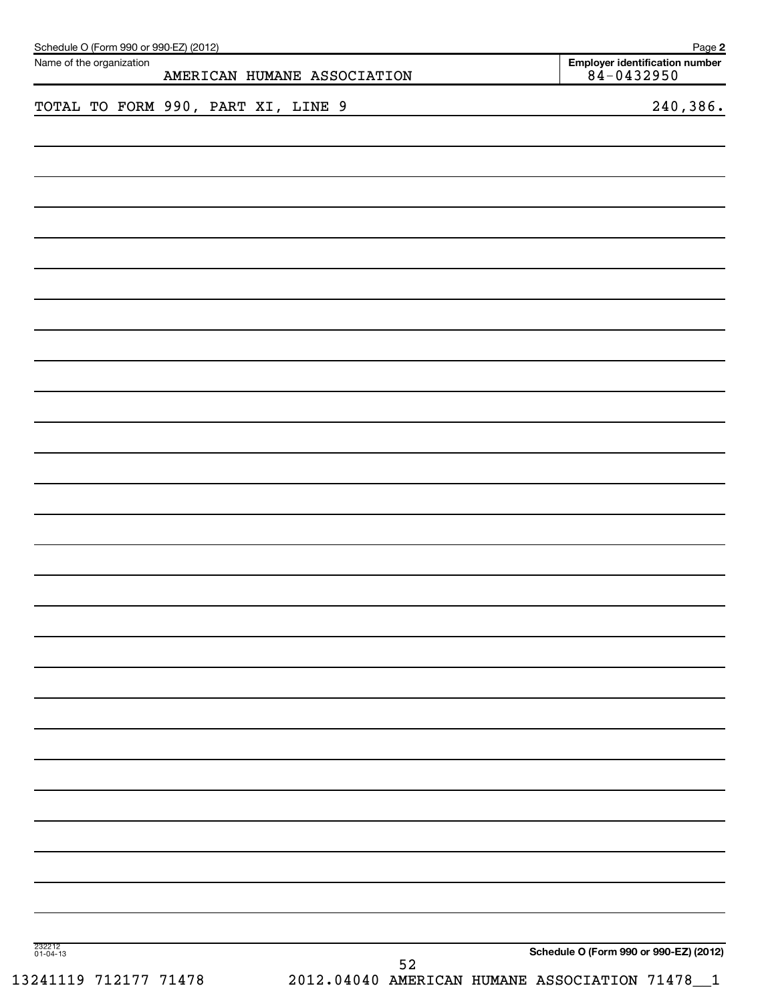| Name of the organization | AMERICAN HUMANE ASSOCIATION        | Page 2<br>Employer identification number<br>$84 - 0432950$ |  |  |
|--------------------------|------------------------------------|------------------------------------------------------------|--|--|
|                          | TOTAL TO FORM 990, PART XI, LINE 9 | 240,386.                                                   |  |  |
|                          |                                    |                                                            |  |  |
|                          |                                    |                                                            |  |  |
|                          |                                    |                                                            |  |  |
|                          |                                    |                                                            |  |  |
|                          |                                    |                                                            |  |  |
|                          |                                    |                                                            |  |  |
|                          |                                    |                                                            |  |  |
|                          |                                    |                                                            |  |  |
|                          |                                    |                                                            |  |  |
|                          |                                    |                                                            |  |  |
|                          |                                    |                                                            |  |  |
|                          |                                    |                                                            |  |  |
|                          |                                    |                                                            |  |  |
|                          |                                    |                                                            |  |  |
|                          |                                    |                                                            |  |  |
|                          |                                    |                                                            |  |  |
|                          |                                    |                                                            |  |  |
|                          |                                    |                                                            |  |  |
|                          |                                    |                                                            |  |  |
|                          |                                    |                                                            |  |  |
|                          |                                    |                                                            |  |  |
|                          |                                    |                                                            |  |  |
| 232212<br>01-04-13       | 52                                 | Schedule O (Form 990 or 990-EZ) (2012)                     |  |  |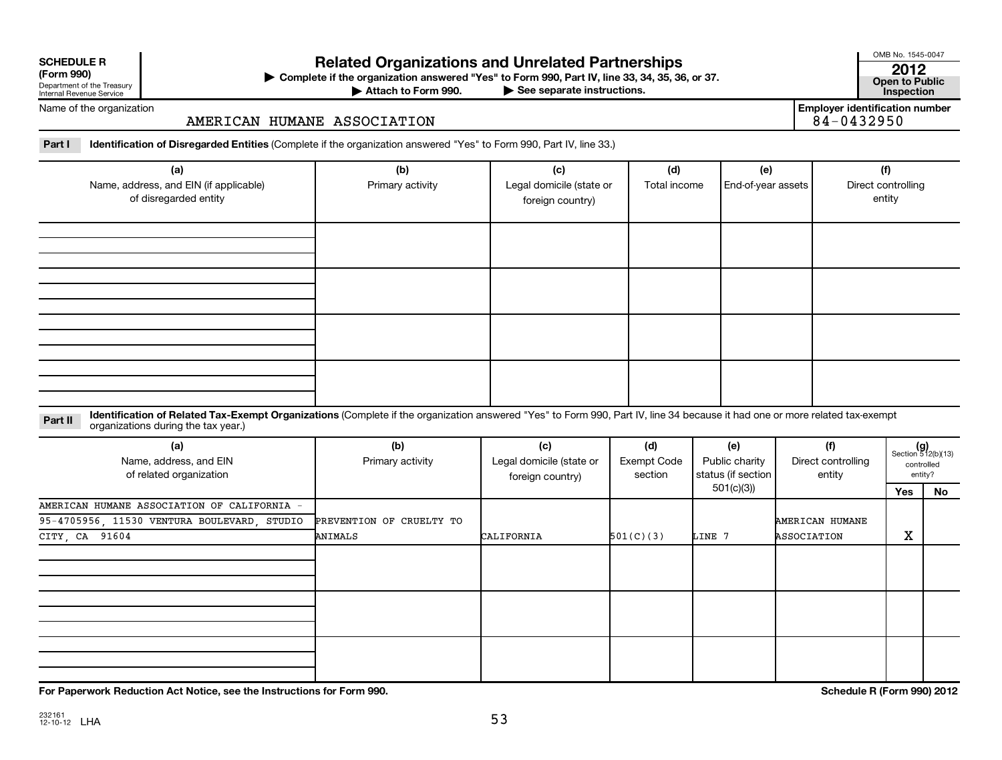| <b>SCHEDULE R</b> |  |  |
|-------------------|--|--|
|                   |  |  |

Department of the Treasury Internal Revenue Service

## **Related Organizations and Unrelated Partnerships 2012**

**(Form 990) Complete if the organization answered "Yes" to Form 990, Part IV, line 33, 34, 35, 36, or 37. Open to Public** | **At to Form 990. Part IV, line 33, 34, 35, 36, or 37.**<br>See separate instructions. **Inspection**<br>Inspection

Attach to Form 990.

OMB No. 1545-0047

**Employer identification number**<br>84-0432950

Name of the organization

## AMERICAN HUMANE ASSOCIATION

**Part I Identification of Disregarded Entities**  (Complete if the organization answered "Yes" to Form 990, Part IV, line 33.)

| (a)<br>Name, address, and EIN (if applicable)<br>of disregarded entity | (b)<br>Primary activity | (c)<br>Legal domicile (state or<br>foreign country) | (d)<br>Total income | (e)<br>End-of-year assets | (f)<br>Direct controlling<br>entity |
|------------------------------------------------------------------------|-------------------------|-----------------------------------------------------|---------------------|---------------------------|-------------------------------------|
|                                                                        |                         |                                                     |                     |                           |                                     |
|                                                                        |                         |                                                     |                     |                           |                                     |
|                                                                        |                         |                                                     |                     |                           |                                     |
|                                                                        |                         |                                                     |                     |                           |                                     |

Part II ldentification of Related Tax-Exempt Organizations (Complete if the organization answered "Yes" to Form 990, Part IV, line 34 because it had one or more related tax-exempt<br>example: croanizations during the tax veas organizations during the tax year.)

| (a)<br>Name, address, and EIN<br>of related organization | (b)<br>Primary activity  | (c)<br>Legal domicile (state or<br>foreign country) | (d)<br>Exempt Code<br>section | (e)<br>Public charity<br>status (if section | (f)<br>Direct controlling<br>entity |     | $(g)$<br>Section 512(b)(13)<br>controlled<br>entity? |
|----------------------------------------------------------|--------------------------|-----------------------------------------------------|-------------------------------|---------------------------------------------|-------------------------------------|-----|------------------------------------------------------|
|                                                          |                          |                                                     |                               | 501(c)(3))                                  |                                     | Yes | No                                                   |
| AMERICAN HUMANE ASSOCIATION OF CALIFORNIA -              |                          |                                                     |                               |                                             |                                     |     |                                                      |
| 95-4705956, 11530 VENTURA BOULEVARD, STUDIO              | PREVENTION OF CRUELTY TO |                                                     |                               |                                             | <b>AMERICAN HUMANE</b>              |     |                                                      |
| CITY, CA 91604                                           | ANIMALS                  | CALIFORNIA                                          | 501(C)(3)                     | LINE 7                                      | ASSOCIATION                         | X   |                                                      |
|                                                          |                          |                                                     |                               |                                             |                                     |     |                                                      |
|                                                          |                          |                                                     |                               |                                             |                                     |     |                                                      |
|                                                          |                          |                                                     |                               |                                             |                                     |     |                                                      |
|                                                          |                          |                                                     |                               |                                             |                                     |     |                                                      |
|                                                          |                          |                                                     |                               |                                             |                                     |     |                                                      |
|                                                          |                          |                                                     |                               |                                             |                                     |     |                                                      |
|                                                          |                          |                                                     |                               |                                             |                                     |     |                                                      |
|                                                          |                          |                                                     |                               |                                             |                                     |     |                                                      |
|                                                          |                          |                                                     |                               |                                             |                                     |     |                                                      |

**For Paperwork Reduction Act Notice, see the Instructions for Form 990. Schedule R (Form 990) 2012**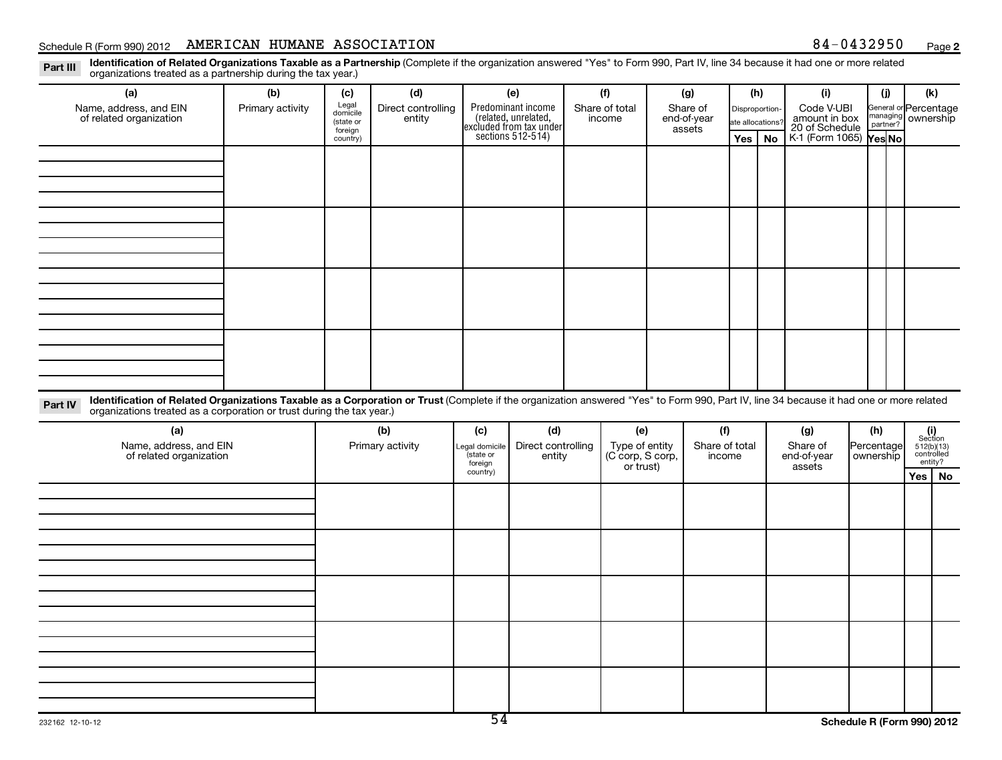## Schedule R (Form 990) 2012 AMERICAN HUMANE ASSOCIATION  $84-0432950$  Page

**2**

Part III Identification of Related Organizations Taxable as a Partnership (Complete if the organization answered "Yes" to Form 990, Part IV, line 34 because it had one or more related<br>Read to reconizations tracted as a par organizations treated as a partnership during the tax year.)

| (a)                                                                                                                                                                                                | (b)              | (c)                  | (d)                          |                            | (e)                                                                  | (f)                                | (g)                      | (h)             |           | (i)                                      |                         | (i)                  | (k)                                                                                                           |    |
|----------------------------------------------------------------------------------------------------------------------------------------------------------------------------------------------------|------------------|----------------------|------------------------------|----------------------------|----------------------------------------------------------------------|------------------------------------|--------------------------|-----------------|-----------|------------------------------------------|-------------------------|----------------------|---------------------------------------------------------------------------------------------------------------|----|
| Name, address, and EIN<br>of related organization                                                                                                                                                  | Primary activity | Legal<br>domicile    | Direct controlling<br>entity |                            | Predominant income                                                   | Share of total<br>income           | Share of<br>end-of-year  | Disproportion-  |           | Code V-UBI<br>amount in box              |                         |                      | General or Percentage<br>managing ownership                                                                   |    |
|                                                                                                                                                                                                    |                  | (state or<br>foreign |                              |                            | (related, unrelated,<br>excluded from tax under<br>sections 512-514) |                                    | assets                   | ate allocations |           | 20 of Schedule<br>K-1 (Form 1065) Yes No |                         | managing<br>partner? |                                                                                                               |    |
|                                                                                                                                                                                                    |                  | country)             |                              |                            |                                                                      |                                    |                          | Yes             | <b>No</b> |                                          |                         |                      |                                                                                                               |    |
|                                                                                                                                                                                                    |                  |                      |                              |                            |                                                                      |                                    |                          |                 |           |                                          |                         |                      |                                                                                                               |    |
|                                                                                                                                                                                                    |                  |                      |                              |                            |                                                                      |                                    |                          |                 |           |                                          |                         |                      |                                                                                                               |    |
|                                                                                                                                                                                                    |                  |                      |                              |                            |                                                                      |                                    |                          |                 |           |                                          |                         |                      |                                                                                                               |    |
|                                                                                                                                                                                                    |                  |                      |                              |                            |                                                                      |                                    |                          |                 |           |                                          |                         |                      |                                                                                                               |    |
|                                                                                                                                                                                                    |                  |                      |                              |                            |                                                                      |                                    |                          |                 |           |                                          |                         |                      |                                                                                                               |    |
|                                                                                                                                                                                                    |                  |                      |                              |                            |                                                                      |                                    |                          |                 |           |                                          |                         |                      |                                                                                                               |    |
|                                                                                                                                                                                                    |                  |                      |                              |                            |                                                                      |                                    |                          |                 |           |                                          |                         |                      |                                                                                                               |    |
|                                                                                                                                                                                                    |                  |                      |                              |                            |                                                                      |                                    |                          |                 |           |                                          |                         |                      |                                                                                                               |    |
|                                                                                                                                                                                                    |                  |                      |                              |                            |                                                                      |                                    |                          |                 |           |                                          |                         |                      |                                                                                                               |    |
|                                                                                                                                                                                                    |                  |                      |                              |                            |                                                                      |                                    |                          |                 |           |                                          |                         |                      |                                                                                                               |    |
|                                                                                                                                                                                                    |                  |                      |                              |                            |                                                                      |                                    |                          |                 |           |                                          |                         |                      |                                                                                                               |    |
|                                                                                                                                                                                                    |                  |                      |                              |                            |                                                                      |                                    |                          |                 |           |                                          |                         |                      |                                                                                                               |    |
|                                                                                                                                                                                                    |                  |                      |                              |                            |                                                                      |                                    |                          |                 |           |                                          |                         |                      |                                                                                                               |    |
|                                                                                                                                                                                                    |                  |                      |                              |                            |                                                                      |                                    |                          |                 |           |                                          |                         |                      |                                                                                                               |    |
| Identification of Related Organizations Taxable as a Corporation or Trust (Complete if the organization answered "Yes" to Form 990, Part IV, line 34 because it had one or more related<br>Part IV |                  |                      |                              |                            |                                                                      |                                    |                          |                 |           |                                          |                         |                      |                                                                                                               |    |
| organizations treated as a corporation or trust during the tax year.)                                                                                                                              |                  |                      |                              |                            |                                                                      |                                    |                          |                 |           |                                          |                         |                      |                                                                                                               |    |
| (a)                                                                                                                                                                                                |                  |                      | (b)                          | (c)                        | (d)                                                                  | (e)                                | (f)                      |                 |           | (g)                                      | (h)                     |                      | $\begin{array}{c} \textbf{(i)}\\ \text{Section}\\ 512 \text{(b)} \text{(13)}\\ \text{controlled} \end{array}$ |    |
| Name, address, and EIN<br>of related organization                                                                                                                                                  |                  |                      | Primary activity             | Legal domicile<br>state or | Direct controlling<br>entity                                         | Type of entity<br>(C corp, S corp, | Share of total<br>income |                 |           | Share of<br>end-of-year                  | Percentage<br>ownership |                      | entity?                                                                                                       |    |
|                                                                                                                                                                                                    |                  |                      |                              | foreign<br>country)        |                                                                      | or trust)                          |                          |                 |           | assets                                   |                         |                      | Yes                                                                                                           | No |
|                                                                                                                                                                                                    |                  |                      |                              |                            |                                                                      |                                    |                          |                 |           |                                          |                         |                      |                                                                                                               |    |
|                                                                                                                                                                                                    |                  |                      |                              |                            |                                                                      |                                    |                          |                 |           |                                          |                         |                      |                                                                                                               |    |
|                                                                                                                                                                                                    |                  |                      |                              |                            |                                                                      |                                    |                          |                 |           |                                          |                         |                      |                                                                                                               |    |
|                                                                                                                                                                                                    |                  |                      |                              |                            |                                                                      |                                    |                          |                 |           |                                          |                         |                      |                                                                                                               |    |
|                                                                                                                                                                                                    |                  |                      |                              |                            |                                                                      |                                    |                          |                 |           |                                          |                         |                      |                                                                                                               |    |
|                                                                                                                                                                                                    |                  |                      |                              |                            |                                                                      |                                    |                          |                 |           |                                          |                         |                      |                                                                                                               |    |
|                                                                                                                                                                                                    |                  |                      |                              |                            |                                                                      |                                    |                          |                 |           |                                          |                         |                      |                                                                                                               |    |
|                                                                                                                                                                                                    |                  |                      |                              |                            |                                                                      |                                    |                          |                 |           |                                          |                         |                      |                                                                                                               |    |
|                                                                                                                                                                                                    |                  |                      |                              |                            |                                                                      |                                    |                          |                 |           |                                          |                         |                      |                                                                                                               |    |
|                                                                                                                                                                                                    |                  |                      |                              |                            |                                                                      |                                    |                          |                 |           |                                          |                         |                      |                                                                                                               |    |
|                                                                                                                                                                                                    |                  |                      |                              |                            |                                                                      |                                    |                          |                 |           |                                          |                         |                      |                                                                                                               |    |
|                                                                                                                                                                                                    |                  |                      |                              |                            |                                                                      |                                    |                          |                 |           |                                          |                         |                      |                                                                                                               |    |
|                                                                                                                                                                                                    |                  |                      |                              |                            |                                                                      |                                    |                          |                 |           |                                          |                         |                      |                                                                                                               |    |
|                                                                                                                                                                                                    |                  |                      |                              | $F$ $\overline{A}$         |                                                                      |                                    |                          |                 |           |                                          |                         |                      |                                                                                                               |    |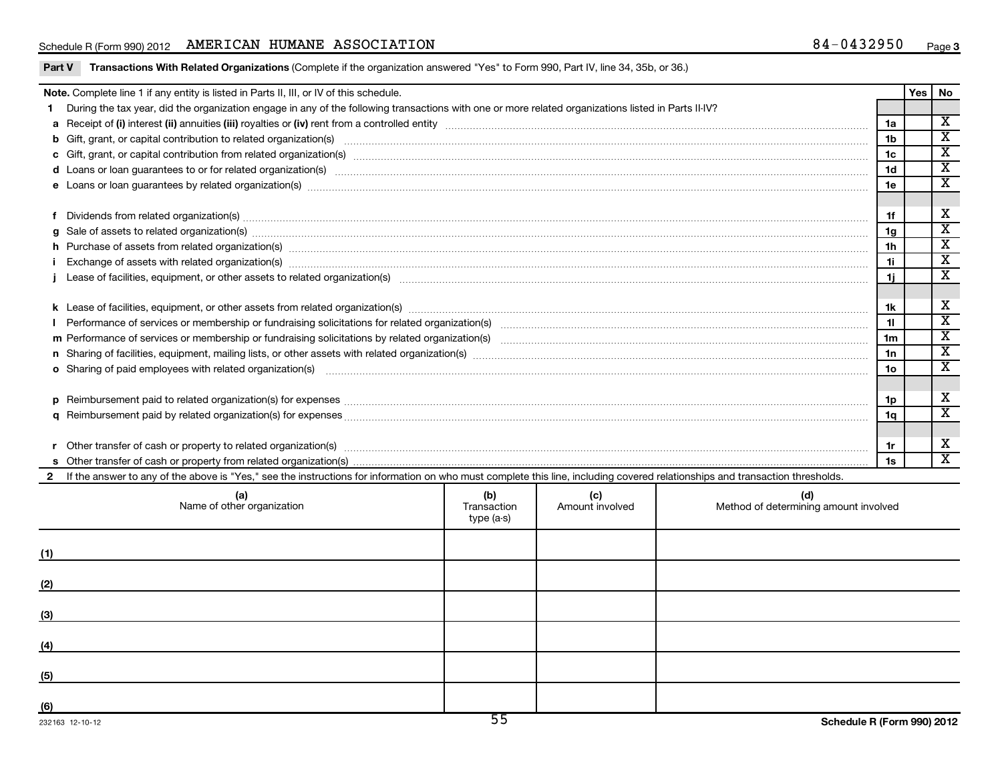## Schedule R (Form 990) 2012 AMERICAN HUMANE ASSOCIATION  $84-0432950$  Page

|  |  |  | <b>Part V</b> T <b>ransactions With Related Organizations</b> (Complete if the organization answered "Yes" to Form 990, Part IV, line 34, 35b, or 36.) |
|--|--|--|--------------------------------------------------------------------------------------------------------------------------------------------------------|
|--|--|--|--------------------------------------------------------------------------------------------------------------------------------------------------------|

|     | Note. Complete line 1 if any entity is listed in Parts II, III, or IV of this schedule.                                                                                                                                        |             |                 |                                       |                 | <b>Yes</b> | <b>No</b>               |
|-----|--------------------------------------------------------------------------------------------------------------------------------------------------------------------------------------------------------------------------------|-------------|-----------------|---------------------------------------|-----------------|------------|-------------------------|
|     | During the tax year, did the organization engage in any of the following transactions with one or more related organizations listed in Parts II-IV?                                                                            |             |                 |                                       |                 |            |                         |
|     |                                                                                                                                                                                                                                |             |                 |                                       | 1a              |            | $\overline{\mathbf{X}}$ |
|     |                                                                                                                                                                                                                                |             |                 |                                       | 1b              |            | $\overline{\textbf{x}}$ |
|     |                                                                                                                                                                                                                                |             |                 |                                       | 1c              |            | $\overline{\mathbf{x}}$ |
|     |                                                                                                                                                                                                                                |             |                 |                                       | 1d              |            | $\overline{\mathbf{x}}$ |
|     | e Loans or loan guarantees by related organization(s) www.assession.com/www.assession.com/www.assession.com/www.assession.com/www.assession.com/www.assession.com/www.assession.com/www.assession.com/www.assession.com/www.as |             |                 |                                       | 1e              |            | $\overline{\textbf{x}}$ |
|     |                                                                                                                                                                                                                                |             |                 |                                       |                 |            |                         |
|     | Dividends from related organization(s) machinesis and contract and contract and contract and contract and contract and contract and contract and contract and contract and contract and contract and contract and contract and |             |                 |                                       | 1f              |            | X                       |
| a   | Sale of assets to related organization(s) www.assettion.com/www.assettion.com/www.assettion.com/www.assettion.com/www.assettion.com/www.assettion.com/www.assettion.com/www.assettion.com/www.assettion.com/www.assettion.com/ |             |                 |                                       | 1g              |            | $\overline{\textbf{x}}$ |
|     |                                                                                                                                                                                                                                |             |                 |                                       | 1h              |            | $\overline{\mathbf{x}}$ |
|     | Exchange of assets with related organization(s) manufactured and content and content and content of assets with related organization(s)                                                                                        |             |                 |                                       | 1i.             |            | $\overline{\textbf{x}}$ |
|     | Lease of facilities, equipment, or other assets to related organization(s) manufaction content and content and content and content and content and content and content and content and content and content and content and con |             |                 |                                       | 1i.             |            | $\overline{\textbf{x}}$ |
|     |                                                                                                                                                                                                                                |             |                 |                                       |                 |            |                         |
|     |                                                                                                                                                                                                                                |             |                 |                                       | 1k              |            | X                       |
|     |                                                                                                                                                                                                                                |             |                 |                                       | 11              |            | $\overline{\textbf{x}}$ |
|     |                                                                                                                                                                                                                                |             |                 |                                       | 1 <sub>m</sub>  |            | $\overline{\textbf{x}}$ |
|     |                                                                                                                                                                                                                                |             |                 |                                       | 1n              |            | $\overline{\mathbf{X}}$ |
|     | o Sharing of paid employees with related organization(s) manufactured and content to the content of the content of the content of the content of the content of the content of the content of the content of the content of th |             |                 |                                       | 10 <sub>o</sub> |            | $\overline{\mathbf{x}}$ |
|     |                                                                                                                                                                                                                                |             |                 |                                       |                 |            |                         |
|     |                                                                                                                                                                                                                                |             |                 |                                       | 1p              |            | Х                       |
|     |                                                                                                                                                                                                                                |             |                 |                                       | 1q              |            | $\overline{\textbf{x}}$ |
|     |                                                                                                                                                                                                                                |             |                 |                                       |                 |            |                         |
|     |                                                                                                                                                                                                                                |             |                 |                                       | 1r              |            | Х                       |
|     |                                                                                                                                                                                                                                |             |                 |                                       | 1s              |            | $\overline{\mathbf{x}}$ |
|     | 2 If the answer to any of the above is "Yes," see the instructions for information on who must complete this line, including covered relationships and transaction thresholds.                                                 |             |                 |                                       |                 |            |                         |
|     | (a)                                                                                                                                                                                                                            | (b)         | (c)             | (d)                                   |                 |            |                         |
|     | Name of other organization                                                                                                                                                                                                     | Transaction | Amount involved | Method of determining amount involved |                 |            |                         |
|     |                                                                                                                                                                                                                                | type (a-s)  |                 |                                       |                 |            |                         |
|     |                                                                                                                                                                                                                                |             |                 |                                       |                 |            |                         |
|     |                                                                                                                                                                                                                                |             |                 |                                       |                 |            |                         |
|     |                                                                                                                                                                                                                                |             |                 |                                       |                 |            |                         |
| (2) |                                                                                                                                                                                                                                |             |                 |                                       |                 |            |                         |
|     |                                                                                                                                                                                                                                |             |                 |                                       |                 |            |                         |
| (3) |                                                                                                                                                                                                                                |             |                 |                                       |                 |            |                         |
|     |                                                                                                                                                                                                                                |             |                 |                                       |                 |            |                         |
| (4) |                                                                                                                                                                                                                                |             |                 |                                       |                 |            |                         |
|     |                                                                                                                                                                                                                                |             |                 |                                       |                 |            |                         |
| (5) |                                                                                                                                                                                                                                |             |                 |                                       |                 |            |                         |
|     |                                                                                                                                                                                                                                |             |                 |                                       |                 |            |                         |
| (6) |                                                                                                                                                                                                                                |             |                 |                                       |                 |            |                         |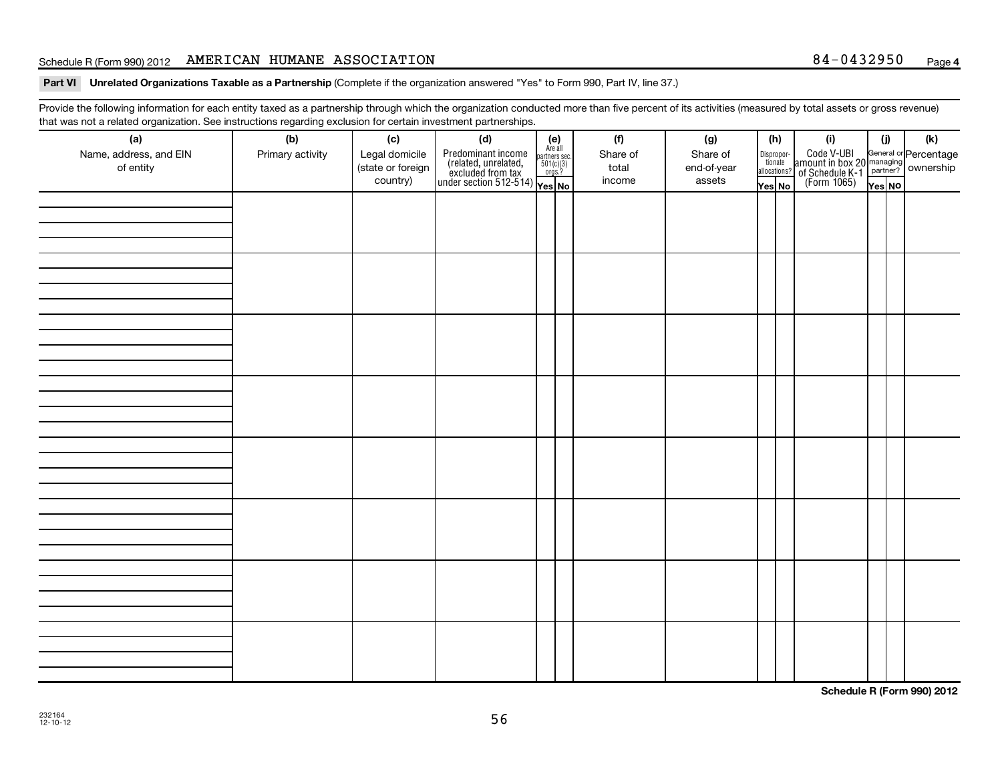## Schedule R (Form 990) 2012 AMERICAN HUMANE ASSOCIATION  $84-0432950$  Page

### Part VI Unrelated Organizations Taxable as a Partnership (Complete if the organization answered "Yes" to Form 990, Part IV, line 37.)

Provide the following information for each entity taxed as a partnership through which the organization conducted more than five percent of its activities (measured by total assets or gross revenue) that was not a related organization. See instructions regarding exclusion for certain investment partnerships.

| (a)<br>Name, address, and EIN<br>of entity | (b)<br>Primary activity | (c)<br>Legal domicile<br>(state or foreign | (d)<br>$\begin{array}{ l l } \hline \text{Predfominant income} & \text{Area all} \\ \hline \text{(related, unrelated,} & \text{501(c)/3}) \\ \text{excluded from tax} & \text{501(c)/3} \\ \text{under section 512-514)} & \text{Yes. No} \\\hline \end{array}$ | (e)<br>Are all<br>partners sec.<br>$501(c)(3)$<br>orgs.? | (f)<br>Share of<br>total | (g)<br>Share of<br>end-of-year | (h)<br>Dispropor-<br>tionate<br>allocations? | (i)<br>Code V-UBI<br>amount in box 20 managing<br>of Schedule K-1 partner?<br>(Form 1065)<br>$\frac{1}{\sqrt{1-\frac{1}{2}}}\sqrt{\frac{1}{2}}$ | (i)    | (k) |
|--------------------------------------------|-------------------------|--------------------------------------------|-----------------------------------------------------------------------------------------------------------------------------------------------------------------------------------------------------------------------------------------------------------------|----------------------------------------------------------|--------------------------|--------------------------------|----------------------------------------------|-------------------------------------------------------------------------------------------------------------------------------------------------|--------|-----|
|                                            |                         | country)                                   |                                                                                                                                                                                                                                                                 |                                                          | income                   | assets                         | Yes No                                       |                                                                                                                                                 | Yes NO |     |
|                                            |                         |                                            |                                                                                                                                                                                                                                                                 |                                                          |                          |                                |                                              |                                                                                                                                                 |        |     |
|                                            |                         |                                            |                                                                                                                                                                                                                                                                 |                                                          |                          |                                |                                              |                                                                                                                                                 |        |     |
|                                            |                         |                                            |                                                                                                                                                                                                                                                                 |                                                          |                          |                                |                                              |                                                                                                                                                 |        |     |
|                                            |                         |                                            |                                                                                                                                                                                                                                                                 |                                                          |                          |                                |                                              |                                                                                                                                                 |        |     |
|                                            |                         |                                            |                                                                                                                                                                                                                                                                 |                                                          |                          |                                |                                              |                                                                                                                                                 |        |     |
|                                            |                         |                                            |                                                                                                                                                                                                                                                                 |                                                          |                          |                                |                                              |                                                                                                                                                 |        |     |
|                                            |                         |                                            |                                                                                                                                                                                                                                                                 |                                                          |                          |                                |                                              |                                                                                                                                                 |        |     |
|                                            |                         |                                            |                                                                                                                                                                                                                                                                 |                                                          |                          |                                |                                              |                                                                                                                                                 |        |     |
|                                            |                         |                                            |                                                                                                                                                                                                                                                                 |                                                          |                          |                                |                                              |                                                                                                                                                 |        |     |
|                                            |                         |                                            |                                                                                                                                                                                                                                                                 |                                                          |                          |                                |                                              |                                                                                                                                                 |        |     |
|                                            |                         |                                            |                                                                                                                                                                                                                                                                 |                                                          |                          |                                |                                              |                                                                                                                                                 |        |     |
|                                            |                         |                                            |                                                                                                                                                                                                                                                                 |                                                          |                          |                                |                                              |                                                                                                                                                 |        |     |
|                                            |                         |                                            |                                                                                                                                                                                                                                                                 |                                                          |                          |                                |                                              |                                                                                                                                                 |        |     |
|                                            |                         |                                            |                                                                                                                                                                                                                                                                 |                                                          |                          |                                |                                              |                                                                                                                                                 |        |     |
|                                            |                         |                                            |                                                                                                                                                                                                                                                                 |                                                          |                          |                                |                                              |                                                                                                                                                 |        |     |
|                                            |                         |                                            |                                                                                                                                                                                                                                                                 |                                                          |                          |                                |                                              |                                                                                                                                                 |        |     |
|                                            |                         |                                            |                                                                                                                                                                                                                                                                 |                                                          |                          |                                |                                              |                                                                                                                                                 |        |     |
|                                            |                         |                                            |                                                                                                                                                                                                                                                                 |                                                          |                          |                                |                                              |                                                                                                                                                 |        |     |
|                                            |                         |                                            |                                                                                                                                                                                                                                                                 |                                                          |                          |                                |                                              |                                                                                                                                                 |        |     |
|                                            |                         |                                            |                                                                                                                                                                                                                                                                 |                                                          |                          |                                |                                              |                                                                                                                                                 |        |     |
|                                            |                         |                                            |                                                                                                                                                                                                                                                                 |                                                          |                          |                                |                                              |                                                                                                                                                 |        |     |
|                                            |                         |                                            |                                                                                                                                                                                                                                                                 |                                                          |                          |                                |                                              |                                                                                                                                                 |        |     |
|                                            |                         |                                            |                                                                                                                                                                                                                                                                 |                                                          |                          |                                |                                              |                                                                                                                                                 |        |     |
|                                            |                         |                                            |                                                                                                                                                                                                                                                                 |                                                          |                          |                                |                                              |                                                                                                                                                 |        |     |
|                                            |                         |                                            |                                                                                                                                                                                                                                                                 |                                                          |                          |                                |                                              |                                                                                                                                                 |        |     |
|                                            |                         |                                            |                                                                                                                                                                                                                                                                 |                                                          |                          |                                |                                              |                                                                                                                                                 |        |     |
|                                            |                         |                                            |                                                                                                                                                                                                                                                                 |                                                          |                          |                                |                                              |                                                                                                                                                 |        |     |
|                                            |                         |                                            |                                                                                                                                                                                                                                                                 |                                                          |                          |                                |                                              |                                                                                                                                                 |        |     |
|                                            |                         |                                            |                                                                                                                                                                                                                                                                 |                                                          |                          |                                |                                              |                                                                                                                                                 |        |     |
|                                            |                         |                                            |                                                                                                                                                                                                                                                                 |                                                          |                          |                                |                                              |                                                                                                                                                 |        |     |
|                                            |                         |                                            |                                                                                                                                                                                                                                                                 |                                                          |                          |                                |                                              |                                                                                                                                                 |        |     |
|                                            |                         |                                            |                                                                                                                                                                                                                                                                 |                                                          |                          |                                |                                              |                                                                                                                                                 |        |     |
|                                            |                         |                                            |                                                                                                                                                                                                                                                                 |                                                          |                          |                                |                                              |                                                                                                                                                 |        |     |

**Schedule R (Form 990) 2012**